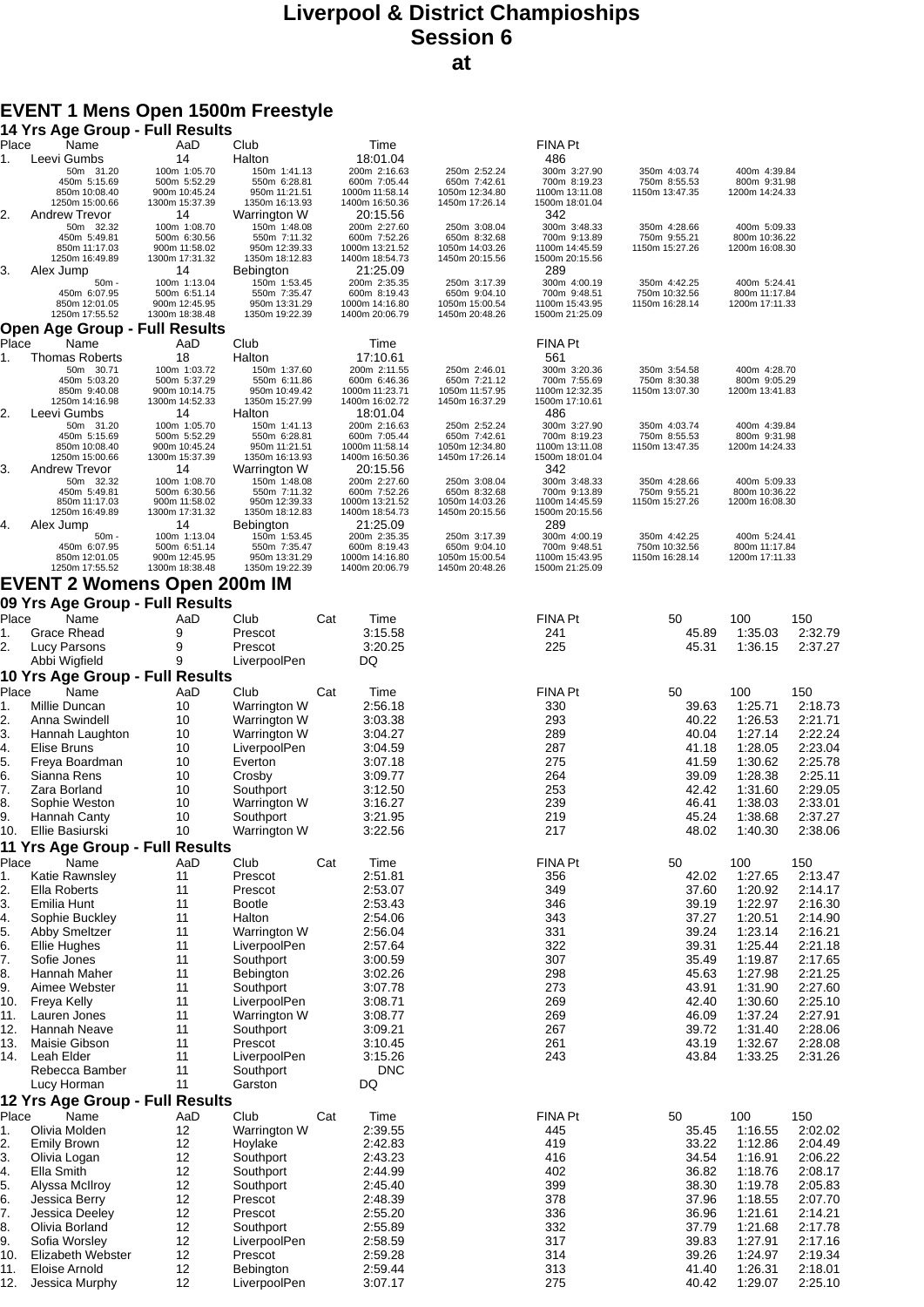### **Liverpool & District Champioships Session 6 at**

# **EVENT 1 Mens Open 1500m Freestyle**

|                  | 14 Yrs Age Group - Full Results         |                                 |                                 |     |                                  |                                  |                                  |                                 |                                 |                    |
|------------------|-----------------------------------------|---------------------------------|---------------------------------|-----|----------------------------------|----------------------------------|----------------------------------|---------------------------------|---------------------------------|--------------------|
| Place            | Name<br>Leevi Gumbs                     | AaD<br>14                       | Club<br>Halton                  |     | Time<br>18:01.04                 |                                  | FINA Pt<br>486                   |                                 |                                 |                    |
| 1.               | 50m 31.20                               | 100m 1:05.70                    | 150m 1:41.13                    |     | 200m 2:16.63                     | 250m 2:52.24                     | 300m 3:27.90                     | 350m 4:03.74                    | 400m 4:39.84                    |                    |
|                  | 450m 5:15.69<br>850m 10:08.40           | 500m 5:52.29<br>900m 10:45.24   | 550m 6:28.81<br>950m 11:21.51   |     | 600m 7:05.44<br>1000m 11:58.14   | 650m 7:42.61<br>1050m 12:34.80   | 700m 8:19.23<br>1100m 13:11.08   | 750m 8:55.53<br>1150m 13:47.35  | 800m 9:31.98<br>1200m 14:24.33  |                    |
|                  | 1250m 15:00.66                          | 1300m 15:37.39                  | 1350m 16:13.93                  |     | 1400m 16:50.36                   | 1450m 17:26.14                   | 1500m 18:01.04                   |                                 |                                 |                    |
| 2.               | <b>Andrew Trevor</b>                    | 14                              | Warrington W                    |     | 20:15.56                         |                                  | 342                              |                                 |                                 |                    |
|                  | 50m 32.32<br>450m 5:49.81               | 100m 1:08.70<br>500m 6:30.56    | 150m 1:48.08<br>550m 7:11.32    |     | 200m 2:27.60<br>600m 7:52.26     | 250m 3:08.04<br>650m 8:32.68     | 300m 3:48.33<br>700m 9:13.89     | 350m 4:28.66<br>750m 9:55.21    | 400m 5:09.33<br>800m 10:36.22   |                    |
|                  | 850m 11:17.03                           | 900m 11:58.02                   | 950m 12:39.33                   |     | 1000m 13:21.52                   | 1050m 14:03.26                   | 1100m 14:45.59                   | 1150m 15:27.26                  | 1200m 16:08.30                  |                    |
| 3.               | 1250m 16:49.89<br>Alex Jump             | 1300m 17:31.32<br>14            | 1350m 18:12.83<br>Bebington     |     | 1400m 18:54.73<br>21:25.09       | 1450m 20:15.56                   | 1500m 20:15.56<br>289            |                                 |                                 |                    |
|                  | $50m -$                                 | 100m 1:13.04                    | 150m 1:53.45                    |     | 200m 2:35.35                     | 250m 3:17.39                     | 300m 4:00.19                     | 350m 4:42.25                    | 400m 5:24.41                    |                    |
|                  | 450m 6:07.95<br>850m 12:01.05           | 500m 6:51.14<br>900m 12:45.95   | 550m 7:35.47<br>950m 13:31.29   |     | 600m 8:19.43<br>1000m 14:16.80   | 650m 9:04.10<br>1050m 15:00.54   | 700m 9:48.51<br>1100m 15:43.95   | 750m 10:32.56<br>1150m 16:28.14 | 800m 11:17.84<br>1200m 17:11.33 |                    |
|                  | 1250m 17:55.52                          | 1300m 18:38.48                  | 1350m 19:22.39                  |     | 1400m 20:06.79                   | 1450m 20:48.26                   | 1500m 21:25.09                   |                                 |                                 |                    |
|                  | Open Age Group - Full Results           |                                 |                                 |     |                                  |                                  |                                  |                                 |                                 |                    |
| Place            | Name                                    | AaD                             | Club                            |     | Time                             |                                  | <b>FINA Pt</b><br>561            |                                 |                                 |                    |
| 1.               | <b>Thomas Roberts</b><br>50m 30.71      | 18<br>100m 1:03.72              | Halton<br>150m 1:37.60          |     | 17:10.61<br>200m 2:11.55         | 250m 2:46.01                     | 300m 3:20.36                     | 350m 3:54.58                    | 400m 4:28.70                    |                    |
|                  | 450m 5:03.20                            | 500m 5:37.29                    | 550m 6:11.86                    |     | 600m 6:46.36                     | 650m 7:21.12                     | 700m 7:55.69                     | 750m 8:30.38                    | 800m 9:05.29                    |                    |
|                  | 850m 9:40.08<br>1250m 14:16.98          | 900m 10:14.75<br>1300m 14:52.33 | 950m 10:49.42<br>1350m 15:27.99 |     | 1000m 11:23.71<br>1400m 16:02.72 | 1050m 11:57.95<br>1450m 16:37.29 | 1100m 12:32.35<br>1500m 17:10.61 | 1150m 13:07.30                  | 1200m 13:41.83                  |                    |
| 2.               | Leevi Gumbs                             | 14                              | Halton                          |     | 18:01.04                         |                                  | 486                              |                                 |                                 |                    |
|                  | 50m 31.20<br>450m 5:15.69               | 100m 1:05.70<br>500m 5:52.29    | 150m 1:41.13<br>550m 6:28.81    |     | 200m 2:16.63<br>600m 7:05.44     | 250m 2:52.24<br>650m 7:42.61     | 300m 3:27.90<br>700m 8:19.23     | 350m 4:03.74<br>750m 8:55.53    | 400m 4:39.84<br>800m 9:31.98    |                    |
|                  | 850m 10:08.40                           | 900m 10:45.24                   | 950m 11:21.51                   |     | 1000m 11:58.14                   | 1050m 12:34.80                   | 1100m 13:11.08                   | 1150m 13:47.35                  | 1200m 14:24.33                  |                    |
| 3.               | 1250m 15:00.66<br>Andrew Trevor         | 1300m 15:37.39<br>14            | 1350m 16:13.93<br>Warrington W  |     | 1400m 16:50.36<br>20:15.56       | 1450m 17:26.14                   | 1500m 18:01.04<br>342            |                                 |                                 |                    |
|                  | 50m 32.32                               | 100m 1:08.70                    | 150m 1:48.08                    |     | 200m 2:27.60                     | 250m 3:08.04                     | 300m 3:48.33                     | 350m 4:28.66                    | 400m 5:09.33                    |                    |
|                  | 450m 5:49.81<br>850m 11:17.03           | 500m 6:30.56<br>900m 11:58.02   | 550m 7:11.32<br>950m 12:39.33   |     | 600m 7:52.26<br>1000m 13:21.52   | 650m 8:32.68<br>1050m 14:03.26   | 700m 9:13.89<br>1100m 14:45.59   | 750m 9:55.21<br>1150m 15:27.26  | 800m 10:36.22<br>1200m 16:08.30 |                    |
|                  | 1250m 16:49.89                          | 1300m 17:31.32                  | 1350m 18:12.83                  |     | 1400m 18:54.73                   | 1450m 20:15.56                   | 1500m 20:15.56                   |                                 |                                 |                    |
| 4.               | Alex Jump                               | 14                              | <b>Bebington</b>                |     | 21:25.09                         |                                  | 289                              |                                 |                                 |                    |
|                  | $50m -$<br>450m 6:07.95                 | 100m 1:13.04<br>500m 6:51.14    | 150m 1:53.45<br>550m 7:35.47    |     | 200m 2:35.35<br>600m 8:19.43     | 250m 3:17.39<br>650m 9:04.10     | 300m 4:00.19<br>700m 9:48.51     | 350m 4:42.25<br>750m 10:32.56   | 400m 5:24.41<br>800m 11:17.84   |                    |
|                  | 850m 12:01.05                           | 900m 12:45.95                   | 950m 13:31.29                   |     | 1000m 14:16.80                   | 1050m 15:00.54                   | 1100m 15:43.95                   | 1150m 16:28.14                  | 1200m 17:11.33                  |                    |
|                  | 1250m 17:55.52                          | 1300m 18:38.48                  | 1350m 19:22.39                  |     | 1400m 20:06.79                   | 1450m 20:48.26                   | 1500m 21:25.09                   |                                 |                                 |                    |
|                  | <b>EVENT 2 Womens Open 200m IM</b>      |                                 |                                 |     |                                  |                                  |                                  |                                 |                                 |                    |
|                  | 09 Yrs Age Group - Full Results         |                                 |                                 |     |                                  |                                  |                                  |                                 |                                 |                    |
| Place<br>1.      | Name<br>Grace Rhead                     | AaD<br>9                        | Club<br>Prescot                 | Cat | Time<br>3:15.58                  |                                  | <b>FINA Pt</b><br>241            | 50<br>45.89                     | 100<br>1:35.03                  | 150<br>2:32.79     |
| 2.               | Lucy Parsons                            | 9                               | Prescot                         |     | 3:20.25                          |                                  | 225                              | 45.31                           | 1:36.15                         | 2:37.27            |
|                  | Abbi Wigfield                           | 9                               | LiverpoolPen                    |     | DQ                               |                                  |                                  |                                 |                                 |                    |
|                  | 10 Yrs Age Group - Full Results         |                                 |                                 |     |                                  |                                  |                                  |                                 |                                 |                    |
| Place            | Name                                    | AaD                             | Club                            | Cat | Time                             |                                  | FINA Pt                          | 50                              | 100                             | 150                |
| 1.               | Millie Duncan                           | 10                              | Warrington W                    |     | 2:56.18                          |                                  | 330                              | 39.63                           | 1:25.71                         | 2:18.73            |
| 2.               | Anna Swindell                           | 10                              | Warrington W                    |     | 3:03.38                          |                                  | 293                              | 40.22                           | 1:26.53                         | 2:21.71            |
| 3.<br>4.         | Hannah Laughton<br>Elise Bruns          | 10<br>10                        | Warrington W<br>LiverpoolPen    |     | 3:04.27<br>3:04.59               |                                  | 289<br>287                       | 40.04<br>41.18                  | 1:27.14<br>1:28.05              | 2:22.24<br>2:23.04 |
| 15.              | Freya Boardman                          | 10                              | Everton                         |     | 3:07.18                          |                                  | 275                              | 41.59                           | 1:30.62                         | 2:25.78            |
| 6.               | Sianna Rens                             | 10                              | Crosby                          |     | 3:09.77                          |                                  | 264                              | 39.09                           | 1:28.38                         | 2:25.11            |
| 7.               | Zara Borland                            | 10                              | Southport                       |     | 3:12.50                          |                                  | 253                              | 42.42                           | 1:31.60                         | 2:29.05            |
| 8.               | Sophie Weston                           | 10                              | Warrington W                    |     | 3:16.27                          |                                  | 239                              | 46.41                           | 1:38.03                         | 2:33.01            |
| Ι9.              | Hannah Canty                            | 10                              | Southport                       |     | 3:21.95                          |                                  | 219                              | 45.24                           | 1:38.68                         | 2:37.27            |
| 10.              | Ellie Basiurski                         | 10                              | Warrington W                    |     | 3:22.56                          |                                  | 217                              | 48.02                           | 1:40.30                         | 2:38.06            |
| Place            | 11 Yrs Age Group - Full Results<br>Name | AaD                             | Club                            | Cat | Time                             |                                  | FINA Pt                          | 50                              | 100                             | 150                |
| 1.               | Katie Rawnsley                          | 11                              | Prescot                         |     | 2:51.81                          |                                  | 356                              | 42.02                           | 1:27.65                         | 2:13.47            |
| 2.               | Ella Roberts                            | 11                              | Prescot                         |     | 2:53.07                          |                                  | 349                              | 37.60                           | 1:20.92                         | 2:14.17            |
| 3.               | Emilia Hunt                             | 11                              | <b>Bootle</b>                   |     | 2:53.43                          |                                  | 346                              | 39.19                           | 1:22.97                         | 2:16.30            |
| 4.               | Sophie Buckley                          | 11                              | Halton                          |     | 2:54.06                          |                                  | 343                              | 37.27                           | 1:20.51                         | 2:14.90            |
| 5.               | <b>Abby Smeltzer</b>                    | 11                              | Warrington W                    |     | 2:56.04                          |                                  | 331                              | 39.24                           | 1:23.14                         | 2:16.21            |
| 6.<br>7.         | Ellie Hughes                            | 11<br>11                        | LiverpoolPen                    |     | 2:57.64<br>3:00.59               |                                  | 322<br>307                       | 39.31<br>35.49                  | 1:25.44<br>1:19.87              | 2:21.18<br>2:17.65 |
| 8.               | Sofie Jones<br>Hannah Maher             | 11                              | Southport<br>Bebington          |     | 3:02.26                          |                                  | 298                              | 45.63                           | 1:27.98                         | 2:21.25            |
| 9.               | Aimee Webster                           | 11                              | Southport                       |     | 3:07.78                          |                                  | 273                              | 43.91                           | 1:31.90                         | 2:27.60            |
| 10.              | Freya Kelly                             | 11                              | LiverpoolPen                    |     | 3:08.71                          |                                  | 269                              | 42.40                           | 1:30.60                         | 2:25.10            |
| 11.              | Lauren Jones                            | 11                              | Warrington W                    |     | 3:08.77                          |                                  | 269                              | 46.09                           | 1:37.24                         | 2:27.91            |
| 12.              | Hannah Neave                            | 11                              | Southport                       |     | 3:09.21                          |                                  | 267                              | 39.72                           | 1:31.40                         | 2:28.06            |
| 13.              | Maisie Gibson                           | 11                              | Prescot                         |     | 3:10.45                          |                                  | 261                              | 43.19                           | 1:32.67                         | 2:28.08            |
| 14.              | Leah Elder<br>Rebecca Bamber            | 11<br>11                        | LiverpoolPen<br>Southport       |     | 3:15.26<br><b>DNC</b>            |                                  | 243                              | 43.84                           | 1:33.25                         | 2:31.26            |
|                  | Lucy Horman                             | 11                              | Garston                         |     | DQ                               |                                  |                                  |                                 |                                 |                    |
|                  | 12 Yrs Age Group - Full Results         |                                 |                                 |     |                                  |                                  |                                  |                                 |                                 |                    |
| Place            | Name                                    | AaD                             | Club                            | Cat | Time                             |                                  | FINA Pt                          | 50                              | 100                             | 150                |
| 1.               | Olivia Molden                           | 12                              | Warrington W                    |     | 2:39.55                          |                                  | 445                              | 35.45                           | 1:16.55                         | 2:02.02            |
| 2.               | <b>Emily Brown</b>                      | 12                              | Hoylake                         |     | 2:42.83                          |                                  | 419                              | 33.22                           | 1:12.86                         | 2:04.49            |
| 3.               | Olivia Logan                            | 12                              | Southport                       |     | 2:43.23                          |                                  | 416                              | 34.54                           | 1:16.91                         | 2:06.22            |
| 4.               | Ella Smith                              | 12<br>12                        | Southport                       |     | 2:44.99<br>2:45.40               |                                  | 402<br>399                       | 36.82<br>38.30                  | 1:18.76                         | 2:08.17            |
| $\overline{5}$ . | Alyssa McIlroy<br>Jessica Berry         | 12                              | Southport<br>Prescot            |     | 2:48.39                          |                                  | 378                              | 37.96                           | 1:19.78<br>1:18.55              | 2:05.83<br>2:07.70 |
| 6.<br>7.         | Jessica Deeley                          | 12                              | Prescot                         |     | 2:55.20                          |                                  | 336                              | 36.96                           | 1:21.61                         | 2:14.21            |
| 8.               | Olivia Borland                          | 12                              | Southport                       |     | 2:55.89                          |                                  | 332                              | 37.79                           | 1:21.68                         | 2:17.78            |
| 9.               | Sofia Worsley                           | 12                              | LiverpoolPen                    |     | 2:58.59                          |                                  | 317                              | 39.83                           | 1:27.91                         | 2:17.16            |
| 10.              | Elizabeth Webster                       | 12                              | Prescot                         |     | 2:59.28                          |                                  | 314                              | 39.26                           | 1:24.97                         | 2:19.34            |
| 11.              | Eloise Arnold                           | 12                              | Bebington                       |     | 2:59.44                          |                                  | 313                              | 41.40                           | 1:26.31                         | 2:18.01            |
| 12.              | Jessica Murphy                          | 12                              | LiverpoolPen                    |     | 3:07.17                          |                                  | 275                              | 40.42                           | 1:29.07                         | 2:25.10            |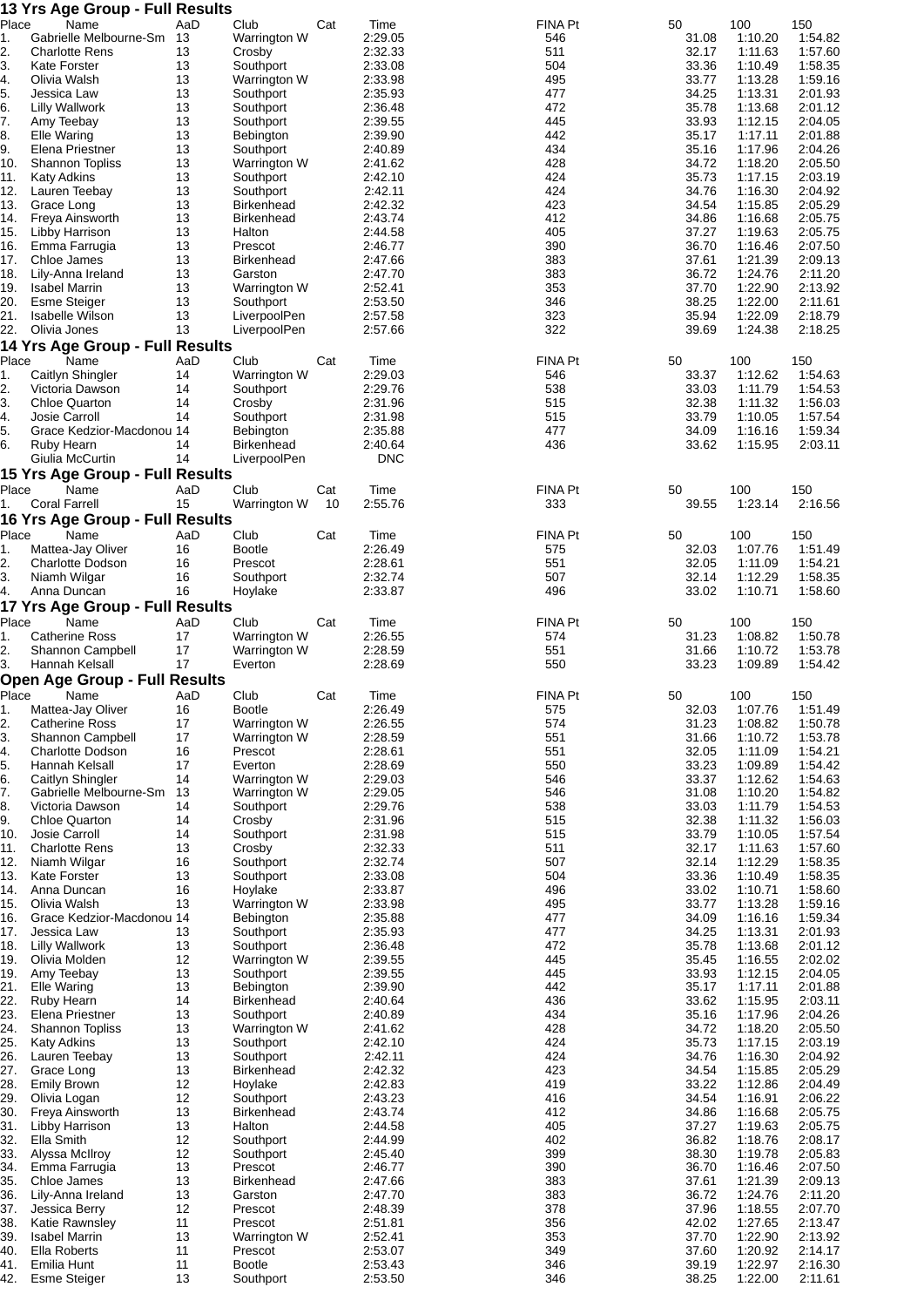|             | 13 Yrs Age Group - Full Results              |           |                                   |     |                       |                       |                |                    |                    |
|-------------|----------------------------------------------|-----------|-----------------------------------|-----|-----------------------|-----------------------|----------------|--------------------|--------------------|
| Place       | Name<br>Gabrielle Melbourne-Sm 13            | AaD       | Club                              | Cat | Time                  | <b>FINA Pt</b>        | 50             | 100                | 150<br>1:54.82     |
| 1.<br>2.    | <b>Charlotte Rens</b>                        | 13        | Warrington W<br>Crosby            |     | 2:29.05<br>2:32.33    | 546<br>511            | 31.08<br>32.17 | 1:10.20<br>1:11.63 | 1:57.60            |
| 3.          | <b>Kate Forster</b>                          | 13        | Southport                         |     | 2:33.08               | 504                   | 33.36          | 1:10.49            | 1:58.35            |
| 4.          | Olivia Walsh                                 | 13        | Warrington W                      |     | 2:33.98               | 495                   | 33.77          | 1:13.28            | 1:59.16            |
| 5.          | Jessica Law                                  | 13        | Southport                         |     | 2:35.93               | 477                   | 34.25          | 1:13.31            | 2:01.93            |
| 6.<br>7.    | Lilly Wallwork<br>Amy Teebay                 | 13<br>13  | Southport<br>Southport            |     | 2:36.48<br>2:39.55    | 472<br>445            | 35.78<br>33.93 | 1:13.68<br>1:12.15 | 2:01.12<br>2:04.05 |
| 8.          | Elle Waring                                  | 13        | Bebington                         |     | 2:39.90               | 442                   | 35.17          | 1:17.11            | 2:01.88            |
| 9.          | Elena Priestner                              | 13        | Southport                         |     | 2:40.89               | 434                   | 35.16          | 1:17.96            | 2:04.26            |
| 10.         | <b>Shannon Topliss</b>                       | 13        | Warrington W                      |     | 2:41.62               | 428                   | 34.72          | 1:18.20            | 2:05.50            |
| 11.         | <b>Katy Adkins</b>                           | 13        | Southport                         |     | 2:42.10               | 424                   | 35.73          | 1:17.15            | 2:03.19            |
| 12.<br>13.  | Lauren Teebay<br>Grace Long                  | 13<br>13  | Southport<br><b>Birkenhead</b>    |     | 2:42.11<br>2:42.32    | 424<br>423            | 34.76<br>34.54 | 1:16.30<br>1:15.85 | 2:04.92<br>2:05.29 |
| 14.         | Freya Ainsworth                              | 13        | <b>Birkenhead</b>                 |     | 2:43.74               | 412                   | 34.86          | 1:16.68            | 2:05.75            |
| 15.         | Libby Harrison                               | 13        | Halton                            |     | 2:44.58               | 405                   | 37.27          | 1:19.63            | 2:05.75            |
| 16.         | Emma Farrugia                                | 13        | Prescot                           |     | 2:46.77               | 390                   | 36.70          | 1:16.46            | 2:07.50            |
| 17.         | Chloe James                                  | 13        | <b>Birkenhead</b>                 |     | 2:47.66               | 383                   | 37.61          | 1:21.39            | 2:09.13            |
| 18.<br>19.  | Lily-Anna Ireland<br><b>Isabel Marrin</b>    | 13<br>13  | Garston<br>Warrington W           |     | 2:47.70<br>2:52.41    | 383<br>353            | 36.72<br>37.70 | 1:24.76<br>1:22.90 | 2:11.20<br>2:13.92 |
| 20.         | <b>Esme Steiger</b>                          | 13        | Southport                         |     | 2:53.50               | 346                   | 38.25          | 1:22.00            | 2:11.61            |
| 21.         | Isabelle Wilson                              | 13        | LiverpoolPen                      |     | 2:57.58               | 323                   | 35.94          | 1:22.09            | 2:18.79            |
| 22.         | Olivia Jones                                 | 13        | LiverpoolPen                      |     | 2:57.66               | 322                   | 39.69          | 1:24.38            | 2:18.25            |
|             | <b>14 Yrs Age Group - Full Results</b>       |           |                                   |     |                       |                       |                |                    |                    |
| Place<br>1. | Name<br>Caitlyn Shingler                     | AaD<br>14 | Club<br>Warrington W              | Cat | Time<br>2:29.03       | <b>FINA Pt</b><br>546 | 50<br>33.37    | 100<br>1:12.62     | 150<br>1:54.63     |
| 2.          | Victoria Dawson                              | 14        | Southport                         |     | 2:29.76               | 538                   | 33.03          | 1:11.79            | 1:54.53            |
| 3.          | <b>Chloe Quarton</b>                         | 14        | Crosby                            |     | 2:31.96               | 515                   | 32.38          | 1:11.32            | 1:56.03            |
| 4.          | Josie Carroll                                | 14        | Southport                         |     | 2:31.98               | 515                   | 33.79          | 1:10.05            | 1:57.54            |
| 5.          | Grace Kedzior-Macdonou 14                    |           | <b>Bebington</b>                  |     | 2:35.88               | 477                   | 34.09          | 1:16.16            | 1:59.34            |
| 6.          | Ruby Hearn<br>Giulia McCurtin                | 14<br>14  | <b>Birkenhead</b><br>LiverpoolPen |     | 2:40.64<br><b>DNC</b> | 436                   | 33.62          | 1:15.95            | 2:03.11            |
|             | 15 Yrs Age Group - Full Results              |           |                                   |     |                       |                       |                |                    |                    |
| Place       | Name                                         | AaD       | Club                              | Cat | Time                  | <b>FINA Pt</b>        | 50             | 100                | 150                |
| 1.          | <b>Coral Farrell</b>                         | 15        | Warrington W                      | 10  | 2:55.76               | 333                   | 39.55          | 1:23.14            | 2:16.56            |
|             | 16 Yrs Age Group - Full Results              |           |                                   |     |                       |                       |                |                    |                    |
| Place       | Name                                         | AaD       | Club                              | Cat | Time                  | <b>FINA Pt</b>        | 50             | 100                | 150                |
| 1.<br>2.    | Mattea-Jay Oliver<br><b>Charlotte Dodson</b> | 16<br>16  | <b>Bootle</b><br>Prescot          |     | 2:26.49<br>2:28.61    | 575<br>551            | 32.03<br>32.05 | 1:07.76<br>1:11.09 | 1:51.49<br>1:54.21 |
| 3.          | Niamh Wilgar                                 | 16        | Southport                         |     | 2:32.74               | 507                   | 32.14          | 1:12.29            | 1:58.35            |
| 4.          | Anna Duncan                                  | 16        | Hoylake                           |     | 2:33.87               | 496                   | 33.02          | 1:10.71            | 1:58.60            |
|             | <b>17 Yrs Age Group - Full Results</b>       |           |                                   |     |                       |                       |                |                    |                    |
| Place       | Name                                         | AaD       | Club                              | Cat | Time                  | <b>FINA Pt</b>        | 50             | 100                | 150                |
| 1.          | <b>Catherine Ross</b>                        | 17        | Warrington W                      |     | 2:26.55               | 574                   | 31.23          | 1:08.82            | 1:50.78            |
| 2.<br>3.    | Shannon Campbell<br>Hannah Kelsall           | 17<br>17  | Warrington W<br>Everton           |     | 2:28.59<br>2:28.69    | 551<br>550            | 31.66<br>33.23 | 1:10.72<br>1:09.89 | 1:53.78<br>1:54.42 |
|             | <b>Open Age Group - Full Results</b>         |           |                                   |     |                       |                       |                |                    |                    |
| Place       | <b>Name</b>                                  | AaD       | Club                              | Cat | Time                  | <b>FINA Pt</b>        | 50             | 100                | 150                |
| 1.          | Mattea-Jay Oliver                            | 16        | <b>Bootle</b>                     |     | 2:26.49               | 575                   | 32.03          | 1:07.76            | 1:51.49            |
| 2.          | <b>Catherine Ross</b>                        | 17        | Warrington W                      |     | 2:26.55               | 574                   | 31.23          | 1:08.82            | 1:50.78            |
| 3.<br>4.    | Shannon Campbell<br><b>Charlotte Dodson</b>  | 17<br>16  | Warrington W<br>Prescot           |     | 2:28.59<br>2:28.61    | 551<br>551            | 31.66<br>32.05 | 1:10.72<br>1:11.09 | 1:53.78<br>1:54.21 |
| 5.          | Hannah Kelsall                               | 17        | Everton                           |     | 2:28.69               | 550                   | 33.23          | 1:09.89            | 1:54.42            |
| 6.          | Caitlyn Shingler                             | 14        | Warrington W                      |     | 2:29.03               | 546                   | 33.37          | 1:12.62            | 1:54.63            |
| 7.          | Gabrielle Melbourne-Sm 13                    |           | Warrington W                      |     | 2:29.05               | 546                   | 31.08          | 1:10.20            | 1:54.82            |
| 8.          | Victoria Dawson                              | 14        | Southport                         |     | 2:29.76               | 538                   | 33.03          | 1:11.79            | 1:54.53            |
| 9.<br>10.   | <b>Chloe Quarton</b><br>Josie Carroll        | 14<br>14  | Crosby<br>Southport               |     | 2:31.96<br>2:31.98    | 515<br>515            | 32.38<br>33.79 | 1:11.32<br>1:10.05 | 1:56.03<br>1:57.54 |
| 11.         | <b>Charlotte Rens</b>                        | 13        | Crosby                            |     | 2:32.33               | 511                   | 32.17          | 1:11.63            | 1:57.60            |
| 12.         | Niamh Wilgar                                 | 16        | Southport                         |     | 2:32.74               | 507                   | 32.14          | 1:12.29            | 1:58.35            |
| 13.         | Kate Forster                                 | 13        | Southport                         |     | 2:33.08               | 504                   | 33.36          | 1:10.49            | 1:58.35            |
| 15.         | 14. Anna Duncan<br>Olivia Walsh              | 16<br>13  | Hoylake<br>Warrington W           |     | 2:33.87<br>2:33.98    | 496<br>495            | 33.02<br>33.77 | 1:10.71<br>1:13.28 | 1:58.60<br>1:59.16 |
| 16.         | Grace Kedzior-Macdonou 14                    |           | Bebington                         |     | 2:35.88               | 477                   | 34.09          | 1:16.16            | 1:59.34            |
| 17.         | Jessica Law                                  | 13        | Southport                         |     | 2:35.93               | 477                   | 34.25          | 1:13.31            | 2:01.93            |
|             | 18. Lilly Wallwork                           | 13        | Southport                         |     | 2:36.48               | 472                   | 35.78          | 1:13.68            | 2:01.12            |
|             | 19. Olivia Molden                            | 12        | Warrington W                      |     | 2:39.55               | 445                   | 35.45          | 1:16.55            | 2:02.02            |
| 21.         | 19. Amy Teebay<br>Elle Waring                | 13<br>13  | Southport<br>Bebington            |     | 2:39.55<br>2:39.90    | 445<br>442            | 33.93<br>35.17 | 1:12.15<br>1:17.11 | 2:04.05<br>2:01.88 |
| 22.         | Ruby Hearn                                   | 14        | <b>Birkenhead</b>                 |     | 2:40.64               | 436                   | 33.62          | 1:15.95            | 2:03.11            |
| 23.         | Elena Priestner                              | 13        | Southport                         |     | 2:40.89               | 434                   | 35.16          | 1:17.96            | 2:04.26            |
| 24.         | <b>Shannon Topliss</b>                       | 13        | Warrington W                      |     | 2:41.62               | 428                   | 34.72          | 1:18.20            | 2:05.50            |
| 25.         | Katy Adkins                                  | 13        | Southport                         |     | 2:42.10               | 424                   | 35.73          | 1:17.15            | 2:03.19            |
| 26.<br>27.  | Lauren Teebay<br>Grace Long                  | 13<br>13  | Southport<br><b>Birkenhead</b>    |     | 2:42.11<br>2:42.32    | 424<br>423            | 34.76<br>34.54 | 1:16.30<br>1:15.85 | 2:04.92<br>2:05.29 |
| 28.         | <b>Emily Brown</b>                           | 12        | Hoylake                           |     | 2:42.83               | 419                   | 33.22          | 1:12.86            | 2:04.49            |
| 29.         | Olivia Logan                                 | 12        | Southport                         |     | 2:43.23               | 416                   | 34.54          | 1:16.91            | 2:06.22            |
| 30.         | Freya Ainsworth                              | 13        | <b>Birkenhead</b>                 |     | 2:43.74               | 412                   | 34.86          | 1:16.68            | 2:05.75            |
|             | 31. Libby Harrison                           | 13        | Halton                            |     | 2:44.58               | 405                   | 37.27          | 1:19.63            | 2:05.75            |
| 32.         | Ella Smith<br>33. Alyssa McIlroy             | 12<br>12  | Southport<br>Southport            |     | 2:44.99<br>2:45.40    | 402<br>399            | 36.82<br>38.30 | 1:18.76<br>1:19.78 | 2:08.17<br>2:05.83 |
| 34.         | Emma Farrugia                                | 13        | Prescot                           |     | 2:46.77               | 390                   | 36.70          | 1:16.46            | 2:07.50            |
|             | 35. Chloe James                              | 13        | <b>Birkenhead</b>                 |     | 2:47.66               | 383                   | 37.61          | 1:21.39            | 2:09.13            |
| 36.         | Lily-Anna Ireland                            | 13        | Garston                           |     | 2:47.70               | 383                   | 36.72          | 1:24.76            | 2:11.20            |
| 37.         | Jessica Berry<br>Katie Rawnsley              | 12        | Prescot                           |     | 2:48.39<br>2:51.81    | 378<br>356            | 37.96          | 1:18.55            | 2:07.70<br>2:13.47 |
| 38.<br>39.  | <b>Isabel Marrin</b>                         | 11<br>13  | Prescot<br>Warrington W           |     | 2:52.41               | 353                   | 42.02<br>37.70 | 1:27.65<br>1:22.90 | 2:13.92            |
| 40.         | Ella Roberts                                 | 11        | Prescot                           |     | 2:53.07               | 349                   | 37.60          | 1:20.92            | 2:14.17            |
| 41.         | Emilia Hunt                                  | 11        | <b>Bootle</b>                     |     | 2:53.43               | 346                   | 39.19          | 1:22.97            | 2:16.30            |
| 42.         | Esme Steiger                                 | 13        | Southport                         |     | 2:53.50               | 346                   | 38.25          | 1:22.00            | 2:11.61            |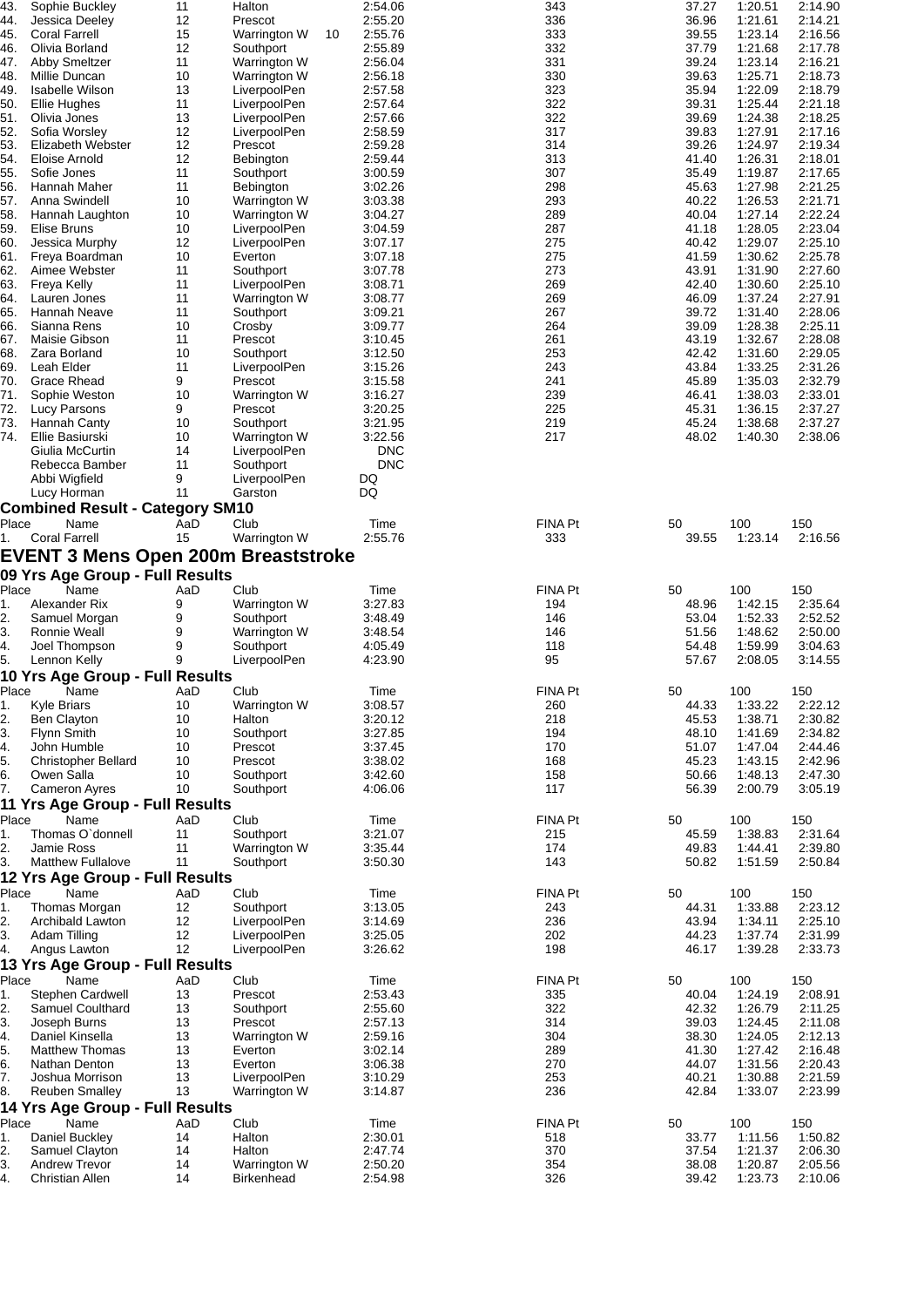| 43.   | Sophie Buckley                             | 11  | Halton                            |    | 2:54.06    | 343            | 37.27 | 1:20.51 | 2:14.90 |
|-------|--------------------------------------------|-----|-----------------------------------|----|------------|----------------|-------|---------|---------|
| 44.   | Jessica Deeley                             | 12  | Prescot                           |    | 2:55.20    | 336            | 36.96 | 1:21.61 | 2:14.21 |
| 45.   | <b>Coral Farrell</b>                       | 15  | Warrington W                      | 10 | 2:55.76    | 333            | 39.55 | 1:23.14 | 2:16.56 |
| 46.   | Olivia Borland                             | 12  | Southport                         |    | 2:55.89    | 332            | 37.79 | 1:21.68 | 2:17.78 |
| 47.   | Abby Smeltzer                              | 11  | Warrington W                      |    | 2:56.04    | 331            | 39.24 | 1:23.14 | 2:16.21 |
| 48.   | Millie Duncan                              | 10  | Warrington W                      |    | 2:56.18    | 330            | 39.63 | 1:25.71 | 2:18.73 |
| 49.   | <b>Isabelle Wilson</b>                     | 13  | LiverpoolPen                      |    | 2:57.58    | 323            | 35.94 | 1:22.09 | 2:18.79 |
| 50.   | <b>Ellie Hughes</b>                        | 11  | LiverpoolPen                      |    | 2:57.64    | 322            | 39.31 | 1:25.44 | 2:21.18 |
|       |                                            |     |                                   |    |            | 322            |       | 1:24.38 | 2:18.25 |
| 51.   | Olivia Jones                               | 13  | LiverpoolPen                      |    | 2:57.66    |                | 39.69 |         |         |
| 52.   | Sofia Worsley                              | 12  | LiverpoolPen                      |    | 2:58.59    | 317            | 39.83 | 1:27.91 | 2:17.16 |
| 53.   | Elizabeth Webster                          | 12  | Prescot                           |    | 2:59.28    | 314            | 39.26 | 1:24.97 | 2:19.34 |
| 54.   | Eloise Arnold                              | 12  | Bebington                         |    | 2:59.44    | 313            | 41.40 | 1:26.31 | 2:18.01 |
| 55.   | Sofie Jones                                | 11  | Southport                         |    | 3:00.59    | 307            | 35.49 | 1:19.87 | 2:17.65 |
| 56.   | Hannah Maher                               | 11  | Bebington                         |    | 3:02.26    | 298            | 45.63 | 1:27.98 | 2:21.25 |
| 57.   | Anna Swindell                              | 10  | Warrington W                      |    | 3:03.38    | 293            | 40.22 | 1:26.53 | 2:21.71 |
| 58.   | Hannah Laughton                            | 10  | Warrington W                      |    | 3:04.27    | 289            | 40.04 | 1:27.14 | 2:22.24 |
|       | Elise Bruns                                | 10  | LiverpoolPen                      |    |            | 287            | 41.18 | 1:28.05 | 2:23.04 |
| 59.   |                                            |     |                                   |    | 3:04.59    |                |       |         |         |
| 60.   | Jessica Murphy                             | 12  | LiverpoolPen                      |    | 3:07.17    | 275            | 40.42 | 1:29.07 | 2:25.10 |
| 61.   | Freya Boardman                             | 10  | Everton                           |    | 3:07.18    | 275            | 41.59 | 1:30.62 | 2:25.78 |
| 62.   | Aimee Webster                              | 11  | Southport                         |    | 3:07.78    | 273            | 43.91 | 1:31.90 | 2:27.60 |
| 63.   | Freya Kelly                                | 11  | LiverpoolPen                      |    | 3:08.71    | 269            | 42.40 | 1:30.60 | 2:25.10 |
| 64.   | Lauren Jones                               | 11  | Warrington W                      |    | 3:08.77    | 269            | 46.09 | 1:37.24 | 2:27.91 |
| 65.   | Hannah Neave                               | 11  | Southport                         |    | 3:09.21    | 267            | 39.72 | 1:31.40 | 2:28.06 |
| 66.   | Sianna Rens                                | 10  | Crosby                            |    | 3:09.77    | 264            | 39.09 | 1:28.38 | 2:25.11 |
|       | Maisie Gibson                              |     | Prescot                           |    |            |                |       |         |         |
| 67.   |                                            | 11  |                                   |    | 3:10.45    | 261            | 43.19 | 1:32.67 | 2:28.08 |
| 68.   | Zara Borland                               | 10  | Southport                         |    | 3:12.50    | 253            | 42.42 | 1:31.60 | 2:29.05 |
| 69.   | Leah Elder                                 | 11  | LiverpoolPen                      |    | 3:15.26    | 243            | 43.84 | 1:33.25 | 2:31.26 |
| 70.   | Grace Rhead                                | 9   | Prescot                           |    | 3:15.58    | 241            | 45.89 | 1:35.03 | 2:32.79 |
| 71.   | Sophie Weston                              | 10  | Warrington W                      |    | 3:16.27    | 239            | 46.41 | 1:38.03 | 2:33.01 |
| 72.   | Lucy Parsons                               | 9   | Prescot                           |    | 3:20.25    | 225            | 45.31 | 1:36.15 | 2:37.27 |
| 73.   | Hannah Canty                               | 10  | Southport                         |    | 3:21.95    | 219            | 45.24 | 1:38.68 | 2:37.27 |
| 74.   | Ellie Basiurski                            | 10  | Warrington W                      |    | 3:22.56    | 217            | 48.02 | 1:40.30 | 2:38.06 |
|       |                                            |     |                                   |    |            |                |       |         |         |
|       | Giulia McCurtin                            | 14  | LiverpoolPen                      |    | DNC        |                |       |         |         |
|       | Rebecca Bamber                             | 11  | Southport                         |    | <b>DNC</b> |                |       |         |         |
|       | Abbi Wigfield                              | 9   | LiverpoolPen                      |    | DQ         |                |       |         |         |
|       | Lucy Horman                                | 11  | Garston                           |    | DQ         |                |       |         |         |
|       | <b>Combined Result - Category SM10</b>     |     |                                   |    |            |                |       |         |         |
| Place | Name                                       | AaD | Club                              |    | Time       | FINA Pt        | 50    | 100     | 150     |
|       |                                            |     |                                   |    |            |                |       |         |         |
| 1.    | <b>Coral Farrell</b>                       | 15  | Warrington W                      |    | 2:55.76    | 333            | 39.55 | 1:23.14 | 2:16.56 |
|       | <b>EVENT 3 Mens Open 200m Breaststroke</b> |     |                                   |    |            |                |       |         |         |
|       | 09 Yrs Age Group - Full Results            |     |                                   |    |            |                |       |         |         |
|       |                                            |     |                                   |    |            |                |       |         |         |
|       |                                            |     |                                   |    |            |                |       |         |         |
| Place | Name                                       | AaD | Club                              |    | Time       | FINA Pt        | 50    | 100     | 150     |
| 1.    | Alexander Rix                              | 9   | Warrington W                      |    | 3:27.83    | 194            | 48.96 | 1:42.15 | 2:35.64 |
| 2.    | Samuel Morgan                              | 9   | Southport                         |    | 3:48.49    | 146            | 53.04 | 1:52.33 | 2:52.52 |
|       |                                            |     |                                   |    |            |                |       |         |         |
| 3.    | Ronnie Weall                               | 9   | Warrington W                      |    | 3:48.54    | 146            | 51.56 | 1:48.62 | 2:50.00 |
| 4.    | Joel Thompson                              | 9   | Southport                         |    | 4:05.49    | 118            | 54.48 | 1:59.99 | 3:04.63 |
| 5.    | Lennon Kelly                               | 9   | LiverpoolPen                      |    | 4:23.90    | 95             | 57.67 | 2:08.05 | 3:14.55 |
|       | 10 Yrs Age Group - Full Results            |     |                                   |    |            |                |       |         |         |
| Place | Name                                       | AaD | Club                              |    | Time       | <b>FINA Pt</b> | 50    | 100     | 150     |
| 1.    |                                            | 10  |                                   |    |            |                | 44.33 | 1:33.22 | 2:22.12 |
|       | Kyle Briars                                |     | Warrington W                      |    | 3:08.57    | 260            |       |         |         |
| 2.    | <b>Ben Clayton</b>                         | 10  | Halton                            |    | 3:20.12    | 218            | 45.53 | 1:38.71 | 2:30.82 |
| 3.    | <b>Flynn Smith</b>                         | 10  | Southport                         |    | 3:27.85    | 194            | 48.10 | 1:41.69 | 2:34.82 |
| 4.    | John Humble                                | 10  | Prescot                           |    | 3:37.45    | 170            | 51.07 | 1:47.04 | 2:44.46 |
| 5.    | <b>Christopher Bellard</b>                 | 10  | Prescot                           |    | 3:38.02    | 168            | 45.23 | 1:43.15 | 2:42.96 |
| 6.    | Owen Salla                                 | 10  | Southport                         |    | 3:42.60    | 158            | 50.66 | 1:48.13 | 2:47.30 |
| 7.    | <b>Cameron Ayres</b>                       | 10  | Southport                         |    | 4:06.06    | 117            | 56.39 | 2:00.79 | 3:05.19 |
|       |                                            |     |                                   |    |            |                |       |         |         |
|       | 11 Yrs Age Group - Full Results            |     |                                   |    |            |                |       |         |         |
| Place | Name                                       | AaD | Club                              |    | Time       | FINA Pt        | 50    | 100     | 150     |
| 1.    | Thomas O'donnell                           | 11  | Southport                         |    | 3:21.07    | 215            | 45.59 | 1:38.83 | 2:31.64 |
| 2.    | Jamie Ross                                 | 11  | Warrington W                      |    | 3:35.44    | 174            | 49.83 | 1:44.41 | 2:39.80 |
| 3.    | <b>Matthew Fullalove</b>                   | 11  | Southport                         |    | 3:50.30    | 143            | 50.82 | 1:51.59 | 2:50.84 |
|       | 12 Yrs Age Group - Full Results            |     |                                   |    |            |                |       |         |         |
|       | Name                                       | AaD | Club                              |    | Time       | FINA Pt        | 50    | 100     | 150     |
| Place |                                            |     |                                   |    |            |                |       |         |         |
| 1.    | Thomas Morgan                              | 12  | Southport                         |    | 3:13.05    | 243            | 44.31 | 1:33.88 | 2:23.12 |
| 2.    | Archibald Lawton                           | 12  | LiverpoolPen                      |    | 3:14.69    | 236            | 43.94 | 1:34.11 | 2:25.10 |
| 3.    | Adam Tilling                               | 12  | LiverpoolPen                      |    | 3:25.05    | 202            | 44.23 | 1:37.74 | 2:31.99 |
| 4.    | Angus Lawton                               | 12  | LiverpoolPen                      |    | 3:26.62    | 198            | 46.17 | 1:39.28 | 2:33.73 |
|       | 13 Yrs Age Group - Full Results            |     |                                   |    |            |                |       |         |         |
| Place | Name                                       | AaD | Club                              |    | Time       | FINA Pt        | 50    | 100     | 150     |
|       |                                            |     | Prescot                           |    | 2:53.43    |                |       | 1:24.19 |         |
| 1.    | Stephen Cardwell                           | 13  |                                   |    |            | 335            | 40.04 |         | 2:08.91 |
| 2.    | Samuel Coulthard                           | 13  | Southport                         |    | 2:55.60    | 322            | 42.32 | 1:26.79 | 2:11.25 |
| 3.    | Joseph Burns                               | 13  | Prescot                           |    | 2:57.13    | 314            | 39.03 | 1:24.45 | 2:11.08 |
| 4.    | Daniel Kinsella                            | 13  | Warrington W                      |    | 2:59.16    | 304            | 38.30 | 1:24.05 | 2:12.13 |
| 5.    | <b>Matthew Thomas</b>                      | 13  | Everton                           |    | 3:02.14    | 289            | 41.30 | 1:27.42 | 2:16.48 |
| 6.    | Nathan Denton                              | 13  | Everton                           |    | 3:06.38    | 270            | 44.07 | 1:31.56 | 2:20.43 |
| 7.    | Joshua Morrison                            | 13  | LiverpoolPen                      |    | 3:10.29    | 253            | 40.21 | 1:30.88 | 2:21.59 |
| 8.    | <b>Reuben Smalley</b>                      | 13  | Warrington W                      |    | 3:14.87    | 236            | 42.84 | 1:33.07 | 2:23.99 |
|       |                                            |     |                                   |    |            |                |       |         |         |
|       | 14 Yrs Age Group - Full Results            |     |                                   |    |            |                |       |         |         |
| Place | Name                                       | AaD | Club                              |    | Time       | FINA Pt        | 50    | 100     | 150     |
| 1.    | Daniel Buckley                             | 14  | Halton                            |    | 2:30.01    | 518            | 33.77 | 1:11.56 | 1:50.82 |
| 2.    | Samuel Clayton                             | 14  | Halton                            |    | 2:47.74    | 370            | 37.54 | 1:21.37 | 2:06.30 |
| 3.    | <b>Andrew Trevor</b>                       | 14  |                                   |    | 2:50.20    | 354            | 38.08 | 1:20.87 | 2:05.56 |
| 4.    | Christian Allen                            | 14  | Warrington W<br><b>Birkenhead</b> |    | 2:54.98    | 326            | 39.42 | 1:23.73 | 2:10.06 |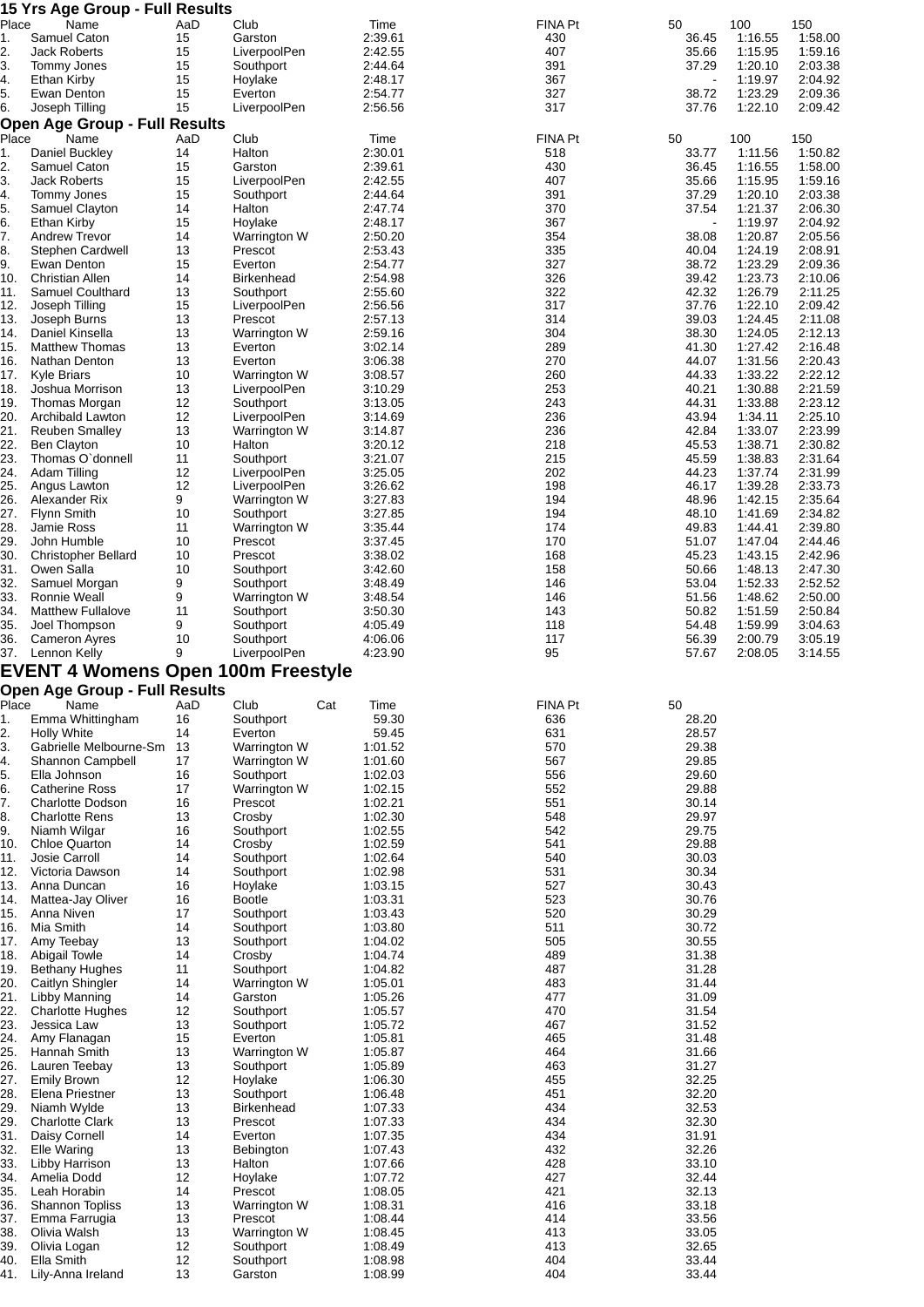|                                                                                                                                                                                           | 15 Yrs Age Group - Full Results           |           |                           |                    |                       |                          |                    |                    |
|-------------------------------------------------------------------------------------------------------------------------------------------------------------------------------------------|-------------------------------------------|-----------|---------------------------|--------------------|-----------------------|--------------------------|--------------------|--------------------|
| Place<br>1.                                                                                                                                                                               | Name<br>Samuel Caton                      | AaD<br>15 | Club<br>Garston           | Time<br>2:39.61    | <b>FINA Pt</b><br>430 | 50<br>36.45              | 100<br>1:16.55     | 150<br>1:58.00     |
| 2.                                                                                                                                                                                        | <b>Jack Roberts</b>                       | 15        | LiverpoolPen              | 2:42.55            | 407                   | 35.66                    | 1:15.95            | 1:59.16            |
| 3.                                                                                                                                                                                        | Tommy Jones                               | 15        | Southport                 | 2:44.64            | 391                   | 37.29                    | 1:20.10            | 2:03.38            |
| 4.                                                                                                                                                                                        | Ethan Kirby                               | 15        | Hoylake                   | 2:48.17            | 367                   | $\overline{\phantom{a}}$ | 1:19.97            | 2:04.92            |
| 5.                                                                                                                                                                                        | Ewan Denton                               | 15        | Everton                   | 2:54.77            | 327                   | 38.72                    | 1:23.29            | 2:09.36            |
| 6.                                                                                                                                                                                        | Joseph Tilling                            | 15        | LiverpoolPen              | 2:56.56            | 317                   | 37.76                    | 1:22.10            | 2:09.42            |
|                                                                                                                                                                                           | <b>Open Age Group - Full Results</b>      |           |                           |                    |                       |                          |                    |                    |
| Place                                                                                                                                                                                     | Name                                      | AaD       | Club                      | Time               | <b>FINA Pt</b>        | 50                       | 100                | 150                |
| 1.                                                                                                                                                                                        | Daniel Buckley                            | 14        | Halton                    | 2:30.01            | 518                   | 33.77                    | 1:11.56            | 1:50.82            |
| 2.                                                                                                                                                                                        | Samuel Caton                              | 15<br>15  | Garston<br>LiverpoolPen   | 2:39.61            | 430<br>407            | 36.45                    | 1:16.55<br>1:15.95 | 1:58.00            |
| 3.<br>4.                                                                                                                                                                                  | Jack Roberts<br>Tommy Jones               | 15        | Southport                 | 2:42.55<br>2:44.64 | 391                   | 35.66<br>37.29           | 1:20.10            | 1:59.16<br>2:03.38 |
| 5.                                                                                                                                                                                        | Samuel Clayton                            | 14        | Halton                    | 2:47.74            | 370                   | 37.54                    | 1:21.37            | 2:06.30            |
| 6.                                                                                                                                                                                        | Ethan Kirby                               | 15        | Hoylake                   | 2:48.17            | 367                   |                          | 1:19.97            | 2:04.92            |
| 7.                                                                                                                                                                                        | <b>Andrew Trevor</b>                      | 14        | Warrington W              | 2:50.20            | 354                   | 38.08                    | 1:20.87            | 2:05.56            |
| 8.                                                                                                                                                                                        | Stephen Cardwell                          | 13        | Prescot                   | 2:53.43            | 335                   | 40.04                    | 1:24.19            | 2:08.91            |
| 9.                                                                                                                                                                                        | Ewan Denton                               | 15        | Everton                   | 2:54.77            | 327                   | 38.72                    | 1:23.29            | 2:09.36            |
| 10.                                                                                                                                                                                       | <b>Christian Allen</b>                    | 14        | <b>Birkenhead</b>         | 2:54.98            | 326                   | 39.42                    | 1:23.73            | 2:10.06            |
| 11.                                                                                                                                                                                       | Samuel Coulthard                          | 13        | Southport                 | 2:55.60            | 322                   | 42.32                    | 1:26.79            | 2:11.25            |
| 12.<br>13.                                                                                                                                                                                | Joseph Tilling<br>Joseph Burns            | 15<br>13  | LiverpoolPen<br>Prescot   | 2:56.56<br>2:57.13 | 317<br>314            | 37.76<br>39.03           | 1:22.10<br>1:24.45 | 2:09.42<br>2:11.08 |
| 14.                                                                                                                                                                                       | Daniel Kinsella                           | 13        | Warrington W              | 2:59.16            | 304                   | 38.30                    | 1:24.05            | 2:12.13            |
| 15.                                                                                                                                                                                       | <b>Matthew Thomas</b>                     | 13        | Everton                   | 3:02.14            | 289                   | 41.30                    | 1:27.42            | 2:16.48            |
| 16.                                                                                                                                                                                       | Nathan Denton                             | 13        | Everton                   | 3:06.38            | 270                   | 44.07                    | 1:31.56            | 2:20.43            |
| 17.                                                                                                                                                                                       | <b>Kyle Briars</b>                        | 10        | Warrington W              | 3:08.57            | 260                   | 44.33                    | 1:33.22            | 2:22.12            |
| 18.                                                                                                                                                                                       | Joshua Morrison                           | 13        | LiverpoolPen              | 3:10.29            | 253                   | 40.21                    | 1:30.88            | 2:21.59            |
| 19.                                                                                                                                                                                       | Thomas Morgan                             | 12        | Southport                 | 3:13.05            | 243                   | 44.31                    | 1:33.88            | 2:23.12            |
| 20.                                                                                                                                                                                       | Archibald Lawton                          | 12        | LiverpoolPen              | 3:14.69            | 236                   | 43.94                    | 1:34.11            | 2:25.10            |
| 21.<br>22.                                                                                                                                                                                | <b>Reuben Smalley</b>                     | 13<br>10  | Warrington W              | 3:14.87            | 236<br>218            | 42.84<br>45.53           | 1:33.07<br>1:38.71 | 2:23.99            |
| 23.                                                                                                                                                                                       | <b>Ben Clayton</b><br>Thomas O'donnell    | 11        | Halton<br>Southport       | 3:20.12<br>3:21.07 | 215                   | 45.59                    | 1:38.83            | 2:30.82<br>2:31.64 |
| 24.                                                                                                                                                                                       | Adam Tilling                              | 12        | LiverpoolPen              | 3:25.05            | 202                   | 44.23                    | 1:37.74            | 2:31.99            |
| 25.                                                                                                                                                                                       | Angus Lawton                              | 12        | LiverpoolPen              | 3:26.62            | 198                   | 46.17                    | 1:39.28            | 2:33.73            |
| 26.                                                                                                                                                                                       | Alexander Rix                             | 9         | Warrington W              | 3:27.83            | 194                   | 48.96                    | 1:42.15            | 2:35.64            |
| 27.                                                                                                                                                                                       | <b>Flynn Smith</b>                        | 10        | Southport                 | 3:27.85            | 194                   | 48.10                    | 1:41.69            | 2:34.82            |
| 28.                                                                                                                                                                                       | <b>Jamie Ross</b>                         | 11        | Warrington W              | 3:35.44            | 174                   | 49.83                    | 1:44.41            | 2:39.80            |
| 29.                                                                                                                                                                                       | John Humble                               | 10        | Prescot                   | 3:37.45            | 170                   | 51.07                    | 1:47.04            | 2:44.46            |
| 30.                                                                                                                                                                                       | <b>Christopher Bellard</b>                | 10        | Prescot                   | 3:38.02            | 168                   | 45.23                    | 1:43.15            | 2:42.96            |
| 31.<br>32.                                                                                                                                                                                | Owen Salla<br>Samuel Morgan               | 10<br>9   | Southport<br>Southport    | 3:42.60<br>3:48.49 | 158<br>146            | 50.66<br>53.04           | 1:48.13<br>1:52.33 | 2:47.30<br>2:52.52 |
| 33.                                                                                                                                                                                       | Ronnie Weall                              | 9         | Warrington W              | 3:48.54            | 146                   | 51.56                    | 1:48.62            | 2:50.00            |
| 34.                                                                                                                                                                                       | <b>Matthew Fullalove</b>                  | 11        | Southport                 | 3:50.30            | 143                   | 50.82                    | 1:51.59            | 2:50.84            |
| 35.                                                                                                                                                                                       | Joel Thompson                             | 9         | Southport                 | 4:05.49            | 118                   | 54.48                    | 1:59.99            | 3:04.63            |
| 36.                                                                                                                                                                                       | Cameron Ayres                             | 10        | Southport                 | 4:06.06            | 117                   | 56.39                    | 2:00.79            | 3:05.19            |
| 37.                                                                                                                                                                                       | Lennon Kelly                              | 9         | LiverpoolPen              | 4:23.90            | 95                    | 57.67                    | 2:08.05            | 3:14.55            |
|                                                                                                                                                                                           | <b>EVENT 4 Womens Open 100m Freestyle</b> |           |                           |                    |                       |                          |                    |                    |
|                                                                                                                                                                                           | <b>Open Age Group - Full Results</b>      |           |                           |                    |                       |                          |                    |                    |
| Place                                                                                                                                                                                     | Name                                      | AaD       | Cat<br>Club               | Time               | FINA Pt               | 50                       |                    |                    |
| 1.                                                                                                                                                                                        | Emma Whittingham                          | 16        | Southport                 | 59.30              | 636                   | 28.20                    |                    |                    |
| 2.                                                                                                                                                                                        | <b>Holly White</b>                        | 14        | Everton                   | 59.45              | 631                   | 28.57                    |                    |                    |
| 3.                                                                                                                                                                                        | Gabrielle Melbourne-Sm                    | 13        | Warrington W              | 1:01.52            | 570                   | 29.38                    |                    |                    |
| 4.<br>5.                                                                                                                                                                                  | Shannon Campbell<br>Ella Johnson          | 17<br>16  | Warrington W<br>Southport | 1:01.60<br>1:02.03 | 567<br>556            | 29.85<br>29.60           |                    |                    |
| 6.                                                                                                                                                                                        | <b>Catherine Ross</b>                     | 17        | Warrington W              | 1:02.15            | 552                   | 29.88                    |                    |                    |
| 7.                                                                                                                                                                                        | <b>Charlotte Dodson</b>                   | 16        | Prescot                   | 1:02.21            | 551                   | 30.14                    |                    |                    |
| 8.                                                                                                                                                                                        | <b>Charlotte Rens</b>                     | 13        | Crosby                    | 1:02.30            | 548                   | 29.97                    |                    |                    |
| 9.                                                                                                                                                                                        | Niamh Wilgar                              | 16        | Southport                 | 1:02.55            |                       |                          |                    |                    |
| 10.                                                                                                                                                                                       | <b>Chloe Quarton</b>                      |           |                           |                    | 542                   | 29.75                    |                    |                    |
| 11.                                                                                                                                                                                       | Josie Carroll                             | 14        | Crosby                    | 1:02.59            | 541                   | 29.88                    |                    |                    |
| 12.                                                                                                                                                                                       |                                           | 14        | Southport                 | 1:02.64            | 540                   | 30.03                    |                    |                    |
| 13.<br>14.                                                                                                                                                                                | Victoria Dawson                           | 14        | Southport                 | 1:02.98            | 531                   | 30.34                    |                    |                    |
|                                                                                                                                                                                           | Anna Duncan                               | 16        | Hoylake                   | 1:03.15            | 527                   | 30.43                    |                    |                    |
|                                                                                                                                                                                           | Mattea-Jay Oliver                         | 16        | <b>Bootle</b>             | 1:03.31            | 523                   | 30.76                    |                    |                    |
|                                                                                                                                                                                           | Anna Niven                                | 17        | Southport                 | 1:03.43            | 520                   | 30.29                    |                    |                    |
|                                                                                                                                                                                           | Mia Smith<br>Amy Teebay                   | 14<br>13  | Southport<br>Southport    | 1:03.80<br>1:04.02 | 511<br>505            | 30.72<br>30.55           |                    |                    |
|                                                                                                                                                                                           | Abigail Towle                             | 14        | Crosby                    | 1:04.74            | 489                   | 31.38                    |                    |                    |
|                                                                                                                                                                                           | <b>Bethany Hughes</b>                     | 11        | Southport                 | 1:04.82            | 487                   | 31.28                    |                    |                    |
|                                                                                                                                                                                           | Caitlyn Shingler                          | 14        | Warrington W              | 1:05.01            | 483                   | 31.44                    |                    |                    |
|                                                                                                                                                                                           | Libby Manning                             | 14        | Garston                   | 1:05.26            | 477                   | 31.09                    |                    |                    |
|                                                                                                                                                                                           | <b>Charlotte Hughes</b>                   | 12        | Southport                 | 1:05.57            | 470                   | 31.54                    |                    |                    |
|                                                                                                                                                                                           | Jessica Law                               | 13        | Southport                 | 1:05.72            | 467                   | 31.52                    |                    |                    |
|                                                                                                                                                                                           | Amy Flanagan                              | 15        | Everton                   | 1:05.81            | 465                   | 31.48                    |                    |                    |
|                                                                                                                                                                                           | Hannah Smith                              | 13        | Warrington W              | 1:05.87            | 464<br>463            | 31.66<br>31.27           |                    |                    |
|                                                                                                                                                                                           | Lauren Teebay<br><b>Emily Brown</b>       | 13<br>12  | Southport<br>Hoylake      | 1:05.89<br>1:06.30 | 455                   | 32.25                    |                    |                    |
|                                                                                                                                                                                           | Elena Priestner                           | 13        | Southport                 | 1:06.48            | 451                   | 32.20                    |                    |                    |
|                                                                                                                                                                                           | Niamh Wylde                               | 13        | <b>Birkenhead</b>         | 1:07.33            | 434                   | 32.53                    |                    |                    |
|                                                                                                                                                                                           | <b>Charlotte Clark</b>                    | 13        | Prescot                   | 1:07.33            | 434                   | 32.30                    |                    |                    |
|                                                                                                                                                                                           | Daisy Cornell                             | 14        | Everton                   | 1:07.35            | 434                   | 31.91                    |                    |                    |
|                                                                                                                                                                                           | <b>Elle Waring</b>                        | 13        | Bebington                 | 1:07.43            | 432                   | 32.26                    |                    |                    |
|                                                                                                                                                                                           | Libby Harrison                            | 13        | Halton                    | 1:07.66            | 428                   | 33.10                    |                    |                    |
|                                                                                                                                                                                           | Amelia Dodd                               | 12        | Hoylake                   | 1:07.72            | 427                   | 32.44                    |                    |                    |
|                                                                                                                                                                                           | Leah Horabin                              | 14        | Prescot                   | 1:08.05            | 421<br>416            | 32.13                    |                    |                    |
|                                                                                                                                                                                           | <b>Shannon Topliss</b><br>Emma Farrugia   | 13<br>13  | Warrington W<br>Prescot   | 1:08.31<br>1:08.44 | 414                   | 33.18<br>33.56           |                    |                    |
|                                                                                                                                                                                           | Olivia Walsh                              | 13        | Warrington W              | 1:08.45            | 413                   | 33.05                    |                    |                    |
|                                                                                                                                                                                           | Olivia Logan                              | 12        | Southport                 | 1:08.49            | 413                   | 32.65                    |                    |                    |
| 15.<br>16.<br>17.<br>18.<br>19.<br>20.<br>21.<br>22.<br>23.<br>24.<br>25.<br>26.<br>27.<br>28.<br>29.<br>29.<br>31.<br>32.<br>33.<br>34.<br>35.<br>36.<br>37.<br>38.<br>39.<br>40.<br>41. | Ella Smith<br>Lily-Anna Ireland           | 12<br>13  | Southport<br>Garston      | 1:08.98<br>1:08.99 | 404<br>404            | 33.44<br>33.44           |                    |                    |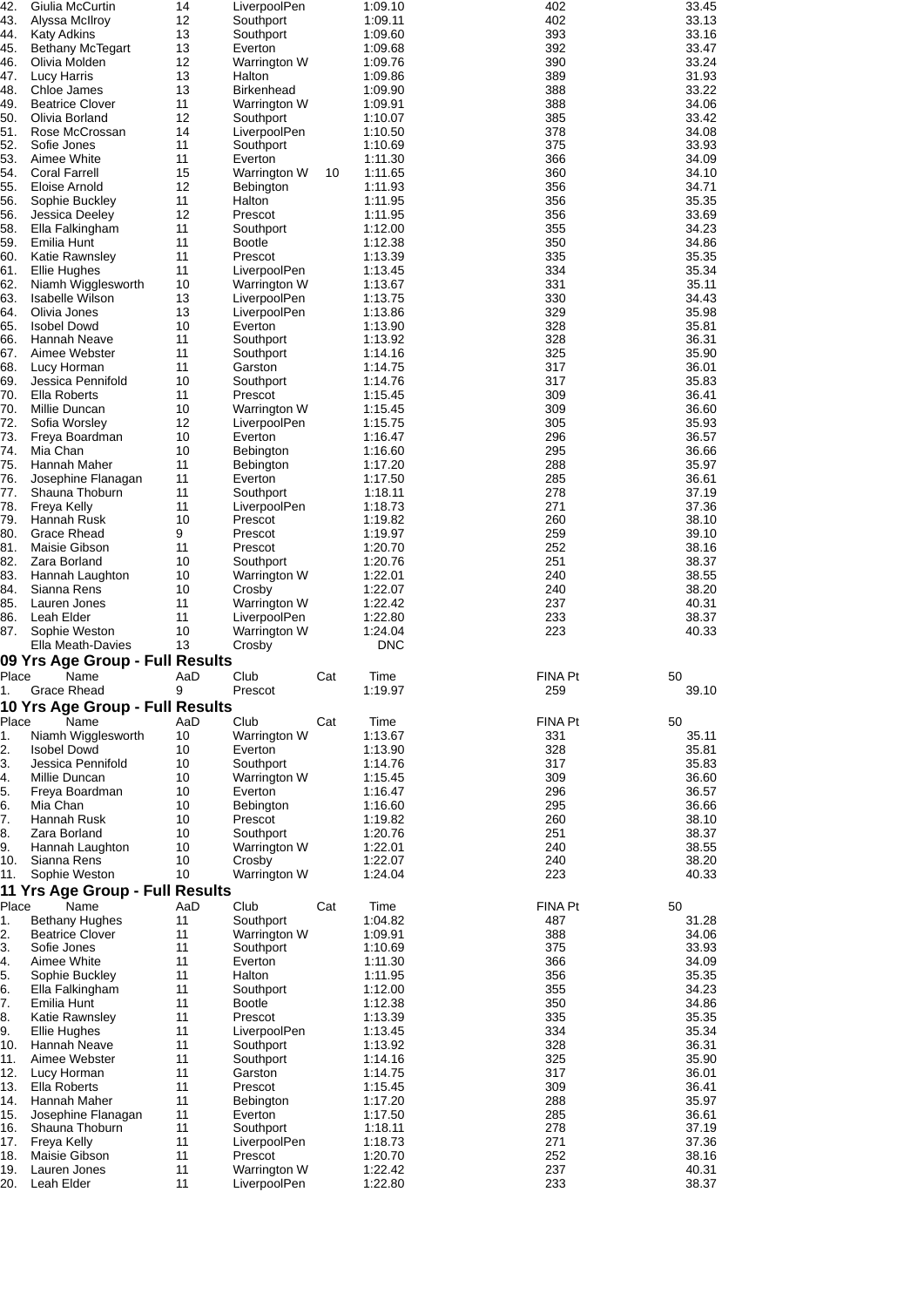| 42.                    | Giulia McCurtin                          | 14       | LiverpoolPen                            |     | 1:09.10            | 402               | 33.45          |
|------------------------|------------------------------------------|----------|-----------------------------------------|-----|--------------------|-------------------|----------------|
| 43.<br>44.             | Alyssa McIlroy<br><b>Katy Adkins</b>     | 12<br>13 | Southport<br>Southport                  |     | 1:09.11<br>1:09.60 | 402<br>393        | 33.13<br>33.16 |
| 45.                    | <b>Bethany McTegart</b>                  | 13       | Everton                                 |     | 1:09.68            | 392               | 33.47          |
| 46.                    | Olivia Molden                            | 12       | Warrington W                            |     | 1:09.76            | 390               | 33.24          |
| 47.                    | <b>Lucy Harris</b>                       | 13       | Halton                                  |     | 1:09.86            | 389               | 31.93          |
| 48.<br>49.             | Chloe James<br><b>Beatrice Clover</b>    | 13<br>11 | <b>Birkenhead</b><br>Warrington W       |     | 1:09.90<br>1:09.91 | 388<br>388        | 33.22<br>34.06 |
| 50.                    | Olivia Borland                           | 12       | Southport                               |     | 1:10.07            | 385               | 33.42          |
| 51.                    | Rose McCrossan                           | 14       | LiverpoolPen                            |     | 1:10.50            | 378               | 34.08          |
| 52.                    | Sofie Jones                              | 11       | Southport                               |     | 1:10.69            | 375               | 33.93          |
| 53.<br>54.             | Aimee White<br><b>Coral Farrell</b>      | 11<br>15 | Everton<br>Warrington W                 | 10  | 1:11.30<br>1:11.65 | 366<br>360        | 34.09<br>34.10 |
| 55.                    | Eloise Arnold                            | 12       | <b>Bebington</b>                        |     | 1:11.93            | 356               | 34.71          |
| 56.                    | Sophie Buckley                           | 11       | Halton                                  |     | 1:11.95            | 356               | 35.35          |
| 56.                    | Jessica Deeley                           | 12       | Prescot                                 |     | 1:11.95            | 356               | 33.69          |
| 58.<br>59.             | Ella Falkingham<br>Emilia Hunt           | 11<br>11 | Southport<br><b>Bootle</b>              |     | 1:12.00<br>1:12.38 | 355<br>350        | 34.23<br>34.86 |
| 60.                    | Katie Rawnsley                           | 11       | Prescot                                 |     | 1:13.39            | 335               | 35.35          |
| 61.                    | Ellie Hughes                             | 11       | LiverpoolPen                            |     | 1:13.45            | 334               | 35.34          |
| 62.                    | Niamh Wigglesworth                       | 10       | Warrington W                            |     | 1:13.67            | 331               | 35.11          |
| 63.<br>64.             | Isabelle Wilson<br>Olivia Jones          | 13<br>13 | LiverpoolPen<br>LiverpoolPen            |     | 1:13.75<br>1:13.86 | 330<br>329        | 34.43<br>35.98 |
| 65.                    | <b>Isobel Dowd</b>                       | 10       | Everton                                 |     | 1:13.90            | 328               | 35.81          |
| 66.                    | Hannah Neave                             | 11       | Southport                               |     | 1:13.92            | 328               | 36.31          |
| 67.                    | Aimee Webster                            | 11       | Southport                               |     | 1:14.16            | 325               | 35.90          |
| 68.                    | Lucy Horman                              | 11       | Garston                                 |     | 1:14.75            | 317               | 36.01          |
| 69.<br>70.             | Jessica Pennifold<br><b>Ella Roberts</b> | 10<br>11 | Southport<br>Prescot                    |     | 1:14.76<br>1:15.45 | 317<br>309        | 35.83<br>36.41 |
| 70.                    | Millie Duncan                            | 10       | Warrington W                            |     | 1:15.45            | 309               | 36.60          |
| 72.                    | Sofia Worsley                            | 12       | LiverpoolPen                            |     | 1:15.75            | 305               | 35.93          |
| 73.                    | Freya Boardman                           | 10       | Everton                                 |     | 1:16.47            | 296               | 36.57          |
| 74.<br>75.             | Mia Chan<br>Hannah Maher                 | 10<br>11 | <b>Bebington</b><br>Bebington           |     | 1:16.60<br>1:17.20 | 295<br>288        | 36.66<br>35.97 |
| 76.                    | Josephine Flanagan                       | 11       | Everton                                 |     | 1:17.50            | 285               | 36.61          |
| 77.                    | Shauna Thoburn                           | 11       | Southport                               |     | 1:18.11            | 278               | 37.19          |
| 78.                    | Freya Kelly                              | 11       | LiverpoolPen                            |     | 1:18.73            | 271               | 37.36          |
| 79.<br>80.             | Hannah Rusk                              | 10       | Prescot                                 |     | 1:19.82            | 260               | 38.10          |
| 81.                    | Grace Rhead<br>Maisie Gibson             | 9<br>11  | Prescot<br>Prescot                      |     | 1:19.97<br>1:20.70 | 259<br>252        | 39.10<br>38.16 |
| 82.                    | Zara Borland                             | 10       | Southport                               |     | 1:20.76            | 251               | 38.37          |
| 83.                    | Hannah Laughton                          | 10       | Warrington W                            |     | 1:22.01            | 240               | 38.55          |
| 84.                    | Sianna Rens                              | 10       | Crosby                                  |     | 1:22.07            | 240               | 38.20          |
|                        |                                          |          |                                         |     |                    |                   |                |
| 85.                    | Lauren Jones                             | 11       | Warrington W                            |     | 1:22.42            | 237               | 40.31          |
| 86.<br>87.             | Leah Elder<br>Sophie Weston              | 11<br>10 | LiverpoolPen                            |     | 1:22.80<br>1:24.04 | 233<br>223        | 38.37<br>40.33 |
|                        | Ella Meath-Davies                        | 13       | Warrington W<br>Crosby                  |     | <b>DNC</b>         |                   |                |
|                        | 09 Yrs Age Group - Full Results          |          |                                         |     |                    |                   |                |
| Place                  | Name                                     | AaD      | Club                                    | Cat | Time               | <b>FINA Pt</b>    | 50             |
| 1.                     | Grace Rhead                              | 9        | Prescot                                 |     | 1:19.97            | 259               | 39.10          |
| Place                  | 10 Yrs Age Group - Full Results          | AaD      | Club                                    | Cat |                    | <b>FINA Pt</b>    | 50             |
| 1.                     | Name<br>Niamh Wigglesworth               | 10       | Warrington W                            |     | Time<br>1:13.67    | 331               | 35.11          |
| 2.                     | <b>Isobel Dowd</b>                       | 10       | Everton                                 |     | 1:13.90            | 328               | 35.81          |
|                        | Jessica Pennifold                        | 10       | Southport                               |     | 1:14.76            | 317               | 35.83          |
| 3.<br>4.               | Millie Duncan                            | 10       | Warrington W                            |     | 1:15.45            | 309               | 36.60          |
| 5.<br>6.               | Freya Boardman<br>Mia Chan               | 10<br>10 | Everton<br><b>Bebington</b>             |     | 1:16.47<br>1:16.60 | 296<br>295        | 36.57<br>36.66 |
| 7.                     | Hannah Rusk                              | 10       | Prescot                                 |     | 1:19.82            | 260               | 38.10          |
|                        | Zara Borland                             | 10       | Southport                               |     | 1:20.76            | 251               | 38.37          |
|                        | Hannah Laughton                          | 10       | Warrington W                            |     | 1:22.01            | 240               | 38.55          |
| 8.<br>9.<br>10.<br>11. | Sianna Rens<br>Sophie Weston             | 10<br>10 | Crosby<br>Warrington W                  |     | 1:22.07<br>1:24.04 | 240<br>223        | 38.20<br>40.33 |
|                        | 11 Yrs Age Group - Full Results          |          |                                         |     |                    |                   |                |
| Place                  | Name                                     | AaD      | Club                                    | Cat | Time               | <b>FINA Pt</b>    | 50             |
| 1.                     | <b>Bethany Hughes</b>                    | 11       | Southport                               |     | 1:04.82            | 487               | 31.28          |
| 2.                     | <b>Beatrice Clover</b><br>Sofie Jones    | 11<br>11 | Warrington W                            |     | 1:09.91            | 388               | 34.06          |
| 3.<br>4.               | Aimee White                              | 11       | Southport<br>Everton                    |     | 1:10.69<br>1:11.30 | 375<br>366        | 33.93<br>34.09 |
| 5.                     | Sophie Buckley                           | 11       | Halton                                  |     | 1:11.95            | 356               | 35.35          |
| 6.                     | Ella Falkingham                          | 11       | Southport                               |     | 1:12.00            | 355               | 34.23          |
| 7.                     | Emilia Hunt                              | 11<br>11 | <b>Bootle</b>                           |     | 1:12.38            | 350               | 34.86          |
| 8.<br>9.               | Katie Rawnsley<br>Ellie Hughes           | 11       | Prescot<br>LiverpoolPen                 |     | 1:13.39<br>1:13.45 | 335<br>334        | 35.35<br>35.34 |
| 10.                    | Hannah Neave                             | 11       | Southport                               |     | 1:13.92            | 328               | 36.31          |
| 11.                    | Aimee Webster                            | 11       | Southport                               |     | 1:14.16            | 325               | 35.90          |
| 12.                    | Lucy Horman                              | 11       | Garston                                 |     | 1:14.75            | 317               | 36.01          |
| 13.<br>14.             | Ella Roberts<br>Hannah Maher             | 11<br>11 | Prescot<br>Bebington                    |     | 1:15.45<br>1:17.20 | 309<br>288        | 36.41<br>35.97 |
| 15.                    | Josephine Flanagan                       | 11       | Everton                                 |     | 1:17.50            | 285               | 36.61          |
| 16.                    | Shauna Thoburn                           | 11       | Southport                               |     | 1:18.11            | 278               | 37.19          |
| 17.                    | Freya Kelly                              | 11       | LiverpoolPen                            |     | 1:18.73            | 271               | 37.36          |
| 18.<br>19.             | Maisie Gibson<br>Lauren Jones            | 11<br>11 | Prescot<br>Warrington W<br>LiverpoolPen |     | 1:20.70<br>1:22.42 | 252<br>237<br>233 | 38.16<br>40.31 |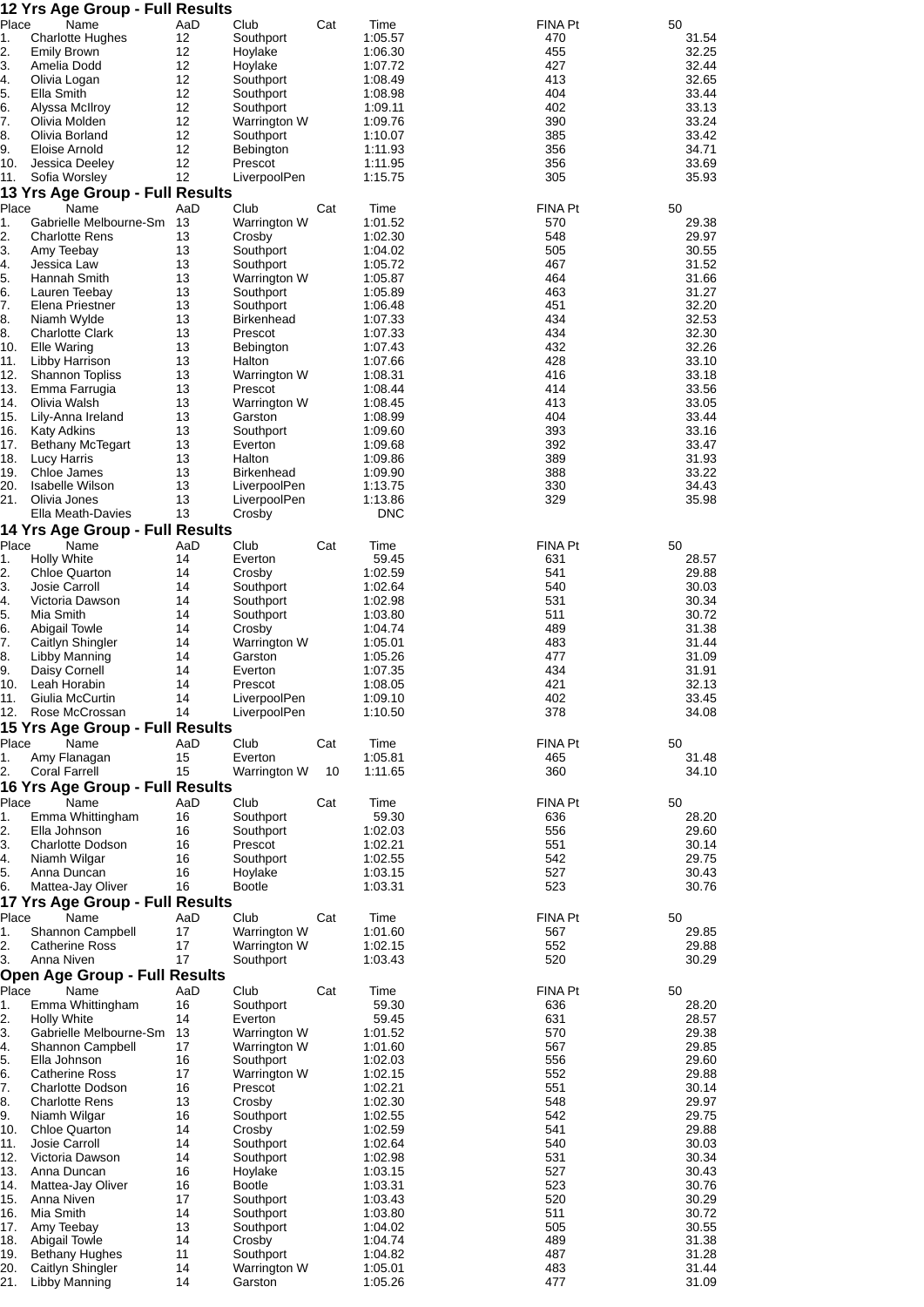|             | 12 Yrs Age Group - Full Results                  |           |                             |     |                    |                       |                |
|-------------|--------------------------------------------------|-----------|-----------------------------|-----|--------------------|-----------------------|----------------|
| Place       | Name                                             | AaD       | Club                        | Cat | Time               | FINA Pt               | 50             |
| 1.<br>2.    | <b>Charlotte Hughes</b><br><b>Emily Brown</b>    | 12<br>12  | Southport<br>Hoylake        |     | 1:05.57<br>1:06.30 | 470<br>455            | 31.54<br>32.25 |
| 3.          | Amelia Dodd                                      | 12        | Hoylake                     |     | 1:07.72            | 427                   | 32.44          |
| 4.          | Olivia Logan                                     | 12        | Southport                   |     | 1:08.49            | 413                   | 32.65          |
| 5.          | Ella Smith                                       | 12        | Southport                   |     | 1:08.98            | 404                   | 33.44          |
| 6.          | Alyssa McIlroy                                   | 12        | Southport                   |     | 1:09.11            | 402                   | 33.13          |
| 7.<br>8.    | Olivia Molden<br>Olivia Borland                  | 12<br>12  | Warrington W<br>Southport   |     | 1:09.76<br>1:10.07 | 390<br>385            | 33.24<br>33.42 |
| 9.          | Eloise Arnold                                    | 12        | <b>Bebington</b>            |     | 1:11.93            | 356                   | 34.71          |
| 10.         | Jessica Deeley                                   | 12        | Prescot                     |     | 1:11.95            | 356                   | 33.69          |
| 11.         | Sofia Worsley                                    | 12        | LiverpoolPen                |     | 1:15.75            | 305                   | 35.93          |
|             | 13 Yrs Age Group - Full Results                  |           |                             |     |                    |                       |                |
| Place       | Name                                             | AaD       | Club                        | Cat | Time               | FINA Pt               | 50             |
| 1.          | Gabrielle Melbourne-Sm                           | 13        | Warrington W                |     | 1:01.52            | 570                   | 29.38          |
| 2.<br>3.    | <b>Charlotte Rens</b><br>Amy Teebay              | 13<br>13  | Crosby<br>Southport         |     | 1:02.30<br>1:04.02 | 548<br>505            | 29.97<br>30.55 |
| 4.          | Jessica Law                                      | 13        | Southport                   |     | 1:05.72            | 467                   | 31.52          |
| 5.          | Hannah Smith                                     | 13        | Warrington W                |     | 1:05.87            | 464                   | 31.66          |
| 6.          | Lauren Teebay                                    | 13        | Southport                   |     | 1:05.89            | 463                   | 31.27          |
| 7.          | Elena Priestner                                  | 13        | Southport                   |     | 1:06.48            | 451                   | 32.20          |
| 8.          | Niamh Wylde                                      | 13        | <b>Birkenhead</b>           |     | 1:07.33            | 434                   | 32.53          |
| 8.<br>10.   | <b>Charlotte Clark</b><br>Elle Waring            | 13<br>13  | Prescot<br><b>Bebington</b> |     | 1:07.33<br>1:07.43 | 434<br>432            | 32.30<br>32.26 |
| 11.         | Libby Harrison                                   | 13        | Halton                      |     | 1:07.66            | 428                   | 33.10          |
| 12.         | <b>Shannon Topliss</b>                           | 13        | Warrington W                |     | 1:08.31            | 416                   | 33.18          |
| 13.         | Emma Farrugia                                    | 13        | Prescot                     |     | 1:08.44            | 414                   | 33.56          |
| 14.         | Olivia Walsh                                     | 13        | Warrington W                |     | 1:08.45            | 413                   | 33.05          |
| 15.         | Lily-Anna Ireland                                | 13        | Garston                     |     | 1:08.99            | 404                   | 33.44          |
| 16.<br>17.  | <b>Katy Adkins</b><br><b>Bethany McTegart</b>    | 13<br>13  | Southport<br>Everton        |     | 1:09.60<br>1:09.68 | 393<br>392            | 33.16<br>33.47 |
| 18.         | Lucy Harris                                      | 13        | Halton                      |     | 1:09.86            | 389                   | 31.93          |
| 19.         | Chloe James                                      | 13        | <b>Birkenhead</b>           |     | 1:09.90            | 388                   | 33.22          |
| 20.         | <b>Isabelle Wilson</b>                           | 13        | LiverpoolPen                |     | 1:13.75            | 330                   | 34.43          |
| 21.         | Olivia Jones                                     | 13        | LiverpoolPen                |     | 1:13.86            | 329                   | 35.98          |
|             | Ella Meath-Davies                                | 13        | Crosby                      |     | <b>DNC</b>         |                       |                |
|             | 14 Yrs Age Group - Full Results                  |           |                             |     |                    |                       |                |
| Place<br>1. | Name<br><b>Holly White</b>                       | AaD<br>14 | Club<br>Everton             | Cat | Time<br>59.45      | <b>FINA Pt</b><br>631 | 50<br>28.57    |
| 2.          | <b>Chloe Quarton</b>                             | 14        | Crosby                      |     | 1:02.59            | 541                   | 29.88          |
| 3.          | Josie Carroll                                    | 14        | Southport                   |     | 1:02.64            | 540                   | 30.03          |
| 4.          | Victoria Dawson                                  | 14        | Southport                   |     | 1:02.98            | 531                   | 30.34          |
| 5.          | Mia Smith                                        | 14        | Southport                   |     | 1:03.80            | 511                   | 30.72          |
| 6.          | <b>Abigail Towle</b>                             | 14        | Crosby                      |     | 1:04.74            | 489                   | 31.38          |
| 7.<br>8.    | Caitlyn Shingler                                 | 14<br>14  | Warrington W                |     | 1:05.01            | 483<br>477            | 31.44<br>31.09 |
| 9.          | Libby Manning<br>Daisy Cornell                   | 14        | Garston<br>Everton          |     | 1:05.26<br>1:07.35 | 434                   | 31.91          |
| 10.         | Leah Horabin                                     | 14        | Prescot                     |     | 1:08.05            | 421                   | 32.13          |
|             | 11. Giulia McCurtin                              | 14        | LiverpoolPen                |     | 1:09.10            | 402                   | 33.45          |
|             | 12. Rose McCrossan                               | 14        | LiverpoolPen                |     | 1:10.50            | 378                   | 34.08          |
|             | 15 Yrs Age Group - Full Results                  |           |                             |     |                    |                       |                |
| Place<br>1. | Name<br>Amy Flanagan                             | AaD<br>15 | Club<br>Everton             | Cat | Time<br>1:05.81    | FINA Pt<br>465        | 50<br>31.48    |
| 2.          | Coral Farrell                                    | 15        | Warrington W                | 10  | 1:11.65            | 360                   | 34.10          |
|             | 16 Yrs Age Group - Full Results                  |           |                             |     |                    |                       |                |
| Place       | Name                                             | AaD       | Club                        | Cat | Time               | <b>FINA Pt</b>        | 50             |
| 1.          | Emma Whittingham                                 | 16        | Southport                   |     | 59.30              | 636                   | 28.20          |
| 2.          | Ella Johnson                                     | 16        | Southport                   |     | 1:02.03            | 556                   | 29.60          |
| 3.          | <b>Charlotte Dodson</b>                          | 16        | Prescot                     |     | 1:02.21            | 551                   | 30.14          |
| 4.<br>5.    | Niamh Wilgar<br>Anna Duncan                      | 16<br>16  | Southport<br>Hoylake        |     | 1:02.55<br>1:03.15 | 542<br>527            | 29.75<br>30.43 |
| 6.          | Mattea-Jay Oliver                                | 16        | <b>Bootle</b>               |     | 1:03.31            | 523                   | 30.76          |
|             | 17 Yrs Age Group - Full Results                  |           |                             |     |                    |                       |                |
| Place       | Name                                             | AaD       | Club                        | Cat | Time               | FINA Pt               | 50             |
| 1.          | Shannon Campbell                                 | 17        | Warrington W                |     | 1:01.60            | 567                   | 29.85          |
| 2.          | <b>Catherine Ross</b>                            | 17        | Warrington W                |     | 1:02.15            | 552                   | 29.88          |
| 3.          | Anna Niven                                       | 17        | Southport                   |     | 1:03.43            | 520                   | 30.29          |
| Place       | <b>Open Age Group - Full Results</b><br>Name     |           | Club                        | Cat |                    | FINA Pt               | 50             |
| 1.          | Emma Whittingham                                 | AaD<br>16 | Southport                   |     | Time<br>59.30      | 636                   | 28.20          |
| 2.          | <b>Holly White</b>                               | 14        | Everton                     |     | 59.45              | 631                   | 28.57          |
| 3.          | Gabrielle Melbourne-Sm                           | 13        | Warrington W                |     | 1:01.52            | 570                   | 29.38          |
| 4.          | Shannon Campbell                                 | 17        | Warrington W                |     | 1:01.60            | 567                   | 29.85          |
| 5.          | Ella Johnson                                     | 16        | Southport                   |     | 1:02.03            | 556                   | 29.60          |
| 6.<br>7.    | <b>Catherine Ross</b>                            | 17<br>16  | Warrington W<br>Prescot     |     | 1:02.15            | 552<br>551            | 29.88          |
| 8.          | <b>Charlotte Dodson</b><br><b>Charlotte Rens</b> | 13        | Crosby                      |     | 1:02.21<br>1:02.30 | 548                   | 30.14<br>29.97 |
| 9.          | Niamh Wilgar                                     | 16        | Southport                   |     | 1:02.55            | 542                   | 29.75          |
| 10.         | <b>Chloe Quarton</b>                             | 14        | Crosby                      |     | 1:02.59            | 541                   | 29.88          |
| 11.         | Josie Carroll                                    | 14        | Southport                   |     | 1:02.64            | 540                   | 30.03          |
| 12.         | Victoria Dawson                                  | 14        | Southport                   |     | 1:02.98            | 531                   | 30.34          |
| 13.<br>14.  | Anna Duncan<br>Mattea-Jay Oliver                 | 16<br>16  | Hoylake<br><b>Bootle</b>    |     | 1:03.15<br>1:03.31 | 527<br>523            | 30.43<br>30.76 |
| 15.         | Anna Niven                                       | 17        | Southport                   |     | 1:03.43            | 520                   | 30.29          |
| 16.         | Mia Smith                                        | 14        | Southport                   |     | 1:03.80            | 511                   | 30.72          |
| 17.         | Amy Teebay                                       | 13        | Southport                   |     | 1:04.02            | 505                   | 30.55          |
| 18.         | <b>Abigail Towle</b>                             | 14        | Crosby                      |     | 1:04.74            | 489                   | 31.38          |
| 19.         | <b>Bethany Hughes</b>                            | 11<br>14  | Southport                   |     | 1:04.82            | 487<br>483            | 31.28<br>31.44 |
| 20.<br>21.  | Caitlyn Shingler<br><b>Libby Manning</b>         | 14        | Warrington W<br>Garston     |     | 1:05.01<br>1:05.26 | 477                   | 31.09          |
|             |                                                  |           |                             |     |                    |                       |                |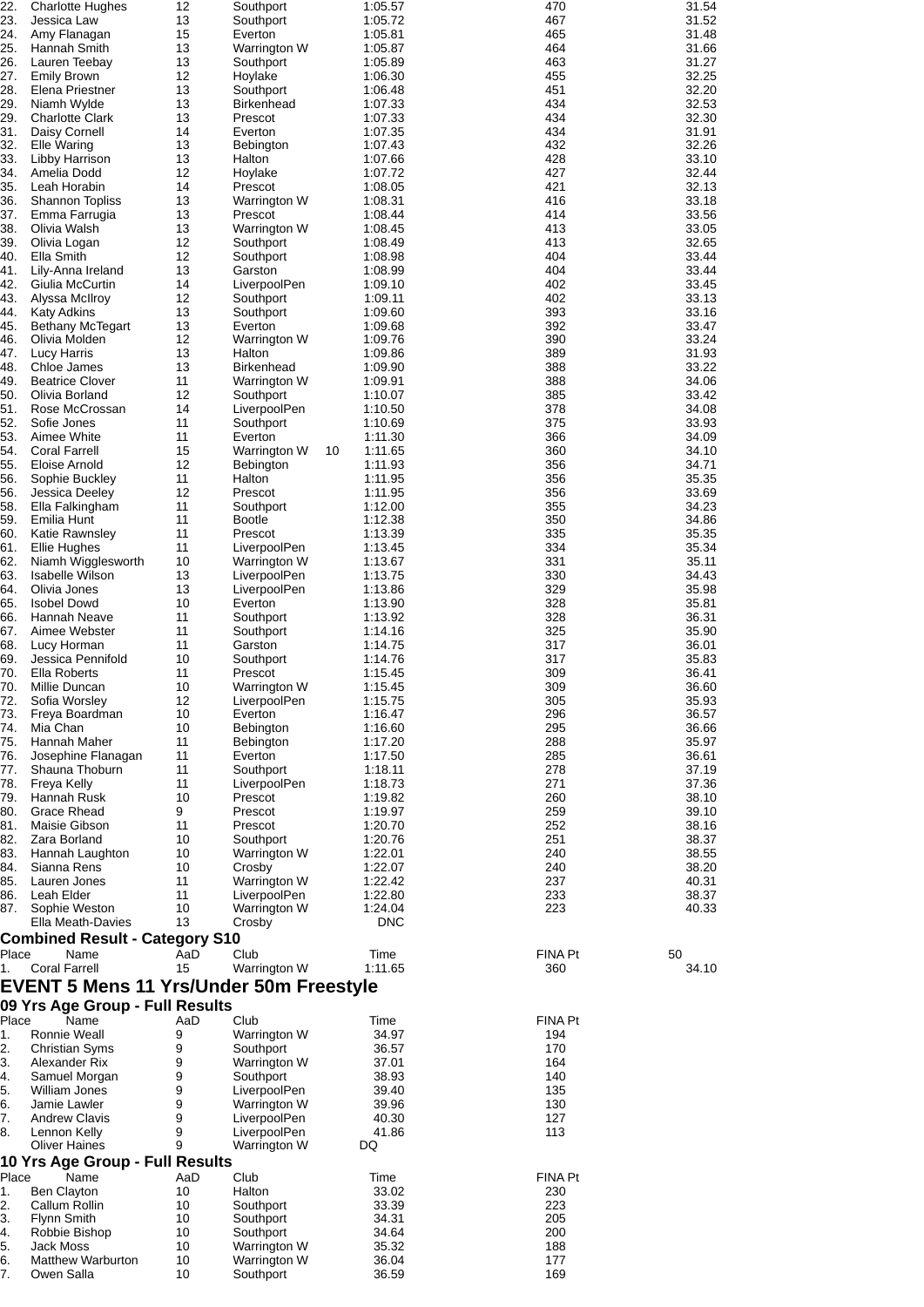| 22.         | <b>Charlotte Hughes</b>                        | 12        | Southport                    |    | 1:05.57               | 470                  | 31.54          |
|-------------|------------------------------------------------|-----------|------------------------------|----|-----------------------|----------------------|----------------|
| 23.         | Jessica Law                                    | 13        | Southport                    |    | 1:05.72               | 467                  | 31.52          |
| 24.         | Amy Flanagan                                   | 15        | Everton                      |    | 1:05.81               | 465                  | 31.48          |
| 25.<br>26.  | Hannah Smith<br>Lauren Teebay                  | 13<br>13  | Warrington W                 |    | 1:05.87<br>1:05.89    | 464<br>463           | 31.66<br>31.27 |
| 27.         | <b>Emily Brown</b>                             | 12        | Southport<br>Hoylake         |    | 1:06.30               | 455                  | 32.25          |
| 28.         | Elena Priestner                                | 13        | Southport                    |    | 1:06.48               | 451                  | 32.20          |
| 29.         | Niamh Wylde                                    | 13        | <b>Birkenhead</b>            |    | 1:07.33               | 434                  | 32.53          |
| 29.         | <b>Charlotte Clark</b>                         | 13        | Prescot                      |    | 1:07.33               | 434                  | 32.30          |
| 31.         | Daisy Cornell                                  | 14        | Everton                      |    | 1:07.35               | 434                  | 31.91          |
| 32.         | Elle Waring                                    | 13        | Bebington                    |    | 1:07.43               | 432                  | 32.26          |
| 33.         | Libby Harrison                                 | 13        | Halton                       |    | 1:07.66               | 428                  | 33.10          |
| 34.         | Amelia Dodd                                    | 12        | Hoylake                      |    | 1:07.72               | 427                  | 32.44          |
| 35.         | Leah Horabin                                   | 14        | Prescot                      |    | 1:08.05               | 421                  | 32.13          |
| 36.         | <b>Shannon Topliss</b>                         | 13        | Warrington W                 |    | 1:08.31               | 416                  | 33.18          |
| 37.<br>38.  | Emma Farrugia<br>Olivia Walsh                  | 13<br>13  | Prescot<br>Warrington W      |    | 1:08.44<br>1:08.45    | 414<br>413           | 33.56<br>33.05 |
| 39.         | Olivia Logan                                   | 12        | Southport                    |    | 1:08.49               | 413                  | 32.65          |
| 40.         | Ella Smith                                     | 12        | Southport                    |    | 1:08.98               | 404                  | 33.44          |
| 41.         | Lily-Anna Ireland                              | 13        | Garston                      |    | 1:08.99               | 404                  | 33.44          |
| 42.         | Giulia McCurtin                                | 14        | LiverpoolPen                 |    | 1:09.10               | 402                  | 33.45          |
| 43.         | Alyssa McIlroy                                 | 12        | Southport                    |    | 1:09.11               | 402                  | 33.13          |
| 44.         | <b>Katy Adkins</b>                             | 13        | Southport                    |    | 1:09.60               | 393                  | 33.16          |
| 45.         | <b>Bethany McTegart</b>                        | 13        | Everton                      |    | 1:09.68               | 392                  | 33.47          |
| 46.         | Olivia Molden                                  | 12        | Warrington W                 |    | 1:09.76               | 390                  | 33.24          |
| 47.         | <b>Lucy Harris</b>                             | 13        | Halton                       |    | 1:09.86               | 389                  | 31.93          |
| 48.         | Chloe James                                    | 13        | <b>Birkenhead</b>            |    | 1:09.90               | 388                  | 33.22          |
| 49.<br>50.  | <b>Beatrice Clover</b><br>Olivia Borland       | 11<br>12  | Warrington W<br>Southport    |    | 1:09.91               | 388<br>385           | 34.06<br>33.42 |
| 51.         | Rose McCrossan                                 | 14        | LiverpoolPen                 |    | 1:10.07<br>1:10.50    | 378                  | 34.08          |
| 52.         | Sofie Jones                                    | 11        | Southport                    |    | 1:10.69               | 375                  | 33.93          |
| 53.         | Aimee White                                    | 11        | Everton                      |    | 1:11.30               | 366                  | 34.09          |
| 54.         | <b>Coral Farrell</b>                           | 15        | Warrington W                 | 10 | 1:11.65               | 360                  | 34.10          |
| 55.         | Eloise Arnold                                  | 12        | <b>Bebington</b>             |    | 1:11.93               | 356                  | 34.71          |
| 56.         | Sophie Buckley                                 | 11        | Halton                       |    | 1:11.95               | 356                  | 35.35          |
| 56.         | Jessica Deeley                                 | 12        | Prescot                      |    | 1:11.95               | 356                  | 33.69          |
| 58.         | Ella Falkingham                                | 11        | Southport                    |    | 1:12.00               | 355                  | 34.23          |
| 59.         | Emilia Hunt                                    | 11        | <b>Bootle</b>                |    | 1:12.38               | 350                  | 34.86          |
| 60.         | Katie Rawnsley                                 | 11        | Prescot                      |    | 1:13.39               | 335                  | 35.35          |
| 61.         | Ellie Hughes                                   | 11<br>10  | LiverpoolPen                 |    | 1:13.45               | 334<br>331           | 35.34          |
| 62.<br>63.  | Niamh Wigglesworth<br><b>Isabelle Wilson</b>   | 13        | Warrington W<br>LiverpoolPen |    | 1:13.67<br>1:13.75    | 330                  | 35.11<br>34.43 |
| 64.         | Olivia Jones                                   | 13        | LiverpoolPen                 |    | 1:13.86               | 329                  | 35.98          |
| 65.         | <b>Isobel Dowd</b>                             | 10        | Everton                      |    | 1:13.90               | 328                  | 35.81          |
| 66.         | Hannah Neave                                   | 11        | Southport                    |    | 1:13.92               | 328                  | 36.31          |
| 67.         | Aimee Webster                                  | 11        | Southport                    |    | 1:14.16               | 325                  | 35.90          |
| 68.         | Lucy Horman                                    | 11        | Garston                      |    | 1:14.75               | 317                  | 36.01          |
| 69.         | Jessica Pennifold                              | 10        | Southport                    |    | 1:14.76               | 317                  | 35.83          |
| 70.         | Ella Roberts                                   | 11        | Prescot                      |    | 1:15.45               | 309                  | 36.41          |
| 70.         | Millie Duncan                                  | 10        | Warrington W                 |    | 1:15.45               | 309                  | 36.60          |
| 72.         | Sofia Worsley                                  | 12        | LiverpoolPen                 |    | 1:15.75               | 305                  | 35.93          |
| 73.         | Freya Boardman                                 | 10        | Everton                      |    | 1:16.47               | 296                  | 36.57          |
| 74.         | Mia Chan                                       | 10        | Bebington                    |    | 1:16.60               | 295                  | 36.66          |
| 75.<br>76.  | Hannah Maher<br>Josephine Flanagan             | 11<br>11  | Bebington<br>Everton         |    | 1:17.20               | 288<br>285           | 35.97          |
| 77.         | Shauna Thoburn                                 | 11        | Southport                    |    | 1:17.50<br>1:18.11    | 278                  | 36.61<br>37.19 |
| 78.         | Freya Kelly                                    | 11        | LiverpoolPen                 |    | 1:18.73               | 271                  | 37.36          |
| 79.         | Hannah Rusk                                    | 10        | Prescot                      |    | 1:19.82               | 260                  | 38.10          |
| 80.         | Grace Rhead                                    | 9         | Prescot                      |    | 1:19.97               | 259                  | 39.10          |
| 81.         | Maisie Gibson                                  | 11        | Prescot                      |    | 1:20.70               | 252                  | 38.16          |
| 82.         | Zara Borland                                   | 10        | Southport                    |    | 1:20.76               | 251                  | 38.37          |
| 83.         | Hannah Laughton                                | 10        | Warrington W                 |    | 1:22.01               | 240                  | 38.55          |
| 84.         | Sianna Rens                                    | 10        | Crosby                       |    | 1:22.07               | 240                  | 38.20          |
| 85.         | Lauren Jones                                   | 11        | Warrington W                 |    | 1:22.42               | 237                  | 40.31          |
| 86.         | Leah Elder                                     | 11        | LiverpoolPen                 |    | 1:22.80               | 233                  | 38.37          |
| 87.         | Sophie Weston<br>Ella Meath-Davies             | 10<br>13  | Warrington W<br>Crosby       |    | 1:24.04<br><b>DNC</b> | 223                  | 40.33          |
|             |                                                |           |                              |    |                       |                      |                |
|             | <b>Combined Result - Category S10</b>          |           |                              |    |                       |                      |                |
| Place<br>1. | Name<br><b>Coral Farrell</b>                   | AaD<br>15 | Club<br>Warrington W         |    | Time<br>1:11.65       | FINA Pt<br>50<br>360 | 34.10          |
|             |                                                |           |                              |    |                       |                      |                |
|             | <b>EVENT 5 Mens 11 Yrs/Under 50m Freestyle</b> |           |                              |    |                       |                      |                |
|             | 09 Yrs Age Group - Full Results                |           |                              |    |                       |                      |                |
| Place       | Name                                           | AaD       | Club                         |    | Time                  | <b>FINA Pt</b>       |                |
| 1.          | Ronnie Weall                                   | 9         | Warrington W                 |    | 34.97                 | 194                  |                |
| 2.          | <b>Christian Syms</b>                          | 9         | Southport                    |    | 36.57                 | 170                  |                |
| 3.          | Alexander Rix                                  | 9         | Warrington W                 |    | 37.01                 | 164                  |                |
| 4.          | Samuel Morgan                                  | 9         | Southport                    |    | 38.93                 | 140                  |                |
| 5.          | <b>William Jones</b><br>Jamie Lawler           | 9<br>9    | LiverpoolPen                 |    | 39.40<br>39.96        | 135<br>130           |                |
| 6.<br>7.    | <b>Andrew Clavis</b>                           | 9         | Warrington W<br>LiverpoolPen |    | 40.30                 | 127                  |                |
| 8.          | Lennon Kelly                                   | 9         | LiverpoolPen                 |    | 41.86                 | 113                  |                |
|             | <b>Oliver Haines</b>                           | 9         | Warrington W                 |    | DQ                    |                      |                |
|             | 10 Yrs Age Group - Full Results                |           |                              |    |                       |                      |                |
| Place       | Name                                           | AaD       | Club                         |    | Time                  | <b>FINA Pt</b>       |                |
| 1.          | <b>Ben Clayton</b>                             | 10        | Halton                       |    | 33.02                 | 230                  |                |
| 2.          | Callum Rollin                                  | 10        | Southport                    |    | 33.39                 | 223                  |                |
| 3.          | Flynn Smith                                    | 10        | Southport                    |    | 34.31                 | 205                  |                |
| 4.          | Robbie Bishop                                  | 10        | Southport                    |    | 34.64                 | 200                  |                |
| 5.          | <b>Jack Moss</b>                               | 10        | Warrington W                 |    | 35.32                 | 188                  |                |
| 6.          | <b>Matthew Warburton</b>                       | 10        | Warrington W                 |    | 36.04                 | 177                  |                |
| 7.          | Owen Salla                                     | 10        | Southport                    |    | 36.59                 | 169                  |                |
|             |                                                |           |                              |    |                       |                      |                |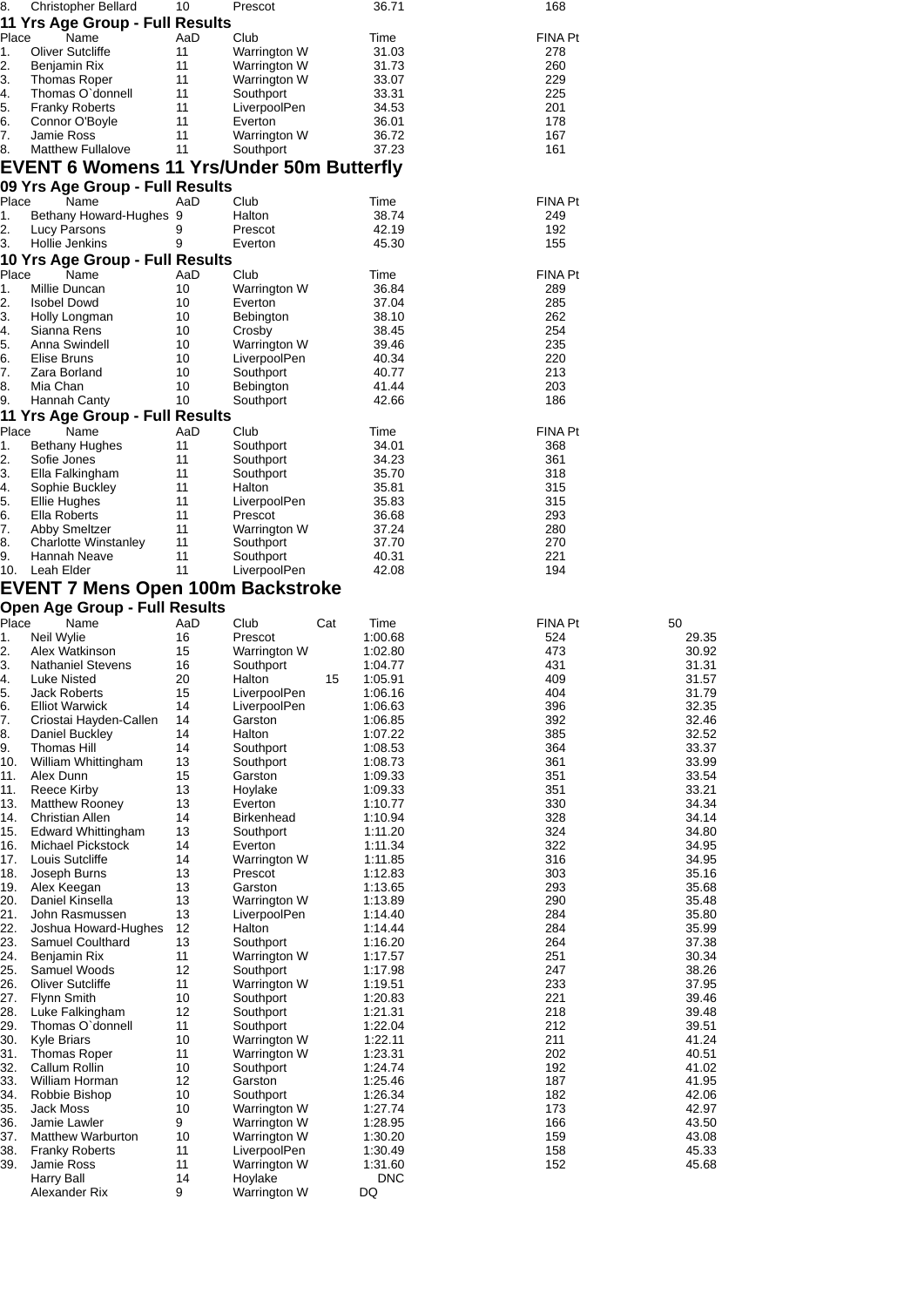| 8.            | <b>Christopher Bellard</b>                       | 10       | Prescot                   | 36.71              | 168        |                |
|---------------|--------------------------------------------------|----------|---------------------------|--------------------|------------|----------------|
|               | 11 Yrs Age Group - Full Results                  |          |                           |                    |            |                |
| Place         | Name                                             | AaD      | Club                      | Time               | FINA Pt    |                |
| $\mathbf 1$ . | <b>Oliver Sutcliffe</b>                          | 11       | Warrington W              | 31.03              | 278        |                |
| 2.            | Benjamin Rix                                     | 11       | Warrington W              | 31.73              | 260        |                |
| 3.            | <b>Thomas Roper</b>                              | 11       | Warrington W              | 33.07              | 229        |                |
| 4.            | Thomas O'donnell                                 | 11       | Southport                 | 33.31              | 225        |                |
| 5.            | <b>Franky Roberts</b>                            | 11       | LiverpoolPen              | 34.53              | 201        |                |
| 6.            | Connor O'Boyle                                   | 11       | Everton                   | 36.01              | 178        |                |
| 7.            | Jamie Ross                                       | 11       | Warrington W              | 36.72              | 167        |                |
| 8.            | <b>Matthew Fullalove</b>                         | 11       | Southport                 | 37.23              | 161        |                |
|               | <b>EVENT 6 Womens 11 Yrs/Under 50m Butterfly</b> |          |                           |                    |            |                |
|               | 09 Yrs Age Group - Full Results                  |          |                           |                    |            |                |
| Place         | Name                                             | AaD      | Club                      | Time               | FINA Pt    |                |
| 1.            | Bethany Howard-Hughes 9                          |          | Halton                    | 38.74              | 249        |                |
| 2.            | Lucy Parsons                                     | 9        | Prescot                   | 42.19              | 192        |                |
| З.            | Hollie Jenkins                                   | 9        | Everton                   | 45.30              | 155        |                |
|               | 10 Yrs Age Group - Full Results                  |          |                           |                    |            |                |
| Place         | Name                                             | AaD      | Club                      | Time               | FINA Pt    |                |
| 1.            | Millie Duncan                                    | 10       | Warrington W              | 36.84              | 289        |                |
| 2.            | <b>Isobel Dowd</b>                               | 10       | Everton                   | 37.04              | 285        |                |
| З.            | Holly Longman                                    | 10       | Bebington                 | 38.10              | 262        |                |
| 4.            | Sianna Rens                                      | 10       | Crosby                    | 38.45              | 254        |                |
| 5.            | Anna Swindell                                    | 10       | Warrington W              | 39.46              | 235        |                |
| 6.            | Elise Bruns                                      | 10       | LiverpoolPen              | 40.34              | 220        |                |
| 7.            | Zara Borland                                     | 10       | Southport                 | 40.77              | 213        |                |
| 8.            | Mia Chan                                         | 10       | <b>Bebington</b>          | 41.44              | 203        |                |
| 9.            | Hannah Canty                                     | 10       | Southport                 | 42.66              | 186        |                |
|               | 11 Yrs Age Group - Full Results                  |          |                           |                    |            |                |
| Place         | Name                                             | AaD      | Club                      | Time               | FINA Pt    |                |
| 1.            | Bethany Hughes                                   | 11       | Southport                 | 34.01              | 368        |                |
| 2.            | Sofie Jones                                      | 11       | Southport                 | 34.23              | 361        |                |
| З.            | Ella Falkingham                                  | 11       | Southport                 | 35.70              | 318        |                |
| 4.            | Sophie Buckley                                   | 11       | Halton                    | 35.81              | 315        |                |
| 5.            | <b>Ellie Hughes</b>                              | 11       | LiverpoolPen              | 35.83              | 315        |                |
| 6.            | Ella Roberts                                     | 11       | Prescot                   | 36.68              | 293        |                |
| 7.            | <b>Abby Smeltzer</b>                             | 11       | Warrington W              | 37.24              | 280        |                |
| 8.            | Charlotte Winstanley                             | 11       | Southport                 | 37.70              | 270        |                |
| 9.<br>10.     | Hannah Neave<br>Leah Elder                       | 11<br>11 | Southport<br>LiverpoolPen | 40.31<br>42.08     | 221<br>194 |                |
|               |                                                  |          |                           |                    |            |                |
|               | <b>EVENT 7 Mens Open 100m Backstroke</b>         |          |                           |                    |            |                |
|               | <b>Open Age Group - Full Results</b>             |          |                           |                    |            |                |
| Place         | Name                                             | AaD      | Club                      | Cat<br>Time        | FINA Pt    | 50             |
| 1.            | Neil Wylie                                       | 16       | Prescot                   | 1:00.68            | 524        | 29.35          |
| 2.            | Alex Watkinson                                   | 15       | Warrington W              | 1:02.80            | 473        | 30.92          |
| З.            | <b>Nathaniel Stevens</b>                         | 16       | Southport                 | 1:04.77            | 431        | 31.31          |
| 4.<br>ς       | Luke Nisted                                      | 20       | Halton                    | 15<br>1:05.91      | 409        | 31.57          |
| J.            | Jack Roberts                                     | 15       | LiverpoolPen              | 1:06.16            | 404        | 31.79          |
| 6.            | <b>Elliot Warwick</b>                            | 14       | LiverpoolPen              | 1:06.63            | 396        | 32.35          |
| 7.<br>8.      | Criostai Hayden-Callen<br>Daniel Buckley         | 14<br>14 | Garston<br>Halton         | 1:06.85<br>1:07.22 | 392<br>385 | 32.46<br>32.52 |
| 9.            | Thomas Hill                                      | 14       | Southport                 | 1:08.53            | 364        | 33.37          |
| 10.           | William Whittingham                              | 13       | Southport                 | 1:08.73            | 361        | 33.99          |
| 11.           | Alex Dunn                                        | 15       | Garston                   | 1:09.33            | 351        | 33.54          |
| 11.           | Reece Kirby                                      | 13       | Hoylake                   | 1:09.33            | 351        | 33.21          |
| 13.           | <b>Matthew Rooney</b>                            | 13       | Everton                   | 1:10.77            | 330        | 34.34          |
| 14.           | <b>Christian Allen</b>                           | 14       | <b>Birkenhead</b>         | 1:10.94            | 328        | 34.14          |
| 15.           | <b>Edward Whittingham</b>                        | 13       | Southport                 | 1:11.20            | 324        | 34.80          |
| 16.           | Michael Pickstock                                | 14       | Everton                   | 1:11.34            | 322        | 34.95          |
| 17.           | Louis Sutcliffe                                  | 14       | Warrington W              | 1:11.85            | 316        | 34.95          |
| 18.           | Joseph Burns                                     | 13       | Prescot                   | 1:12.83            | 303        | 35.16          |
| 19.           | Alex Keegan                                      | 13       | Garston                   | 1:13.65            | 293        | 35.68          |
| 20.           | Daniel Kinsella                                  | 13       | Warrington W              | 1:13.89            | 290        | 35.48          |
| 21.           | John Rasmussen                                   | 13       | LiverpoolPen              | 1:14.40            | 284        | 35.80          |
| 22.           | Joshua Howard-Hughes                             | 12       | Halton                    | 1:14.44            | 284        | 35.99          |
| 23.           | Samuel Coulthard                                 | 13       | Southport                 | 1:16.20            | 264        | 37.38          |
| 24.           | Benjamin Rix                                     | 11       | Warrington W              | 1:17.57            | 251        | 30.34          |
| 25.           | Samuel Woods                                     | 12       | Southport                 | 1:17.98            | 247        | 38.26          |
| 26.           | <b>Oliver Sutcliffe</b>                          | 11       | Warrington W              | 1:19.51            | 233        | 37.95          |
| 27.           | Flynn Smith                                      | 10       | Southport                 | 1:20.83            | 221        | 39.46          |
| 28.           | Luke Falkingham                                  | 12       | Southport                 | 1:21.31            | 218        | 39.48          |
| 29.           | Thomas O'donnell<br><b>Kyle Briars</b>           | 11<br>10 | Southport                 | 1:22.04            | 212<br>211 | 39.51<br>41.24 |
| 30.<br>31.    |                                                  |          | Warrington W              | 1:22.11<br>1:23.31 | 202        |                |
| 32.           | Thomas Roper<br>Callum Rollin                    | 11<br>10 | Warrington W              |                    | 192        | 40.51<br>41.02 |
| 33.           | William Horman                                   | 12       | Southport<br>Garston      | 1:24.74<br>1:25.46 | 187        | 41.95          |
| 34.           | Robbie Bishop                                    | 10       | Southport                 | 1:26.34            | 182        | 42.06          |
| 35.           | Jack Moss                                        | 10       | Warrington W              | 1:27.74            | 173        | 42.97          |
| 36.           | Jamie Lawler                                     | 9        | Warrington W              | 1:28.95            | 166        | 43.50          |
| 37.           | <b>Matthew Warburton</b>                         | 10       | Warrington W              | 1:30.20            | 159        | 43.08          |
| 38.           | <b>Franky Roberts</b>                            | 11       | LiverpoolPen              | 1:30.49            | 158        | 45.33          |
| 39.           | Jamie Ross                                       | 11       | Warrington W              | 1:31.60            | 152        | 45.68          |
|               | Harry Ball                                       | 14       | Hoylake                   | <b>DNC</b>         |            |                |
|               | Alexander Rix                                    | 9        | Warrington W              | DQ                 |            |                |
|               |                                                  |          |                           |                    |            |                |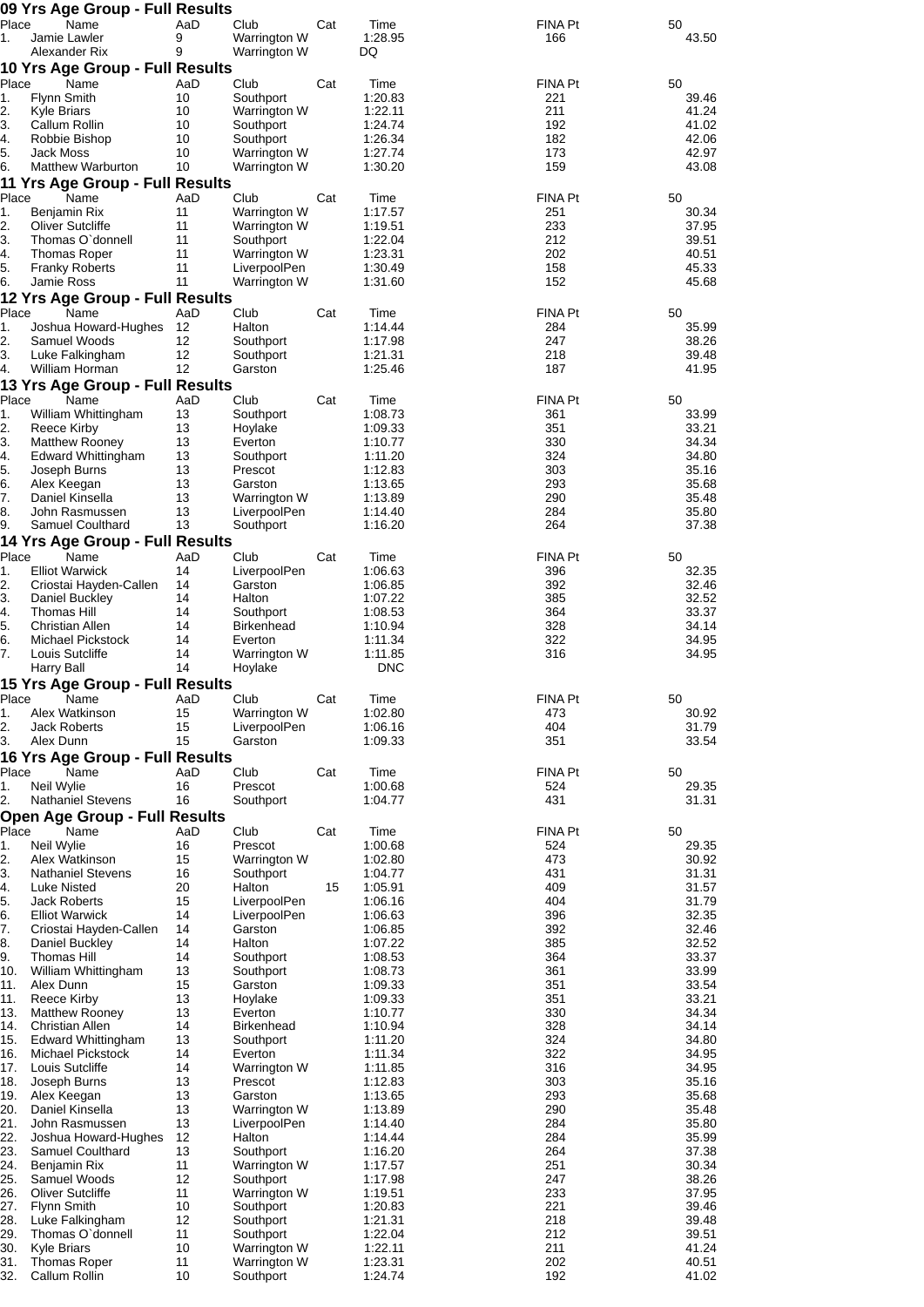| Place      | 09 Yrs Age Group - Full Results<br>Name         | AaD      | Club                                |     | Time               | FINA Pt        | 50             |
|------------|-------------------------------------------------|----------|-------------------------------------|-----|--------------------|----------------|----------------|
| 1.         | Jamie Lawler                                    | 9        | Warrington W                        | Cat | 1:28.95            | 166            | 43.50          |
|            | Alexander Rix                                   | 9        | Warrington W                        |     | DQ                 |                |                |
| Place      | 10 Yrs Age Group - Full Results<br>Name         | AaD      | Club                                | Cat | Time               | FINA Pt        | 50             |
| 1.         | <b>Flynn Smith</b>                              | 10       | Southport                           |     | 1:20.83            | 221            | 39.46          |
| 2.         | <b>Kyle Briars</b>                              | 10       | Warrington W                        |     | 1:22.11            | 211            | 41.24          |
| 3.         | Callum Rollin                                   | 10       | Southport                           |     | 1:24.74            | 192            | 41.02          |
| 4.<br>5.   | Robbie Bishop<br>Jack Moss                      | 10<br>10 | Southport<br>Warrington W           |     | 1:26.34<br>1:27.74 | 182<br>173     | 42.06<br>42.97 |
| 6.         | <b>Matthew Warburton</b>                        | 10       | Warrington W                        |     | 1:30.20            | 159            | 43.08          |
|            | 11 Yrs Age Group - Full Results                 |          |                                     |     |                    |                |                |
| Place      | Name                                            | AaD      | Club                                | Cat | Time               | FINA Pt        | 50             |
| 1.<br>2.   | Benjamin Rix<br>Oliver Sutcliffe                | 11<br>11 | Warrington W<br><b>Warrington W</b> |     | 1:17.57<br>1:19.51 | 251<br>233     | 30.34<br>37.95 |
| 3.         | Thomas O'donnell                                | 11       | Southport                           |     | 1:22.04            | 212            | 39.51          |
| 4.         | Thomas Roper                                    | 11       | Warrington W                        |     | 1:23.31            | 202            | 40.51          |
| 5.         | <b>Franky Roberts</b><br><b>Jamie Ross</b>      | 11<br>11 | LiverpoolPen                        |     | 1:30.49            | 158            | 45.33<br>45.68 |
| 6.         | 12 Yrs Age Group - Full Results                 |          | Warrington W                        |     | 1:31.60            | 152            |                |
| Place      | Name                                            | AaD      | Club                                | Cat | Time               | FINA Pt        | 50             |
| 1.         | Joshua Howard-Hughes                            | 12       | Halton                              |     | 1:14.44            | 284            | 35.99          |
| 2.         | Samuel Woods                                    | 12       | Southport                           |     | 1:17.98            | 247            | 38.26          |
| 3.<br>4.   | Luke Falkingham<br>William Horman               | 12<br>12 | Southport<br>Garston                |     | 1:21.31<br>1:25.46 | 218<br>187     | 39.48<br>41.95 |
|            | 13 Yrs Age Group - Full Results                 |          |                                     |     |                    |                |                |
| Place      | Name                                            | AaD      | Club                                | Cat | Time               | FINA Pt        | 50             |
| 1.         | William Whittingham                             | 13       | Southport                           |     | 1:08.73            | 361            | 33.99          |
| 2.<br>3.   | Reece Kirby<br><b>Matthew Rooney</b>            | 13<br>13 | Hoylake<br>Everton                  |     | 1:09.33<br>1:10.77 | 351<br>330     | 33.21<br>34.34 |
| 4.         | <b>Edward Whittingham</b>                       | 13       | Southport                           |     | 1:11.20            | 324            | 34.80          |
| 5.         | Joseph Burns                                    | 13       | Prescot                             |     | 1:12.83            | 303            | 35.16          |
| 6.         | Alex Keegan                                     | 13       | Garston                             |     | 1:13.65            | 293            | 35.68          |
| 7.<br>8.   | Daniel Kinsella<br>John Rasmussen               | 13<br>13 | Warrington W<br>LiverpoolPen        |     | 1:13.89<br>1:14.40 | 290<br>284     | 35.48<br>35.80 |
| 9.         | Samuel Coulthard                                | 13       | Southport                           |     | 1:16.20            | 264            | 37.38          |
|            | 14 Yrs Age Group - Full Results                 |          |                                     |     |                    |                |                |
| Place      | Name                                            | AaD      | Club                                | Cat | Time               | FINA Pt        | 50             |
| 1.<br>2.   | <b>Elliot Warwick</b><br>Criostai Hayden-Callen | 14<br>14 | LiverpoolPen<br>Garston             |     | 1:06.63<br>1:06.85 | 396<br>392     | 32.35<br>32.46 |
| 3.         | Daniel Buckley                                  | 14       | Halton                              |     | 1:07.22            | 385            | 32.52          |
| 4.         | Thomas Hill                                     | 14       | Southport                           |     | 1:08.53            | 364            | 33.37          |
| 5.         | Christian Allen                                 | 14       | <b>Birkenhead</b><br>Everton        |     | 1:10.94            | 328            | 34.14          |
| 6.<br>7.   | Michael Pickstock<br>Louis Sutcliffe            | 14<br>14 | Warrington W                        |     | 1:11.34<br>1:11.85 | 322<br>316     | 34.95<br>34.95 |
|            | Harry Ball                                      | 14       | Hoylake                             |     | <b>DNC</b>         |                |                |
|            | 15 Yrs Age Group - Full Results                 |          |                                     |     |                    |                |                |
| Place      | Name                                            | AaD      | Club                                | Cat | Time               | <b>FINA Pt</b> | 50             |
| 1.<br>2.   | Alex Watkinson<br><b>Jack Roberts</b>           | 15<br>15 | Warrington W<br>LiverpoolPen        |     | 1:02.80<br>1:06.16 | 473<br>404     | 30.92<br>31.79 |
| 3.         | Alex Dunn                                       | 15       | Garston                             |     | 1:09.33            | 351            | 33.54          |
|            | 16 Yrs Age Group - Full Results                 |          |                                     |     |                    |                |                |
| Place      | Name                                            | AaD      | Club                                | Cat | Time               | FINA Pt        | 50             |
| 1.<br>2.   | Neil Wylie<br><b>Nathaniel Stevens</b>          | 16<br>16 | Prescot<br>Southport                |     | 1:00.68<br>1:04.77 | 524<br>431     | 29.35<br>31.31 |
|            | <b>Open Age Group - Full Results</b>            |          |                                     |     |                    |                |                |
| Place      | Name                                            | AaD      | Club                                | Cat | Time               | FINA Pt        | 50             |
| 1.         | Neil Wylie                                      | 16       | Prescot                             |     | 1:00.68            | 524            | 29.35          |
| 2.         | Alex Watkinson                                  | 15       | Warrington W                        |     | 1:02.80            | 473            | 30.92          |
| 3.<br>4.   | <b>Nathaniel Stevens</b><br><b>Luke Nisted</b>  | 16<br>20 | Southport<br>Halton                 | 15  | 1:04.77<br>1:05.91 | 431<br>409     | 31.31<br>31.57 |
| 5.         | <b>Jack Roberts</b>                             | 15       | LiverpoolPen                        |     | 1:06.16            | 404            | 31.79          |
| 6.         | <b>Elliot Warwick</b>                           | 14       | LiverpoolPen                        |     | 1:06.63            | 396            | 32.35          |
| 7.<br>8.   | Criostai Hayden-Callen<br>Daniel Buckley        | 14<br>14 | Garston<br>Halton                   |     | 1:06.85<br>1:07.22 | 392<br>385     | 32.46<br>32.52 |
| 9.         | Thomas Hill                                     | 14       | Southport                           |     | 1:08.53            | 364            | 33.37          |
| 10.        | William Whittingham                             | 13       | Southport                           |     | 1:08.73            | 361            | 33.99          |
| 11.        | Alex Dunn                                       | 15       | Garston                             |     | 1:09.33            | 351            | 33.54          |
| 11.<br>13. | Reece Kirby<br><b>Matthew Rooney</b>            | 13<br>13 | Hoylake<br>Everton                  |     | 1:09.33<br>1:10.77 | 351<br>330     | 33.21<br>34.34 |
| 14.        | <b>Christian Allen</b>                          | 14       | <b>Birkenhead</b>                   |     | 1:10.94            | 328            | 34.14          |
| 15.        | Edward Whittingham                              | 13       | Southport                           |     | 1:11.20            | 324            | 34.80          |
| 16.<br>17. | Michael Pickstock<br>Louis Sutcliffe            | 14<br>14 | Everton<br>Warrington W             |     | 1:11.34<br>1:11.85 | 322<br>316     | 34.95<br>34.95 |
| 18.        | Joseph Burns                                    | 13       | Prescot                             |     | 1:12.83            | 303            | 35.16          |
| 19.        | Alex Keegan                                     | 13       | Garston                             |     | 1:13.65            | 293            | 35.68          |
| 20.        | Daniel Kinsella                                 | 13       | Warrington W                        |     | 1:13.89            | 290            | 35.48          |
| 21.<br>22. | John Rasmussen<br>Joshua Howard-Hughes          | 13<br>12 | LiverpoolPen<br>Halton              |     | 1:14.40<br>1:14.44 | 284<br>284     | 35.80<br>35.99 |
| 23.        | Samuel Coulthard                                | 13       | Southport                           |     | 1:16.20            | 264            | 37.38          |
| 24.        | Benjamin Rix                                    | 11       | Warrington W                        |     | 1:17.57            | 251            | 30.34          |
| 25.        | Samuel Woods                                    | 12       | Southport                           |     | 1:17.98            | 247            | 38.26          |
| 26.<br>27. | <b>Oliver Sutcliffe</b><br><b>Flynn Smith</b>   | 11<br>10 | Warrington W<br>Southport           |     | 1:19.51<br>1:20.83 | 233<br>221     | 37.95<br>39.46 |
| 28.        | Luke Falkingham                                 | 12       | Southport                           |     | 1:21.31            | 218            | 39.48          |
| 29.        | Thomas O'donnell                                | 11       | Southport                           |     | 1:22.04            | 212            | 39.51          |
| 30.<br>31. | <b>Kyle Briars</b><br><b>Thomas Roper</b>       | 10<br>11 | Warrington W<br>Warrington W        |     | 1:22.11<br>1:23.31 | 211<br>202     | 41.24<br>40.51 |
| 32.        | Callum Rollin                                   | 10       | Southport                           |     | 1:24.74            | 192            | 41.02          |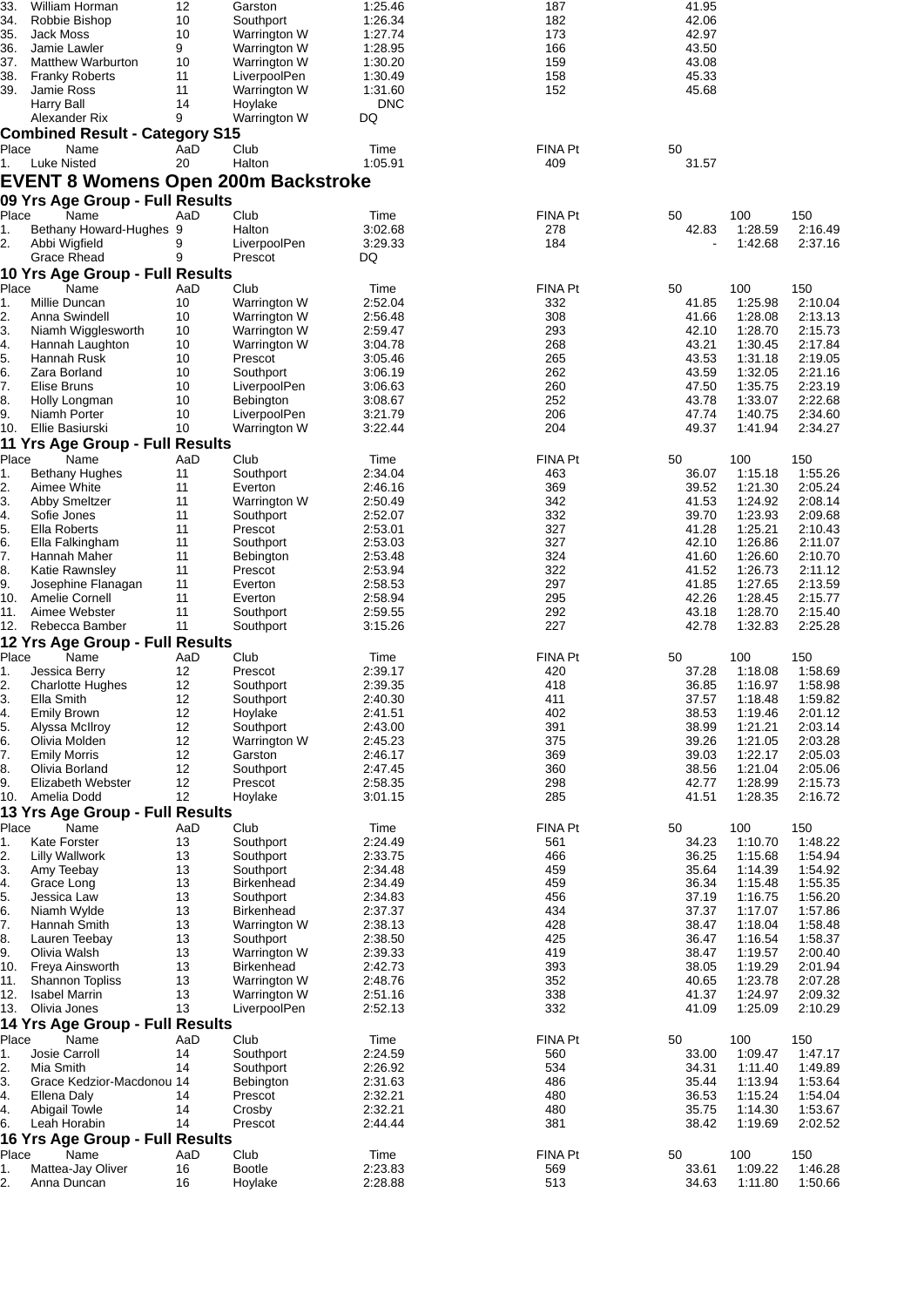| 33.               | William Horman                             | 12       | Garston                  | 1:25.46            | 187        | 41.95          |                    |                    |
|-------------------|--------------------------------------------|----------|--------------------------|--------------------|------------|----------------|--------------------|--------------------|
| 34.               | Robbie Bishop                              | 10       | Southport                | 1:26.34            | 182        | 42.06          |                    |                    |
| 35.               | Jack Moss                                  | 10       | Warrington W             | 1:27.74            | 173        | 42.97          |                    |                    |
| 36.               | Jamie Lawler                               | 9        | Warrington W             | 1:28.95            | 166        | 43.50          |                    |                    |
| 37.               | <b>Matthew Warburton</b>                   | 10       | Warrington W             | 1:30.20            | 159        | 43.08          |                    |                    |
| 38.               | <b>Franky Roberts</b>                      | 11       | LiverpoolPen             | 1:30.49            | 158        | 45.33          |                    |                    |
| 39.               | Jamie Ross                                 | 11       | Warrington W             | 1:31.60            | 152        | 45.68          |                    |                    |
|                   | Harry Ball                                 | 14       | Hoylake                  | <b>DNC</b>         |            |                |                    |                    |
|                   |                                            | 9        |                          | DQ                 |            |                |                    |                    |
|                   | Alexander Rix                              |          | Warrington W             |                    |            |                |                    |                    |
|                   | <b>Combined Result - Category S15</b>      |          |                          |                    |            |                |                    |                    |
| Place             | Name                                       | AaD      | Club                     | Time               | FINA Pt    | 50             |                    |                    |
| 1.                | Luke Nisted                                | 20       | Halton                   | 1:05.91            | 409        | 31.57          |                    |                    |
|                   | <b>EVENT 8 Womens Open 200m Backstroke</b> |          |                          |                    |            |                |                    |                    |
|                   |                                            |          |                          |                    |            |                |                    |                    |
|                   | 09 Yrs Age Group - Full Results            |          |                          |                    |            |                |                    |                    |
| Place             | Name                                       | AaD      | Club                     | Time               | FINA Pt    | 50             | 100                | 150                |
| 1.                | Bethany Howard-Hughes 9                    |          | Halton                   | 3:02.68            | 278        | 42.83          | 1:28.59            | 2:16.49            |
| 2.                | Abbi Wigfield                              | 9        | LiverpoolPen             | 3:29.33            | 184        |                | 1:42.68            | 2:37.16            |
|                   |                                            |          |                          |                    |            |                |                    |                    |
|                   | Grace Rhead                                | 9        | Prescot                  | DQ                 |            |                |                    |                    |
|                   | 10 Yrs Age Group - Full Results            |          |                          |                    |            |                |                    |                    |
| Place             | Name                                       | AaD      | Club                     | Time               | FINA Pt    | 50             | 100                | 150                |
| 1.                | Millie Duncan                              | 10       | Warrington W             | 2:52.04            | 332        | 41.85          | 1:25.98            | 2:10.04            |
| 2.                | Anna Swindell                              | 10       | Warrington W             | 2:56.48            | 308        | 41.66          | 1:28.08            | 2:13.13            |
|                   |                                            | 10       |                          |                    | 293        |                | 1:28.70            |                    |
| 3.                | Niamh Wigglesworth                         |          | Warrington W             | 2:59.47            |            | 42.10          |                    | 2:15.73            |
| 4.                | Hannah Laughton                            | 10       | Warrington W             | 3:04.78            | 268        | 43.21          | 1:30.45            | 2:17.84            |
| 5.                | Hannah Rusk                                | 10       | Prescot                  | 3:05.46            | 265        | 43.53          | 1:31.18            | 2:19.05            |
| 6.                | Zara Borland                               | 10       | Southport                | 3:06.19            | 262        | 43.59          | 1:32.05            | 2:21.16            |
| 7.                | Elise Bruns                                | 10       | LiverpoolPen             | 3:06.63            | 260        | 47.50          | 1:35.75            | 2:23.19            |
| 8.                | Holly Longman                              | 10       | Bebington                | 3:08.67            | 252        | 43.78          | 1:33.07            | 2:22.68            |
| 9.                | Niamh Porter                               | 10       | LiverpoolPen             | 3:21.79            | 206        | 47.74          | 1:40.75            | 2:34.60            |
| 10.               | Ellie Basiurski                            | 10       |                          | 3:22.44            | 204        | 49.37          |                    | 2:34.27            |
|                   |                                            |          | Warrington W             |                    |            |                | 1:41.94            |                    |
|                   | 11 Yrs Age Group - Full Results            |          |                          |                    |            |                |                    |                    |
| Place             | Name                                       | AaD      | Club                     | Time               | FINA Pt    | 50             | 100                | 150                |
| 1.                | Bethany Hughes                             | 11       | Southport                | 2:34.04            | 463        | 36.07          | 1:15.18            | 1:55.26            |
| 2.                | Aimee White                                | 11       | Everton                  | 2:46.16            | 369        | 39.52          | 1:21.30            | 2:05.24            |
|                   |                                            |          |                          |                    | 342        | 41.53          |                    | 2:08.14            |
| 3.                | <b>Abby Smeltzer</b>                       | 11       | Warrington W             | 2:50.49            |            |                | 1:24.92            |                    |
| 4.                | Sofie Jones                                | 11       | Southport                | 2:52.07            | 332        | 39.70          | 1:23.93            | 2:09.68            |
| 5.                | Ella Roberts                               | 11       | Prescot                  | 2:53.01            | 327        | 41.28          | 1:25.21            | 2:10.43            |
| 6.                | Ella Falkingham                            | 11       | Southport                | 2:53.03            | 327        | 42.10          | 1:26.86            | 2:11.07            |
| 7.                | Hannah Maher                               | 11       | <b>Bebington</b>         | 2:53.48            | 324        | 41.60          | 1:26.60            | 2:10.70            |
| 8.                | Katie Rawnsley                             | 11       | Prescot                  | 2:53.94            | 322        | 41.52          | 1:26.73            | 2:11.12            |
| 9.                | Josephine Flanagan                         | 11       | Everton                  | 2:58.53            | 297        | 41.85          | 1:27.65            | 2:13.59            |
| 10.               | Amelie Cornell                             | 11       | Everton                  | 2:58.94            | 295        | 42.26          | 1:28.45            | 2:15.77            |
|                   |                                            |          |                          |                    |            |                |                    |                    |
| 11.               | Aimee Webster                              | 11       | Southport                | 2:59.55            | 292        | 43.18          | 1:28.70            | 2:15.40            |
| 12.               | Rebecca Bamber                             | 11       | Southport                | 3:15.26            | 227        | 42.78          | 1:32.83            | 2:25.28            |
|                   | 12 Yrs Age Group - Full Results            |          |                          |                    |            |                |                    |                    |
| Place             | Name                                       | AaD      | Club                     | Time               | FINA Pt    | 50             | 100                | 150                |
| 1.                | Jessica Berry                              | 12       | Prescot                  | 2:39.17            | 420        | 37.28          | 1:18.08            | 1:58.69            |
| 2.                | <b>Charlotte Hughes</b>                    | 12       |                          | 2:39.35            | 418        | 36.85          | 1:16.97            | 1:58.98            |
|                   |                                            |          | Southport                |                    |            |                |                    |                    |
| 3.                | Ella Smith                                 | 12       | Southport                | 2:40.30            | 411        | 37.57          | 1:18.48            | 1:59.82            |
| 4.                | <b>Emily Brown</b>                         | 12       | Hoylake                  | 2:41.51            | 402        | 38.53          | 1:19.46            | 2:01.12            |
| 5.                | Alyssa McIlroy                             | 12       | Southport                | 2:43.00            | 391        |                | 1:21.21            | 2:03.14            |
| 6.                | Olivia Molden                              | 12       | Warrington W             |                    |            | 38.99          |                    |                    |
| 7.                | <b>Emily Morris</b>                        |          |                          | 2:45.23            | 375        | 39.26          | 1:21.05            | 2:03.28            |
| 8.                |                                            |          | Garston                  |                    |            |                |                    |                    |
|                   |                                            | 12       |                          | 2:46.17            | 369        | 39.03          | 1:22.17            | 2:05.03            |
|                   | Olivia Borland                             | 12       | Southport                | 2:47.45            | 360        | 38.56          | 1:21.04            | 2:05.06            |
| 9.                | Elizabeth Webster                          | 12       | Prescot                  | 2:58.35            | 298        | 42.77          | 1:28.99            | 2:15.73            |
|                   | 10. Amelia Dodd                            | 12       | Hoylake                  | 3:01.15            | 285        | 41.51          | 1:28.35            | 2:16.72            |
|                   | 13 Yrs Age Group - Full Results            |          |                          |                    |            |                |                    |                    |
| Place             | Name                                       | AaD      | Club                     | Time               | FINA Pt    | 50             | 100                | 150                |
| 1.                | Kate Forster                               | 13       | Southport                | 2:24.49            | 561        | 34.23          | 1:10.70            | 1:48.22            |
| 2.                | <b>Lilly Wallwork</b>                      | 13       | Southport                | 2:33.75            | 466        | 36.25          | 1:15.68            | 1:54.94            |
|                   |                                            |          |                          |                    |            |                |                    |                    |
| 3.                | Amy Teebay                                 | 13       | Southport                | 2:34.48            | 459        | 35.64          | 1:14.39            | 1:54.92            |
| 4.                | Grace Long                                 | 13       | <b>Birkenhead</b>        | 2:34.49            | 459        | 36.34          | 1:15.48            | 1:55.35            |
| 5.                | Jessica Law                                | 13       | Southport                | 2:34.83            | 456        | 37.19          | 1:16.75            | 1:56.20            |
| 6.                | Niamh Wylde                                | 13       | <b>Birkenhead</b>        | 2:37.37            | 434        | 37.37          | 1:17.07            | 1:57.86            |
| 7.                | Hannah Smith                               | 13       | Warrington W             | 2:38.13            | 428        | 38.47          | 1:18.04            | 1:58.48            |
| 8.                | Lauren Teebay                              | 13       | Southport                | 2:38.50            | 425        | 36.47          | 1:16.54            | 1:58.37            |
| 9.                | Olivia Walsh                               | 13       | Warrington W             | 2:39.33            | 419        | 38.47          | 1:19.57            | 2:00.40            |
| 10.               | Freya Ainsworth                            | 13       | <b>Birkenhead</b>        | 2:42.73            | 393        | 38.05          | 1:19.29            | 2:01.94            |
|                   |                                            |          |                          |                    |            |                |                    |                    |
| 11.               | <b>Shannon Topliss</b>                     | 13       | Warrington W             | 2:48.76            | 352        | 40.65          | 1:23.78            | 2:07.28            |
| 12.               | <b>Isabel Marrin</b>                       | 13       | Warrington W             | 2:51.16            | 338        | 41.37          | 1:24.97            | 2:09.32            |
| 13.               | Olivia Jones                               | 13       | LiverpoolPen             | 2:52.13            | 332        | 41.09          | 1:25.09            | 2:10.29            |
|                   | 14 Yrs Age Group - Full Results            |          |                          |                    |            |                |                    |                    |
| Place             | Name                                       | AaD      | Club                     | Time               | FINA Pt    | 50             | 100                | 150                |
| 1.                | Josie Carroll                              | 14       | Southport                | 2:24.59            | 560        | 33.00          | 1:09.47            | 1:47.17            |
|                   |                                            |          |                          |                    |            |                |                    |                    |
| 2.                | Mia Smith                                  | 14       | Southport                | 2:26.92            | 534        | 34.31          | 1:11.40            | 1:49.89            |
| 3.                | Grace Kedzior-Macdonou 14                  |          | Bebington                | 2:31.63            | 486        | 35.44          | 1:13.94            | 1:53.64            |
| 4.                | Ellena Daly                                | 14       | Prescot                  | 2:32.21            | 480        | 36.53          | 1:15.24            | 1:54.04            |
| 4.                | <b>Abigail Towle</b>                       | 14       | Crosby                   | 2:32.21            | 480        | 35.75          | 1:14.30            | 1:53.67            |
| 6.                | Leah Horabin                               | 14       | Prescot                  | 2:44.44            | 381        | 38.42          | 1:19.69            | 2:02.52            |
|                   |                                            |          |                          |                    |            |                |                    |                    |
|                   | 16 Yrs Age Group - Full Results            |          |                          |                    |            |                |                    |                    |
|                   | Name                                       | AaD      | Club                     | Time               | FINA Pt    | 50             | 100                | 150                |
| Place<br>1.<br>2. | Mattea-Jay Oliver<br>Anna Duncan           | 16<br>16 | <b>Bootle</b><br>Hoylake | 2:23.83<br>2:28.88 | 569<br>513 | 33.61<br>34.63 | 1:09.22<br>1:11.80 | 1:46.28<br>1:50.66 |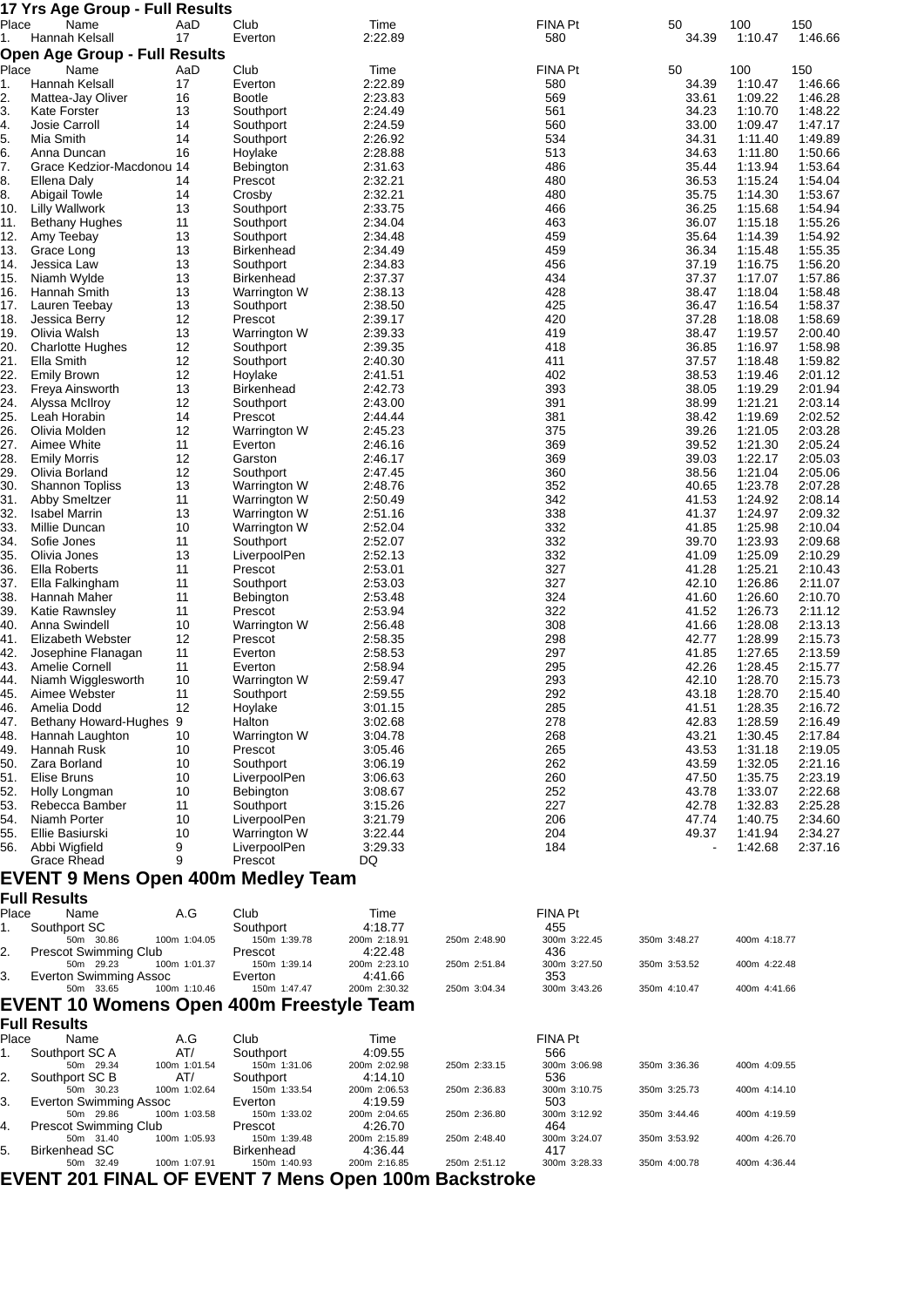|            | 17 Yrs Age Group - Full Results      |          |                                |                    |            |                |                    |                    |
|------------|--------------------------------------|----------|--------------------------------|--------------------|------------|----------------|--------------------|--------------------|
| Place      | Name                                 | AaD      | Club                           | Time               | FINA Pt    | 50             | 100                | 150                |
| 1.         | Hannah Kelsall                       | 17       | Everton                        | 2:22.89            | 580        | 34.39          | 1:10.47            | 1:46.66            |
|            | <b>Open Age Group - Full Results</b> |          |                                |                    |            |                |                    |                    |
| Place      | Name                                 | AaD      | Club                           | Time               | FINA Pt    | 50             | 100                | 150                |
| 1.         | Hannah Kelsall                       | 17       | Everton                        | 2:22.89            | 580        | 34.39          | 1:10.47            | 1:46.66            |
| 2.         | Mattea-Jay Oliver                    | 16       | <b>Bootle</b>                  | 2:23.83            | 569        | 33.61          | 1:09.22            | 1:46.28            |
| 3.         | <b>Kate Forster</b>                  | 13       | Southport                      | 2:24.49            | 561        | 34.23          | 1:10.70            | 1:48.22            |
| 4.         | Josie Carroll                        | 14       | Southport                      | 2:24.59            | 560        | 33.00          | 1:09.47            | 1:47.17            |
| 5.         | Mia Smith                            | 14       | Southport                      | 2:26.92            | 534        | 34.31          | 1:11.40            | 1:49.89            |
| 6.         | Anna Duncan                          | 16       | Hoylake                        | 2:28.88            | 513        | 34.63          | 1:11.80            | 1:50.66            |
| 7.         | Grace Kedzior-Macdonou 14            |          | Bebington                      | 2:31.63            | 486        | 35.44          | 1:13.94            | 1:53.64            |
| 8.         | Ellena Daly                          | 14       | Prescot                        | 2:32.21            | 480        | 36.53          | 1:15.24            | 1:54.04            |
| 8.         | <b>Abigail Towle</b>                 | 14       | Crosby                         | 2:32.21            | 480        | 35.75          | 1:14.30            | 1:53.67            |
| 10.        | <b>Lilly Wallwork</b>                | 13       | Southport                      | 2:33.75            | 466        | 36.25          | 1:15.68            | 1:54.94            |
| 11.        | <b>Bethany Hughes</b>                | 11       | Southport                      | 2:34.04            | 463        | 36.07          | 1:15.18            | 1:55.26            |
| 12.        | Amy Teebay                           | 13       | Southport                      | 2:34.48            | 459        | 35.64          | 1:14.39            | 1:54.92            |
| 13.<br>14. | Grace Long                           | 13       | <b>Birkenhead</b>              | 2:34.49<br>2:34.83 | 459        | 36.34          | 1:15.48            | 1:55.35<br>1:56.20 |
| 15.        | Jessica Law<br>Niamh Wylde           | 13<br>13 | Southport<br><b>Birkenhead</b> | 2:37.37            | 456<br>434 | 37.19<br>37.37 | 1:16.75            | 1:57.86            |
| 16.        | Hannah Smith                         | 13       |                                | 2:38.13            | 428        | 38.47          | 1:17.07            | 1:58.48            |
| 17.        | Lauren Teebay                        | 13       | Warrington W<br>Southport      | 2:38.50            | 425        | 36.47          | 1:18.04<br>1:16.54 | 1:58.37            |
| 18.        | Jessica Berry                        | 12       | Prescot                        | 2:39.17            | 420        | 37.28          | 1:18.08            | 1:58.69            |
| 19.        | Olivia Walsh                         | 13       | Warrington W                   | 2:39.33            | 419        | 38.47          | 1:19.57            | 2:00.40            |
| 20.        | <b>Charlotte Hughes</b>              | 12       | Southport                      | 2:39.35            | 418        | 36.85          | 1:16.97            | 1:58.98            |
| 21.        | Ella Smith                           | 12       | Southport                      | 2:40.30            | 411        | 37.57          | 1:18.48            | 1:59.82            |
| 22.        | <b>Emily Brown</b>                   | 12       | Hoylake                        | 2:41.51            | 402        | 38.53          | 1:19.46            | 2:01.12            |
| 23.        | Freya Ainsworth                      | 13       | Birkenhead                     | 2:42.73            | 393        | 38.05          | 1:19.29            | 2:01.94            |
| 24.        | Alyssa McIlroy                       | 12       | Southport                      | 2:43.00            | 391        | 38.99          | 1:21.21            | 2:03.14            |
| 25.        | Leah Horabin                         | 14       | Prescot                        | 2:44.44            | 381        | 38.42          | 1:19.69            | 2:02.52            |
| 26.        | Olivia Molden                        | 12       | Warrington W                   | 2:45.23            | 375        | 39.26          | 1:21.05            | 2:03.28            |
| 27.        | Aimee White                          | 11       | Everton                        | 2:46.16            | 369        | 39.52          | 1:21.30            | 2:05.24            |
| 28.        | <b>Emily Morris</b>                  | 12       | Garston                        | 2:46.17            | 369        | 39.03          | 1:22.17            | 2:05.03            |
| 29.        | Olivia Borland                       | 12       | Southport                      | 2:47.45            | 360        | 38.56          | 1:21.04            | 2:05.06            |
| 30.        | <b>Shannon Topliss</b>               | 13       | Warrington W                   | 2:48.76            | 352        | 40.65          | 1:23.78            | 2:07.28            |
| 31.        | <b>Abby Smeltzer</b>                 | 11       | Warrington W                   | 2:50.49            | 342        | 41.53          | 1:24.92            | 2:08.14            |
| 32.        | <b>Isabel Marrin</b>                 | 13       | Warrington W                   | 2:51.16            | 338        | 41.37          | 1:24.97            | 2:09.32            |
| 33.        | Millie Duncan                        | 10       | Warrington W                   | 2:52.04            | 332        | 41.85          | 1:25.98            | 2:10.04            |
| 34.        | Sofie Jones                          | 11       | Southport                      | 2:52.07            | 332        | 39.70          | 1:23.93            | 2:09.68            |
| 35.        | Olivia Jones                         | 13       | LiverpoolPen                   | 2:52.13            | 332        | 41.09          | 1:25.09            | 2:10.29            |
| 36.        | Ella Roberts                         | 11       | Prescot                        | 2:53.01            | 327        | 41.28          | 1:25.21            | 2:10.43            |
| 37.        | Ella Falkingham                      | 11       | Southport                      | 2:53.03            | 327        | 42.10          | 1:26.86            | 2:11.07            |
| 38.        | Hannah Maher                         | 11       | Bebington                      | 2:53.48            | 324        | 41.60          | 1:26.60            | 2:10.70            |
| 39.        | Katie Rawnsley                       | 11       | Prescot                        | 2:53.94            | 322        | 41.52          | 1:26.73            | 2:11.12            |
| 40.        | Anna Swindell                        | 10       | Warrington W                   | 2:56.48            | 308        | 41.66          | 1:28.08            | 2:13.13            |
| 41.        | Elizabeth Webster                    | 12       | Prescot                        | 2:58.35            | 298        | 42.77          | 1:28.99            | 2:15.73            |
| 42.        | Josephine Flanagan                   | 11       | Everton                        | 2:58.53            | 297        | 41.85          | 1:27.65            | 2:13.59            |
| 43.        | Amelie Cornell                       | 11       | Everton                        | 2:58.94            | 295        | 42.26          | 1:28.45            | 2:15.77            |
| 44.        | Niamh Wigglesworth                   | 10       | Warrington W                   | 2:59.47            | 293        | 42.10          | 1:28.70            | 2:15.73            |
| 45.        | Aimee Webster                        | 11       | Southport                      | 2:59.55            | 292        | 43.18          | 1:28.70            | 2:15.40            |
| 46.        | Amelia Dodd                          | 12       | Hoylake                        | 3:01.15            | 285        | 41.51          | 1:28.35            | 2:16.72            |
| 47.        | Bethany Howard-Hughes 9              |          | Halton                         | 3:02.68            | 278        | 42.83          | 1:28.59            | 2:16.49            |
| 48.        | Hannah Laughton                      | 10       | Warrington W                   | 3:04.78            | 268        | 43.21          | 1:30.45            | 2:17.84            |
| 49.        | Hannah Rusk                          | 10       | Prescot                        | 3:05.46            | 265        | 43.53          | 1:31.18            | 2:19.05            |
| 50.        | Zara Borland                         | 10       | Southport                      | 3:06.19            | 262        | 43.59          | 1:32.05            | 2:21.16            |
| 51.        | Elise Bruns                          | 10       | LiverpoolPen                   | 3:06.63            | 260        | 47.50          | 1:35.75            | 2:23.19            |
| 52.<br>53. | Holly Longman<br>Rebecca Bamber      | 10<br>11 | Bebington<br>Southport         | 3:08.67<br>3:15.26 | 252<br>227 | 43.78<br>42.78 | 1:33.07<br>1:32.83 | 2:22.68<br>2:25.28 |
| 54.        | Niamh Porter                         | 10       | LiverpoolPen                   | 3:21.79            | 206        | 47.74          | 1:40.75            | 2:34.60            |
| 55.        | Ellie Basiurski                      | 10       | Warrington W                   | 3:22.44            | 204        | 49.37          | 1:41.94            | 2:34.27            |
| 56.        | Abbi Wigfield                        | 9        | LiverpoolPen                   | 3:29.33            | 184        |                | 1:42.68            | 2:37.16            |
|            | Grace Rhead                          | 9        | Prescot                        | DQ                 |            |                |                    |                    |

### **EVENT 9 Mens Open 400m Medley Team**

**Full Results**

| Place | Name                                     | A.G            | Club         | Time         |              | FINA Pt      |              |              |
|-------|------------------------------------------|----------------|--------------|--------------|--------------|--------------|--------------|--------------|
|       | Southport SC                             |                | Southport    | 4:18.77      |              | 455          |              |              |
|       | 50m 30.86                                | 100m 1:04.05   | 150m 1:39.78 | 200m 2:18.91 | 250m 2:48.90 | 300m 3:22.45 | 350m 3:48.27 | 400m 4:18.77 |
|       | Prescot Swimming Club                    |                | Prescot      | 4:22.48      |              | 436          |              |              |
|       | 50m 29.23                                | 100m 1:01.37   | 150m 1:39.14 | 200m 2:23.10 | 250m 2:51.84 | 300m 3:27.50 | 350m 3:53.52 | 400m 4:22.48 |
| В.    | Everton Swimming Assoc                   |                | Everton      | 4:41.66      |              | 353          |              |              |
|       | 50m 33.65                                | $100m$ 1:10.46 | 150m 1:47.47 | 200m 2:30.32 | 250m 3:04.34 | 300m 3:43.26 | 350m 4:10.47 | 400m 4:41.66 |
|       | EVENT 10 Womens Open 400m Eresstyle Team |                |              |              |              |              |              |              |

## **EVENT 10 Womens Open 400m Freestyle Team**

| <b>Full Results</b> |  |
|---------------------|--|
|                     |  |

| Place | Name                                                 | A.G          | Club         | Time         |              | FINA Pt      |              |              |
|-------|------------------------------------------------------|--------------|--------------|--------------|--------------|--------------|--------------|--------------|
| 1.    | Southport SC A                                       | AT/          | Southport    | 4:09.55      |              | 566          |              |              |
|       | 50m 29.34                                            | 100m 1:01.54 | 150m 1:31.06 | 200m 2:02.98 | 250m 2:33.15 | 300m 3:06.98 | 350m 3:36.36 | 400m 4:09.55 |
| 2.    | Southport SC B                                       | AT/          | Southport    | 4:14.10      |              | 536          |              |              |
|       | 50m 30.23                                            | 100m 1:02.64 | 150m 1:33.54 | 200m 2:06.53 | 250m 2:36.83 | 300m 3:10.75 | 350m 3:25.73 | 400m 4:14.10 |
| З.    | Everton Swimming Assoc                               |              | Everton      | 4:19.59      |              | 503          |              |              |
|       | 50m 29.86                                            | 100m 1:03.58 | 150m 1:33.02 | 200m 2:04.65 | 250m 2:36.80 | 300m 3:12.92 | 350m 3:44.46 | 400m 4:19.59 |
| 14.   | <b>Prescot Swimming Club</b>                         |              | Prescot      | 4:26.70      |              | 464          |              |              |
|       | 50m 31.40                                            | 100m 1:05.93 | 150m 1:39.48 | 200m 2:15.89 | 250m 2:48.40 | 300m 3:24.07 | 350m 3:53.92 | 400m 4:26.70 |
| 5.    | Birkenhead SC                                        |              | Birkenhead   | 4:36.44      |              | 417          |              |              |
|       | 50m 32.49                                            | 100m 1:07.91 | 150m 1:40.93 | 200m 2:16.85 | 250m 2:51.12 | 300m 3:28.33 | 350m 4:00.78 | 400m 4:36.44 |
|       | EVENT 201 FINAL OF EVENT 7 Mens Open 100m Backstroke |              |              |              |              |              |              |              |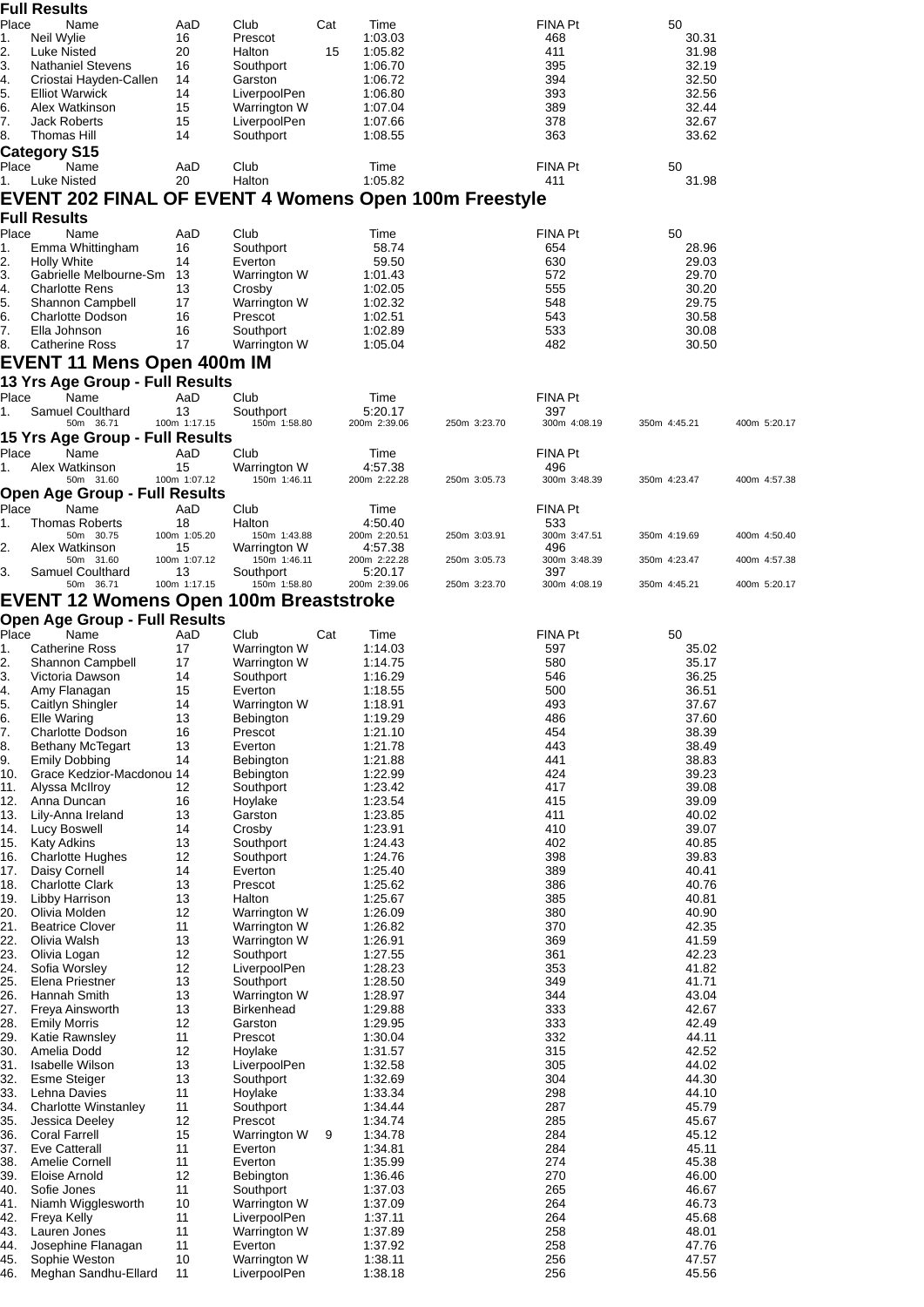|             | <b>Full Results</b>                                   |                    |                              |     |                         |              |                       |                |              |
|-------------|-------------------------------------------------------|--------------------|------------------------------|-----|-------------------------|--------------|-----------------------|----------------|--------------|
| Place<br>1. | Name<br>Neil Wylie                                    | AaD<br>16          | Club<br>Prescot              | Cat | Time<br>1:03.03         |              | <b>FINA Pt</b><br>468 | 50<br>30.31    |              |
| 2.          | Luke Nisted                                           | 20                 | Halton                       | 15  | 1:05.82                 |              | 411                   | 31.98          |              |
| 3.          | <b>Nathaniel Stevens</b><br>Criostai Hayden-Callen    | 16<br>14           | Southport<br>Garston         |     | 1:06.70<br>1:06.72      |              | 395<br>394            | 32.19<br>32.50 |              |
| 4.<br>5.    | <b>Elliot Warwick</b>                                 | 14                 | LiverpoolPen                 |     | 1:06.80                 |              | 393                   | 32.56          |              |
| 6.          | Alex Watkinson                                        | 15                 | Warrington W                 |     | 1:07.04                 |              | 389                   | 32.44          |              |
| 7.<br>8.    | <b>Jack Roberts</b><br>Thomas Hill                    | 15<br>14           | LiverpoolPen<br>Southport    |     | 1:07.66<br>1:08.55      |              | 378<br>363            | 32.67<br>33.62 |              |
|             | Category S15                                          |                    |                              |     |                         |              |                       |                |              |
| Place       | Name                                                  | AaD                | Club                         |     | Time                    |              | <b>FINA Pt</b>        | 50             |              |
| 1.          | Luke Nisted                                           | 20                 | Halton                       |     | 1:05.82                 |              | 411                   | 31.98          |              |
|             | EVENT 202 FINAL OF EVENT 4 Womens Open 100m Freestyle |                    |                              |     |                         |              |                       |                |              |
|             | <b>Full Results</b>                                   |                    |                              |     |                         |              |                       |                |              |
| Place<br>1. | Name<br>Emma Whittingham                              | AaD<br>16          | Club<br>Southport            |     | Time<br>58.74           |              | <b>FINA Pt</b><br>654 | 50<br>28.96    |              |
| 2.          | <b>Holly White</b>                                    | 14                 | Everton                      |     | 59.50                   |              | 630                   | 29.03          |              |
| 3.          | Gabrielle Melbourne-Sm                                | 13                 | Warrington W                 |     | 1:01.43                 |              | 572                   | 29.70          |              |
| 4.<br>5.    | <b>Charlotte Rens</b><br>Shannon Campbell             | 13<br>17           | Crosby<br>Warrington W       |     | 1:02.05<br>1:02.32      |              | 555<br>548            | 30.20<br>29.75 |              |
| 6.          | <b>Charlotte Dodson</b>                               | 16                 | Prescot                      |     | 1:02.51                 |              | 543                   | 30.58          |              |
| 7.          | Ella Johnson                                          | 16                 | Southport                    |     | 1:02.89                 |              | 533                   | 30.08          |              |
| 8.          | <b>Catherine Ross</b>                                 | 17                 | Warrington W                 |     | 1:05.04                 |              | 482                   | 30.50          |              |
|             | EVENT 11 Mens Open 400m IM                            |                    |                              |     |                         |              |                       |                |              |
|             | 13 Yrs Age Group - Full Results                       |                    |                              |     |                         |              |                       |                |              |
| Place<br>1. | Name<br><b>Samuel Coulthard</b>                       | AaD<br>13          | Club<br>Southport            |     | Time<br>5:20.17         |              | <b>FINA Pt</b><br>397 |                |              |
|             | 50m 36.71                                             | 100m 1:17.15       | 150m 1:58.80                 |     | 200m 2:39.06            | 250m 3:23.70 | 300m 4:08.19          | 350m 4:45.21   | 400m 5:20.17 |
|             | 15 Yrs Age Group - Full Results                       |                    |                              |     |                         |              |                       |                |              |
| Place       | Name<br>Alex Watkinson                                | AaD<br>15          | Club                         |     | Time<br>4:57.38         |              | <b>FINA Pt</b><br>496 |                |              |
| 1.          | 50m 31.60                                             | 100m 1:07.12       | Warrington W<br>150m 1:46.11 |     | 200m 2:22.28            | 250m 3:05.73 | 300m 3:48.39          | 350m 4:23.47   | 400m 4:57.38 |
|             | <b>Open Age Group - Full Results</b>                  |                    |                              |     |                         |              |                       |                |              |
| Place       | Name                                                  | AaD                | Club                         |     | Time                    |              | FINA Pt               |                |              |
| 1.          | <b>Thomas Roberts</b><br>50m 30.75                    | 18<br>100m 1:05.20 | Halton<br>150m 1:43.88       |     | 4:50.40<br>200m 2:20.51 | 250m 3:03.91 | 533<br>300m 3:47.51   | 350m 4:19.69   | 400m 4:50.40 |
| 2.          | Alex Watkinson                                        | 15                 | Warrington W                 |     | 4:57.38                 |              | 496                   |                |              |
| 3.          | 50m 31.60<br>Samuel Coulthard                         | 100m 1:07.12<br>13 | 150m 1:46.11<br>Southport    |     | 200m 2:22.28<br>5:20.17 | 250m 3:05.73 | 300m 3:48.39<br>397   | 350m 4:23.47   | 400m 4:57.38 |
|             | 50m 36.71                                             | 100m 1:17.15       | 150m 1:58.80                 |     | 200m 2:39.06            | 250m 3:23.70 | 300m 4:08.19          | 350m 4:45.21   | 400m 5:20.17 |
|             | <b>EVENT 12 Womens Open 100m Breaststroke</b>         |                    |                              |     |                         |              |                       |                |              |
|             | <b>Open Age Group - Full Results</b>                  |                    |                              |     |                         |              |                       |                |              |
| Place<br>1. | Name<br><b>Catherine Ross</b>                         | AaD<br>17          | Club<br>Warrington W         | Cat | Time<br>1:14.03         |              | <b>FINA Pt</b><br>597 | 50<br>35.02    |              |
| 2.          | Shannon Campbell                                      | 17                 | Warrington W                 |     | 1:14.75                 |              | 580                   | 35.17          |              |
| 3.          | Victoria Dawson                                       | 14                 | Southport                    |     | 1:16.29                 |              | 546                   | 36.25          |              |
| 4.<br>5.    | Amy Flanagan<br>Caitlyn Shingler                      | 15<br>14           | Everton<br>Warrington W      |     | 1:18.55<br>1:18.91      |              | 500<br>493            | 36.51<br>37.67 |              |
| 6.          | Elle Waring                                           | 13                 | Bebington                    |     | 1:19.29                 |              | 486                   | 37.60          |              |
| 7.          | Charlotte Dodson                                      | 16                 | Prescot                      |     | 1:21.10                 |              | 454                   | 38.39          |              |
| 8.<br>9.    | <b>Bethany McTegart</b><br><b>Emily Dobbing</b>       | 13<br>14           | Everton<br>Bebington         |     | 1:21.78<br>1:21.88      |              | 443<br>441            | 38.49<br>38.83 |              |
| 10.         | Grace Kedzior-Macdonou 14                             |                    | Bebington                    |     | 1:22.99                 |              | 424                   | 39.23          |              |
| 11.         | Alyssa McIlroy                                        | 12                 | Southport                    |     | 1:23.42                 |              | 417                   | 39.08          |              |
| 12.<br>13.  | Anna Duncan<br>Lily-Anna Ireland                      | 16<br>13           | Hoylake<br>Garston           |     | 1:23.54<br>1:23.85      |              | 415<br>411            | 39.09<br>40.02 |              |
| 14.         | Lucy Boswell                                          | 14                 | Crosby                       |     | 1:23.91                 |              | 410                   | 39.07          |              |
| 15.         | <b>Katy Adkins</b>                                    | 13                 | Southport                    |     | 1:24.43                 |              | 402                   | 40.85          |              |
| 16.         | <b>Charlotte Hughes</b>                               | 12<br>14           | Southport<br>Everton         |     | 1:24.76<br>1:25.40      |              | 398<br>389            | 39.83<br>40.41 |              |
| 17.<br>18.  | Daisy Cornell<br><b>Charlotte Clark</b>               | 13                 | Prescot                      |     | 1:25.62                 |              | 386                   | 40.76          |              |
| 19.         | Libby Harrison                                        | 13                 | Halton                       |     | 1:25.67                 |              | 385                   | 40.81          |              |
| 20.         | Olivia Molden                                         | 12                 | Warrington W                 |     | 1:26.09                 |              | 380                   | 40.90          |              |
| 21.<br>22.  | <b>Beatrice Clover</b><br>Olivia Walsh                | 11<br>13           | Warrington W<br>Warrington W |     | 1:26.82<br>1:26.91      |              | 370<br>369            | 42.35<br>41.59 |              |
| 23.         | Olivia Logan                                          | 12                 | Southport                    |     | 1:27.55                 |              | 361                   | 42.23          |              |
| 24.         | Sofia Worsley                                         | 12                 | LiverpoolPen                 |     | 1:28.23                 |              | 353                   | 41.82          |              |
| 25.<br>26.  | Elena Priestner<br>Hannah Smith                       | 13<br>13           | Southport<br>Warrington W    |     | 1:28.50<br>1:28.97      |              | 349<br>344            | 41.71<br>43.04 |              |
| 27.         | Freya Ainsworth                                       | 13                 | <b>Birkenhead</b>            |     | 1:29.88                 |              | 333                   | 42.67          |              |
| 28.         | <b>Emily Morris</b>                                   | 12                 | Garston                      |     | 1:29.95                 |              | 333                   | 42.49          |              |
| 29.<br>30.  | Katie Rawnsley<br>Amelia Dodd                         | 11<br>12           | Prescot<br>Hoylake           |     | 1:30.04<br>1:31.57      |              | 332<br>315            | 44.11<br>42.52 |              |
| 31.         | Isabelle Wilson                                       | 13                 | LiverpoolPen                 |     | 1:32.58                 |              | 305                   | 44.02          |              |
| 32.         | <b>Esme Steiger</b>                                   | 13                 | Southport                    |     | 1:32.69                 |              | 304                   | 44.30          |              |
| 33.         | Lehna Davies                                          | 11                 | Hoylake                      |     | 1:33.34                 |              | 298                   | 44.10          |              |
| 34.<br>35.  | <b>Charlotte Winstanley</b><br>Jessica Deeley         | 11<br>12           | Southport<br>Prescot         |     | 1:34.44<br>1:34.74      |              | 287<br>285            | 45.79<br>45.67 |              |
| 36.         | <b>Coral Farrell</b>                                  | 15                 | Warrington W                 | 9   | 1:34.78                 |              | 284                   | 45.12          |              |
| 37.         | <b>Eve Catterall</b>                                  | 11                 | Everton                      |     | 1:34.81                 |              | 284                   | 45.11          |              |
| 38.<br>39.  | Amelie Cornell<br>Eloise Arnold                       | 11<br>12           | Everton<br><b>Bebington</b>  |     | 1:35.99<br>1:36.46      |              | 274<br>270            | 45.38<br>46.00 |              |
| 40.         | Sofie Jones                                           | 11                 | Southport                    |     | 1:37.03                 |              | 265                   | 46.67          |              |
| 41.         | Niamh Wigglesworth                                    | 10                 | Warrington W                 |     | 1:37.09                 |              | 264                   | 46.73          |              |
| 42.<br>43.  | Freya Kelly<br>Lauren Jones                           | 11<br>11           | LiverpoolPen<br>Warrington W |     | 1:37.11<br>1:37.89      |              | 264<br>258            | 45.68<br>48.01 |              |
| 44.         | Josephine Flanagan                                    | 11                 | Everton                      |     | 1:37.92                 |              | 258                   | 47.76          |              |
| 45.         | Sophie Weston                                         | 10                 | Warrington W                 |     | 1:38.11                 |              | 256                   | 47.57          |              |
| 46.         | Meghan Sandhu-Ellard                                  | 11                 | LiverpoolPen                 |     | 1:38.18                 |              | 256                   | 45.56          |              |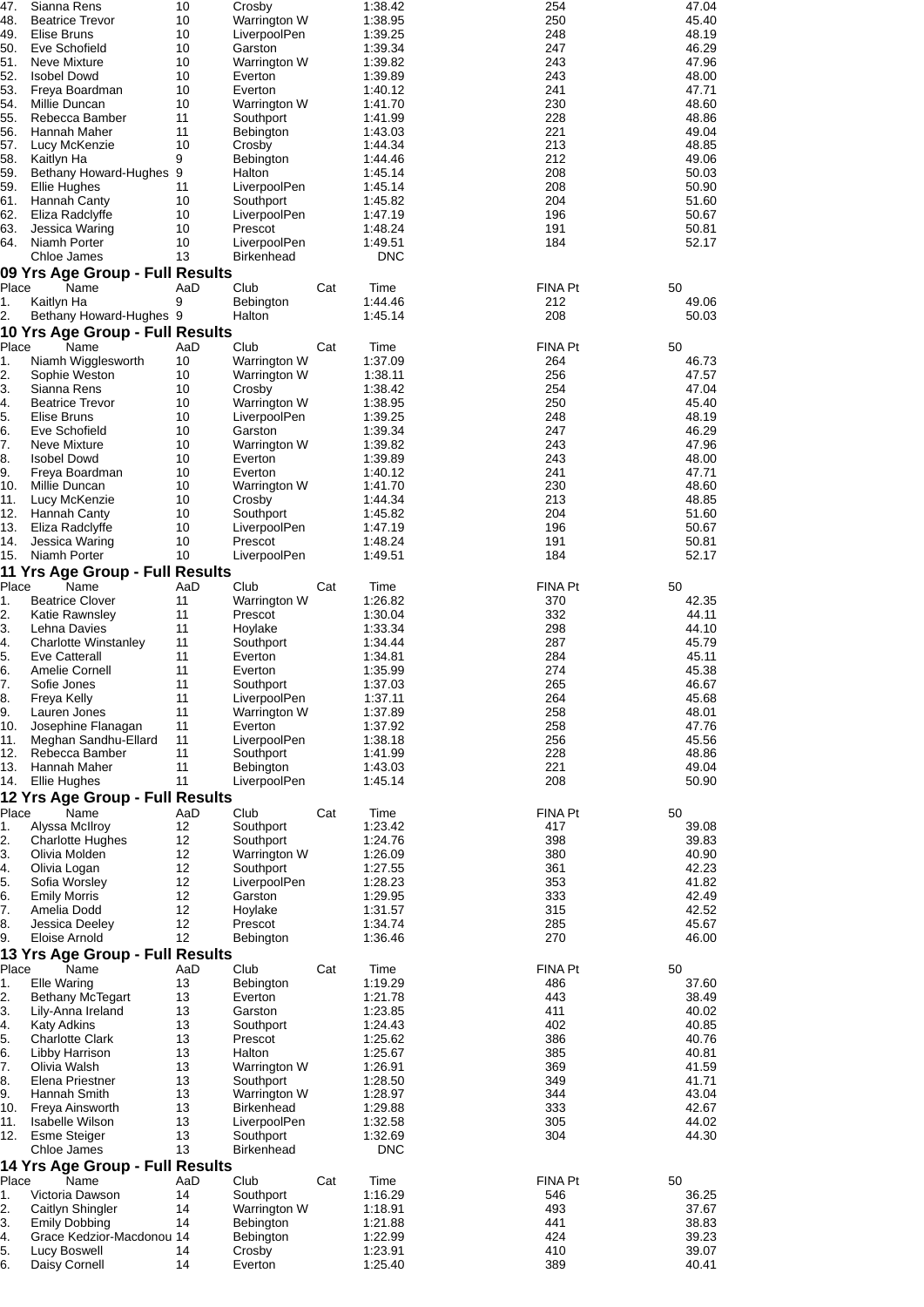| 47.<br>48.<br>49. | Sianna Rens<br><b>Beatrice Trevor</b><br>Elise Bruns | 10<br>10<br>10 | Crosby<br>Warrington W<br>LiverpoolPen |     | 1:38.42<br>1:38.95<br>1:39.25 | 254<br>250<br>248 | 47.04<br>45.40<br>48.19 |
|-------------------|------------------------------------------------------|----------------|----------------------------------------|-----|-------------------------------|-------------------|-------------------------|
| 50.<br>51.        | Eve Schofield<br>Neve Mixture                        | 10<br>10       | Garston<br>Warrington W                |     | 1:39.34<br>1:39.82            | 247<br>243        | 46.29<br>47.96          |
| 52.               | <b>Isobel Dowd</b>                                   | 10             | Everton                                |     | 1:39.89                       | 243               | 48.00                   |
| 53.               | Freya Boardman                                       | 10             | Everton                                |     | 1:40.12                       | 241               | 47.71                   |
| 54.<br>55.        | Millie Duncan<br>Rebecca Bamber                      | 10<br>11       | Warrington W<br>Southport              |     | 1:41.70<br>1:41.99            | 230<br>228        | 48.60<br>48.86          |
| 56.               | Hannah Maher                                         | 11             | <b>Bebington</b>                       |     | 1:43.03                       | 221               | 49.04                   |
| 57.<br>58.        | Lucy McKenzie<br>Kaitlyn Ha                          | 10<br>9        | Crosby<br>Bebington                    |     | 1:44.34<br>1:44.46            | 213<br>212        | 48.85<br>49.06          |
| 59.               | Bethany Howard-Hughes 9                              |                | Halton                                 |     | 1:45.14                       | 208               | 50.03                   |
| 59.<br>61.        | Ellie Hughes<br>Hannah Canty                         | 11<br>10       | LiverpoolPen<br>Southport              |     | 1:45.14<br>1:45.82            | 208<br>204        | 50.90<br>51.60          |
| 62.               | Eliza Radclyffe                                      | 10             | LiverpoolPen                           |     | 1:47.19                       | 196               | 50.67                   |
| 63.               | Jessica Waring                                       | 10             | Prescot                                |     | 1:48.24                       | 191               | 50.81                   |
| 64.               | Niamh Porter<br>Chloe James                          | 10<br>13       | LiverpoolPen<br><b>Birkenhead</b>      |     | 1:49.51<br><b>DNC</b>         | 184               | 52.17                   |
|                   | 09 Yrs Age Group - Full Results                      |                |                                        |     |                               |                   |                         |
| Place<br>1.       | Name<br>Kaitlyn Ha                                   | AaD<br>9       | Club<br>Bebington                      | Cat | Time<br>1:44.46               | FINA Pt<br>212    | 50<br>49.06             |
| 2.                | Bethany Howard-Hughes 9                              |                | Halton                                 |     | 1:45.14                       | 208               | 50.03                   |
|                   | 10 Yrs Age Group - Full Results                      |                |                                        |     |                               |                   |                         |
| Place<br>1.       | Name<br>Niamh Wigglesworth                           | AaD<br>10      | Club<br>Warrington W                   | Cat | Time<br>1:37.09               | FINA Pt<br>264    | 50<br>46.73             |
| 2.                | Sophie Weston                                        | 10             | Warrington W                           |     | 1:38.11                       | 256               | 47.57                   |
| 3.                | Sianna Rens                                          | 10             | Crosby                                 |     | 1:38.42                       | 254               | 47.04                   |
| 4.<br>5.          | <b>Beatrice Trevor</b><br><b>Elise Bruns</b>         | 10<br>10       | Warrington W<br>LiverpoolPen           |     | 1:38.95<br>1:39.25            | 250<br>248        | 45.40<br>48.19          |
| 6.                | Eve Schofield                                        | 10             | Garston                                |     | 1:39.34                       | 247               | 46.29                   |
| 7.<br>8.          | Neve Mixture<br><b>Isobel Dowd</b>                   | 10<br>10       | Warrington W<br>Everton                |     | 1:39.82<br>1:39.89            | 243<br>243        | 47.96<br>48.00          |
| 9.                | Freya Boardman                                       | 10             | Everton                                |     | 1:40.12                       | 241               | 47.71                   |
| 10.<br>11.        | Millie Duncan<br>Lucy McKenzie                       | 10<br>10       | Warrington W<br>Crosby                 |     | 1:41.70<br>1:44.34            | 230<br>213        | 48.60<br>48.85          |
| 12.               | Hannah Canty                                         | 10             | Southport                              |     | 1:45.82                       | 204               | 51.60                   |
| 13.               | Eliza Radclyffe                                      | 10             | LiverpoolPen                           |     | 1:47.19                       | 196               | 50.67                   |
| 14.<br>15.        | Jessica Waring<br>Niamh Porter                       | 10<br>10       | Prescot<br>LiverpoolPen                |     | 1:48.24<br>1:49.51            | 191<br>184        | 50.81<br>52.17          |
|                   | 11 Yrs Age Group - Full Results                      |                |                                        |     |                               |                   |                         |
| Place<br>1.       | Name<br><b>Beatrice Clover</b>                       | AaD<br>11      | Club<br>Warrington W                   | Cat | Time<br>1:26.82               | FINA Pt<br>370    | 50<br>42.35             |
| 2.                | Katie Rawnsley                                       | 11             | Prescot                                |     | 1:30.04                       | 332               | 44.11                   |
| 3.                | Lehna Davies                                         | 11             | Hoylake                                |     | 1:33.34                       | 298               | 44.10                   |
| 4.<br>5.          | <b>Charlotte Winstanley</b><br>Eve Catterall         | 11<br>11       | Southport<br>Everton                   |     | 1:34.44<br>1:34.81            | 287<br>284        | 45.79<br>45.11          |
| 6.                | Amelie Cornell                                       | 11             | Everton                                |     | 1:35.99                       | 274               | 45.38                   |
| 7.<br>8.          | Sofie Jones<br>Freya Kelly                           | 11<br>11       | Southport<br>LiverpoolPen              |     | 1:37.03<br>1:37.11            | 265<br>264        | 46.67<br>45.68          |
| 9.                | Lauren Jones                                         | 11             | Warrington W                           |     | 1:37.89                       | 258               | 48.01                   |
| 10.<br>11.        | Josephine Flanagan<br>Meghan Sandhu-Ellard           | 11<br>11       | Everton<br>LiverpoolPen                |     | 1:37.92<br>1:38.18            | 258<br>256        | 47.76<br>45.56          |
| 12.               | Rebecca Bamber                                       | 11             | Southport                              |     | 1:41.99                       | 228               | 48.86                   |
| 13.               | Hannah Maher<br>14. Ellie Hughes                     | 11<br>11       | <b>Bebington</b><br>LiverpoolPen       |     | 1:43.03<br>1:45.14            | 221<br>208        | 49.04<br>50.90          |
|                   | 12 Yrs Age Group - Full Results                      |                |                                        |     |                               |                   |                         |
| Place             | Name                                                 | AaD            | Club                                   | Cat | Time                          | FINA Pt           | 50                      |
| 1.<br>2.          | Alyssa McIlroy<br><b>Charlotte Hughes</b>            | 12<br>12       | Southport<br>Southport                 |     | 1:23.42<br>1:24.76            | 417<br>398        | 39.08<br>39.83          |
| 3.                | Olivia Molden                                        | 12             | Warrington W                           |     | 1:26.09                       | 380               | 40.90                   |
| 4.<br>5.          | Olivia Logan<br>Sofia Worsley                        | 12<br>12       | Southport<br>LiverpoolPen              |     | 1:27.55<br>1:28.23            | 361<br>353        | 42.23<br>41.82          |
| 6.                | <b>Emily Morris</b>                                  | 12             | Garston                                |     | 1:29.95                       | 333               | 42.49                   |
| 7.<br>8.          | Amelia Dodd<br>Jessica Deeley                        | 12<br>12       | Hoylake<br>Prescot                     |     | 1:31.57<br>1:34.74            | 315<br>285        | 42.52<br>45.67          |
| 9.                | Eloise Arnold                                        | 12             | Bebington                              |     | 1:36.46                       | 270               | 46.00                   |
|                   | 13 Yrs Age Group - Full Results                      |                |                                        |     |                               |                   |                         |
| Place<br>1.       | Name<br>Elle Waring                                  | AaD<br>13      | Club<br>Bebington                      | Cat | Time<br>1:19.29               | FINA Pt<br>486    | 50<br>37.60             |
| 2.                | <b>Bethany McTegart</b>                              | 13             | Everton                                |     | 1:21.78                       | 443               | 38.49                   |
| 3.<br>4.          | Lily-Anna Ireland<br><b>Katy Adkins</b>              | 13<br>13       | Garston<br>Southport                   |     | 1:23.85<br>1:24.43            | 411<br>402        | 40.02<br>40.85          |
| 5.                | <b>Charlotte Clark</b>                               | 13             | Prescot                                |     | 1:25.62                       | 386               | 40.76                   |
| 6.                | Libby Harrison                                       | 13             | Halton                                 |     | 1:25.67                       | 385               | 40.81                   |
| 7.<br>8.          | Olivia Walsh<br>Elena Priestner                      | 13<br>13       | Warrington W<br>Southport              |     | 1:26.91<br>1:28.50            | 369<br>349        | 41.59<br>41.71          |
| 9.                | Hannah Smith                                         | 13             | Warrington W                           |     | 1:28.97                       | 344               | 43.04                   |
| 10.<br>11.        | Freya Ainsworth<br><b>Isabelle Wilson</b>            | 13<br>13       | <b>Birkenhead</b><br>LiverpoolPen      |     | 1:29.88<br>1:32.58            | 333<br>305        | 42.67<br>44.02          |
| 12.               | Esme Steiger                                         | 13             | Southport                              |     | 1:32.69                       | 304               | 44.30                   |
|                   | Chloe James                                          | 13             | <b>Birkenhead</b>                      |     | <b>DNC</b>                    |                   |                         |
| Place             | 14 Yrs Age Group - Full Results<br>Name              | AaD            | Club                                   | Cat | Time                          | FINA Pt           | 50                      |
| 1.                | Victoria Dawson                                      | 14             | Southport                              |     | 1:16.29                       | 546               | 36.25                   |
| 2.<br>3.          | Caitlyn Shingler<br><b>Emily Dobbing</b>             | 14<br>14       | Warrington W<br><b>Bebington</b>       |     | 1:18.91<br>1:21.88            | 493<br>441        | 37.67<br>38.83          |
| 4.                | Grace Kedzior-Macdonou 14                            |                | Bebington                              |     | 1:22.99                       | 424               | 39.23                   |
| 5.<br>6.          | Lucy Boswell<br>Daisy Cornell                        | 14<br>14       | Crosby<br>Everton                      |     | 1:23.91<br>1:25.40            | 410<br>389        | 39.07<br>40.41          |
|                   |                                                      |                |                                        |     |                               |                   |                         |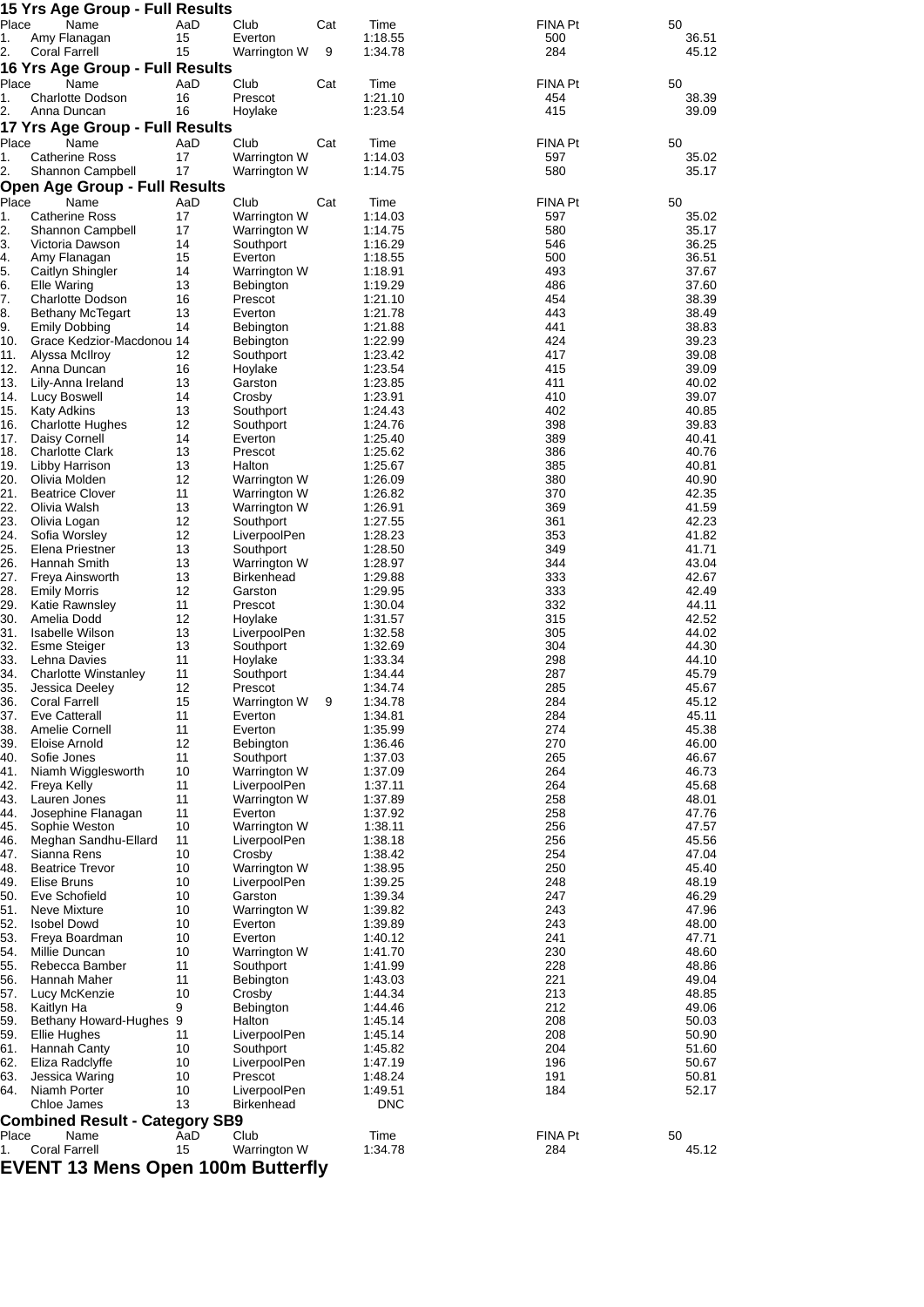|             | 15 Yrs Age Group - Full Results                   |           |                              |     |                    |                       |                |
|-------------|---------------------------------------------------|-----------|------------------------------|-----|--------------------|-----------------------|----------------|
| Place<br>1. | Name<br>Amy Flanagan                              | AaD<br>15 | Club<br>Everton              | Cat | Time<br>1:18.55    | <b>FINA Pt</b><br>500 | 50<br>36.51    |
| 2.          | Coral Farrell                                     | 15        | Warrington W                 | 9   | 1:34.78            | 284                   | 45.12          |
|             | 16 Yrs Age Group - Full Results                   |           |                              |     |                    |                       |                |
| Place       | Name                                              | AaD       | Club                         | Cat | Time               | FINA Pt               | 50             |
| 1.          | <b>Charlotte Dodson</b>                           | 16        | Prescot                      |     | 1:21.10            | 454                   | 38.39          |
| 2.          | Anna Duncan<br>17 Yrs Age Group - Full Results    | 16        | Hoylake                      |     | 1:23.54            | 415                   | 39.09          |
| Place       | Name                                              | AaD       | Club                         | Cat | Time               | FINA Pt               | 50             |
| 1.          | <b>Catherine Ross</b>                             | 17        | Warrington W                 |     | 1:14.03            | 597                   | 35.02          |
| 2.          | Shannon Campbell                                  | 17        | Warrington W                 |     | 1:14.75            | 580                   | 35.17          |
|             | <b>Open Age Group - Full Results</b>              |           |                              |     |                    |                       |                |
| Place<br>1. | Name<br><b>Catherine Ross</b>                     | AaD<br>17 | Club<br>Warrington W         | Cat | Time<br>1:14.03    | FINA Pt<br>597        | 50<br>35.02    |
| 2.          | Shannon Campbell                                  | 17        | Warrington W                 |     | 1:14.75            | 580                   | 35.17          |
| 3.          | Victoria Dawson                                   | 14        | Southport                    |     | 1:16.29            | 546                   | 36.25          |
| 4.          | Amy Flanagan                                      | 15        | Everton                      |     | 1:18.55            | 500                   | 36.51          |
| 5.<br>6.    | Caitlyn Shingler<br><b>Elle Waring</b>            | 14<br>13  | Warrington W<br>Bebington    |     | 1:18.91<br>1:19.29 | 493<br>486            | 37.67<br>37.60 |
| 7.          | <b>Charlotte Dodson</b>                           | 16        | Prescot                      |     | 1:21.10            | 454                   | 38.39          |
| 8.          | <b>Bethany McTegart</b>                           | 13        | Everton                      |     | 1:21.78            | 443                   | 38.49          |
| 9.<br>10.   | <b>Emily Dobbing</b><br>Grace Kedzior-Macdonou 14 | 14        | Bebington                    |     | 1:21.88<br>1:22.99 | 441<br>424            | 38.83<br>39.23 |
| 11.         | Alyssa McIlroy                                    | 12        | Bebington<br>Southport       |     | 1:23.42            | 417                   | 39.08          |
| 12.         | Anna Duncan                                       | 16        | Hoylake                      |     | 1:23.54            | 415                   | 39.09          |
| 13.         | Lily-Anna Ireland                                 | 13        | Garston                      |     | 1:23.85            | 411                   | 40.02          |
| 14.<br>15.  | Lucy Boswell<br><b>Katy Adkins</b>                | 14<br>13  | Crosby<br>Southport          |     | 1:23.91<br>1:24.43 | 410<br>402            | 39.07<br>40.85 |
| 16.         | <b>Charlotte Hughes</b>                           | 12        | Southport                    |     | 1:24.76            | 398                   | 39.83          |
| 17.         | Daisy Cornell                                     | 14        | Everton                      |     | 1:25.40            | 389                   | 40.41          |
| 18.<br>19.  | <b>Charlotte Clark</b>                            | 13<br>13  | Prescot<br>Halton            |     | 1:25.62<br>1:25.67 | 386<br>385            | 40.76<br>40.81 |
| 20.         | Libby Harrison<br>Olivia Molden                   | 12        | Warrington W                 |     | 1:26.09            | 380                   | 40.90          |
| 21.         | <b>Beatrice Clover</b>                            | 11        | Warrington W                 |     | 1:26.82            | 370                   | 42.35          |
| 22.         | Olivia Walsh                                      | 13        | Warrington W                 |     | 1:26.91            | 369                   | 41.59          |
| 23.<br>24.  | Olivia Logan<br>Sofia Worsley                     | 12<br>12  | Southport<br>LiverpoolPen    |     | 1:27.55<br>1:28.23 | 361<br>353            | 42.23<br>41.82 |
| 25.         | Elena Priestner                                   | 13        | Southport                    |     | 1:28.50            | 349                   | 41.71          |
| 26.         | Hannah Smith                                      | 13        | Warrington W                 |     | 1:28.97            | 344                   | 43.04          |
| 27.         | Freya Ainsworth                                   | 13<br>12  | <b>Birkenhead</b>            |     | 1:29.88            | 333<br>333            | 42.67<br>42.49 |
| 28.<br>29.  | <b>Emily Morris</b><br>Katie Rawnsley             | 11        | Garston<br>Prescot           |     | 1:29.95<br>1:30.04 | 332                   | 44.11          |
| 30.         | Amelia Dodd                                       | 12        | Hoylake                      |     | 1:31.57            | 315                   | 42.52          |
| 31.         | Isabelle Wilson                                   | 13        | LiverpoolPen                 |     | 1:32.58            | 305                   | 44.02          |
| 32.<br>33.  | Esme Steiger<br>Lehna Davies                      | 13<br>11  | Southport<br>Hoylake         |     | 1:32.69<br>1:33.34 | 304<br>298            | 44.30<br>44.10 |
| 34.         | Charlotte Winstanley                              | 11        | Southport                    |     | 1:34.44            | 287                   | 45.79          |
| 35.         | Jessica Deeley                                    | 12        | Prescot                      |     | 1:34.74            | 285                   | 45.67          |
| 36.         | Coral Farrell                                     | 15        | Warrington W                 | 9   | 1:34.78            | 284                   | 45.12          |
| 37.<br>38.  | <b>Eve Catterall</b><br>Amelie Cornell            | 11<br>11  | Everton<br>Everton           |     | 1:34.81<br>1:35.99 | 284<br>274            | 45.11<br>45.38 |
| 39.         | Eloise Arnold                                     | 12        | Bebington                    |     | 1:36.46            | 270                   | 46.00          |
| 40.         | Sofie Jones                                       | 11        | Southport                    |     | 1:37.03            | 265                   | 46.67          |
| 41.<br>42.  | Niamh Wigglesworth<br>Freya Kelly                 | 10<br>11  | Warrington W<br>LiverpoolPen |     | 1:37.09<br>1:37.11 | 264<br>264            | 46.73<br>45.68 |
| 43.         | Lauren Jones                                      | 11        | Warrington W                 |     | 1:37.89            | 258                   | 48.01          |
| 44.         | Josephine Flanagan                                | 11        | Everton                      |     | 1:37.92            | 258                   | 47.76          |
| 45.         | Sophie Weston<br>Meghan Sandhu-Ellard             | 10<br>11  | Warrington W<br>LiverpoolPen |     | 1:38.11            | 256<br>256            | 47.57<br>45.56 |
| 46.<br>47.  | Sianna Rens                                       | 10        | Crosby                       |     | 1:38.18<br>1:38.42 | 254                   | 47.04          |
| 48.         | <b>Beatrice Trevor</b>                            | 10        | Warrington W                 |     | 1:38.95            | 250                   | 45.40          |
| 49.         | Elise Bruns                                       | 10        | LiverpoolPen                 |     | 1:39.25            | 248                   | 48.19          |
| 50.<br>51.  | Eve Schofield<br><b>Neve Mixture</b>              | 10<br>10  | Garston<br>Warrington W      |     | 1:39.34<br>1:39.82 | 247<br>243            | 46.29<br>47.96 |
| 52.         | <b>Isobel Dowd</b>                                | 10        | Everton                      |     | 1:39.89            | 243                   | 48.00          |
| 53.         | Freya Boardman                                    | 10        | Everton                      |     | 1:40.12            | 241                   | 47.71          |
| 54.<br>55.  | Millie Duncan                                     | 10<br>11  | Warrington W                 |     | 1:41.70            | 230<br>228            | 48.60<br>48.86 |
| 56.         | Rebecca Bamber<br>Hannah Maher                    | 11        | Southport<br>Bebington       |     | 1:41.99<br>1:43.03 | 221                   | 49.04          |
| 57.         | Lucy McKenzie                                     | 10        | Crosby                       |     | 1:44.34            | 213                   | 48.85          |
| 58.         | Kaitlyn Ha                                        | 9         | Bebington                    |     | 1:44.46            | 212                   | 49.06          |
| 59.<br>59.  | Bethany Howard-Hughes 9<br>Ellie Hughes           | 11        | Halton<br>LiverpoolPen       |     | 1:45.14<br>1:45.14 | 208<br>208            | 50.03<br>50.90 |
| 61.         | Hannah Canty                                      | 10        | Southport                    |     | 1:45.82            | 204                   | 51.60          |
| 62.         | Eliza Radclyffe                                   | 10        | LiverpoolPen                 |     | 1:47.19            | 196                   | 50.67          |
| 63.<br>64.  | Jessica Waring<br>Niamh Porter                    | 10<br>10  | Prescot<br>LiverpoolPen      |     | 1:48.24<br>1:49.51 | 191<br>184            | 50.81<br>52.17 |
|             | Chloe James                                       | 13        | <b>Birkenhead</b>            |     | DNC                |                       |                |
|             | <b>Combined Result - Category SB9</b>             |           |                              |     |                    |                       |                |
| Place       | Name                                              | AaD       | Club                         |     | Time               | FINA Pt               | 50             |
| 1.          | Coral Farrell                                     | 15        | Warrington W                 |     | 1:34.78            | 284                   | 45.12          |

**EVENT 13 Mens Open 100m Butterfly**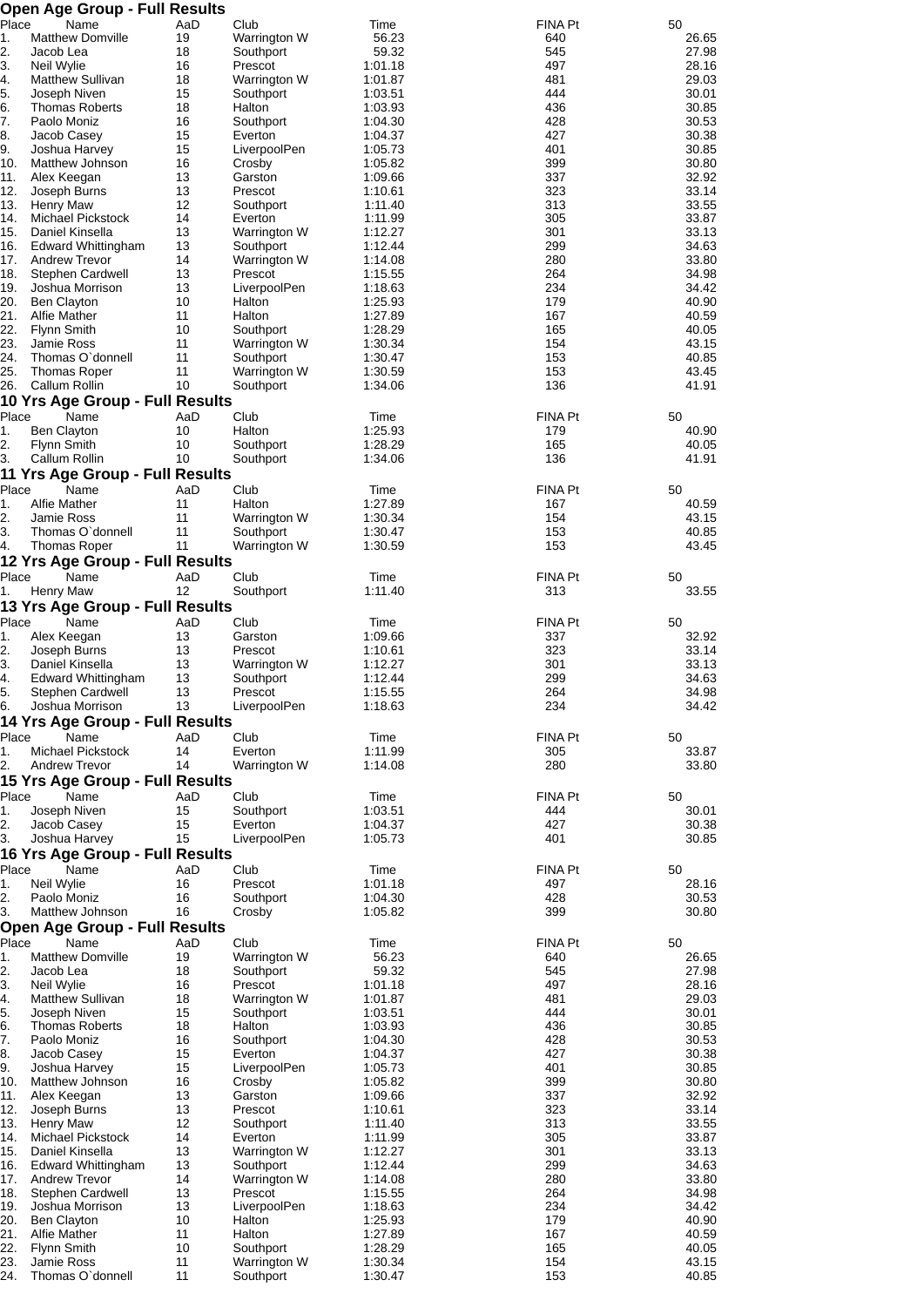| Place       | <b>Open Age Group - Full Results</b><br>Name |           |                           |                    |                       | 50             |
|-------------|----------------------------------------------|-----------|---------------------------|--------------------|-----------------------|----------------|
| 1.          | <b>Matthew Domville</b>                      | AaD<br>19 | Club<br>Warrington W      | Time<br>56.23      | FINA Pt<br>640        | 26.65          |
| 2.          | Jacob Lea                                    | 18        | Southport                 | 59.32              | 545                   | 27.98          |
| 3.          | Neil Wylie                                   | 16        | Prescot                   | 1:01.18            | 497                   | 28.16          |
| 4.<br>5.    | <b>Matthew Sullivan</b><br>Joseph Niven      | 18<br>15  | Warrington W<br>Southport | 1:01.87<br>1:03.51 | 481<br>444            | 29.03<br>30.01 |
| 6.          | <b>Thomas Roberts</b>                        | 18        | Halton                    | 1:03.93            | 436                   | 30.85          |
| 7.          | Paolo Moniz                                  | 16        | Southport                 | 1:04.30            | 428                   | 30.53          |
| 8.          | Jacob Casey                                  | 15        | Everton                   | 1:04.37            | 427                   | 30.38          |
| 9.<br>10.   | Joshua Harvey<br>Matthew Johnson             | 15<br>16  | LiverpoolPen<br>Crosby    | 1:05.73<br>1:05.82 | 401<br>399            | 30.85<br>30.80 |
| 11.         | Alex Keegan                                  | 13        | Garston                   | 1:09.66            | 337                   | 32.92          |
| 12.         | Joseph Burns                                 | 13        | Prescot                   | 1:10.61            | 323                   | 33.14          |
| 13.         | <b>Henry Maw</b>                             | 12<br>14  | Southport                 | 1:11.40            | 313<br>305            | 33.55          |
| 14.<br>15.  | Michael Pickstock<br>Daniel Kinsella         | 13        | Everton<br>Warrington W   | 1:11.99<br>1:12.27 | 301                   | 33.87<br>33.13 |
| 16.         | Edward Whittingham                           | 13        | Southport                 | 1:12.44            | 299                   | 34.63          |
| 17.         | <b>Andrew Trevor</b>                         | 14        | Warrington W              | 1:14.08            | 280                   | 33.80          |
| 18.         | Stephen Cardwell                             | 13        | Prescot                   | 1:15.55            | 264                   | 34.98          |
| 19.<br>20.  | Joshua Morrison<br><b>Ben Clayton</b>        | 13<br>10  | LiverpoolPen<br>Halton    | 1:18.63<br>1:25.93 | 234<br>179            | 34.42<br>40.90 |
| 21.         | <b>Alfie Mather</b>                          | 11        | Halton                    | 1:27.89            | 167                   | 40.59          |
| 22.         | <b>Flynn Smith</b>                           | 10        | Southport                 | 1:28.29            | 165                   | 40.05          |
| 23.         | Jamie Ross                                   | 11        | Warrington W              | 1:30.34            | 154                   | 43.15          |
| 24.<br>25.  | Thomas O'donnell<br><b>Thomas Roper</b>      | 11<br>11  | Southport<br>Warrington W | 1:30.47<br>1:30.59 | 153<br>153            | 40.85<br>43.45 |
| 26.         | Callum Rollin                                | 10        | Southport                 | 1:34.06            | 136                   | 41.91          |
|             | 10 Yrs Age Group - Full Results              |           |                           |                    |                       |                |
| Place       | Name                                         | AaD       | Club                      | Time               | <b>FINA Pt</b>        | 50             |
| 1.<br>2.    | <b>Ben Clayton</b><br>Flynn Smith            | 10<br>10  | Halton<br>Southport       | 1:25.93<br>1:28.29 | 179<br>165            | 40.90<br>40.05 |
| 3.          | Callum Rollin                                | 10        | Southport                 | 1:34.06            | 136                   | 41.91          |
|             | 11 Yrs Age Group - Full Results              |           |                           |                    |                       |                |
| Place       | Name                                         | AaD       | Club                      | Time               | <b>FINA Pt</b>        | 50             |
| 1.<br>2.    | Alfie Mather<br><b>Jamie Ross</b>            | 11<br>11  | Halton<br>Warrington W    | 1:27.89<br>1:30.34 | 167<br>154            | 40.59          |
| 3.          | Thomas O'donnell                             | 11        | Southport                 | 1:30.47            | 153                   | 43.15<br>40.85 |
| 4.          | <b>Thomas Roper</b>                          | 11        | Warrington W              | 1:30.59            | 153                   | 43.45          |
|             | 12 Yrs Age Group - Full Results              |           |                           |                    |                       |                |
| Place<br>1. | Name<br>Henry Maw                            | AaD<br>12 | Club<br>Southport         | Time<br>1:11.40    | <b>FINA Pt</b><br>313 | 50<br>33.55    |
|             | 13 Yrs Age Group - Full Results              |           |                           |                    |                       |                |
| Place       | Name                                         | AaD       | Club                      | Time               | <b>FINA Pt</b>        | 50             |
| 1.          | Alex Keegan                                  | 13        | Garston                   | 1:09.66            | 337                   | 32.92          |
| 2.          | Joseph Burns                                 | 13        | Prescot                   | 1:10.61<br>1:12.27 | 323                   | 33.14          |
| 3.<br>4.    | Daniel Kinsella<br>Edward Whittingham        | 13<br>13  | Warrington W<br>Southport | 1:12.44            | 301<br>299            | 33.13<br>34.63 |
| 5.          | Stephen Cardwell                             | 13        | Prescot                   | 1:15.55            | 264                   | 34.98          |
| 6.          | Joshua Morrison                              | 13        | LiverpoolPen              | 1:18.63            | 234                   | 34.42          |
| Place       | 14 Yrs Age Group - Full Results<br>Name      | AaD       | Club                      | Time               | <b>FINA Pt</b>        | 50             |
| 1.          | Michael Pickstock                            | 14        | Everton                   | 1:11.99            | 305                   | 33.87          |
| 2.          | <b>Andrew Trevor</b>                         | 14        | Warrington W              | 1:14.08            | 280                   | 33.80          |
|             | 15 Yrs Age Group - Full Results              |           |                           |                    |                       |                |
| Place<br>1. | Name<br>Joseph Niven                         | AaD<br>15 | Club<br>Southport         | Time<br>1:03.51    | <b>FINA Pt</b><br>444 | 50<br>30.01    |
| 2.          | Jacob Casey                                  | 15        | Everton                   | 1:04.37            | 427                   | 30.38          |
| 3.          | Joshua Harvey                                | 15        | LiverpoolPen              | 1:05.73            | 401                   | 30.85          |
|             | 16 Yrs Age Group - Full Results              |           |                           |                    |                       |                |
| Place<br>1. | Name<br>Neil Wylie                           | AaD<br>16 | Club<br>Prescot           | Time<br>1:01.18    | FINA Pt<br>497        | 50<br>28.16    |
| 2.          | Paolo Moniz                                  | 16        | Southport                 | 1:04.30            | 428                   | 30.53          |
| 3.          | Matthew Johnson                              | 16        | Crosby                    | 1:05.82            | 399                   | 30.80          |
| Place       | Open Age Group - Full Results<br>Name        | AaD       | Club                      | Time               | <b>FINA Pt</b>        | 50             |
| 1.          | <b>Matthew Domville</b>                      | 19        | Warrington W              | 56.23              | 640                   | 26.65          |
| 2.          | Jacob Lea                                    | 18        | Southport                 | 59.32              | 545                   | 27.98          |
| 3.          | Neil Wylie                                   | 16        | Prescot                   | 1:01.18            | 497                   | 28.16          |
| 4.<br>5.    | <b>Matthew Sullivan</b><br>Joseph Niven      | 18<br>15  | Warrington W<br>Southport | 1:01.87<br>1:03.51 | 481<br>444            | 29.03<br>30.01 |
| 6.          | <b>Thomas Roberts</b>                        | 18        | Halton                    | 1:03.93            | 436                   | 30.85          |
| 7.          | Paolo Moniz                                  | 16        | Southport                 | 1:04.30            | 428                   | 30.53          |
| 8.          | Jacob Casey                                  | 15        | Everton                   | 1:04.37            | 427                   | 30.38          |
| 9.<br>10.   | Joshua Harvey<br>Matthew Johnson             | 15<br>16  | LiverpoolPen<br>Crosby    | 1:05.73<br>1:05.82 | 401<br>399            | 30.85<br>30.80 |
| 11.         | Alex Keegan                                  | 13        | Garston                   | 1:09.66            | 337                   | 32.92          |
| 12.         | Joseph Burns                                 | 13        | Prescot                   | 1:10.61            | 323                   | 33.14          |
| 13.         | <b>Henry Maw</b>                             | 12        | Southport                 | 1:11.40            | 313                   | 33.55          |
| 14.<br>15.  | Michael Pickstock<br>Daniel Kinsella         | 14<br>13  | Everton<br>Warrington W   | 1:11.99<br>1:12.27 | 305<br>301            | 33.87<br>33.13 |
| 16.         | <b>Edward Whittingham</b>                    | 13        | Southport                 | 1:12.44            | 299                   | 34.63          |
| 17.         | <b>Andrew Trevor</b>                         | 14        | Warrington W              | 1:14.08            | 280                   | 33.80          |
| 18.<br>19.  | Stephen Cardwell<br>Joshua Morrison          | 13<br>13  | Prescot                   | 1:15.55            | 264<br>234            | 34.98<br>34.42 |
| 20.         | <b>Ben Clayton</b>                           | 10        | LiverpoolPen<br>Halton    | 1:18.63<br>1:25.93 | 179                   | 40.90          |
| 21.         | Alfie Mather                                 | 11        | Halton                    | 1:27.89            | 167                   | 40.59          |
| 22.         | Flynn Smith                                  | 10        | Southport                 | 1:28.29            | 165                   | 40.05          |
| 23.         | Jamie Ross<br>Thomas O'donnell               | 11<br>11  | Warrington W<br>Southport | 1:30.34<br>1:30.47 | 154<br>153            | 43.15<br>40.85 |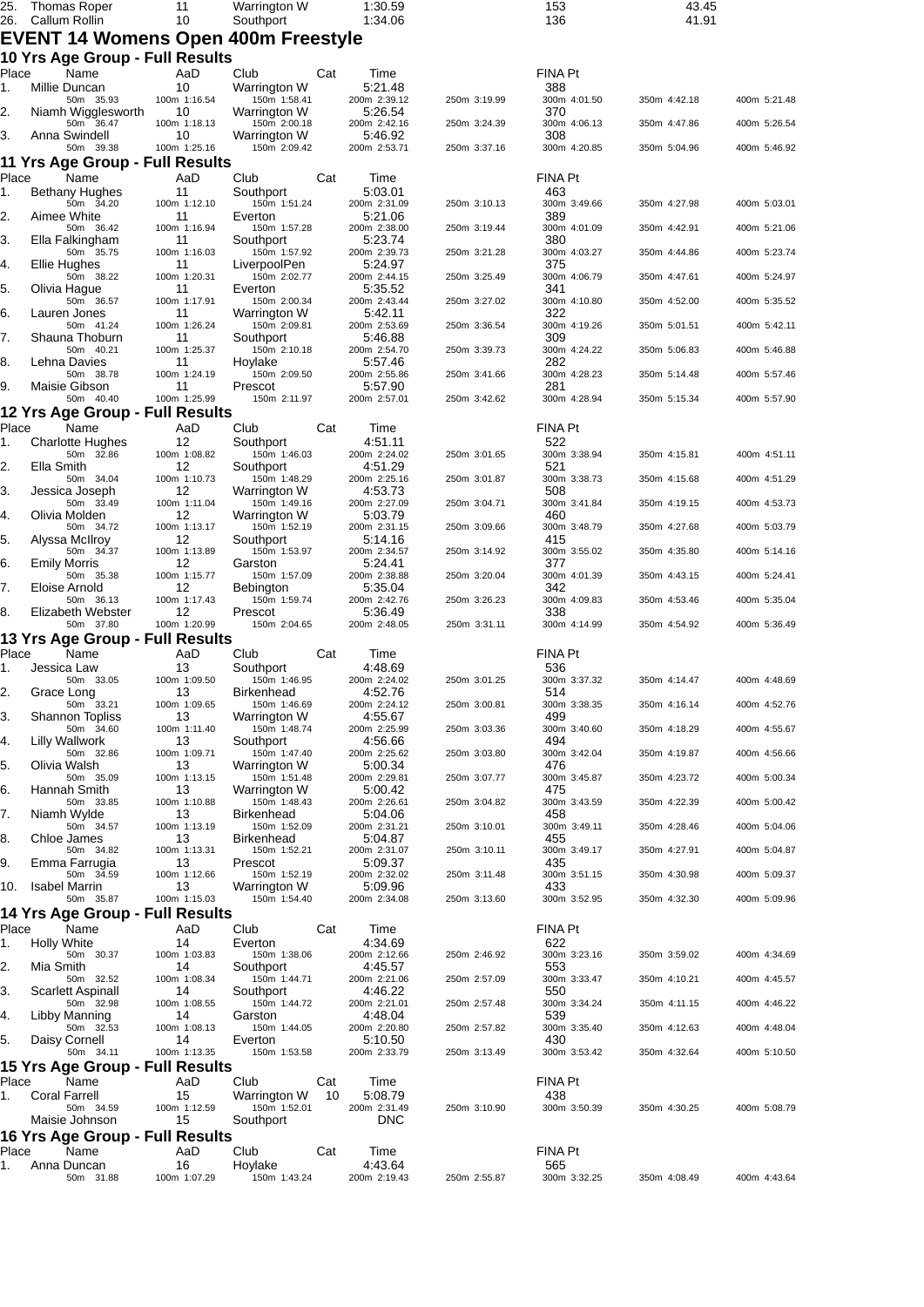| 25.<br>26.  | Thomas Roper<br>Callum Rollin                | 11<br>10           | Warrington W<br>Southport          | 1:30.59<br>1:34.06      |              | 153<br>136          | 43.45<br>41.91 |              |
|-------------|----------------------------------------------|--------------------|------------------------------------|-------------------------|--------------|---------------------|----------------|--------------|
|             | EVENT 14 Womens Open 400m Freestyle          |                    |                                    |                         |              |                     |                |              |
|             | 10 Yrs Age Group - Full Results              |                    |                                    |                         |              |                     |                |              |
| Place       | Name                                         | AaD                | Club<br>Cat                        | Time                    |              | <b>FINA Pt</b>      |                |              |
| 1.          | Millie Duncan<br>50m 35.93                   | 10<br>100m 1:16.54 | Warrington W<br>150m 1:58.41       | 5:21.48<br>200m 2:39.12 | 250m 3:19.99 | 388<br>300m 4:01.50 | 350m 4:42.18   | 400m 5:21.48 |
| 2.          | Niamh Wigglesworth                           | 10                 | Warrington W                       | 5:26.54                 |              | 370                 |                |              |
| 3.          | 50m 36.47<br>Anna Swindell                   | 100m 1:18.13<br>10 | 150m 2:00.18<br>Warrington W       | 200m 2:42.16<br>5:46.92 | 250m 3:24.39 | 300m 4:06.13<br>308 | 350m 4:47.86   | 400m 5:26.54 |
|             | 50m 39.38                                    | 100m 1:25.16       | 150m 2:09.42                       | 200m 2:53.71            | 250m 3:37.16 | 300m 4:20.85        | 350m 5:04.96   | 400m 5:46.92 |
| Place       | 11 Yrs Age Group - Full Results<br>Name      | AaD                | Club<br>Cat                        | Time                    |              | <b>FINA Pt</b>      |                |              |
| 1.          | Bethany Hughes                               | 11                 | Southport                          | 5:03.01                 |              | 463                 |                |              |
| 2.          | 50m 34.20<br>Aimee White                     | 100m 1:12.10<br>11 | 150m 1:51.24<br>Everton            | 200m 2:31.09<br>5:21.06 | 250m 3:10.13 | 300m 3:49.66<br>389 | 350m 4:27.98   | 400m 5:03.01 |
|             | 50m 36.42                                    | 100m 1:16.94       | 150m 1:57.28                       | 200m 2:38.00            | 250m 3:19.44 | 300m 4:01.09        | 350m 4:42.91   | 400m 5:21.06 |
| 3.          | Ella Falkingham<br>50m 35.75                 | 11<br>100m 1:16.03 | Southport<br>150m 1:57.92          | 5:23.74<br>200m 2:39.73 | 250m 3:21.28 | 380<br>300m 4:03.27 | 350m 4:44.86   | 400m 5:23.74 |
| 4.          | Ellie Hughes<br>50m 38.22                    | 11<br>100m 1:20.31 | LiverpoolPen<br>150m 2:02.77       | 5:24.97<br>200m 2:44.15 | 250m 3:25.49 | 375<br>300m 4:06.79 | 350m 4:47.61   | 400m 5:24.97 |
| 5.          | Olivia Hague                                 | 11                 | Everton                            | 5:35.52                 |              | 341                 |                |              |
| 6.          | 50m 36.57<br>Lauren Jones                    | 100m 1:17.91<br>11 | 150m 2:00.34<br>Warrington W       | 200m 2:43.44<br>5:42.11 | 250m 3:27.02 | 300m 4:10.80<br>322 | 350m 4:52.00   | 400m 5:35.52 |
|             | 50m 41.24                                    | 100m 1:26.24       | 150m 2:09.81                       | 200m 2:53.69            | 250m 3:36.54 | 300m 4:19.26        | 350m 5:01.51   | 400m 5:42.11 |
| 7.          | Shauna Thoburn<br>50m 40.21                  | 11<br>100m 1:25.37 | Southport<br>150m 2:10.18          | 5:46.88<br>200m 2:54.70 | 250m 3:39.73 | 309<br>300m 4:24.22 | 350m 5:06.83   | 400m 5:46.88 |
| 8.          | Lehna Davies                                 | 11                 | Hoylake                            | 5:57.46                 |              | 282                 |                |              |
| 9.          | 50m 38.78<br>Maisie Gibson                   | 100m 1:24.19<br>11 | 150m 2:09.50<br>Prescot            | 200m 2:55.86<br>5:57.90 | 250m 3:41.66 | 300m 4:28.23<br>281 | 350m 5:14.48   | 400m 5:57.46 |
|             | 50m 40.40                                    | 100m 1:25.99       | 150m 2:11.97                       | 200m 2:57.01            | 250m 3:42.62 | 300m 4:28.94        | 350m 5:15.34   | 400m 5:57.90 |
| Place       | 12 Yrs Age Group - Full Results<br>Name      | AaD                | Cat<br>Club                        | Time                    |              | FINA Pt             |                |              |
| 1.          | <b>Charlotte Hughes</b>                      | 12                 | Southport                          | 4:51.11                 |              | 522                 |                |              |
| 2.          | 50m 32.86<br>Ella Smith                      | 100m 1:08.82<br>12 | 150m 1:46.03<br>Southport          | 200m 2:24.02<br>4:51.29 | 250m 3:01.65 | 300m 3:38.94<br>521 | 350m 4:15.81   | 400m 4:51.11 |
|             | 50m 34.04                                    | 100m 1:10.73       | 150m 1:48.29                       | 200m 2:25.16            | 250m 3:01.87 | 300m 3:38.73        | 350m 4:15.68   | 400m 4:51.29 |
| 3.          | Jessica Joseph<br>50m 33.49                  | 12<br>100m 1:11.04 | Warrington W<br>150m 1:49.16       | 4:53.73<br>200m 2:27.09 | 250m 3:04.71 | 508<br>300m 3:41.84 | 350m 4:19.15   | 400m 4:53.73 |
| 4.          | Olivia Molden                                | 12                 | Warrington W                       | 5:03.79                 |              | 460                 |                |              |
| 5.          | 50m 34.72<br>Alyssa McIlroy                  | 100m 1:13.17<br>12 | 150m 1:52.19<br>Southport          | 200m 2:31.15<br>5:14.16 | 250m 3:09.66 | 300m 3:48.79<br>415 | 350m 4:27.68   | 400m 5:03.79 |
|             | 50m 34.37                                    | 100m 1:13.89       | 150m 1:53.97                       | 200m 2:34.57            | 250m 3:14.92 | 300m 3:55.02        | 350m 4:35.80   | 400m 5:14.16 |
| 6.          | <b>Emily Morris</b><br>50m 35.38             | 12<br>100m 1:15.77 | Garston<br>150m 1:57.09            | 5:24.41<br>200m 2:38.88 | 250m 3:20.04 | 377<br>300m 4:01.39 | 350m 4:43.15   | 400m 5:24.41 |
| 7.          | Eloise Arnold<br>50m 36.13                   | 12<br>100m 1:17.43 | <b>Bebington</b><br>150m 1:59.74   | 5:35.04<br>200m 2:42.76 | 250m 3:26.23 | 342<br>300m 4:09.83 | 350m 4:53.46   | 400m 5:35.04 |
| 8.          | Elizabeth Webster                            | 12                 | Prescot                            | 5:36.49                 |              | 338                 |                |              |
|             | 50m 37.80<br>13 Yrs Age Group - Full Results | 100m 1:20.99       | 150m 2:04.65                       | 200m 2:48.05            | 250m 3:31.11 | 300m 4:14.99        | 350m 4:54.92   | 400m 5:36.49 |
| Place       | Name                                         | AaD                | Club<br>Cat                        | Time                    |              | FINA Pt             |                |              |
| 1.          | Jessica Law                                  | 13                 | Southport                          | 4:48.69                 |              | 536                 |                |              |
| 2.          | 50m 33.05<br>Grace Long                      | 100m 1:09.50<br>13 | 150m 1:46.95<br><b>Birkenhead</b>  | 200m 2:24.02<br>4:52.76 | 250m 3:01.25 | 300m 3:37.32<br>514 | 350m 4:14.47   | 400m 4:48.69 |
|             | 50m 33.21                                    | 100m 1:09.65       | 150m 1:46.69                       | 200m 2:24.12            | 250m 3:00.81 | 300m 3:38.35        | 350m 4:16.14   | 400m 4:52.76 |
| 3.          | <b>Shannon Topliss</b><br>50m 34.60          | 13<br>100m 1:11.40 | Warrington W<br>150m 1:48.74       | 4:55.67<br>200m 2:25.99 | 250m 3:03.36 | 499<br>300m 3:40.60 | 350m 4:18.29   | 400m 4:55.67 |
| 4.          | Lilly Wallwork<br>50m 32.86                  | 13<br>100m 1:09.71 | Southport<br>150m 1:47.40          | 4:56.66<br>200m 2:25.62 | 250m 3:03.80 | 494<br>300m 3:42.04 | 350m 4:19.87   | 400m 4:56.66 |
| 5.          | Olivia Walsh                                 | 13                 | Warrington W                       | 5:00.34                 |              | 476                 |                |              |
| 6.          | 50m 35.09<br>Hannah Smith                    | 100m 1:13.15<br>13 | 150m 1:51.48<br>Warrington W       | 200m 2:29.81<br>5:00.42 | 250m 3:07.77 | 300m 3:45.87<br>475 | 350m 4:23.72   | 400m 5:00.34 |
|             | 50m 33.85                                    | 100m 1:10.88       | 150m 1:48.43                       | 200m 2:26.61            | 250m 3:04.82 | 300m 3:43.59        | 350m 4:22.39   | 400m 5:00.42 |
| 7.          | Niamh Wylde<br>50m 34.57                     | 13<br>100m 1:13.19 | Birkenhead<br>150m 1:52.09         | 5:04.06<br>200m 2:31.21 | 250m 3:10.01 | 458<br>300m 3:49.11 | 350m 4:28.46   | 400m 5:04.06 |
| 8.          | Chloe James                                  | 13                 | <b>Birkenhead</b>                  | 5:04.87                 |              | 455                 |                |              |
| 9.          | 50m 34.82<br>Emma Farrugia                   | 100m 1:13.31<br>13 | 150m 1:52.21<br>Prescot            | 200m 2:31.07<br>5:09.37 | 250m 3:10.11 | 300m 3:49.17<br>435 | 350m 4:27.91   | 400m 5:04.87 |
|             | 50m 34.59                                    | 100m 1:12.66       | 150m 1:52.19                       | 200m 2:32.02            | 250m 3:11.48 | 300m 3:51.15        | 350m 4:30.98   | 400m 5:09.37 |
| 10.         | <b>Isabel Marrin</b><br>50m 35.87            | 13<br>100m 1:15.03 | Warrington W<br>150m 1:54.40       | 5:09.96<br>200m 2:34.08 | 250m 3:13.60 | 433<br>300m 3:52.95 | 350m 4:32.30   | 400m 5:09.96 |
|             | 14 Yrs Age Group - Full Results              |                    |                                    |                         |              |                     |                |              |
| Place       | Name                                         | AaD<br>14          | Cat<br>Club                        | Time                    |              | FINA Pt<br>622      |                |              |
| 1.          | <b>Holly White</b><br>50m 30.37              | 100m 1:03.83       | Everton<br>150m 1:38.06            | 4:34.69<br>200m 2:12.66 | 250m 2:46.92 | 300m 3:23.16        | 350m 3:59.02   | 400m 4:34.69 |
| 2.          | Mia Smith<br>50m 32.52                       | 14<br>100m 1:08.34 | Southport<br>150m 1:44.71          | 4:45.57<br>200m 2:21.06 | 250m 2:57.09 | 553<br>300m 3:33.47 | 350m 4:10.21   | 400m 4:45.57 |
| 3.          | Scarlett Aspinall                            | 14                 | Southport                          | 4:46.22                 |              | 550                 |                |              |
| 4.          | 50m 32.98<br>Libby Manning                   | 100m 1:08.55<br>14 | 150m 1:44.72<br>Garston            | 200m 2:21.01<br>4:48.04 | 250m 2:57.48 | 300m 3:34.24<br>539 | 350m 4:11.15   | 400m 4:46.22 |
|             | 50m 32.53                                    | 100m 1:08.13       | 150m 1:44.05                       | 200m 2:20.80            | 250m 2:57.82 | 300m 3:35.40        | 350m 4:12.63   | 400m 4:48.04 |
| 5.          | Daisy Cornell<br>50m 34.11                   | 14<br>100m 1:13.35 | Everton<br>150m 1:53.58            | 5:10.50<br>200m 2:33.79 | 250m 3:13.49 | 430<br>300m 3:53.42 | 350m 4:32.64   | 400m 5:10.50 |
|             | 15 Yrs Age Group - Full Results              |                    |                                    |                         |              |                     |                |              |
| Place       | Name                                         | AaD                | Club<br>Cat                        | Time                    |              | <b>FINA Pt</b>      |                |              |
| 1.          | Coral Farrell<br>50m 34.59                   | 15<br>100m 1:12.59 | 10<br>Warrington W<br>150m 1:52.01 | 5:08.79<br>200m 2:31.49 | 250m 3:10.90 | 438<br>300m 3:50.39 | 350m 4:30.25   | 400m 5:08.79 |
|             | Maisie Johnson                               | 15                 | Southport                          | <b>DNC</b>              |              |                     |                |              |
|             | 16 Yrs Age Group - Full Results              |                    |                                    |                         |              |                     |                |              |
| Place<br>1. | Name<br>Anna Duncan                          | AaD<br>16          | Cat<br>Club<br>Hoylake             | Time<br>4:43.64         |              | FINA Pt<br>565      |                |              |
|             | 50m 31.88                                    | 100m 1:07.29       | 150m 1:43.24                       | 200m 2:19.43            | 250m 2:55.87 | 300m 3:32.25        | 350m 4:08.49   | 400m 4:43.64 |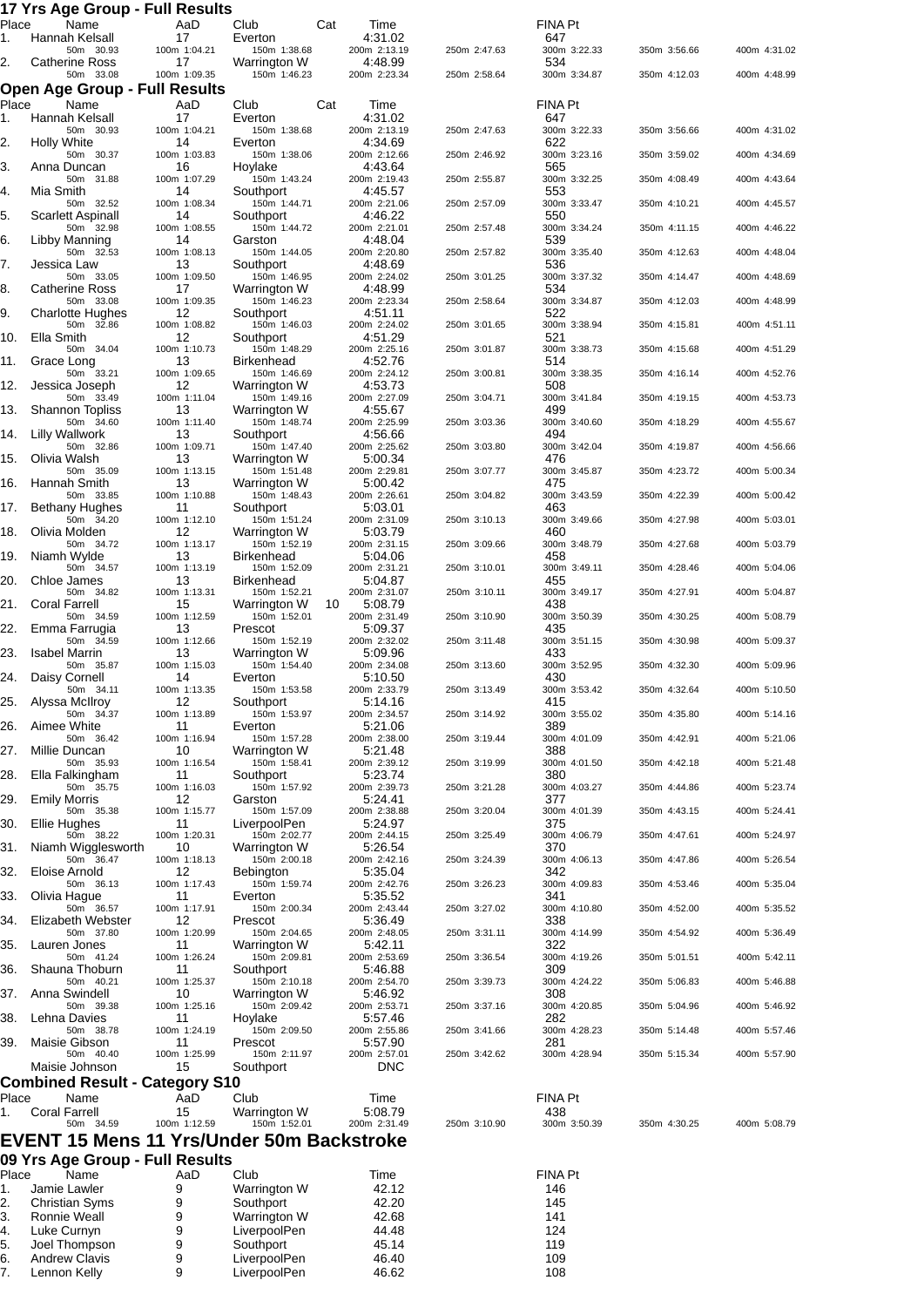#### **17 Yrs Age Group - Full Results**

| . .<br>Place | . .<br>a nga araap<br>Name                       | .<br>.<br>AaD      | Club                              | Cat | Time                       |              | <b>FINA Pt</b>        |              |              |
|--------------|--------------------------------------------------|--------------------|-----------------------------------|-----|----------------------------|--------------|-----------------------|--------------|--------------|
| 1.           | Hannah Kelsall<br>50m 30.93                      | 17<br>100m 1:04.21 | Everton<br>150m 1:38.68           |     | 4:31.02<br>200m 2:13.19    | 250m 2:47.63 | 647<br>300m 3:22.33   | 350m 3:56.66 | 400m 4:31.02 |
| 2.           | <b>Catherine Ross</b>                            | 17                 | Warrington W                      |     | 4:48.99                    |              | 534                   |              |              |
|              | 50m 33.08<br>Open Age Group - Full Results       | 100m 1:09.35       | 150m 1:46.23                      |     | 200m 2:23.34               | 250m 2:58.64 | 300m 3:34.87          | 350m 4:12.03 | 400m 4:48.99 |
| Place        | Name                                             | AaD                | Club                              | Cat | Time                       |              | FINA Pt               |              |              |
| 1.           | Hannah Kelsall                                   | 17<br>100m 1:04.21 | Everton                           |     | 4:31.02                    |              | 647                   | 350m 3:56.66 | 400m 4:31.02 |
| 2.           | 50m 30.93<br><b>Holly White</b>                  | 14                 | 150m 1:38.68<br>Everton           |     | 200m 2:13.19<br>4:34.69    | 250m 2:47.63 | 300m 3:22.33<br>622   |              |              |
| 3.           | 50m 30.37<br>Anna Duncan                         | 100m 1:03.83<br>16 | 150m 1:38.06<br>Hoylake           |     | 200m 2:12.66<br>4:43.64    | 250m 2:46.92 | 300m 3:23.16<br>565   | 350m 3:59.02 | 400m 4:34.69 |
|              | 50m 31.88                                        | 100m 1:07.29       | 150m 1:43.24                      |     | 200m 2:19.43               | 250m 2:55.87 | 300m 3:32.25          | 350m 4:08.49 | 400m 4:43.64 |
| 4.           | Mia Smith<br>50m 32.52                           | 14<br>100m 1:08.34 | Southport<br>150m 1:44.71         |     | 4:45.57<br>200m 2:21.06    | 250m 2:57.09 | 553<br>300m 3:33.47   | 350m 4:10.21 | 400m 4:45.57 |
| 5.           | Scarlett Aspinall<br>50m 32.98                   | 14<br>100m 1:08.55 | Southport<br>150m 1:44.72         |     | 4:46.22<br>200m 2:21.01    | 250m 2:57.48 | 550<br>300m 3:34.24   | 350m 4:11.15 | 400m 4:46.22 |
| 6.           | Libby Manning                                    | 14                 | Garston                           |     | 4:48.04                    |              | 539                   |              |              |
| 7.           | 50m 32.53<br>Jessica Law                         | 100m 1:08.13<br>13 | 150m 1:44.05<br>Southport         |     | 200m 2:20.80<br>4:48.69    | 250m 2:57.82 | 300m 3:35.40<br>536   | 350m 4:12.63 | 400m 4:48.04 |
|              | 50m 33.05                                        | 100m 1:09.50       | 150m 1:46.95                      |     | 200m 2:24.02               | 250m 3:01.25 | 300m 3:37.32          | 350m 4:14.47 | 400m 4:48.69 |
| 8.           | <b>Catherine Ross</b><br>50m 33.08               | 17<br>100m 1:09.35 | Warrington W<br>150m 1:46.23      |     | 4:48.99<br>200m 2:23.34    | 250m 2:58.64 | 534<br>300m 3:34.87   | 350m 4:12.03 | 400m 4:48.99 |
| 9.           | <b>Charlotte Hughes</b><br>50m 32.86             | 12<br>100m 1:08.82 | Southport<br>150m 1:46.03         |     | 4:51.11<br>200m 2:24.02    | 250m 3:01.65 | 522<br>300m 3:38.94   | 350m 4:15.81 | 400m 4:51.11 |
| 10.          | Ella Smith                                       | 12                 | Southport                         |     | 4:51.29                    |              | 521                   |              |              |
| 11.          | 50m 34.04<br>Grace Long                          | 100m 1:10.73<br>13 | 150m 1:48.29<br><b>Birkenhead</b> |     | 200m 2:25.16<br>4:52.76    | 250m 3:01.87 | 300m 3:38.73<br>514   | 350m 4:15.68 | 400m 4:51.29 |
|              | 50m 33.21                                        | 100m 1:09.65       | 150m 1:46.69                      |     | 200m 2:24.12               | 250m 3:00.81 | 300m 3:38.35          | 350m 4:16.14 | 400m 4:52.76 |
| 12.          | Jessica Joseph<br>50m 33.49                      | 12<br>100m 1:11.04 | Warrington W<br>150m 1:49.16      |     | 4.53.73<br>200m 2:27.09    | 250m 3:04.71 | 508<br>300m 3:41.84   | 350m 4:19.15 | 400m 4:53.73 |
| 13.          | <b>Shannon Topliss</b><br>50m 34.60              | 13<br>100m 1:11.40 | Warrington W<br>150m 1:48.74      |     | 4:55.67<br>200m 2:25.99    | 250m 3:03.36 | 499<br>300m 3:40.60   | 350m 4:18.29 | 400m 4:55.67 |
| 14.          | <b>Lilly Wallwork</b>                            | 13                 | Southport                         |     | 4:56.66                    |              | 494                   |              |              |
| 15.          | 50m 32.86<br>Olivia Walsh                        | 100m 1:09.71<br>13 | 150m 1:47.40<br>Warrington W      |     | 200m 2:25.62<br>5:00.34    | 250m 3:03.80 | 300m 3:42.04<br>476   | 350m 4:19.87 | 400m 4:56.66 |
|              | 50m 35.09                                        | 100m 1:13.15       | 150m 1:51.48                      |     | 200m 2:29.81               | 250m 3:07.77 | 300m 3:45.87          | 350m 4:23.72 | 400m 5:00.34 |
| 16.          | Hannah Smith<br>50m 33.85                        | 13<br>100m 1:10.88 | Warrington W<br>150m 1:48.43      |     | 5:00.42<br>200m 2:26.61    | 250m 3:04.82 | 475<br>300m 3:43.59   | 350m 4:22.39 | 400m 5:00.42 |
| 17.          | Bethany Hughes<br>50m 34.20                      | 11<br>100m 1:12.10 | Southport<br>150m 1:51.24         |     | 5:03.01<br>200m 2:31.09    | 250m 3:10.13 | 463<br>300m 3:49.66   | 350m 4:27.98 | 400m 5:03.01 |
| 18.          | Olivia Molden                                    | 12                 | Warrington W                      |     | 5:03.79                    |              | 460                   |              |              |
| 19.          | 50m 34.72<br>Niamh Wylde                         | 100m 1:13.17<br>13 | 150m 1:52.19<br><b>Birkenhead</b> |     | 200m 2:31.15<br>5:04.06    | 250m 3:09.66 | 300m 3:48.79<br>458   | 350m 4:27.68 | 400m 5:03.79 |
| 20.          | 50m 34.57<br>Chloe James                         | 100m 1:13.19<br>13 | 150m 1:52.09<br><b>Birkenhead</b> |     | 200m 2:31.21<br>5:04.87    | 250m 3:10.01 | 300m 3:49.11<br>455   | 350m 4:28.46 | 400m 5:04.06 |
|              | 50m 34.82                                        | 100m 1:13.31       | 150m 1:52.21                      |     | 200m 2:31.07               | 250m 3:10.11 | 300m 3:49.17          | 350m 4:27.91 | 400m 5:04.87 |
| 21.          | <b>Coral Farrell</b><br>50m 34.59                | 15<br>100m 1:12.59 | Warrington W<br>150m 1:52.01      | 10  | 5:08.79<br>200m 2:31.49    | 250m 3:10.90 | 438<br>300m 3:50.39   | 350m 4:30.25 | 400m 5:08.79 |
| 22.          | Emma Farrugia                                    | 13                 | Prescot                           |     | 5:09.37                    |              | 435                   |              |              |
| 23.          | 50m 34.59<br><b>Isabel Marrin</b>                | 100m 1:12.66<br>13 | 150m 1:52.19<br>Warrington W      |     | 200m 2:32.02<br>5:09.96    | 250m 3:11.48 | 300m 3:51.15<br>433   | 350m 4:30.98 | 400m 5:09.37 |
| 24.          | 50m 35.87<br>Daisy Cornell                       | 100m 1:15.03<br>14 | 150m 1:54.40<br>Everton           |     | 200m 2:34.08<br>5:10.50    | 250m 3:13.60 | 300m 3:52.95<br>430   | 350m 4:32.30 | 400m 5:09.96 |
|              | 50m 34.11                                        | 100m 1:13.35       | 150m 1:53.58                      |     | 200m 2:33.79               | 250m 3:13.49 | 300m 3:53.42          | 350m 4:32.64 | 400m 5:10.50 |
| 25.          | Alyssa McIlroy<br>50m 34.37                      | 12<br>100m 1:13.89 | Southport<br>150m 1:53.97         |     | 5:14.16<br>200m 2:34.57    | 250m 3:14.92 | 415<br>300m 3:55.02   | 350m 4:35.80 | 400m 5:14.16 |
| 26.          | Aimee White                                      | 11                 | Everton                           |     | 5:21.06                    | 250m 3:19.44 | 389                   |              |              |
| 27.          | 50m 36.42<br>Millie Duncan                       | 100m 1:16.94<br>10 | 150m 1:57.28<br>Warrington W      |     | 200m 2:38.00<br>5:21.48    |              | 300m 4:01.09<br>388   | 350m 4:42.91 | 400m 5:21.06 |
| 28.          | 50m 35.93<br>Ella Falkingham                     | 100m 1:16.54<br>11 | 150m 1:58.41<br>Southport         |     | 200m 2:39.12<br>5:23.74    | 250m 3:19.99 | 300m 4:01.50<br>380   | 350m 4:42.18 | 400m 5:21.48 |
|              | 50m 35.75                                        | 100m 1:16.03       | 150m 1:57.92                      |     | 200m 2:39.73               | 250m 3:21.28 | 300m 4:03.27          | 350m 4:44.86 | 400m 5:23.74 |
| 29.          | <b>Emily Morris</b><br>50m 35.38                 | 12<br>100m 1:15.77 | Garston<br>150m 1:57.09           |     | 5:24.41<br>200m 2:38.88    | 250m 3:20.04 | 377<br>300m 4:01.39   | 350m 4:43.15 | 400m 5:24.41 |
| 30.          | Ellie Hughes<br>50m 38.22                        | 11<br>100m 1:20.31 | LiverpoolPen<br>150m 2:02.77      |     | 5:24.97<br>200m 2:44.15    | 250m 3:25.49 | 375<br>300m 4:06.79   | 350m 4:47.61 | 400m 5:24.97 |
| 31.          | Niamh Wigglesworth                               | 10                 | Warrington W                      |     | 5:26.54                    |              | 370                   |              |              |
| 32.          | 50m 36.47<br>Eloise Arnold                       | 100m 1:18.13<br>12 | 150m 2:00.18<br>Bebington         |     | 200m 2:42.16<br>5:35.04    | 250m 3:24.39 | 300m 4:06.13<br>342   | 350m 4:47.86 | 400m 5:26.54 |
|              | 50m 36.13                                        | 100m 1:17.43       | 150m 1:59.74                      |     | 200m 2:42.76               | 250m 3:26.23 | 300m 4:09.83          | 350m 4:53.46 | 400m 5:35.04 |
| 33.          | Olivia Hague<br>50m 36.57                        | 11<br>100m 1:17.91 | Everton<br>150m 2:00.34           |     | 5.35.52<br>200m 2:43.44    | 250m 3:27.02 | 341<br>300m 4:10.80   | 350m 4:52.00 | 400m 5:35.52 |
| 34.          | Elizabeth Webster<br>50m 37.80                   | 12<br>100m 1:20.99 | Prescot<br>150m 2:04.65           |     | 5:36.49<br>200m 2:48.05    | 250m 3:31.11 | 338<br>300m 4:14.99   | 350m 4:54.92 | 400m 5:36.49 |
| 35.          | Lauren Jones                                     | 11                 | Warrington W                      |     | 5:42.11                    |              | 322                   |              |              |
| 36.          | 50m 41.24<br>Shauna Thoburn                      | 100m 1:26.24<br>11 | 150m 2:09.81<br>Southport         |     | 200m 2:53.69<br>5:46.88    | 250m 3:36.54 | 300m 4:19.26<br>309   | 350m 5:01.51 | 400m 5:42.11 |
| 37.          | 50m 40.21<br>Anna Swindell                       | 100m 1:25.37<br>10 | 150m 2:10.18<br>Warrington W      |     | 200m 2:54.70<br>5:46.92    | 250m 3:39.73 | 300m 4:24.22<br>308   | 350m 5:06.83 | 400m 5:46.88 |
|              | 50m 39.38                                        | 100m 1:25.16       | 150m 2:09.42                      |     | 200m 2:53.71               | 250m 3:37.16 | 300m 4:20.85          | 350m 5:04.96 | 400m 5:46.92 |
| 38.          | Lehna Davies<br>50m 38.78                        | 11<br>100m 1:24.19 | Hoylake<br>150m 2:09.50           |     | 5:57.46<br>200m 2:55.86    | 250m 3:41.66 | 282<br>300m 4:28.23   | 350m 5:14.48 | 400m 5:57.46 |
| 39.          | Maisie Gibson                                    | 11                 | Prescot                           |     | 5:57.90                    |              | 281                   |              |              |
|              | 50m 40.40<br>Maisie Johnson                      | 100m 1:25.99<br>15 | 150m 2:11.97<br>Southport         |     | 200m 2:57.01<br><b>DNC</b> | 250m 3:42.62 | 300m 4:28.94          | 350m 5:15.34 | 400m 5:57.90 |
|              | <b>Combined Result - Category S10</b>            |                    |                                   |     |                            |              |                       |              |              |
| Place<br>1.  | Name<br><b>Coral Farrell</b>                     | AaD<br>15          | Club<br>Warrington W              |     | Time<br>5:08.79            |              | <b>FINA Pt</b><br>438 |              |              |
|              | 50m 34.59                                        | 100m 1:12.59       | 150m 1:52.01                      |     | 200m 2:31.49               | 250m 3:10.90 | 300m 3:50.39          | 350m 4:30.25 | 400m 5:08.79 |
|              | <b>EVENT 15 Mens 11 Yrs/Under 50m Backstroke</b> |                    |                                   |     |                            |              |                       |              |              |
|              | 09 Yrs Age Group - Full Results                  |                    |                                   |     |                            |              |                       |              |              |
| Place<br>1.  | Name<br>Jamie Lawler                             | AaD<br>9           | Club<br>Warrington W              |     | Time<br>42.12              |              | <b>FINA Pt</b><br>146 |              |              |
| 2.           | Christian Syms                                   | 9                  | Southport                         |     | 42.20                      |              | 145                   |              |              |

| 2. | Christian Syms       | 9 | Southport    | 42.20 | 145 |
|----|----------------------|---|--------------|-------|-----|
| 3. | Ronnie Weall         | 9 | Warrington W | 42.68 | 141 |
| 4. | Luke Curnyn          |   | LiverpoolPen | 44.48 | 124 |
| 5. | Joel Thompson        | 9 | Southport    | 45.14 | 119 |
| 6. | <b>Andrew Clavis</b> | 9 | LiverpoolPen | 46.40 | 109 |
|    | Lennon Kelly         | 9 | LiverpoolPen | 46.62 | 108 |
|    |                      |   |              |       |     |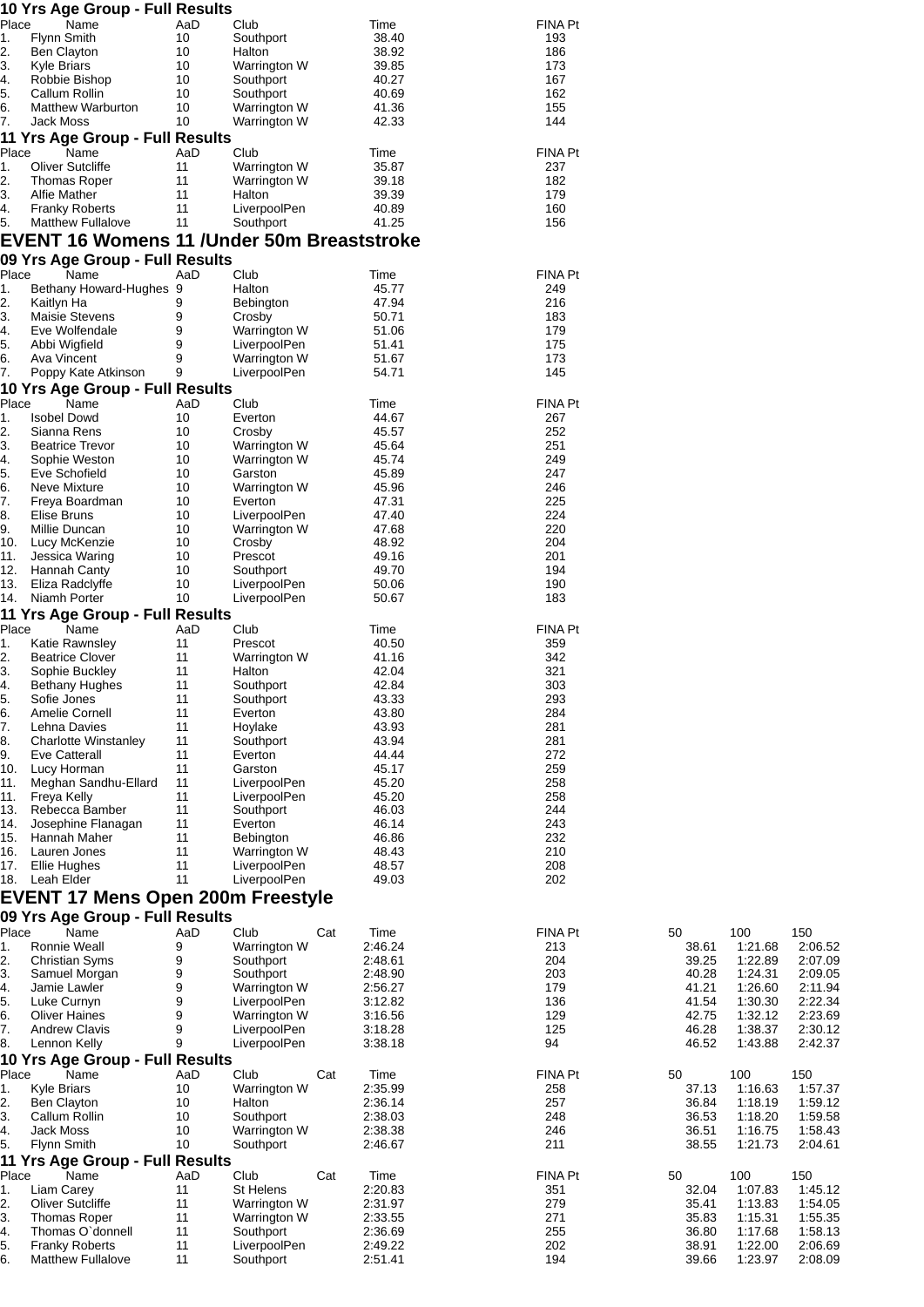|             | 10 Yrs Age Group - Full Results            |           |                                     |     |                    |                |                |                    |                    |
|-------------|--------------------------------------------|-----------|-------------------------------------|-----|--------------------|----------------|----------------|--------------------|--------------------|
| Place<br>1. | Name<br>Flynn Smith                        | AaD<br>10 | Club<br>Southport                   |     | Time<br>38.40      | FINA Pt<br>193 |                |                    |                    |
| 2.          | <b>Ben Clayton</b>                         | 10        | Halton                              |     | 38.92              | 186            |                |                    |                    |
| 3.          | <b>Kyle Briars</b>                         | 10        | Warrington W                        |     | 39.85              | 173            |                |                    |                    |
| 4.          | Robbie Bishop                              | 10        | Southport                           |     | 40.27              | 167            |                |                    |                    |
| 5.          | Callum Rollin<br><b>Matthew Warburton</b>  | 10<br>10  | Southport                           |     | 40.69<br>41.36     | 162<br>155     |                |                    |                    |
| 6.<br>7.    | Jack Moss                                  | 10        | Warrington W<br>Warrington W        |     | 42.33              | 144            |                |                    |                    |
|             | 11 Yrs Age Group - Full Results            |           |                                     |     |                    |                |                |                    |                    |
| Place       | Name                                       | AaD       | Club                                |     | Time               | FINA Pt        |                |                    |                    |
| 1.          | <b>Oliver Sutcliffe</b>                    | 11        | Warrington W                        |     | 35.87              | 237            |                |                    |                    |
| 2.<br>3.    | <b>Thomas Roper</b><br>Alfie Mather        | 11<br>11  | Warrington W<br>Halton              |     | 39.18<br>39.39     | 182<br>179     |                |                    |                    |
| 4.          | <b>Franky Roberts</b>                      | 11        | LiverpoolPen                        |     | 40.89              | 160            |                |                    |                    |
| 5.          | <b>Matthew Fullalove</b>                   | 11        | Southport                           |     | 41.25              | 156            |                |                    |                    |
|             | EVENT 16 Womens 11 /Under 50m Breaststroke |           |                                     |     |                    |                |                |                    |                    |
|             | 09 Yrs Age Group - Full Results            |           |                                     |     |                    |                |                |                    |                    |
| Place       | Name                                       | AaD       | Club                                |     | Time               | FINA Pt        |                |                    |                    |
| 1.          | Bethany Howard-Hughes 9                    |           | Halton                              |     | 45.77              | 249            |                |                    |                    |
| 2.<br>3.    | Kaitlyn Ha<br><b>Maisie Stevens</b>        | 9<br>9    | Bebington<br>Crosby                 |     | 47.94<br>50.71     | 216<br>183     |                |                    |                    |
| 4.          | Eve Wolfendale                             | 9         | Warrington W                        |     | 51.06              | 179            |                |                    |                    |
| 5.          | Abbi Wigfield                              | 9         | LiverpoolPen                        |     | 51.41              | 175            |                |                    |                    |
| 6.          | Ava Vincent                                | 9         | Warrington W                        |     | 51.67              | 173            |                |                    |                    |
| 7.          | Poppy Kate Atkinson                        | 9         | LiverpoolPen                        |     | 54.71              | 145            |                |                    |                    |
| Place       | 10 Yrs Age Group - Full Results<br>Name    | AaD       | Club                                |     | Time               | FINA Pt        |                |                    |                    |
| 1.          | <b>Isobel Dowd</b>                         | 10        | Everton                             |     | 44.67              | 267            |                |                    |                    |
| 2.          | Sianna Rens                                | 10        | Crosby                              |     | 45.57              | 252            |                |                    |                    |
| 3.          | <b>Beatrice Trevor</b>                     | 10        | Warrington W                        |     | 45.64              | 251            |                |                    |                    |
| 4.<br>5.    | Sophie Weston<br>Eve Schofield             | 10<br>10  | Warrington W<br>Garston             |     | 45.74<br>45.89     | 249<br>247     |                |                    |                    |
| 6.          | Neve Mixture                               | 10        | Warrington W                        |     | 45.96              | 246            |                |                    |                    |
| 7.          | Freya Boardman                             | 10        | Everton                             |     | 47.31              | 225            |                |                    |                    |
| 8.          | Elise Bruns                                | 10        | LiverpoolPen                        |     | 47.40              | 224            |                |                    |                    |
| 9.<br>10.   | Millie Duncan<br>Lucy McKenzie             | 10<br>10  | Warrington W<br>Crosby              |     | 47.68<br>48.92     | 220<br>204     |                |                    |                    |
| 11.         | Jessica Waring                             | 10        | Prescot                             |     | 49.16              | 201            |                |                    |                    |
| 12.         | Hannah Canty                               | 10        | Southport                           |     | 49.70              | 194            |                |                    |                    |
| 13.         | Eliza Radclyffe                            | 10        | LiverpoolPen                        |     | 50.06              | 190            |                |                    |                    |
| 14.         | Niamh Porter                               | 10        | LiverpoolPen                        |     | 50.67              | 183            |                |                    |                    |
| Place       | 11 Yrs Age Group - Full Results<br>Name    | AaD       | Club                                |     | Time               | FINA Pt        |                |                    |                    |
| 1.          | Katie Rawnsley                             | 11        | Prescot                             |     | 40.50              | 359            |                |                    |                    |
| 2.          | <b>Beatrice Clover</b>                     | 11        | <b>Warrington W</b>                 |     | 41.16              | 342            |                |                    |                    |
| 3.          | Sophie Buckley                             | 11        | Halton                              |     | 42.04              | 321            |                |                    |                    |
| 4.          | <b>Bethany Hughes</b>                      | 11        | Southport                           |     | 42.84              | 303            |                |                    |                    |
| 5.<br>6.    | Sofie Jones<br>Amelie Cornell              | 11<br>11  | Southport<br>Everton                |     | 43.33<br>43.80     | 293<br>284     |                |                    |                    |
| 7.          | Lehna Davies                               | 11        | Hoylake                             |     | 43.93              | 281            |                |                    |                    |
| 8.          | Charlotte Winstanley                       | 11        | Southport                           |     | 43.94              | 281            |                |                    |                    |
| 9.          | Eve Catterall                              | 11        | Everton                             |     | 44.44              | 272            |                |                    |                    |
| 10.<br>11.  | Lucy Horman<br>Meghan Sandhu-Ellard        | 11<br>11  | Garston<br>LiverpoolPen             |     | 45.17<br>45.20     | 259<br>258     |                |                    |                    |
| 11.         | Freya Kelly                                | 11        | LiverpoolPen                        |     | 45.20              | 258            |                |                    |                    |
| 13.         | Rebecca Bamber                             | 11        | Southport                           |     | 46.03              | 244            |                |                    |                    |
| 14.         | Josephine Flanagan                         | 11        | Everton                             |     | 46.14              | 243            |                |                    |                    |
| 15.<br>16.  | Hannah Maher<br>Lauren Jones               | 11<br>11  | Bebington<br>Warrington W           |     | 46.86<br>48.43     | 232<br>210     |                |                    |                    |
| 17.         | Ellie Hughes                               | 11        | LiverpoolPen                        |     | 48.57              | 208            |                |                    |                    |
| 18.         | Leah Elder                                 | 11        | LiverpoolPen                        |     | 49.03              | 202            |                |                    |                    |
|             | <b>EVENT 17 Mens Open 200m Freestyle</b>   |           |                                     |     |                    |                |                |                    |                    |
|             | 09 Yrs Age Group - Full Results            |           |                                     |     |                    |                |                |                    |                    |
| Place       | Name                                       | AaD       | Club                                | Cat | Time               | FINA Pt        | 50             | 100                | 150                |
| 1.          | Ronnie Weall                               | 9         | Warrington W                        |     | 2:46.24            | 213            | 38.61          | 1:21.68            | 2:06.52            |
| 2.<br>3.    | <b>Christian Syms</b><br>Samuel Morgan     | 9<br>9    | Southport<br>Southport              |     | 2:48.61<br>2:48.90 | 204<br>203     | 39.25<br>40.28 | 1:22.89<br>1:24.31 | 2:07.09<br>2:09.05 |
| 4.          | Jamie Lawler                               | 9         | Warrington W                        |     | 2:56.27            | 179            | 41.21          | 1:26.60            | 2:11.94            |
| 5.          | Luke Curnyn                                | 9         | LiverpoolPen                        |     | 3:12.82            | 136            | 41.54          | 1:30.30            | 2:22.34            |
| 6.          | <b>Oliver Haines</b>                       | 9         | Warrington W                        |     | 3:16.56            | 129            | 42.75          | 1:32.12            | 2:23.69            |
| 7.<br>8.    | <b>Andrew Clavis</b><br>Lennon Kelly       | 9<br>9    | LiverpoolPen<br>LiverpoolPen        |     | 3:18.28<br>3:38.18 | 125<br>94      | 46.28<br>46.52 | 1:38.37<br>1:43.88 | 2:30.12<br>2:42.37 |
|             | 10 Yrs Age Group - Full Results            |           |                                     |     |                    |                |                |                    |                    |
| Place       | Name                                       | AaD       | Club                                | Cat | Time               | <b>FINA Pt</b> | 50             | 100                | 150                |
| 1.          | Kyle Briars                                | 10        | Warrington W                        |     | 2:35.99            | 258            | 37.13          | 1:16.63            | 1:57.37            |
| 2.          | <b>Ben Clayton</b>                         | 10        | Halton                              |     | 2:36.14            | 257            | 36.84          | 1:18.19            | 1:59.12            |
| 3.<br>4.    | Callum Rollin<br>Jack Moss                 | 10<br>10  | Southport<br><b>Warrington W</b>    |     | 2:38.03<br>2:38.38 | 248<br>246     | 36.53<br>36.51 | 1:18.20<br>1:16.75 | 1:59.58<br>1:58.43 |
| 5.          | Flynn Smith                                | 10        | Southport                           |     | 2:46.67            | 211            | 38.55          | 1:21.73            | 2:04.61            |
|             | 11 Yrs Age Group - Full Results            |           |                                     |     |                    |                |                |                    |                    |
| Place       | Name                                       | AaD       | Club                                | Cat | Time               | FINA Pt        | 50             | 100                | 150                |
| 1.          | Liam Carey                                 | 11        | St Helens                           |     | 2:20.83            | 351            | 32.04          | 1:07.83            | 1:45.12            |
| 2.<br>3.    | Oliver Sutcliffe<br><b>Thomas Roper</b>    | 11<br>11  | <b>Warrington W</b><br>Warrington W |     | 2:31.97<br>2:33.55 | 279<br>271     | 35.41<br>35.83 | 1:13.83<br>1:15.31 | 1:54.05<br>1:55.35 |
| 4.          | Thomas O'donnell                           | 11        | Southport                           |     | 2:36.69            | 255            | 36.80          | 1:17.68            | 1:58.13            |
| 5.          | <b>Franky Roberts</b>                      | 11        | LiverpoolPen                        |     | 2:49.22            | 202            | 38.91          | 1:22.00            | 2:06.69            |
| 6.          | <b>Matthew Fullalove</b>                   | 11        | Southport                           |     | 2:51.41            | 194            | 39.66          | 1:23.97            | 2:08.09            |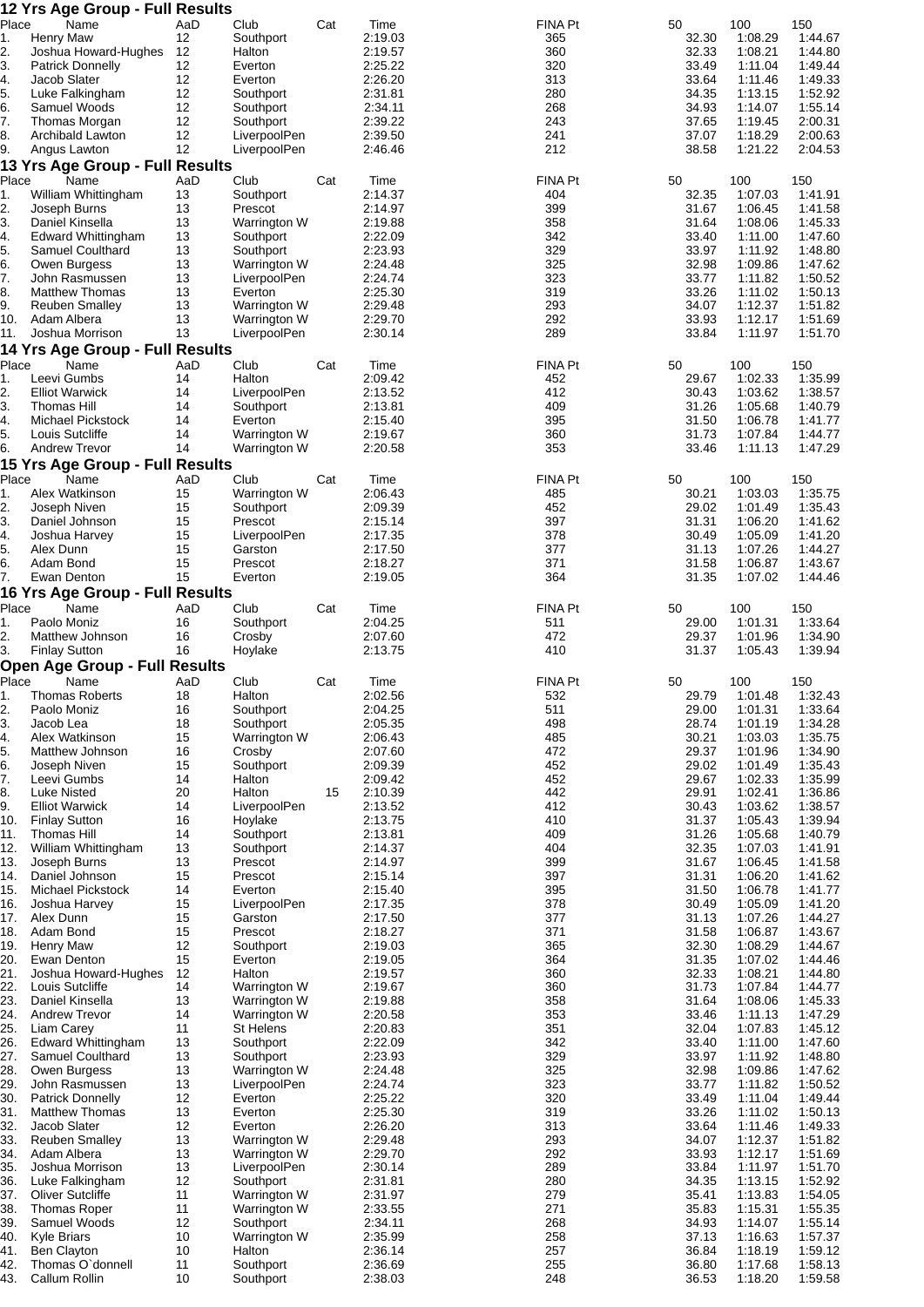|            | 12 Yrs Age Group - Full Results                  |          |                              |     |                    |                |                |                    |                    |
|------------|--------------------------------------------------|----------|------------------------------|-----|--------------------|----------------|----------------|--------------------|--------------------|
| Place      | Name                                             | AaD      | Club                         | Cat | Time               | FINA Pt        | 50             | 100                | 150                |
| 1.<br>2.   | <b>Henry Maw</b><br>Joshua Howard-Hughes         | 12<br>12 | Southport<br>Halton          |     | 2:19.03<br>2:19.57 | 365<br>360     | 32.30<br>32.33 | 1:08.29<br>1:08.21 | 1:44.67<br>1:44.80 |
| 3.         | <b>Patrick Donnelly</b>                          | 12       | Everton                      |     | 2:25.22            | 320            | 33.49          | 1:11.04            | 1:49.44            |
| 4.         | Jacob Slater                                     | 12       | Everton                      |     | 2:26.20            | 313            | 33.64          | 1:11.46            | 1:49.33            |
| 5.         | Luke Falkingham                                  | 12       | Southport                    |     | 2:31.81            | 280            | 34.35          | 1:13.15            | 1:52.92            |
| 6.         | Samuel Woods                                     | 12       | Southport                    |     | 2:34.11            | 268            | 34.93          | 1:14.07            | 1:55.14            |
| 7.         | Thomas Morgan                                    | 12       | Southport                    |     | 2:39.22            | 243            | 37.65          | 1:19.45            | 2:00.31            |
| 8.<br>9.   | Archibald Lawton<br>Angus Lawton                 | 12<br>12 | LiverpoolPen<br>LiverpoolPen |     | 2:39.50<br>2:46.46 | 241<br>212     | 37.07<br>38.58 | 1:18.29<br>1:21.22 | 2:00.63<br>2:04.53 |
|            | 13 Yrs Age Group - Full Results                  |          |                              |     |                    |                |                |                    |                    |
| Place      | Name                                             | AaD      | Club                         | Cat | Time               | FINA Pt        | 50             | 100                | 150                |
| 1.         | William Whittingham                              | 13       | Southport                    |     | 2:14.37            | 404            | 32.35          | 1:07.03            | 1:41.91            |
| 2.         | Joseph Burns                                     | 13       | Prescot                      |     | 2:14.97            | 399            | 31.67          | 1:06.45            | 1:41.58            |
| 3.         | Daniel Kinsella                                  | 13       | Warrington W                 |     | 2:19.88            | 358            | 31.64          | 1:08.06            | 1:45.33            |
| 4.         | Edward Whittingham                               | 13       | Southport                    |     | 2:22.09            | 342            | 33.40          | 1:11.00            | 1:47.60            |
| 5.<br>6.   | Samuel Coulthard                                 | 13<br>13 | Southport                    |     | 2:23.93<br>2:24.48 | 329<br>325     | 33.97<br>32.98 | 1:11.92            | 1:48.80<br>1:47.62 |
| 7.         | Owen Burgess<br>John Rasmussen                   | 13       | Warrington W<br>LiverpoolPen |     | 2:24.74            | 323            | 33.77          | 1:09.86<br>1:11.82 | 1:50.52            |
| 8.         | <b>Matthew Thomas</b>                            | 13       | Everton                      |     | 2:25.30            | 319            | 33.26          | 1:11.02            | 1:50.13            |
| 9.         | <b>Reuben Smalley</b>                            | 13       | Warrington W                 |     | 2:29.48            | 293            | 34.07          | 1:12.37            | 1:51.82            |
| 10.        | Adam Albera                                      | 13       | Warrington W                 |     | 2:29.70            | 292            | 33.93          | 1:12.17            | 1:51.69            |
| 11.        | Joshua Morrison                                  | 13       | LiverpoolPen                 |     | 2:30.14            | 289            | 33.84          | 1:11.97            | 1:51.70            |
|            | 14 Yrs Age Group - Full Results                  |          |                              |     |                    |                |                |                    |                    |
| Place      | Name                                             | AaD      | Club                         | Cat | Time               | <b>FINA Pt</b> | 50             | 100                | 150                |
| 1.<br>2.   | Leevi Gumbs<br><b>Elliot Warwick</b>             | 14<br>14 | Halton<br>LiverpoolPen       |     | 2:09.42<br>2:13.52 | 452<br>412     | 29.67<br>30.43 | 1:02.33<br>1:03.62 | 1:35.99<br>1:38.57 |
| 3.         | Thomas Hill                                      | 14       | Southport                    |     | 2:13.81            | 409            | 31.26          | 1:05.68            | 1:40.79            |
| 4.         | Michael Pickstock                                | 14       | Everton                      |     | 2:15.40            | 395            | 31.50          | 1:06.78            | 1:41.77            |
| 5.         | Louis Sutcliffe                                  | 14       | Warrington W                 |     | 2:19.67            | 360            | 31.73          | 1:07.84            | 1:44.77            |
| 6.         | <b>Andrew Trevor</b>                             | 14       | Warrington W                 |     | 2:20.58            | 353            | 33.46          | 1:11.13            | 1:47.29            |
|            | <b>15 Yrs Age Group - Full Results</b>           |          |                              |     |                    |                |                |                    |                    |
| Place      | Name                                             | AaD      | Club                         | Cat | Time               | FINA Pt        | 50             | 100                | 150                |
| 1.         | Alex Watkinson                                   | 15       | Warrington W                 |     | 2:06.43            | 485            | 30.21          | 1:03.03            | 1:35.75            |
| 2.         | Joseph Niven                                     | 15       | Southport                    |     | 2:09.39            | 452            | 29.02          | 1:01.49            | 1:35.43            |
| 3.         | Daniel Johnson                                   | 15       | Prescot                      |     | 2:15.14            | 397            | 31.31          | 1:06.20            | 1:41.62            |
| 4.<br>5.   | Joshua Harvey<br>Alex Dunn                       | 15<br>15 | LiverpoolPen<br>Garston      |     | 2:17.35<br>2:17.50 | 378<br>377     | 30.49<br>31.13 | 1:05.09<br>1:07.26 | 1:41.20<br>1:44.27 |
| 6.         | Adam Bond                                        | 15       | Prescot                      |     | 2:18.27            | 371            | 31.58          | 1:06.87            | 1:43.67            |
| 7.         | Ewan Denton                                      | 15       | Everton                      |     | 2:19.05            | 364            | 31.35          | 1:07.02            | 1:44.46            |
|            | 16 Yrs Age Group - Full Results                  |          |                              |     |                    |                |                |                    |                    |
| Place      | Name                                             | AaD      | Club                         | Cat | Time               | <b>FINA Pt</b> | 50             | 100                | 150                |
|            |                                                  |          |                              |     |                    |                |                |                    | 1:33.64            |
| 1.         | Paolo Moniz                                      | 16       | Southport                    |     | 2:04.25            | 511            | 29.00          | 1:01.31            |                    |
| 2.         | Matthew Johnson                                  | 16       | Crosby                       |     | 2:07.60            | 472            | 29.37          | 1:01.96            | 1:34.90            |
| 3.         | <b>Finlay Sutton</b>                             | 16       | Hoylake                      |     | 2:13.75            | 410            | 31.37          | 1:05.43            | 1:39.94            |
|            | <b>Open Age Group - Full Results</b>             |          |                              |     |                    |                |                |                    |                    |
| Place      | Name                                             | AaD      | Club                         | Cat | Time<br>2:02.56    | <b>FINA Pt</b> | 50             | 100                | 150<br>1:32.43     |
| 2.         | Thomas Roberts<br>Paolo Moniz                    | 18<br>16 | Halton<br>Southport          |     | 2:04.25            | 532<br>511     | 29.79<br>29.00 | 1:01.48<br>1:01.31 | 1:33.64            |
| 3.         | Jacob Lea                                        | 18       | Southport                    |     | 2:05.35            | 498            | 28.74          | 1:01.19            | 1:34.28            |
| 4.         | Alex Watkinson                                   | 15       | Warrington W                 |     | 2:06.43            | 485            | 30.21          | 1:03.03            | 1:35.75            |
| 5.         | Matthew Johnson                                  | 16       | Crosby                       |     | 2:07.60            | 472            | 29.37          | 1:01.96            | 1:34.90            |
| 6.         | Joseph Niven                                     | 15       | Southport                    |     | 2:09.39            | 452            | 29.02          | 1:01.49            | 1:35.43            |
| 7.         | Leevi Gumbs                                      | 14       | Halton                       |     | 2:09.42            | 452            | 29.67          | 1:02.33            | 1:35.99            |
| 8.         | <b>Luke Nisted</b>                               | 20<br>14 | Halton                       | 15  | 2:10.39            | 442            | 29.91          | 1:02.41            | 1:36.86            |
| 9.<br>10.  | <b>Elliot Warwick</b><br><b>Finlay Sutton</b>    | 16       | LiverpoolPen<br>Hoylake      |     | 2:13.52<br>2:13.75 | 412<br>410     | 30.43<br>31.37 | 1:03.62<br>1:05.43 | 1:38.57<br>1:39.94 |
| 11.        | Thomas Hill                                      | 14       | Southport                    |     | 2:13.81            | 409            | 31.26          | 1:05.68            | 1:40.79            |
| 12.        | William Whittingham                              | 13       | Southport                    |     | 2:14.37            | 404            | 32.35          | 1:07.03            | 1:41.91            |
| 13.        | Joseph Burns                                     | 13       | Prescot                      |     | 2:14.97            | 399            | 31.67          | 1:06.45            | 1:41.58            |
| 14.        | Daniel Johnson                                   | 15       | Prescot                      |     | 2:15.14            | 397            | 31.31          | 1:06.20            | 1:41.62            |
| 15.        | Michael Pickstock                                | 14       | Everton                      |     | 2:15.40            | 395            | 31.50          | 1:06.78            | 1:41.77            |
| 16.<br>17. | Joshua Harvey<br>Alex Dunn                       | 15<br>15 | LiverpoolPen<br>Garston      |     | 2:17.35<br>2:17.50 | 378<br>377     | 30.49<br>31.13 | 1:05.09<br>1:07.26 | 1:41.20<br>1:44.27 |
| 18.        | Adam Bond                                        | 15       | Prescot                      |     | 2:18.27            | 371            | 31.58          | 1:06.87            | 1:43.67            |
| 19.        | <b>Henry Maw</b>                                 | 12       | Southport                    |     | 2:19.03            | 365            | 32.30          | 1:08.29            | 1:44.67            |
| 20.        | Ewan Denton                                      | 15       | Everton                      |     | 2:19.05            | 364            | 31.35          | 1:07.02            | 1:44.46            |
| 21.        | Joshua Howard-Hughes                             | 12       | Halton                       |     | 2:19.57            | 360            | 32.33          | 1:08.21            | 1:44.80            |
| 22.        | Louis Sutcliffe                                  | 14       | Warrington W                 |     | 2:19.67            | 360            | 31.73          | 1:07.84            | 1:44.77            |
| 23.<br>24. | Daniel Kinsella<br><b>Andrew Trevor</b>          | 13<br>14 | Warrington W<br>Warrington W |     | 2:19.88<br>2:20.58 | 358<br>353     | 31.64<br>33.46 | 1:08.06<br>1:11.13 | 1:45.33<br>1:47.29 |
| 25.        | Liam Carey                                       | 11       | St Helens                    |     | 2:20.83            | 351            | 32.04          | 1:07.83            | 1:45.12            |
| 26.        | <b>Edward Whittingham</b>                        | 13       | Southport                    |     | 2:22.09            | 342            | 33.40          | 1:11.00            | 1:47.60            |
| 27.        | Samuel Coulthard                                 | 13       | Southport                    |     | 2:23.93            | 329            | 33.97          | 1:11.92            | 1:48.80            |
| 28.        | Owen Burgess                                     | 13       | Warrington W                 |     | 2:24.48            | 325            | 32.98          | 1:09.86            | 1:47.62            |
| 29.        | John Rasmussen                                   | 13       | LiverpoolPen                 |     | 2:24.74            | 323            | 33.77          | 1:11.82            | 1:50.52            |
| 30.<br>31. | <b>Patrick Donnelly</b><br><b>Matthew Thomas</b> | 12<br>13 | Everton<br>Everton           |     | 2:25.22<br>2:25.30 | 320<br>319     | 33.49<br>33.26 | 1:11.04<br>1:11.02 | 1:49.44<br>1:50.13 |
| 32.        | Jacob Slater                                     | 12       | Everton                      |     | 2:26.20            | 313            | 33.64          | 1:11.46            | 1:49.33            |
| 33.        | <b>Reuben Smalley</b>                            | 13       | Warrington W                 |     | 2:29.48            | 293            | 34.07          | 1:12.37            | 1:51.82            |
| 34.        | Adam Albera                                      | 13       | Warrington W                 |     | 2:29.70            | 292            | 33.93          | 1:12.17            | 1:51.69            |
| 35.        | Joshua Morrison                                  | 13       | LiverpoolPen                 |     | 2:30.14            | 289            | 33.84          | 1:11.97            | 1:51.70            |
| 36.        | Luke Falkingham                                  | 12       | Southport                    |     | 2:31.81            | 280            | 34.35          | 1:13.15            | 1:52.92            |
| 37.<br>38. | Oliver Sutcliffe                                 | 11<br>11 | Warrington W                 |     | 2:31.97<br>2:33.55 | 279            | 35.41          | 1:13.83            | 1:54.05            |
| 39.        | <b>Thomas Roper</b><br>Samuel Woods              | 12       | Warrington W<br>Southport    |     | 2:34.11            | 271<br>268     | 35.83<br>34.93 | 1:15.31<br>1:14.07 | 1:55.35<br>1:55.14 |
| 40.        | <b>Kyle Briars</b>                               | 10       | Warrington W                 |     | 2:35.99            | 258            | 37.13          | 1:16.63            | 1:57.37            |
| 41.        | <b>Ben Clayton</b>                               | 10       | Halton                       |     | 2:36.14            | 257            | 36.84          | 1:18.19            | 1:59.12            |
| 42.<br>43. | Thomas O'donnell<br><b>Callum Rollin</b>         | 11<br>10 | Southport<br>Southport       |     | 2:36.69<br>2:38.03 | 255<br>248     | 36.80<br>36.53 | 1:17.68<br>1:18.20 | 1:58.13<br>1:59.58 |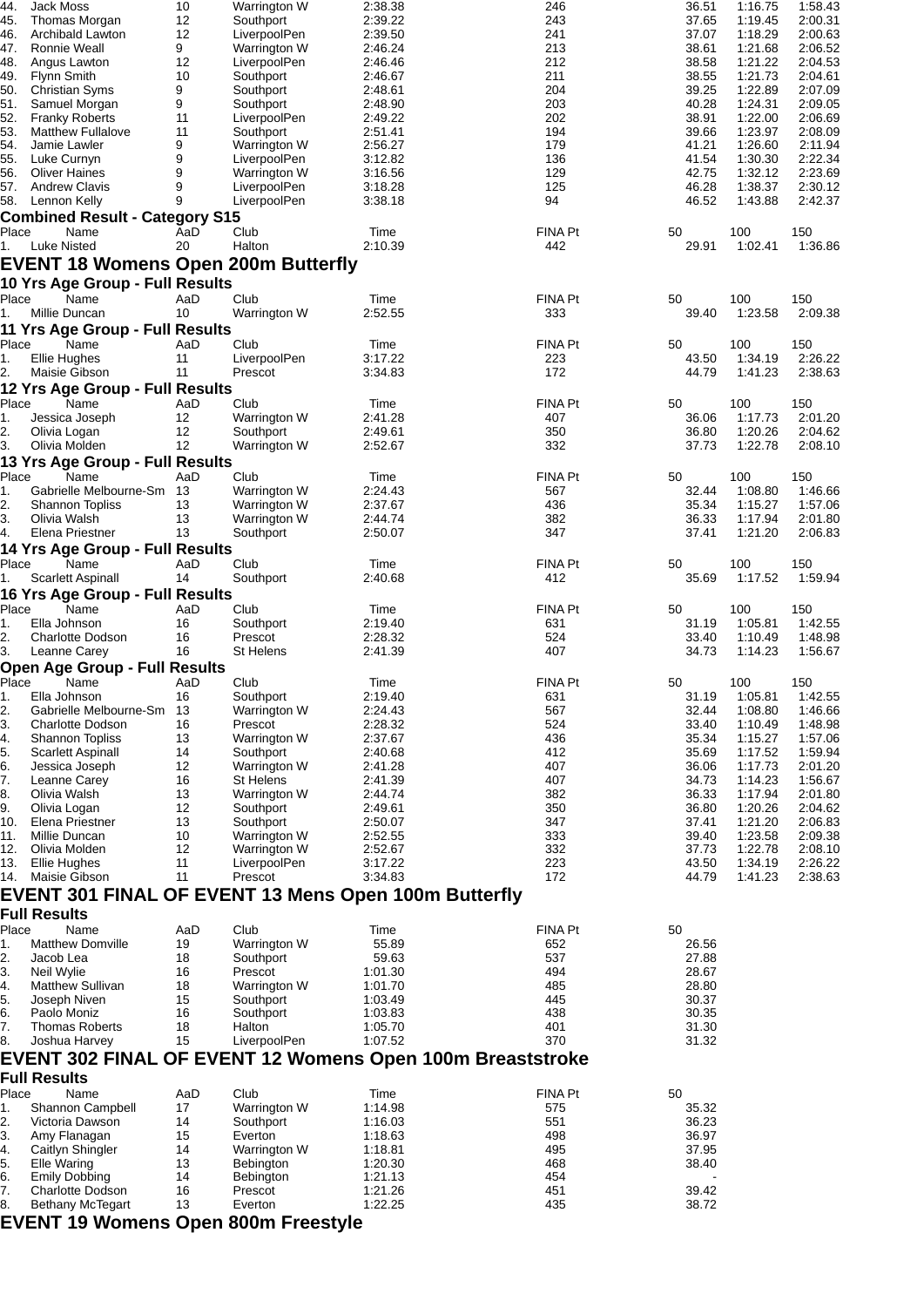| 44.        | Jack Moss                                                   | 10       | Warrington W                     | 2:38.38            | 246            | 36.51          | 1:16.75            | 1:58.43            |
|------------|-------------------------------------------------------------|----------|----------------------------------|--------------------|----------------|----------------|--------------------|--------------------|
| 45.        | Thomas Morgan                                               | 12       | Southport                        | 2:39.22            | 243            | 37.65          | 1:19.45            | 2:00.31            |
| 46.        | Archibald Lawton                                            | 12       | LiverpoolPen                     | 2:39.50            | 241            | 37.07          | 1:18.29            | 2:00.63            |
| 47.        | Ronnie Weall                                                | 9        | Warrington W                     | 2:46.24            | 213            | 38.61          | 1:21.68            | 2:06.52            |
| 48.        | Angus Lawton                                                | 12       | LiverpoolPen                     | 2:46.46            | 212            | 38.58          | 1:21.22            | 2:04.53            |
| 49.        | <b>Flynn Smith</b>                                          | 10       | Southport                        | 2:46.67            | 211            | 38.55          | 1:21.73            | 2:04.61            |
| 50.        | <b>Christian Syms</b>                                       | 9        | Southport                        | 2:48.61            | 204            | 39.25          | 1:22.89            | 2:07.09            |
| 51.        | Samuel Morgan                                               | 9        | Southport                        | 2:48.90            | 203            | 40.28          | 1:24.31            | 2:09.05            |
| 52.<br>53. | <b>Franky Roberts</b><br><b>Matthew Fullalove</b>           | 11<br>11 | LiverpoolPen                     | 2:49.22            | 202<br>194     | 38.91          | 1:22.00            | 2:06.69<br>2:08.09 |
| 54.        | Jamie Lawler                                                | 9        | Southport<br>Warrington W        | 2:51.41<br>2:56.27 | 179            | 39.66<br>41.21 | 1:23.97<br>1:26.60 | 2:11.94            |
| 55.        | Luke Curnyn                                                 | 9        | LiverpoolPen                     | 3:12.82            | 136            | 41.54          | 1:30.30            | 2:22.34            |
| 56.        | <b>Oliver Haines</b>                                        | 9        | Warrington W                     | 3:16.56            | 129            | 42.75          | 1:32.12            | 2:23.69            |
|            | 57. Andrew Clavis                                           | 9        | LiverpoolPen                     | 3:18.28            | 125            | 46.28          | 1:38.37            | 2:30.12            |
|            | 58. Lennon Kelly                                            | 9        | LiverpoolPen                     | 3:38.18            | 94             | 46.52          | 1:43.88            | 2:42.37            |
|            | <b>Combined Result - Category S15</b>                       |          |                                  |                    |                |                |                    |                    |
| Place      | Name                                                        | AaD      | Club                             | Time               | <b>FINA Pt</b> | 50             | 100                | 150                |
| 1.         | Luke Nisted                                                 | 20       | Halton                           | 2:10.39            | 442            | 29.91          | 1:02.41            | 1:36.86            |
|            |                                                             |          |                                  |                    |                |                |                    |                    |
|            | <b>EVENT 18 Womens Open 200m Butterfly</b>                  |          |                                  |                    |                |                |                    |                    |
|            | 10 Yrs Age Group - Full Results                             |          |                                  |                    |                |                |                    |                    |
| Place      | Name                                                        | AaD      | Club                             | Time               | FINA Pt        | 50             | 100                | 150                |
| 1.         | Millie Duncan                                               | 10       | Warrington W                     | 2:52.55            | 333            | 39.40          | 1:23.58            | 2:09.38            |
|            | 11 Yrs Age Group - Full Results                             |          |                                  |                    |                |                |                    |                    |
| Place      | Name                                                        | AaD      | Club                             | Time               | FINA Pt        | 50             | 100                | 150                |
| 1.         | Ellie Hughes                                                | 11       | LiverpoolPen                     | 3:17.22            | 223            | 43.50          | 1:34.19            | 2:26.22            |
| 2.         | Maisie Gibson                                               | 11       | Prescot                          | 3:34.83            | 172            | 44.79          | 1:41.23            | 2:38.63            |
|            | 12 Yrs Age Group - Full Results                             |          |                                  |                    |                |                |                    |                    |
| Place      | Name                                                        | AaD      | Club                             | Time               | FINA Pt        | 50             | 100                | 150                |
| 1.         | Jessica Joseph                                              | 12       | Warrington W                     | 2:41.28            | 407            | 36.06          | 1:17.73            | 2:01.20            |
| 2.         | Olivia Logan                                                | 12       | Southport                        | 2:49.61            | 350            | 36.80          | 1:20.26            | 2:04.62            |
| 3.         | Olivia Molden                                               | 12       | Warrington W                     | 2:52.67            | 332            | 37.73          | 1:22.78            | 2:08.10            |
|            | 13 Yrs Age Group - Full Results                             |          |                                  |                    |                |                |                    |                    |
| Place      | Name                                                        | AaD      | Club                             | Time               | <b>FINA Pt</b> | 50             | 100                | 150                |
| 1.         | Gabrielle Melbourne-Sm 13                                   |          | Warrington W                     | 2:24.43            | 567            | 32.44          | 1:08.80            | 1:46.66            |
| 2.         | Shannon Topliss                                             | 13       | Warrington W                     | 2:37.67            | 436            | 35.34          | 1:15.27            | 1:57.06            |
| 3.         | Olivia Walsh                                                | 13       | Warrington W                     | 2:44.74            | 382            | 36.33          | 1:17.94            | 2:01.80            |
| 4.         | Elena Priestner                                             | 13       | Southport                        | 2:50.07            | 347            | 37.41          | 1:21.20            | 2:06.83            |
|            | <b>14 Yrs Age Group - Full Results</b>                      |          |                                  |                    |                |                |                    |                    |
| Place      | Name                                                        | AaD      | Club                             | Time               | FINA Pt        | 50             | 100                | 150                |
| 1.         | Scarlett Aspinall                                           | 14       | Southport                        | 2:40.68            | 412            | 35.69          | 1:17.52            | 1:59.94            |
|            |                                                             |          |                                  |                    |                |                |                    |                    |
|            | 16 Yrs Age Group - Full Results                             |          |                                  |                    |                |                |                    |                    |
| Place      | Name                                                        | AaD      | Club                             | Time               | FINA Pt        | 50             | 100                | 150                |
| 1.         | Ella Johnson                                                | 16       | Southport                        | 2:19.40            | 631            | 31.19          | 1:05.81            | 1:42.55            |
| 2.         | <b>Charlotte Dodson</b>                                     | 16       | Prescot                          | 2:28.32            | 524            | 33.40          | 1:10.49            | 1:48.98            |
| 3.         | Leanne Carey                                                | 16       | St Helens                        | 2:41.39            | 407            | 34.73          | 1:14.23            | 1:56.67            |
|            | Open Age Group - Full Results                               |          |                                  |                    |                |                |                    |                    |
| Place      | Name                                                        | AaD      | Club                             | Time               | FINA Pt        | 50             | 100                | 150                |
| ι.         | Ella Johnson                                                | 16       | Southport                        | 2:19.40            | 631            | 31.19          | 1:05.81            | 1:42.55            |
| 2.         | Gabrielle Melbourne-Sm 13                                   |          | Warrington W                     | 2:24.43            | 567            | 32.44          | 1:08.80            | 1:46.66            |
| 3.         | <b>Charlotte Dodson</b>                                     | 16       | Prescot                          | 2:28.32            | 524            | 33.40          | 1:10.49            | 1:48.98            |
| 4.         | <b>Shannon Topliss</b>                                      | 13       | Warrington W                     | 2:37.67            | 436            | 35.34          | 1:15.27            | 1:57.06            |
| 5.         | Scarlett Aspinall                                           | 14       | Southport                        | 2:40.68            | 412            | 35.69          | 1:17.52            | 1:59.94            |
| 6.<br>7.   | Jessica Joseph                                              | 12       | Warrington W<br><b>St Helens</b> | 2:41.28<br>2:41.39 | 407<br>407     | 36.06<br>34.73 | 1:17.73            | 2:01.20            |
| 8.         | Leanne Carey<br>Olivia Walsh                                | 16<br>13 | Warrington W                     | 2:44.74            | 382            | 36.33          | 1:14.23<br>1:17.94 | 1:56.67<br>2:01.80 |
| 9.         | Olivia Logan                                                | 12       | Southport                        | 2:49.61            | 350            | 36.80          | 1:20.26            | 2:04.62            |
| 10.        | Elena Priestner                                             | 13       | Southport                        | 2:50.07            | 347            | 37.41          | 1:21.20            | 2:06.83            |
| 11.        | Millie Duncan                                               | 10       | Warrington W                     | 2:52.55            | 333            | 39.40          | 1:23.58            | 2:09.38            |
| 12.        | Olivia Molden                                               | 12       | Warrington W                     | 2:52.67            | 332            | 37.73          | 1:22.78            | 2:08.10            |
|            | 13. Ellie Hughes                                            | 11       | LiverpoolPen                     | 3:17.22            | 223            | 43.50          | 1:34.19            | 2:26.22            |
|            | 14. Maisie Gibson                                           | 11       | Prescot                          | 3:34.83            | 172            | 44.79          | 1:41.23            | 2:38.63            |
|            | <b>EVENT 301 FINAL OF EVENT 13 Mens Open 100m Butterfly</b> |          |                                  |                    |                |                |                    |                    |
|            |                                                             |          |                                  |                    |                |                |                    |                    |
|            | <b>Full Results</b>                                         |          |                                  |                    |                |                |                    |                    |
| Place      | Name                                                        | AaD      | Club                             | Time               | <b>FINA Pt</b> | 50             |                    |                    |
| 1.         | <b>Matthew Domville</b>                                     | 19       | Warrington W                     | 55.89              | 652            | 26.56          |                    |                    |
| 2.         | Jacob Lea                                                   | 18       | Southport                        | 59.63              | 537            | 27.88          |                    |                    |
| 3.         | Neil Wylie                                                  | 16       | Prescot                          | 1:01.30            | 494            | 28.67          |                    |                    |
| 4.         | <b>Matthew Sullivan</b>                                     | 18       | Warrington W                     | 1:01.70            | 485            | 28.80          |                    |                    |
| 5.         | Joseph Niven                                                | 15       | Southport                        | 1:03.49            | 445            | 30.37          |                    |                    |
| 6.         | Paolo Moniz                                                 | 16       | Southport                        | 1:03.83            | 438            | 30.35          |                    |                    |
| 7.         | <b>Thomas Roberts</b>                                       | 18       | Halton                           | 1:05.70            | 401            | 31.30          |                    |                    |
| 8.         | Joshua Harvey                                               | 15       | LiverpoolPen                     | 1:07.52            | 370            | 31.32          |                    |                    |
|            | EVENT 302 FINAL OF EVENT 12 Womens Open 100m Breaststroke   |          |                                  |                    |                |                |                    |                    |
|            | <b>Full Results</b>                                         |          |                                  |                    |                |                |                    |                    |
| Place      | Name                                                        | AaD      | Club                             | Time               | <b>FINA Pt</b> | 50             |                    |                    |
| 1.         | Shannon Campbell                                            | 17       | Warrington W                     | 1:14.98            | 575            | 35.32          |                    |                    |
| 2.         | Victoria Dawson                                             | 14       | Southport                        | 1:16.03            | 551            | 36.23          |                    |                    |
| 3.         | Amy Flanagan                                                | 15       | Everton                          | 1:18.63            | 498            | 36.97          |                    |                    |
| 4.         | Caitlyn Shingler                                            | 14       | Warrington W                     | 1:18.81            | 495            | 37.95          |                    |                    |
| 5.         | Elle Waring                                                 | 13       | Bebington                        | 1:20.30            | 468            | 38.40          |                    |                    |
| 6.         | <b>Emily Dobbing</b>                                        | 14       | Bebington                        | 1:21.13            | 454            |                |                    |                    |
| 7.         | <b>Charlotte Dodson</b>                                     | 16       | Prescot                          | 1:21.26            | 451            | 39.42          |                    |                    |
| 8.         | <b>Bethany McTegart</b>                                     | 13       | Everton                          | 1:22.25            | 435            | 38.72          |                    |                    |
|            | <b>EVENT 19 Womens Open 800m Freestyle</b>                  |          |                                  |                    |                |                |                    |                    |
|            |                                                             |          |                                  |                    |                |                |                    |                    |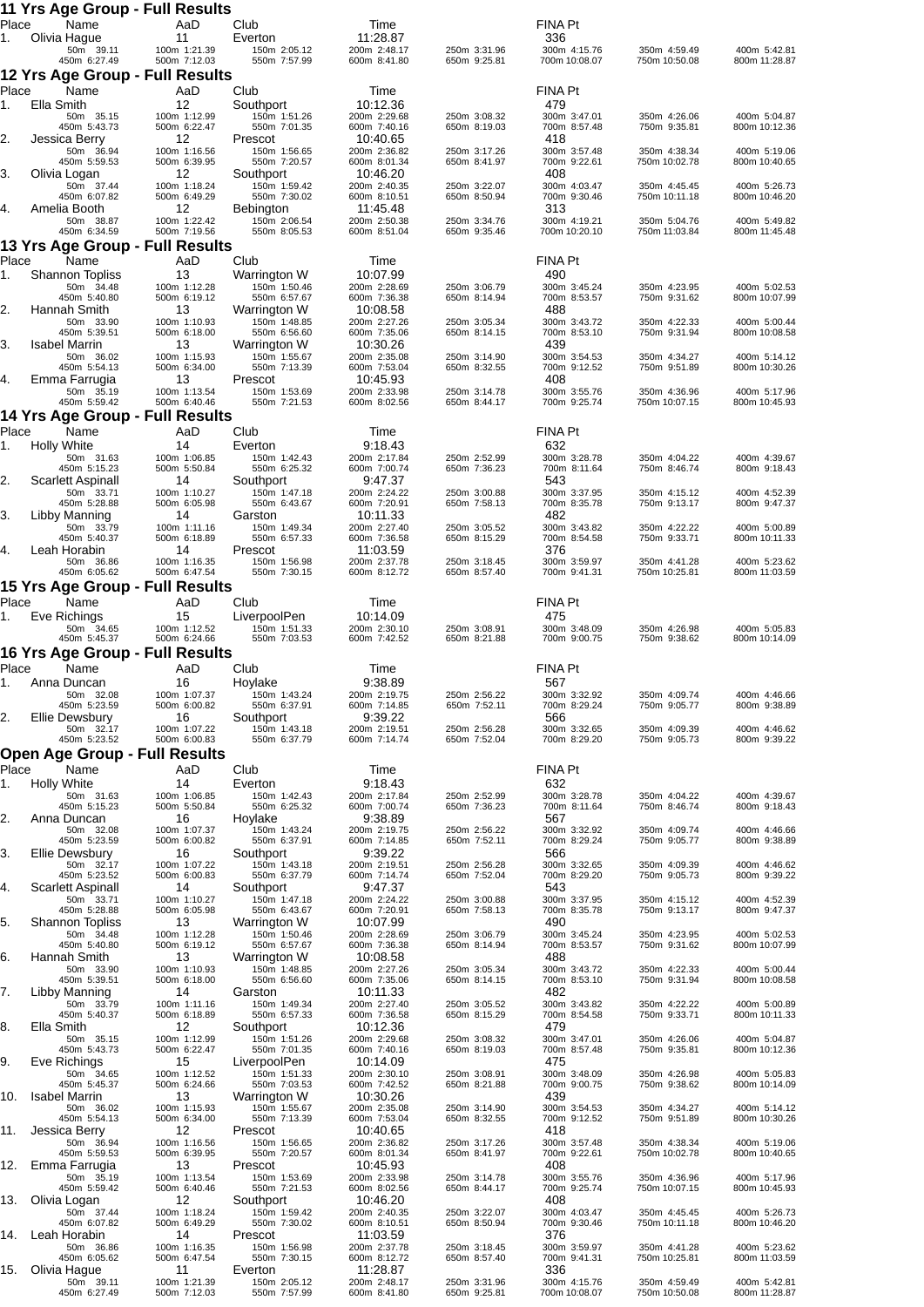|             | 11 Yrs Age Group - Full Results                      |                                    |                                           |                                          |                              |                                     |                               |                               |
|-------------|------------------------------------------------------|------------------------------------|-------------------------------------------|------------------------------------------|------------------------------|-------------------------------------|-------------------------------|-------------------------------|
| Place<br>1. | Name<br>Olivia Hague                                 | AaD<br>11                          | Club<br>Everton                           | Time<br>11:28.87                         |                              | <b>FINA Pt</b><br>336               |                               |                               |
|             | 50m 39.11<br>450m 6:27.49                            | 100m 1:21.39<br>500m 7:12.03       | 150m 2:05.12<br>550m 7:57.99              | 200m 2:48.17<br>600m 8:41.80             | 250m 3:31.96<br>650m 9:25.81 | 300m 4:15.76<br>700m 10:08.07       | 350m 4:59.49<br>750m 10:50.08 | 400m 5:42.81<br>800m 11:28.87 |
| Place       | 12 Yrs Age Group - Full Results<br>Name              | AaD                                | Club                                      | Time                                     |                              | <b>FINA Pt</b>                      |                               |                               |
| 1.          | Ella Smith<br>50m 35.15                              | 12<br>100m 1:12.99                 | Southport<br>150m 1:51.26                 | 10:12.36<br>200m 2:29.68                 | 250m 3:08.32                 | 479<br>300m 3:47.01                 | 350m 4:26.06                  | 400m 5:04.87                  |
| 2.          | 450m 5:43.73<br>Jessica Berry                        | 500m 6:22.47<br>12                 | 550m 7:01.35<br>Prescot                   | 600m 7:40.16<br>10:40.65                 | 650m 8:19.03                 | 700m 8:57.48<br>418                 | 750m 9:35.81                  | 800m 10:12.36                 |
|             | 50m 36.94<br>450m 5:59.53                            | 100m 1:16.56<br>500m 6:39.95       | 150m 1:56.65<br>550m 7:20.57              | 200m 2:36.82<br>600m 8:01.34             | 250m 3:17.26<br>650m 8:41.97 | 300m 3:57.48<br>700m 9:22.61        | 350m 4:38.34<br>750m 10:02.78 | 400m 5:19.06<br>800m 10:40.65 |
| 3.          | Olivia Logan<br>50m 37.44                            | 12<br>100m 1:18.24                 | Southport<br>150m 1:59.42                 | 10:46.20<br>200m 2:40.35                 | 250m 3:22.07                 | 408<br>300m 4:03.47                 | 350m 4:45.45                  | 400m 5:26.73                  |
| 4.          | 450m 6:07.82<br>Amelia Booth                         | 500m 6:49.29<br>12                 | 550m 7:30.02<br><b>Bebington</b>          | 600m 8:10.51<br>11:45.48                 | 650m 8:50.94                 | 700m 9:30.46<br>313                 | 750m 10:11.18                 | 800m 10:46.20                 |
|             | 50m 38.87<br>450m 6:34.59                            | 100m 1:22.42<br>500m 7:19.56       | 150m 2:06.54<br>550m 8:05.53              | 200m 2:50.38<br>600m 8:51.04             | 250m 3:34.76<br>650m 9:35.46 | 300m 4:19.21<br>700m 10:20.10       | 350m 5:04.76<br>750m 11:03.84 | 400m 5:49.82<br>800m 11:45.48 |
| Place       | 13 Yrs Age Group - Full Results<br>Name              | AaD                                | Club                                      | Time                                     |                              | <b>FINA Pt</b>                      |                               |                               |
| 1.          | <b>Shannon Topliss</b><br>50m 34.48                  | 13<br>100m 1:12.28                 | Warrington W<br>150m 1:50.46              | 10:07.99<br>200m 2:28.69                 | 250m 3:06.79                 | 490<br>300m 3:45.24                 | 350m 4:23.95                  | 400m 5:02.53                  |
| 2.          | 450m 5:40.80<br>Hannah Smith                         | 500m 6:19.12<br>13                 | 550m 6:57.67<br>Warrington W              | 600m 7:36.38<br>10:08.58                 | 650m 8:14.94                 | 700m 8:53.57<br>488                 | 750m 9:31.62                  | 800m 10:07.99                 |
|             | 50m 33.90<br>450m 5:39.51                            | 100m 1:10.93<br>500m 6:18.00       | 150m 1:48.85<br>550m 6:56.60              | 200m 2:27.26<br>600m 7:35.06             | 250m 3:05.34<br>650m 8:14.15 | 300m 3:43.72<br>700m 8:53.10        | 350m 4:22.33<br>750m 9:31.94  | 400m 5:00.44<br>800m 10:08.58 |
| 3.          | <b>Isabel Marrin</b><br>50m 36.02                    | 13<br>100m 1:15.93                 | Warrington W<br>150m 1:55.67              | 10:30.26<br>200m 2:35.08                 | 250m 3:14.90                 | 439<br>300m 3:54.53                 | 350m 4:34.27                  | 400m 5:14.12                  |
| 4.          | 450m 5:54.13<br>Emma Farrugia                        | 500m 6:34.00<br>13                 | 550m 7:13.39<br>Prescot                   | 600m 7:53.04<br>10:45.93                 | 650m 8:32.55                 | 700m 9:12.52<br>408                 | 750m 9:51.89                  | 800m 10:30.26                 |
|             | 50m 35.19<br>450m 5:59.42                            | 100m 1:13.54<br>500m 6:40.46       | 150m 1:53.69<br>550m 7:21.53              | 200m 2:33.98<br>600m 8:02.56             | 250m 3:14.78<br>650m 8:44.17 | 300m 3:55.76<br>700m 9:25.74        | 350m 4:36.96<br>750m 10:07.15 | 400m 5:17.96<br>800m 10:45.93 |
| Place       | 14 Yrs Age Group - Full Results<br>Name              | AaD                                | Club                                      | Time                                     |                              | <b>FINA Pt</b>                      |                               |                               |
| 1.          | <b>Holly White</b><br>50m 31.63                      | 14<br>100m 1:06.85                 | Everton<br>150m 1:42.43                   | 9:18.43<br>200m 2:17.84                  | 250m 2:52.99                 | 632<br>300m 3:28.78                 | 350m 4:04.22                  | 400m 4:39.67                  |
| 2.          | 450m 5:15.23<br><b>Scarlett Aspinall</b>             | 500m 5:50.84<br>14                 | 550m 6:25.32<br>Southport                 | 600m 7:00.74<br>9:47.37                  | 650m 7:36.23                 | 700m 8:11.64<br>543                 | 750m 8:46.74                  | 800m 9:18.43                  |
|             | 50m 33.71<br>450m 5:28.88                            | 100m 1:10.27<br>500m 6:05.98       | 150m 1:47.18<br>550m 6:43.67              | 200m 2:24.22<br>600m 7:20.91             | 250m 3:00.88<br>650m 7:58.13 | 300m 3:37.95<br>700m 8:35.78        | 350m 4:15.12<br>750m 9:13.17  | 400m 4:52.39<br>800m 9:47.37  |
| 3.          | Libby Manning<br>50m 33.79                           | 14<br>100m 1:11.16                 | Garston<br>150m 1:49.34                   | 10:11.33<br>200m 2:27.40                 | 250m 3:05.52                 | 482<br>300m 3:43.82                 | 350m 4:22.22                  | 400m 5:00.89                  |
| 4.          | 450m 5:40.37<br>Leah Horabin                         | 500m 6:18.89<br>14                 | 550m 6:57.33<br>Prescot                   | 600m 7:36.58<br>11:03.59                 | 650m 8:15.29                 | 700m 8:54.58<br>376                 | 750m 9:33.71                  | 800m 10:11.33                 |
|             | 50m 36.86<br>450m 6:05.62                            | 100m 1:16.35<br>500m 6:47.54       | 150m 1:56.98<br>550m 7:30.15              | 200m 2:37.78<br>600m 8:12.72             | 250m 3:18.45<br>650m 8:57.40 | 300m 3:59.97<br>700m 9:41.31        | 350m 4:41.28<br>750m 10:25.81 | 400m 5:23.62<br>800m 11:03.59 |
| Place       | 15 Yrs Age Group - Full Results<br>Name              | AaD                                | Club                                      | Time                                     |                              | <b>FINA Pt</b>                      |                               |                               |
| 1.          | Eve Richings<br>50m 34.65                            | 15<br>100m 1:12.52                 | LiverpoolPen<br>150m 1:51.33              | 10:14.09<br>200m 2:30.10                 | 250m 3:08.91                 | 475<br>300m 3:48.09                 | 350m 4:26.98                  | 400m 5:05.83                  |
|             | 450m 5:45.37<br>16 Yrs Age Group - Full Results      | 500m 6:24.66                       | 550m 7:03.53                              | 600m 7:42.52                             | 650m 8:21.88                 | 700m 9:00.75                        | 750m 9:38.62                  | 800m 10:14.09                 |
| Place<br>1. | Name<br>Anna Duncan                                  | AaD<br>16                          | Club<br>Hoylake                           | Time<br>9:38.89                          |                              | <b>FINA Pt</b><br>567               |                               |                               |
|             | 50m 32.08<br>450m 5:23.59                            | 100m 1:07.37<br>500m 6:00.82       | 150m 1:43.24<br>550m 6:37.91              | 200m 2:19.75<br>600m 7:14.85             | 250m 2:56.22<br>650m 7:52.11 | 300m 3:32.92<br>700m 8:29.24        | 350m 4:09.74<br>750m 9:05.77  | 400m 4:46.66<br>800m 9:38.89  |
| 2.          | Ellie Dewsbury<br>50m 32.17                          | 16<br>100m 1:07.22                 | Southport<br>150m 1:43.18                 | 9:39.22<br>200m 2:19.51                  | 250m 2:56.28                 | 566<br>300m 3:32.65                 | 350m 4:09.39                  | 400m 4:46.62                  |
|             | 450m 5:23.52<br><b>Open Age Group - Full Results</b> | 500m 6:00.83                       | 550m 6:37.79                              | 600m 7:14.74                             | 650m 7:52.04                 | 700m 8:29.20                        | 750m 9:05.73                  | 800m 9:39.22                  |
| Place       | Name                                                 | AaD                                | Club                                      | Time                                     |                              | FINA Pt                             |                               |                               |
| 1.          | Holly White<br>50m 31.63<br>450m 5:15.23             | 14<br>100m 1:06.85<br>500m 5:50.84 | Everton<br>150m 1:42.43<br>550m 6:25.32   | 9:18.43<br>200m 2:17.84<br>600m 7:00.74  | 250m 2:52.99<br>650m 7:36.23 | 632<br>300m 3:28.78<br>700m 8:11.64 | 350m 4:04.22<br>750m 8:46.74  | 400m 4:39.67<br>800m 9:18.43  |
| 2.          | Anna Duncan<br>50m 32.08                             | 16<br>100m 1:07.37                 | Hoylake<br>150m 1:43.24                   | 9:38.89<br>200m 2:19.75                  | 250m 2:56.22                 | 567<br>300m 3:32.92                 | 350m 4:09.74                  | 400m 4:46.66                  |
| 3.          | 450m 5:23.59<br>Ellie Dewsbury                       | 500m 6:00.82<br>16                 | 550m 6:37.91<br>Southport                 | 600m 7:14.85<br>9:39.22                  | 650m 7:52.11                 | 700m 8:29.24<br>566                 | 750m 9:05.77                  | 800m 9:38.89                  |
|             | 50m 32.17<br>450m 5:23.52                            | 100m 1:07.22<br>500m 6:00.83       | 150m 1:43.18<br>550m 6:37.79              | 200m 2:19.51<br>600m 7:14.74             | 250m 2:56.28<br>650m 7:52.04 | 300m 3:32.65<br>700m 8:29.20        | 350m 4:09.39<br>750m 9:05.73  | 400m 4:46.62<br>800m 9:39.22  |
| 4.          | Scarlett Aspinall<br>50m 33.71                       | 14<br>100m 1:10.27                 | Southport<br>150m 1:47.18                 | 9:47.37<br>200m 2:24.22                  | 250m 3:00.88                 | 543<br>300m 3:37.95                 | 350m 4:15.12                  | 400m 4:52.39                  |
| 5.          | 450m 5:28.88<br><b>Shannon Topliss</b>               | 500m 6:05.98<br>13                 | 550m 6:43.67<br>Warrington W              | 600m 7:20.91<br>10:07.99                 | 650m 7:58.13                 | 700m 8:35.78<br>490                 | 750m 9:13.17                  | 800m 9:47.37                  |
|             | 50m 34.48<br>450m 5:40.80                            | 100m 1:12.28<br>500m 6:19.12       | 150m 1:50.46<br>550m 6:57.67              | 200m 2:28.69<br>600m 7:36.38             | 250m 3:06.79<br>650m 8:14.94 | 300m 3:45.24<br>700m 8:53.57        | 350m 4:23.95<br>750m 9:31.62  | 400m 5:02.53<br>800m 10:07.99 |
| 6.          | Hannah Smith<br>50m 33.90                            | 13<br>100m 1:10.93                 | Warrington W<br>150m 1:48.85              | 10:08.58<br>200m 2:27.26                 | 250m 3:05.34                 | 488<br>300m 3:43.72                 | 350m 4:22.33                  | 400m 5:00.44                  |
| 7.          | 450m 5:39.51<br>Libby Manning<br>50m 33.79           | 500m 6:18.00<br>14<br>100m 1:11.16 | 550m 6:56.60<br>Garston<br>150m 1:49.34   | 600m 7:35.06<br>10:11.33<br>200m 2:27.40 | 650m 8:14.15                 | 700m 8:53.10<br>482<br>300m 3:43.82 | 750m 9:31.94<br>350m 4:22.22  | 800m 10:08.58<br>400m 5:00.89 |
| 8.          | 450m 5:40.37<br>Ella Smith                           | 500m 6:18.89<br>12                 | 550m 6:57.33<br>Southport                 | 600m 7:36.58<br>10:12.36                 | 250m 3:05.52<br>650m 8:15.29 | 700m 8:54.58<br>479                 | 750m 9:33.71                  | 800m 10:11.33                 |
|             | 50m 35.15<br>450m 5:43.73                            | 100m 1:12.99<br>500m 6:22.47       | 150m 1:51.26<br>550m 7:01.35              | 200m 2:29.68<br>600m 7:40.16             | 250m 3:08.32<br>650m 8:19.03 | 300m 3:47.01<br>700m 8:57.48        | 350m 4:26.06<br>750m 9:35.81  | 400m 5:04.87<br>800m 10:12.36 |
| 9.          | Eve Richings<br>50m 34.65                            | 15<br>100m 1:12.52                 | LiverpoolPen<br>150m 1:51.33              | 10:14.09<br>200m 2:30.10                 | 250m 3:08.91                 | 475<br>300m 3:48.09                 | 350m 4:26.98                  | 400m 5:05.83                  |
| 10.         | 450m 5:45.37<br><b>Isabel Marrin</b>                 | 500m 6:24.66<br>13                 | 550m 7:03.53<br>Warrington W              | 600m 7:42.52<br>10:30.26                 | 650m 8:21.88                 | 700m 9:00.75<br>439                 | 750m 9:38.62                  | 800m 10:14.09                 |
|             | 50m 36.02<br>450m 5:54.13                            | 100m 1:15.93<br>500m 6:34.00       | 150m 1:55.67<br>550m 7:13.39              | 200m 2:35.08<br>600m 7:53.04             | 250m 3:14.90<br>650m 8:32.55 | 300m 3:54.53<br>700m 9:12.52        | 350m 4:34.27<br>750m 9:51.89  | 400m 5:14.12<br>800m 10:30.26 |
| 11.         | Jessica Berry<br>50m 36.94                           | 12<br>100m 1:16.56                 | Prescot<br>150m 1:56.65                   | 10:40.65<br>200m 2:36.82                 | 250m 3:17.26                 | 418<br>300m 3:57.48                 | 350m 4:38.34                  | 400m 5:19.06                  |
| 12.         | 450m 5:59.53<br>Emma Farrugia                        | 500m 6:39.95<br>13                 | 550m 7:20.57<br>Prescot                   | 600m 8:01.34<br>10:45.93                 | 650m 8:41.97                 | 700m 9:22.61<br>408                 | 750m 10:02.78                 | 800m 10:40.65                 |
| 13.         | 50m 35.19<br>450m 5:59.42                            | 100m 1:13.54<br>500m 6:40.46<br>12 | 150m 1:53.69<br>550m 7:21.53              | 200m 2:33.98<br>600m 8:02.56             | 250m 3:14.78<br>650m 8:44.17 | 300m 3:55.76<br>700m 9:25.74<br>408 | 350m 4:36.96<br>750m 10:07.15 | 400m 5:17.96<br>800m 10:45.93 |
|             | Olivia Logan<br>50m 37.44<br>450m 6:07.82            | 100m 1:18.24<br>500m 6:49.29       | Southport<br>150m 1:59.42<br>550m 7:30.02 | 10:46.20<br>200m 2:40.35<br>600m 8:10.51 | 250m 3:22.07<br>650m 8:50.94 | 300m 4:03.47<br>700m 9:30.46        | 350m 4:45.45<br>750m 10:11.18 | 400m 5:26.73<br>800m 10:46.20 |
| 14.         | Leah Horabin<br>50m 36.86                            | 14<br>100m 1:16.35                 | Prescot<br>150m 1:56.98                   | 11:03.59<br>200m 2:37.78                 | 250m 3:18.45                 | 376<br>300m 3:59.97                 | 350m 4:41.28                  | 400m 5:23.62                  |
| 15.         | 450m 6:05.62<br>Olivia Hague                         | 500m 6:47.54<br>11                 | 550m 7:30.15<br>Everton                   | 600m 8:12.72<br>11:28.87                 | 650m 8:57.40                 | 700m 9:41.31<br>336                 | 750m 10:25.81                 | 800m 11:03.59                 |
|             | 50m 39.11<br>450m 6:27.49                            | 100m 1:21.39<br>500m 7:12.03       | 150m 2:05.12<br>550m 7:57.99              | 200m 2:48.17<br>600m 8:41.80             | 250m 3:31.96<br>650m 9:25.81 | 300m 4:15.76<br>700m 10:08.07       | 350m 4:59.49<br>750m 10:50.08 | 400m 5:42.81<br>800m 11:28.87 |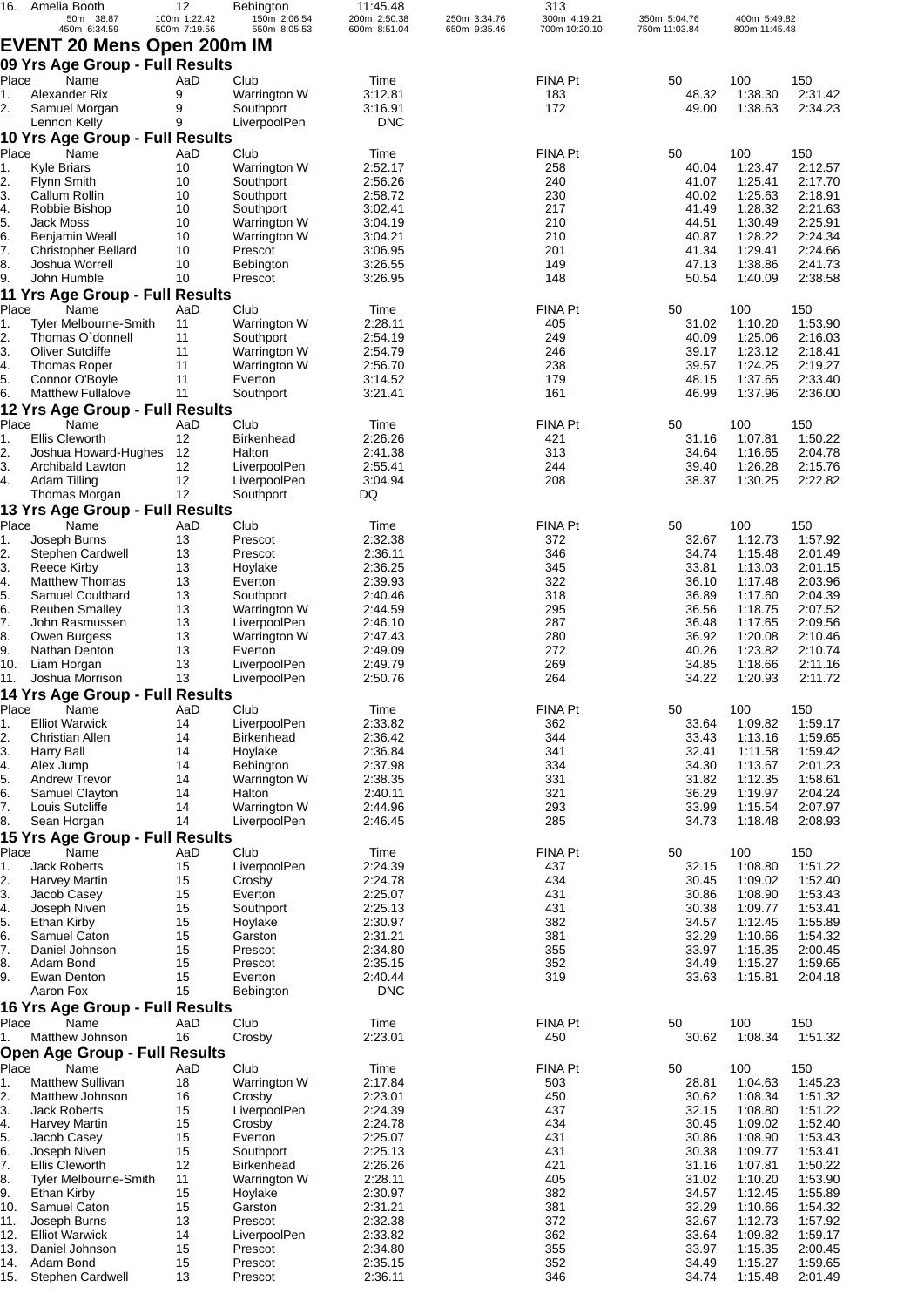| 16.        | Amelia Booth<br>50m 38.87                        | 12<br>100m 1:22.42 | Bebington<br>150m 2:06.54    | 11:45.48<br>200m 2:50.38 | 250m 3:34.76 | 313<br>300m 4:19.21 | 350m 5:04.76   | 400m 5:49.82       |                    |
|------------|--------------------------------------------------|--------------------|------------------------------|--------------------------|--------------|---------------------|----------------|--------------------|--------------------|
|            | 450m 6:34.59                                     | 500m 7:19.56       | 550m 8:05.53                 | 600m 8:51.04             | 650m 9:35.46 | 700m 10:20.10       | 750m 11:03.84  | 800m 11:45.48      |                    |
|            | <b>EVENT 20 Mens Open 200m IM</b>                |                    |                              |                          |              |                     |                |                    |                    |
|            | 09 Yrs Age Group - Full Results                  |                    |                              |                          |              |                     |                |                    |                    |
| Place      | Name                                             | AaD                | Club                         | Time                     |              | FINA Pt             | 50             | 100                | 150                |
| 1.         | Alexander Rix                                    | 9                  | Warrington W                 | 3:12.81                  |              | 183                 | 48.32          | 1:38.30            | 2:31.42            |
| 2.         | Samuel Morgan                                    | 9                  | Southport                    | 3:16.91                  |              | 172                 | 49.00          | 1:38.63            | 2:34.23            |
|            | Lennon Kelly                                     | 9                  | LiverpoolPen                 | <b>DNC</b>               |              |                     |                |                    |                    |
|            | 10 Yrs Age Group - Full Results                  |                    |                              |                          |              |                     |                |                    |                    |
| Place      | Name                                             | AaD                | Club                         | Time                     |              | FINA Pt             | 50             | 100                | 150                |
| 1.         | <b>Kyle Briars</b>                               | 10                 | Warrington W                 | 2:52.17                  |              | 258                 | 40.04          | 1:23.47            | 2:12.57            |
| 2.<br>3.   | Flynn Smith<br>Callum Rollin                     | 10<br>10           | Southport<br>Southport       | 2:56.26<br>2:58.72       |              | 240<br>230          | 41.07<br>40.02 | 1:25.41<br>1:25.63 | 2:17.70<br>2:18.91 |
| 4.         | Robbie Bishop                                    | 10                 | Southport                    | 3:02.41                  |              | 217                 | 41.49          | 1:28.32            | 2:21.63            |
| 5.         | Jack Moss                                        | 10                 | Warrington W                 | 3:04.19                  |              | 210                 | 44.51          | 1:30.49            | 2:25.91            |
| 6.         | Benjamin Weall                                   | 10                 | Warrington W                 | 3:04.21                  |              | 210                 | 40.87          | 1:28.22            | 2:24.34            |
| 7.         | <b>Christopher Bellard</b>                       | 10                 | Prescot                      | 3:06.95                  |              | 201                 | 41.34          | 1:29.41            | 2:24.66            |
| 8.         | Joshua Worrell                                   | 10                 | Bebington                    | 3:26.55                  |              | 149                 | 47.13          | 1:38.86            | 2:41.73            |
| 9.         | John Humble                                      | 10                 | Prescot                      | 3:26.95                  |              | 148                 | 50.54          | 1:40.09            | 2:38.58            |
|            | 11 Yrs Age Group - Full Results                  |                    |                              |                          |              |                     |                |                    |                    |
| Place      | Name                                             | AaD                | Club                         | Time                     |              | FINA Pt             | 50             | 100                | 150                |
| 1.<br>2.   | <b>Tyler Melbourne-Smith</b><br>Thomas O'donnell | 11<br>11           | Warrington W<br>Southport    | 2:28.11<br>2:54.19       |              | 405<br>249          | 31.02<br>40.09 | 1:10.20<br>1:25.06 | 1:53.90<br>2:16.03 |
| 3.         | <b>Oliver Sutcliffe</b>                          | 11                 | Warrington W                 | 2:54.79                  |              | 246                 | 39.17          | 1:23.12            | 2:18.41            |
| 4.         | <b>Thomas Roper</b>                              | 11                 | Warrington W                 | 2:56.70                  |              | 238                 | 39.57          | 1:24.25            | 2:19.27            |
| 5.         | Connor O'Boyle                                   | 11                 | Everton                      | 3:14.52                  |              | 179                 | 48.15          | 1:37.65            | 2:33.40            |
| 6.         | <b>Matthew Fullalove</b>                         | 11                 | Southport                    | 3:21.41                  |              | 161                 | 46.99          | 1:37.96            | 2:36.00            |
|            | 12 Yrs Age Group - Full Results                  |                    |                              |                          |              |                     |                |                    |                    |
| Place      | Name                                             | AaD                | Club                         | Time                     |              | FINA Pt             | 50             | 100                | 150                |
| 1.         | <b>Ellis Cleworth</b>                            | 12                 | <b>Birkenhead</b>            | 2:26.26                  |              | 421                 | 31.16          | 1:07.81            | 1:50.22            |
| 2.         | Joshua Howard-Hughes                             | 12                 | Halton                       | 2:41.38                  |              | 313                 | 34.64          | 1:16.65            | 2:04.78            |
| 3.         | Archibald Lawton                                 | 12                 | LiverpoolPen                 | 2:55.41                  |              | 244                 | 39.40          | 1:26.28            | 2:15.76            |
| 4.         | Adam Tilling<br>Thomas Morgan                    | 12<br>12           | LiverpoolPen<br>Southport    | 3:04.94<br>DQ            |              | 208                 | 38.37          | 1:30.25            | 2:22.82            |
|            | 13 Yrs Age Group - Full Results                  |                    |                              |                          |              |                     |                |                    |                    |
| Place      | Name                                             | AaD                | Club                         | Time                     |              | FINA Pt             | 50             | 100                | 150                |
| 1.         | Joseph Burns                                     | 13                 | Prescot                      | 2:32.38                  |              | 372                 | 32.67          | 1:12.73            | 1:57.92            |
| 2.         | Stephen Cardwell                                 | 13                 | Prescot                      | 2:36.11                  |              | 346                 | 34.74          | 1:15.48            | 2:01.49            |
| 3.         | Reece Kirby                                      | 13                 | Hoylake                      | 2:36.25                  |              | 345                 | 33.81          | 1:13.03            | 2:01.15            |
| 4.         | <b>Matthew Thomas</b>                            | 13                 | Everton                      | 2:39.93                  |              | 322                 | 36.10          | 1:17.48            | 2:03.96            |
| 5.         | Samuel Coulthard                                 | 13                 | Southport                    | 2:40.46                  |              | 318                 | 36.89          | 1:17.60            | 2:04.39            |
| 6.         | <b>Reuben Smalley</b>                            | 13                 | Warrington W                 | 2:44.59                  |              | 295                 | 36.56          | 1:18.75            | 2:07.52            |
| 7.<br>8.   | John Rasmussen<br>Owen Burgess                   | 13<br>13           | LiverpoolPen<br>Warrington W | 2:46.10<br>2:47.43       |              | 287<br>280          | 36.48<br>36.92 | 1:17.65<br>1:20.08 | 2:09.56<br>2:10.46 |
| 9.         | Nathan Denton                                    | 13                 | Everton                      | 2:49.09                  |              | 272                 | 40.26          | 1:23.82            | 2:10.74            |
| 10.        | Liam Horgan                                      | 13                 | LiverpoolPen                 | 2:49.79                  |              | 269                 | 34.85          | 1:18.66            | 2:11.16            |
| 11.        | Joshua Morrison                                  | 13                 | LiverpoolPen                 | 2:50.76                  |              | 264                 | 34.22          | 1:20.93            | 2:11.72            |
|            | 14 Yrs Age Group - Full Results                  |                    |                              |                          |              |                     |                |                    |                    |
| Place      | Name                                             | AaD                | Club                         | Time                     |              | FINA Pt             | 50             | 100                | 150                |
| 1.         | <b>Elliot Warwick</b>                            | 14                 | LiverpoolPen                 | 2:33.82                  |              | 362                 | 33.64          | 1:09.82            | 1:59.17            |
| 2.         | <b>Christian Allen</b>                           | 14                 | <b>Birkenhead</b>            | 2:36.42                  |              | 344                 | 33.43          | 1:13.16            | 1:59.65            |
| 3.         | Harry Ball                                       | 14                 | Hoylake                      | 2:36.84                  |              | 341                 | 32.41          | 1:11.58            | 1:59.42            |
| 4.         | Alex Jump                                        | 14<br>14           | Bebington<br>Warrington W    | 2:37.98<br>2:38.35       |              | 334<br>331          | 34.30<br>31.82 | 1:13.67            | 2:01.23<br>1:58.61 |
| 5.<br>6.   | <b>Andrew Trevor</b><br>Samuel Clayton           | 14                 | Halton                       | 2:40.11                  |              | 321                 | 36.29          | 1:12.35<br>1:19.97 | 2:04.24            |
| 7.         | Louis Sutcliffe                                  | 14                 | Warrington W                 | 2:44.96                  |              | 293                 | 33.99          | 1:15.54            | 2:07.97            |
| 8.         | Sean Horgan                                      | 14                 | LiverpoolPen                 | 2:46.45                  |              | 285                 | 34.73          | 1:18.48            | 2:08.93            |
|            | 15 Yrs Age Group - Full Results                  |                    |                              |                          |              |                     |                |                    |                    |
| Place      | Name                                             | AaD                | Club                         | Time                     |              | FINA Pt             | 50             | 100                | 150                |
| 1.         | <b>Jack Roberts</b>                              | 15                 | LiverpoolPen                 | 2:24.39                  |              | 437                 | 32.15          | 1:08.80            | 1:51.22            |
| 2.         | <b>Harvey Martin</b>                             | 15                 | Crosby                       | 2:24.78                  |              | 434                 | 30.45          | 1:09.02            | 1:52.40            |
| 3.         | Jacob Casey                                      | 15                 | Everton                      | 2:25.07                  |              | 431                 | 30.86          | 1:08.90            | 1:53.43            |
| 4.         | Joseph Niven                                     | 15<br>15           | Southport<br>Hoylake         | 2:25.13<br>2:30.97       |              | 431<br>382          | 30.38<br>34.57 | 1:09.77<br>1:12.45 | 1:53.41<br>1:55.89 |
| 5.<br>6.   | Ethan Kirby<br>Samuel Caton                      | 15                 | Garston                      | 2:31.21                  |              | 381                 | 32.29          | 1:10.66            | 1:54.32            |
| 7.         | Daniel Johnson                                   | 15                 | Prescot                      | 2:34.80                  |              | 355                 | 33.97          | 1:15.35            | 2:00.45            |
| 8.         | Adam Bond                                        | 15                 | Prescot                      | 2:35.15                  |              | 352                 | 34.49          | 1:15.27            | 1:59.65            |
| 9.         | Ewan Denton                                      | 15                 | Everton                      | 2:40.44                  |              | 319                 | 33.63          | 1:15.81            | 2:04.18            |
|            | Aaron Fox                                        | 15                 | Bebington                    | <b>DNC</b>               |              |                     |                |                    |                    |
|            | 16 Yrs Age Group - Full Results                  |                    |                              |                          |              |                     |                |                    |                    |
| Place      | Name                                             | AaD                | Club                         | Time                     |              | FINA Pt             | 50             | 100                | 150                |
| 1.         | Matthew Johnson                                  | 16                 | Crosby                       | 2:23.01                  |              | 450                 | 30.62          | 1:08.34            | 1:51.32            |
|            | <b>Open Age Group - Full Results</b>             |                    |                              |                          |              |                     |                |                    |                    |
| Place      | Name                                             | AaD                | Club                         | Time                     |              | FINA Pt             | 50             | 100                | 150                |
| 1.         | Matthew Sullivan                                 | 18                 | Warrington W                 | 2:17.84                  |              | 503                 | 28.81          | 1:04.63            | 1:45.23            |
| 2.<br>3.   | Matthew Johnson<br><b>Jack Roberts</b>           | 16<br>15           | Crosby<br>LiverpoolPen       | 2:23.01<br>2:24.39       |              | 450<br>437          | 30.62<br>32.15 | 1:08.34<br>1:08.80 | 1:51.32<br>1:51.22 |
| 4.         | <b>Harvey Martin</b>                             | 15                 | Crosby                       | 2:24.78                  |              | 434                 | 30.45          | 1:09.02            | 1:52.40            |
| 5.         | Jacob Casey                                      | 15                 | Everton                      | 2:25.07                  |              | 431                 | 30.86          | 1:08.90            | 1:53.43            |
| 6.         | Joseph Niven                                     | 15                 | Southport                    | 2:25.13                  |              | 431                 | 30.38          | 1:09.77            | 1:53.41            |
| 7.         | <b>Ellis Cleworth</b>                            | 12                 | <b>Birkenhead</b>            | 2:26.26                  |              | 421                 | 31.16          | 1:07.81            | 1:50.22            |
| 8.         | <b>Tyler Melbourne-Smith</b>                     | 11                 | Warrington W                 | 2:28.11                  |              | 405                 | 31.02          | 1:10.20            | 1:53.90            |
| 9.         | Ethan Kirby                                      | 15                 | Hoylake                      | 2:30.97                  |              | 382                 | 34.57          | 1:12.45            | 1:55.89            |
| 10.        | Samuel Caton                                     | 15                 | Garston                      | 2:31.21                  |              | 381                 | 32.29          | 1:10.66            | 1:54.32            |
| 11.<br>12. | Joseph Burns<br><b>Elliot Warwick</b>            | 13<br>14           | Prescot<br>LiverpoolPen      | 2:32.38<br>2:33.82       |              | 372<br>362          | 32.67<br>33.64 | 1:12.73<br>1:09.82 | 1:57.92<br>1:59.17 |
| 13.        | Daniel Johnson                                   | 15                 | Prescot                      | 2:34.80                  |              | 355                 | 33.97          | 1:15.35            | 2:00.45            |
| 14.        | Adam Bond                                        | 15                 | Prescot                      | 2:35.15                  |              | 352                 | 34.49          | 1:15.27            | 1:59.65            |
| 15.        | Stephen Cardwell                                 | 13                 | Prescot                      | 2:36.11                  |              | 346                 | 34.74          | 1:15.48            | 2:01.49            |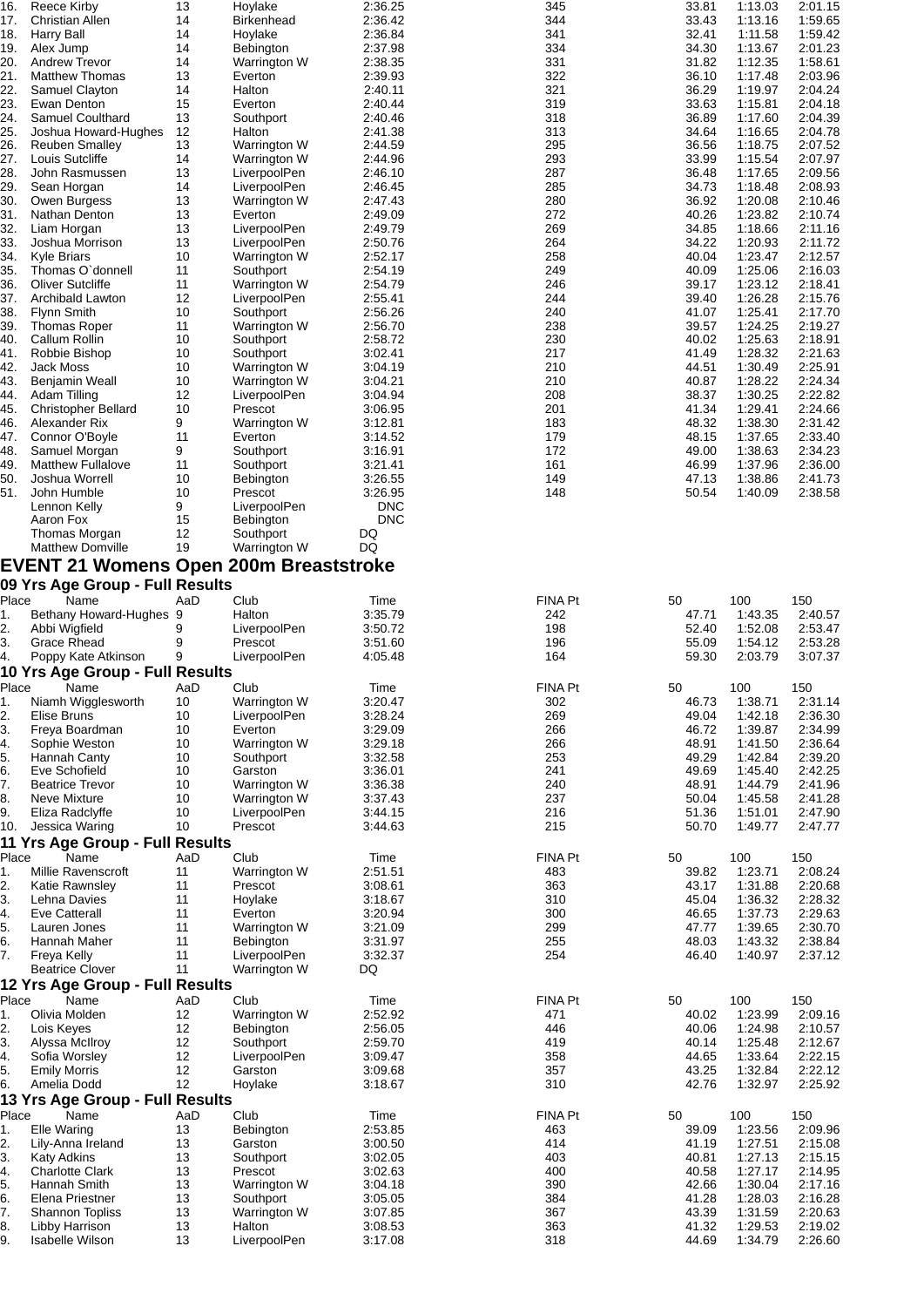| 16.      | Reece Kirby                                   | 13       | Hoylake           | 2:36.25    | 345        | 33.81 | 1:13.03 | 2:01.15 |
|----------|-----------------------------------------------|----------|-------------------|------------|------------|-------|---------|---------|
| 17.      | <b>Christian Allen</b>                        | 14       | <b>Birkenhead</b> | 2:36.42    | 344        | 33.43 | 1:13.16 | 1:59.65 |
| 18.      | Harry Ball                                    | 14       | Hoylake           | 2:36.84    | 341        | 32.41 | 1:11.58 | 1:59.42 |
| 19.      | Alex Jump                                     | 14       | Bebington         | 2:37.98    | 334        | 34.30 | 1:13.67 | 2:01.23 |
|          |                                               |          |                   |            |            |       |         |         |
| 20.      | <b>Andrew Trevor</b>                          | 14       | Warrington W      | 2:38.35    | 331        | 31.82 | 1:12.35 | 1:58.61 |
| 21.      | <b>Matthew Thomas</b>                         | 13       | Everton           | 2:39.93    | 322        | 36.10 | 1:17.48 | 2:03.96 |
| 22.      | Samuel Clayton                                | 14       | Halton            | 2:40.11    | 321        | 36.29 | 1:19.97 | 2:04.24 |
| 23.      | Ewan Denton                                   | 15       | Everton           | 2:40.44    | 319        | 33.63 | 1:15.81 | 2:04.18 |
| 24.      | Samuel Coulthard                              | 13       | Southport         | 2:40.46    | 318        | 36.89 | 1:17.60 | 2:04.39 |
| 25.      | Joshua Howard-Hughes                          | 12       | Halton            | 2:41.38    | 313        | 34.64 | 1:16.65 | 2:04.78 |
| 26.      | <b>Reuben Smalley</b>                         | 13       | Warrington W      | 2:44.59    | 295        | 36.56 | 1:18.75 | 2:07.52 |
| 27.      | Louis Sutcliffe                               | 14       | Warrington W      | 2:44.96    | 293        | 33.99 | 1:15.54 | 2:07.97 |
|          |                                               |          |                   |            |            |       |         |         |
| 28.      | John Rasmussen                                | 13       | LiverpoolPen      | 2:46.10    | 287        | 36.48 | 1:17.65 | 2:09.56 |
| 29.      | Sean Horgan                                   | 14       | LiverpoolPen      | 2:46.45    | 285        | 34.73 | 1:18.48 | 2:08.93 |
| 30.      | Owen Burgess                                  | 13       | Warrington W      | 2:47.43    | 280        | 36.92 | 1:20.08 | 2:10.46 |
| 31.      | Nathan Denton                                 | 13       | Everton           | 2:49.09    | 272        | 40.26 | 1:23.82 | 2:10.74 |
| 32.      | Liam Horgan                                   | 13       | LiverpoolPen      | 2:49.79    | 269        | 34.85 | 1:18.66 | 2:11.16 |
| 33.      | Joshua Morrison                               | 13       | LiverpoolPen      | 2:50.76    | 264        | 34.22 | 1:20.93 | 2:11.72 |
| 34.      | <b>Kyle Briars</b>                            | 10       | Warrington W      | 2:52.17    | 258        | 40.04 | 1:23.47 | 2:12.57 |
|          |                                               |          |                   |            |            |       |         |         |
| 35.      | Thomas O'donnell                              | 11       | Southport         | 2:54.19    | 249        | 40.09 | 1:25.06 | 2:16.03 |
| 36.      | Oliver Sutcliffe                              | 11       | Warrington W      | 2:54.79    | 246        | 39.17 | 1:23.12 | 2:18.41 |
| 37.      | Archibald Lawton                              | 12       | LiverpoolPen      | 2:55.41    | 244        | 39.40 | 1:26.28 | 2:15.76 |
| 38.      | <b>Flynn Smith</b>                            | 10       | Southport         | 2:56.26    | 240        | 41.07 | 1:25.41 | 2:17.70 |
| 39.      | <b>Thomas Roper</b>                           | 11       | Warrington W      | 2:56.70    | 238        | 39.57 | 1:24.25 | 2:19.27 |
| 40.      | Callum Rollin                                 | 10       | Southport         | 2:58.72    | 230        | 40.02 | 1:25.63 | 2:18.91 |
| 41.      | Robbie Bishop                                 | 10       | Southport         | 3:02.41    | 217        | 41.49 | 1:28.32 | 2:21.63 |
|          |                                               |          |                   |            |            |       |         |         |
| 42.      | Jack Moss                                     | 10       | Warrington W      | 3:04.19    | 210        | 44.51 | 1:30.49 | 2:25.91 |
| 43.      | Benjamin Weall                                | 10       | Warrington W      | 3:04.21    | 210        | 40.87 | 1:28.22 | 2:24.34 |
| 44.      | Adam Tilling                                  | 12       | LiverpoolPen      | 3:04.94    | 208        | 38.37 | 1:30.25 | 2:22.82 |
| 45.      | <b>Christopher Bellard</b>                    | 10       | Prescot           | 3:06.95    | 201        | 41.34 | 1:29.41 | 2:24.66 |
| 46.      | Alexander Rix                                 | 9        | Warrington W      | 3:12.81    | 183        | 48.32 | 1:38.30 | 2:31.42 |
| 47.      | Connor O'Boyle                                | 11       | Everton           | 3:14.52    | 179        | 48.15 | 1:37.65 | 2:33.40 |
| 48.      | Samuel Morgan                                 | 9        | Southport         | 3:16.91    | 172        | 49.00 | 1:38.63 | 2:34.23 |
|          |                                               |          |                   |            |            |       |         |         |
| 49.      | <b>Matthew Fullalove</b>                      | 11       | Southport         | 3:21.41    | 161        | 46.99 | 1:37.96 | 2:36.00 |
| 50.      | Joshua Worrell                                | 10       | Bebington         | 3:26.55    | 149        | 47.13 | 1:38.86 | 2:41.73 |
| 51.      | John Humble                                   | 10       | Prescot           | 3:26.95    | 148        | 50.54 | 1:40.09 | 2:38.58 |
|          | Lennon Kelly                                  | 9        | LiverpoolPen      | <b>DNC</b> |            |       |         |         |
|          | Aaron Fox                                     | 15       | <b>Bebington</b>  | <b>DNC</b> |            |       |         |         |
|          | Thomas Morgan                                 | 12       | Southport         | DQ         |            |       |         |         |
|          | <b>Matthew Domville</b>                       | 19       |                   | DQ         |            |       |         |         |
|          |                                               |          | Warrington W      |            |            |       |         |         |
|          | <b>EVENT 21 Womens Open 200m Breaststroke</b> |          |                   |            |            |       |         |         |
|          | 09 Yrs Age Group - Full Results               |          |                   |            |            |       |         |         |
|          |                                               |          |                   |            |            |       |         |         |
| Place    | Name                                          | AaD      | Club              | Time       | FINA Pt    | 50    | 100     | 150     |
| 1.       | Bethany Howard-Hughes 9                       |          | Halton            | 3:35.79    | 242        | 47.71 | 1:43.35 | 2:40.57 |
| 2.       | Abbi Wigfield                                 | 9        | LiverpoolPen      | 3:50.72    | 198        | 52.40 | 1:52.08 | 2:53.47 |
| 3.       | Grace Rhead                                   | 9        | Prescot           | 3:51.60    | 196        | 55.09 | 1:54.12 | 2:53.28 |
| 4.       | Poppy Kate Atkinson                           | 9        | LiverpoolPen      | 4:05.48    | 164        | 59.30 | 2:03.79 | 3:07.37 |
|          |                                               |          |                   |            |            |       |         |         |
|          | 10 Yrs Age Group - Full Results               |          |                   |            |            |       |         |         |
| Place    | Name                                          | AaD      | Club              | Time       | FINA Pt    | 50    | 100     | 150     |
| 1.       | Niamh Wigglesworth                            | 10       | Warrington W      | 3:20.47    | 302        | 46.73 | 1:38.71 | 2:31.14 |
| 2.       | Elise Bruns                                   | 10       | LiverpoolPen      | 3:28.24    | 269        | 49.04 | 1:42.18 | 2:36.30 |
| 3.       | Freya Boardman                                | 10       | Everton           | 3:29.09    | 266        | 46.72 | 1:39.87 | 2:34.99 |
|          |                                               |          |                   |            |            |       |         | 2:36.64 |
| 4.       | Sophie Weston                                 | 10       | Warrington W      | 3:29.18    | 266        | 48.91 | 1:41.50 |         |
| 5.       | Hannah Canty                                  | 10       | Southport         | 3:32.58    | 253        | 49.29 | 1:42.84 | 2:39.20 |
| 6.       | Eve Schofield                                 | 10       | Garston           | 3:36.01    | 241        | 49.69 | 1:45.40 | 2:42.25 |
| 7.       | <b>Beatrice Trevor</b>                        | 10       | Warrington W      | 3:36.38    | 240        | 48.91 | 1:44.79 | 2:41.96 |
| 8.       | Neve Mixture                                  | 10       | Warrington W      | 3:37.43    | 237        | 50.04 | 1:45.58 | 2:41.28 |
| 9.       | Eliza Radclyffe                               | 10       | LiverpoolPen      | 3:44.15    | 216        | 51.36 | 1:51.01 | 2:47.90 |
| 10.      | Jessica Waring                                | 10       | Prescot           | 3:44.63    | 215        | 50.70 | 1:49.77 | 2:47.77 |
|          |                                               |          |                   |            |            |       |         |         |
|          | 11 Yrs Age Group - Full Results               |          |                   |            |            |       |         |         |
| Place    | Name                                          | AaD      | Club              | Time       | FINA Pt    | 50    | 100     | 150     |
| 1.       | Millie Ravenscroft                            | 11       | Warrington W      | 2:51.51    | 483        | 39.82 | 1:23.71 | 2:08.24 |
| 2.       | Katie Rawnsley                                | 11       | Prescot           | 3:08.61    | 363        | 43.17 | 1:31.88 | 2:20.68 |
| 3.       | Lehna Davies                                  | 11       | Hoylake           | 3:18.67    | 310        | 45.04 | 1:36.32 | 2:28.32 |
| 4.       | <b>Eve Catterall</b>                          | 11       | Everton           | 3:20.94    | 300        | 46.65 | 1:37.73 | 2:29.63 |
|          |                                               |          |                   |            |            |       |         |         |
| 5.       | Lauren Jones                                  | 11       | Warrington W      | 3:21.09    | 299        | 47.77 | 1:39.65 | 2:30.70 |
| 6.       | Hannah Maher                                  | 11       | <b>Bebington</b>  | 3:31.97    | 255        | 48.03 | 1:43.32 | 2:38.84 |
| 7.       | Freya Kelly                                   | 11       | LiverpoolPen      | 3:32.37    | 254        | 46.40 | 1:40.97 | 2:37.12 |
|          | <b>Beatrice Clover</b>                        | 11       | Warrington W      | DQ         |            |       |         |         |
|          | 12 Yrs Age Group - Full Results               |          |                   |            |            |       |         |         |
| Place    | Name                                          | AaD      | Club              | Time       | FINA Pt    | 50    | 100     | 150     |
|          |                                               |          |                   |            |            |       |         |         |
| 1.       | Olivia Molden                                 | 12       | Warrington W      | 2:52.92    | 471        | 40.02 | 1:23.99 | 2:09.16 |
| 2.       | Lois Keyes                                    | 12       | Bebington         | 2:56.05    | 446        | 40.06 | 1:24.98 | 2:10.57 |
| З.       | Alyssa McIlroy                                | 12       | Southport         | 2:59.70    | 419        | 40.14 | 1:25.48 | 2:12.67 |
| 4.       | Sofia Worsley                                 | 12       | LiverpoolPen      | 3:09.47    | 358        | 44.65 | 1:33.64 | 2:22.15 |
| 5.       | <b>Emily Morris</b>                           | 12       | Garston           | 3:09.68    | 357        | 43.25 | 1:32.84 | 2:22.12 |
|          |                                               | 12       | Hoylake           | 3:18.67    | 310        | 42.76 | 1:32.97 | 2:25.92 |
|          |                                               |          |                   |            |            |       |         |         |
| 6.       | Amelia Dodd                                   |          |                   |            |            |       |         |         |
|          | <b>13 Yrs Age Group - Full Results</b>        |          |                   |            |            |       |         |         |
| Place    | Name                                          | AaD      | Club              | Time       | FINA Pt    | 50    | 100     | 150     |
| 1.       | Elle Waring                                   | 13       | Bebington         | 2:53.85    | 463        | 39.09 | 1:23.56 | 2:09.96 |
|          |                                               |          |                   |            |            |       |         |         |
| 2.       | Lily-Anna Ireland                             | 13       | Garston           | 3:00.50    | 414        | 41.19 | 1:27.51 | 2:15.08 |
| 3.       | <b>Katy Adkins</b>                            | 13       | Southport         | 3:02.05    | 403        | 40.81 | 1:27.13 | 2:15.15 |
| 4.       | <b>Charlotte Clark</b>                        | 13       | Prescot           | 3:02.63    | 400        | 40.58 | 1:27.17 | 2:14.95 |
|          | Hannah Smith                                  | 13       | Warrington W      | 3:04.18    | 390        | 42.66 | 1:30.04 | 2:17.16 |
| 5.<br>6. | Elena Priestner                               | 13       | Southport         | 3:05.05    | 384        | 41.28 | 1:28.03 | 2:16.28 |
| 7.       | <b>Shannon Topliss</b>                        | 13       | Warrington W      | 3:07.85    | 367        | 43.39 | 1:31.59 | 2:20.63 |
|          | Libby Harrison                                |          | Halton            | 3:08.53    |            | 41.32 | 1:29.53 | 2:19.02 |
| 8.<br>9. | <b>Isabelle Wilson</b>                        | 13<br>13 | LiverpoolPen      | 3:17.08    | 363<br>318 | 44.69 | 1:34.79 | 2:26.60 |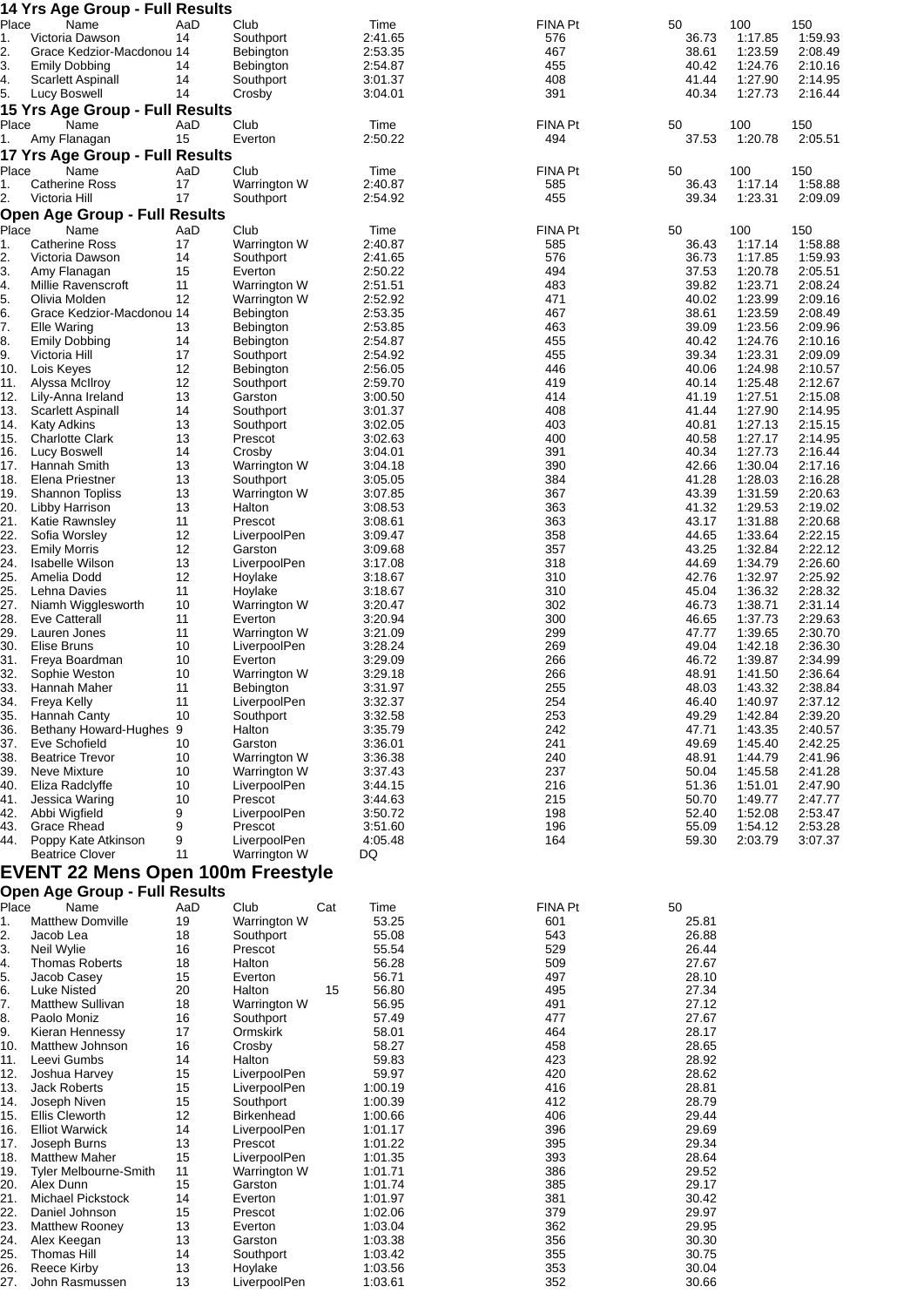|             | 14 Yrs Age Group - Full Results                |           |                           |     |                    |                |                |                    |                    |
|-------------|------------------------------------------------|-----------|---------------------------|-----|--------------------|----------------|----------------|--------------------|--------------------|
| Place<br>1. | Name<br>Victoria Dawson                        | AaD<br>14 | Club<br>Southport         |     | Time<br>2:41.65    | FINA Pt<br>576 | 50<br>36.73    | 100<br>1:17.85     | 150<br>1:59.93     |
| 2.          | Grace Kedzior-Macdonou 14                      |           | Bebington                 |     | 2:53.35            | 467            | 38.61          | 1:23.59            | 2:08.49            |
| 3.          | <b>Emily Dobbing</b>                           | 14        | Bebington                 |     | 2:54.87            | 455            | 40.42          | 1:24.76            | 2:10.16            |
| 4.          | Scarlett Aspinall                              | 14        | Southport                 |     | 3:01.37            | 408            | 41.44          | 1:27.90            | 2:14.95            |
| 5.          | Lucy Boswell                                   | 14        | Crosby                    |     | 3:04.01            | 391            | 40.34          | 1:27.73            | 2:16.44            |
| Place       | <b>15 Yrs Age Group - Full Results</b><br>Name | AaD       | Club                      |     | Time               | FINA Pt        | 50             | 100                | 150                |
| 1.          | Amy Flanagan                                   | 15        | Everton                   |     | 2:50.22            | 494            | 37.53          | 1:20.78            | 2:05.51            |
|             | 17 Yrs Age Group - Full Results                |           |                           |     |                    |                |                |                    |                    |
| Place       | Name                                           | AaD       | Club                      |     | Time               | FINA Pt        | 50             | 100                | 150                |
| 1.          | <b>Catherine Ross</b>                          | 17        | Warrington W              |     | 2:40.87            | 585            | 36.43          | 1:17.14            | 1:58.88            |
| 2.          | Victoria Hill                                  | 17        | Southport                 |     | 2:54.92            | 455            | 39.34          | 1:23.31            | 2:09.09            |
| Place       | <b>Open Age Group - Full Results</b><br>Name   | AaD       | Club                      |     | Time               | <b>FINA Pt</b> | 50             | 100                | 150                |
| 1.          | <b>Catherine Ross</b>                          | 17        | Warrington W              |     | 2:40.87            | 585            | 36.43          | 1:17.14            | 1:58.88            |
| 2.          | Victoria Dawson                                | 14        | Southport                 |     | 2:41.65            | 576            | 36.73          | 1:17.85            | 1:59.93            |
| З.          | Amy Flanagan                                   | 15        | Everton                   |     | 2:50.22            | 494            | 37.53          | 1:20.78            | 2:05.51            |
| 4.          | Millie Ravenscroft<br>Olivia Molden            | 11<br>12  | Warrington W              |     | 2:51.51<br>2:52.92 | 483<br>471     | 39.82<br>40.02 | 1:23.71<br>1:23.99 | 2:08.24<br>2:09.16 |
| 5.<br>6.    | Grace Kedzior-Macdonou 14                      |           | Warrington W<br>Bebington |     | 2:53.35            | 467            | 38.61          | 1:23.59            | 2:08.49            |
| 7.          | <b>Elle Waring</b>                             | 13        | Bebington                 |     | 2:53.85            | 463            | 39.09          | 1:23.56            | 2:09.96            |
| 8.          | <b>Emily Dobbing</b>                           | 14        | Bebington                 |     | 2:54.87            | 455            | 40.42          | 1:24.76            | 2:10.16            |
| 9.<br>10.   | Victoria Hill                                  | 17        | Southport                 |     | 2:54.92<br>2:56.05 | 455<br>446     | 39.34<br>40.06 | 1:23.31            | 2:09.09            |
| 11.         | Lois Keyes<br>Alyssa McIlroy                   | 12<br>12  | Bebington<br>Southport    |     | 2:59.70            | 419            | 40.14          | 1:24.98<br>1:25.48 | 2:10.57<br>2:12.67 |
| 12.         | Lily-Anna Ireland                              | 13        | Garston                   |     | 3:00.50            | 414            | 41.19          | 1:27.51            | 2:15.08            |
| 13.         | Scarlett Aspinall                              | 14        | Southport                 |     | 3:01.37            | 408            | 41.44          | 1:27.90            | 2:14.95            |
| 14.         | <b>Katy Adkins</b>                             | 13        | Southport                 |     | 3:02.05            | 403            | 40.81          | 1:27.13            | 2:15.15            |
| 15.<br>16.  | <b>Charlotte Clark</b><br>Lucy Boswell         | 13<br>14  | Prescot<br>Crosby         |     | 3:02.63<br>3:04.01 | 400<br>391     | 40.58<br>40.34 | 1:27.17<br>1:27.73 | 2:14.95<br>2:16.44 |
| 17.         | Hannah Smith                                   | 13        | Warrington W              |     | 3:04.18            | 390            | 42.66          | 1:30.04            | 2:17.16            |
| 18.         | Elena Priestner                                | 13        | Southport                 |     | 3:05.05            | 384            | 41.28          | 1:28.03            | 2:16.28            |
| 19.         | <b>Shannon Topliss</b>                         | 13        | Warrington W              |     | 3:07.85            | 367            | 43.39          | 1:31.59            | 2:20.63            |
| 20.<br>21.  | Libby Harrison<br>Katie Rawnsley               | 13<br>11  | Halton<br>Prescot         |     | 3:08.53<br>3:08.61 | 363<br>363     | 41.32<br>43.17 | 1:29.53<br>1:31.88 | 2:19.02<br>2:20.68 |
| 22.         | Sofia Worsley                                  | 12        | LiverpoolPen              |     | 3:09.47            | 358            | 44.65          | 1:33.64            | 2:22.15            |
| 23.         | <b>Emily Morris</b>                            | 12        | Garston                   |     | 3:09.68            | 357            | 43.25          | 1:32.84            | 2:22.12            |
| 24.         | <b>Isabelle Wilson</b>                         | 13        | LiverpoolPen              |     | 3:17.08            | 318            | 44.69          | 1:34.79            | 2:26.60            |
| 25.<br>25.  | Amelia Dodd<br>Lehna Davies                    | 12<br>11  | Hoylake<br>Hoylake        |     | 3:18.67<br>3:18.67 | 310<br>310     | 42.76<br>45.04 | 1:32.97<br>1:36.32 | 2:25.92<br>2:28.32 |
| 27.         | Niamh Wigglesworth                             | 10        | Warrington W              |     | 3:20.47            | 302            | 46.73          | 1:38.71            | 2:31.14            |
| 28.         | <b>Eve Catterall</b>                           | 11        | Everton                   |     | 3:20.94            | 300            | 46.65          | 1:37.73            | 2:29.63            |
| 29.         | Lauren Jones                                   | 11        | Warrington W              |     | 3:21.09            | 299            | 47.77          | 1:39.65            | 2:30.70            |
| 30.<br>31.  | Elise Bruns<br>Freya Boardman                  | 10<br>10  | LiverpoolPen<br>Everton   |     | 3:28.24<br>3:29.09 | 269<br>266     | 49.04<br>46.72 | 1:42.18<br>1:39.87 | 2:36.30<br>2:34.99 |
| 32.         | Sophie Weston                                  | 10        | Warrington W              |     | 3:29.18            | 266            | 48.91          | 1:41.50            | 2:36.64            |
| 33.         | Hannah Maher                                   | 11        | Bebington                 |     | 3:31.97            | 255            | 48.03          | 1:43.32            | 2:38.84            |
| 34.         | Freya Kelly                                    | 11        | LiverpoolPen              |     | 3:32.37            | 254            | 46.40          | 1:40.97            | 2:37.12            |
| 35.<br>36.  | Hannah Canty<br>Bethany Howard-Hughes 9        | 10        | Southport<br>Halton       |     | 3:32.58<br>3:35.79 | 253<br>242     | 49.29<br>47.71 | 1:42.84<br>1:43.35 | 2:39.20<br>2:40.57 |
| 37.         | Eve Schofield                                  | 10        | Garston                   |     | 3:36.01            | 241            | 49.69          | 1:45.40            | 2:42.25            |
| 38.         | <b>Beatrice Trevor</b>                         | 10        | Warrington W              |     | 3:36.38            | 240            | 48.91          | 1:44.79            | 2:41.96            |
| 39.         | Neve Mixture                                   | 10        | Warrington W              |     | 3:37.43            | 237            | 50.04          | 1:45.58            | 2:41.28            |
| 40.<br>41.  | Eliza Radclyffe<br>Jessica Waring              | 10<br>10  | LiverpoolPen<br>Prescot   |     | 3:44.15<br>3:44.63 | 216<br>215     | 51.36<br>50.70 | 1:51.01<br>1:49.77 | 2:47.90<br>2:47.77 |
| 42.         | Abbi Wigfield                                  | 9         | LiverpoolPen              |     | 3:50.72            | 198            | 52.40          | 1:52.08            | 2:53.47            |
| 43.         | <b>Grace Rhead</b>                             | 9         | Prescot                   |     | 3:51.60            | 196            | 55.09          | 1:54.12            | 2:53.28            |
| 44.         | Poppy Kate Atkinson                            | 9         | LiverpoolPen              |     | 4:05.48            | 164            | 59.30          | 2:03.79            | 3:07.37            |
|             | <b>Beatrice Clover</b>                         | 11        | Warrington W              |     | DQ                 |                |                |                    |                    |
|             | <b>EVENT 22 Mens Open 100m Freestyle</b>       |           |                           |     |                    |                |                |                    |                    |
|             | <b>Open Age Group - Full Results</b>           |           |                           |     |                    |                |                |                    |                    |
| Place       | Name                                           | AaD       | Club                      | Cat | Time<br>53.25      | FINA Pt        | 50             |                    |                    |
| 1.<br>2.    | <b>Matthew Domville</b><br>Jacob Lea           | 19<br>18  | Warrington W<br>Southport |     | 55.08              | 601<br>543     | 25.81<br>26.88 |                    |                    |
| 3.          | Neil Wylie                                     | 16        | Prescot                   |     | 55.54              | 529            | 26.44          |                    |                    |
| 4.          | <b>Thomas Roberts</b>                          | 18        | Halton                    |     | 56.28              | 509            | 27.67          |                    |                    |
| 5.          | Jacob Casey                                    | 15        | Everton                   |     | 56.71              | 497            | 28.10          |                    |                    |
| 6.<br>7.    | <b>Luke Nisted</b><br><b>Matthew Sullivan</b>  | 20<br>18  | Halton<br>Warrington W    | 15  | 56.80<br>56.95     | 495<br>491     | 27.34<br>27.12 |                    |                    |
| 8.          | Paolo Moniz                                    | 16        | Southport                 |     | 57.49              | 477            | 27.67          |                    |                    |
| 9.          | Kieran Hennessy                                | 17        | Ormskirk                  |     | 58.01              | 464            | 28.17          |                    |                    |
| 10.         | Matthew Johnson                                | 16        | Crosby                    |     | 58.27              | 458            | 28.65          |                    |                    |
| 11.<br>12.  | Leevi Gumbs<br>Joshua Harvey                   | 14<br>15  | Halton<br>LiverpoolPen    |     | 59.83<br>59.97     | 423<br>420     | 28.92<br>28.62 |                    |                    |
| 13.         | <b>Jack Roberts</b>                            | 15        | LiverpoolPen              |     | 1:00.19            | 416            | 28.81          |                    |                    |
| 14.         | Joseph Niven                                   | 15        | Southport                 |     | 1:00.39            | 412            | 28.79          |                    |                    |
| 15.         | Ellis Cleworth                                 | 12        | <b>Birkenhead</b>         |     | 1:00.66            | 406            | 29.44          |                    |                    |
| 16.<br>17.  | <b>Elliot Warwick</b><br>Joseph Burns          | 14<br>13  | LiverpoolPen<br>Prescot   |     | 1:01.17<br>1:01.22 | 396<br>395     | 29.69<br>29.34 |                    |                    |
| 18.         | <b>Matthew Maher</b>                           | 15        | LiverpoolPen              |     | 1:01.35            | 393            | 28.64          |                    |                    |
| 19.         | <b>Tyler Melbourne-Smith</b>                   | 11        | Warrington W              |     | 1:01.71            | 386            | 29.52          |                    |                    |
| 20.         | Alex Dunn                                      | 15        | Garston                   |     | 1:01.74            | 385            | 29.17          |                    |                    |
| 21.<br>22.  | Michael Pickstock<br>Daniel Johnson            | 14<br>15  | Everton<br>Prescot        |     | 1:01.97<br>1:02.06 | 381<br>379     | 30.42<br>29.97 |                    |                    |
| 23.         | <b>Matthew Rooney</b>                          | 13        | Everton                   |     | 1:03.04            | 362            | 29.95          |                    |                    |
| 24.         | Alex Keegan                                    | 13        | Garston                   |     | 1:03.38            | 356            | 30.30          |                    |                    |
| 25.         | <b>Thomas Hill</b>                             | 14        | Southport                 |     | 1:03.42            | 355            | 30.75          |                    |                    |
| 26.<br>27.  | <b>Reece Kirby</b><br>John Rasmussen           | 13<br>13  | Hoylake<br>LiverpoolPen   |     | 1:03.56<br>1:03.61 | 353<br>352     | 30.04<br>30.66 |                    |                    |
|             |                                                |           |                           |     |                    |                |                |                    |                    |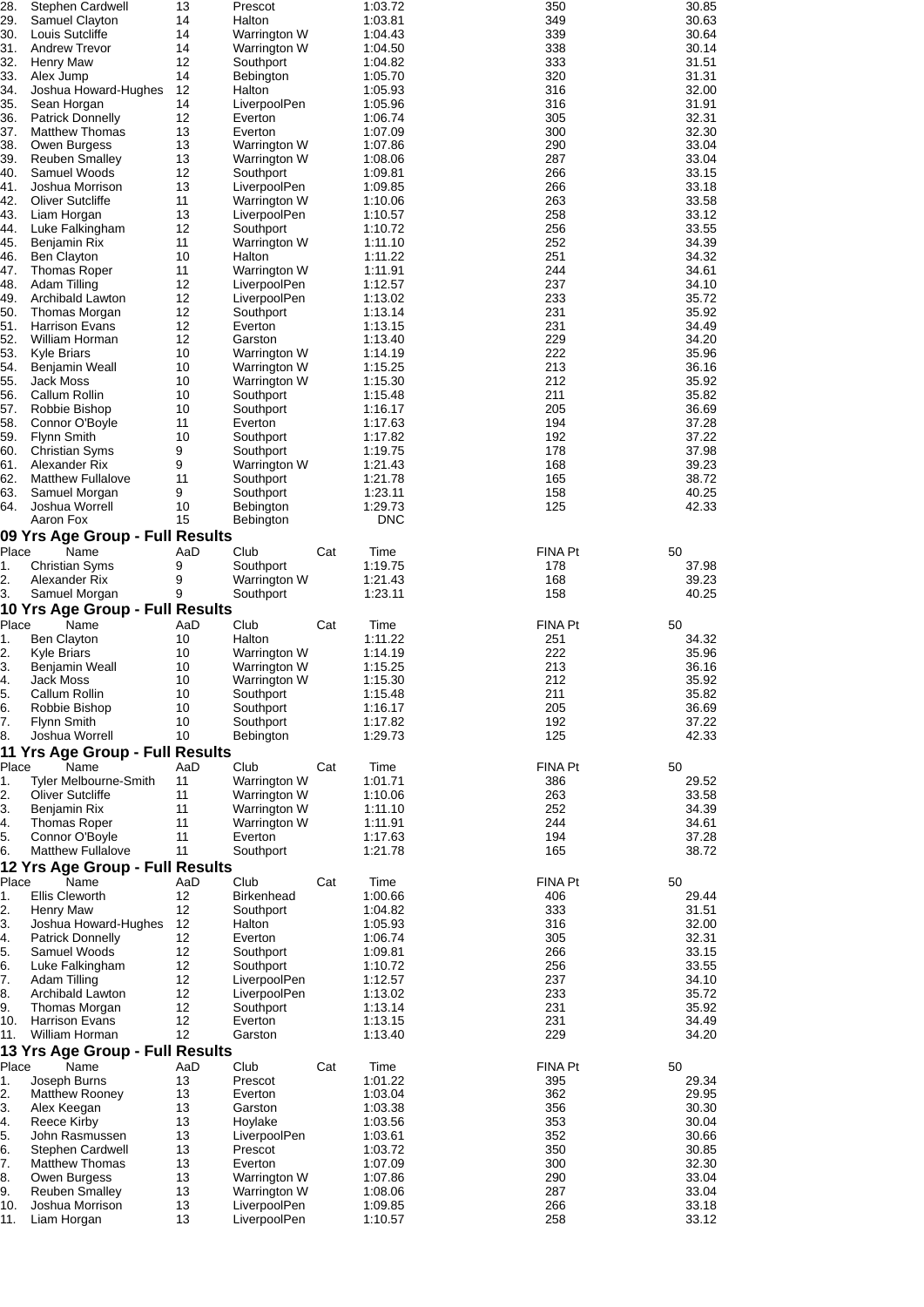| 28.                        | Stephen Cardwell                           | 13        | Prescot                      |     | 1:03.72               | 350                   | 30.85          |
|----------------------------|--------------------------------------------|-----------|------------------------------|-----|-----------------------|-----------------------|----------------|
| 29.<br>30.                 | Samuel Clayton<br>Louis Sutcliffe          | 14<br>14  | Halton<br>Warrington W       |     | 1:03.81<br>1:04.43    | 349<br>339            | 30.63<br>30.64 |
| 31.                        | <b>Andrew Trevor</b>                       | 14        | Warrington W                 |     | 1:04.50               | 338                   | 30.14          |
| 32.                        | <b>Henry Maw</b>                           | 12        | Southport                    |     | 1:04.82               | 333                   | 31.51          |
| 33.<br>34.                 | Alex Jump<br>Joshua Howard-Hughes          | 14<br>12  | Bebington<br>Halton          |     | 1:05.70<br>1:05.93    | 320<br>316            | 31.31<br>32.00 |
| 35.                        | Sean Horgan                                | 14        | LiverpoolPen                 |     | 1:05.96               | 316                   | 31.91          |
| 36.                        | <b>Patrick Donnelly</b>                    | 12        | Everton                      |     | 1:06.74               | 305                   | 32.31          |
| 37.<br>38.                 | <b>Matthew Thomas</b><br>Owen Burgess      | 13<br>13  | Everton<br>Warrington W      |     | 1:07.09<br>1:07.86    | 300<br>290            | 32.30<br>33.04 |
| 39.                        | <b>Reuben Smalley</b>                      | 13        | Warrington W                 |     | 1:08.06               | 287                   | 33.04          |
| 40.                        | Samuel Woods                               | 12        | Southport                    |     | 1:09.81               | 266                   | 33.15          |
| 41.<br>42.                 | Joshua Morrison<br><b>Oliver Sutcliffe</b> | 13<br>11  | LiverpoolPen<br>Warrington W |     | 1:09.85<br>1:10.06    | 266<br>263            | 33.18<br>33.58 |
| 43.                        | Liam Horgan                                | 13        | LiverpoolPen                 |     | 1:10.57               | 258                   | 33.12          |
| 44.                        | Luke Falkingham                            | 12        | Southport                    |     | 1:10.72               | 256                   | 33.55          |
| 45.<br>46.                 | Benjamin Rix<br><b>Ben Clayton</b>         | 11<br>10  | Warrington W<br>Halton       |     | 1:11.10<br>1:11.22    | 252<br>251            | 34.39<br>34.32 |
| 47.                        | Thomas Roper                               | 11        | Warrington W                 |     | 1:11.91               | 244                   | 34.61          |
| 48.                        | Adam Tilling                               | 12        | LiverpoolPen                 |     | 1:12.57               | 237                   | 34.10          |
| 49.                        | Archibald Lawton                           | 12        | LiverpoolPen                 |     | 1:13.02               | 233                   | 35.72          |
| 50.<br>51.                 | Thomas Morgan<br><b>Harrison Evans</b>     | 12<br>12  | Southport<br>Everton         |     | 1:13.14<br>1:13.15    | 231<br>231            | 35.92<br>34.49 |
| 52.                        | William Horman                             | 12        | Garston                      |     | 1:13.40               | 229                   | 34.20          |
| 53.                        | <b>Kyle Briars</b>                         | 10        | Warrington W                 |     | 1:14.19               | 222                   | 35.96          |
| 54.<br>55.                 | <b>Benjamin Weall</b><br><b>Jack Moss</b>  | 10<br>10  | Warrington W<br>Warrington W |     | 1:15.25<br>1:15.30    | 213<br>212            | 36.16<br>35.92 |
| 56.                        | Callum Rollin                              | 10        | Southport                    |     | 1:15.48               | 211                   | 35.82          |
| 57.                        | Robbie Bishop                              | 10        | Southport                    |     | 1:16.17               | 205                   | 36.69          |
| 58.                        | Connor O'Boyle                             | 11        | Everton                      |     | 1:17.63               | 194                   | 37.28          |
| 59.<br>60.                 | <b>Flynn Smith</b>                         | 10<br>9   | Southport                    |     | 1:17.82               | 192<br>178            | 37.22<br>37.98 |
| 61.                        | <b>Christian Syms</b><br>Alexander Rix     | 9         | Southport<br>Warrington W    |     | 1:19.75<br>1:21.43    | 168                   | 39.23          |
| 62.                        | <b>Matthew Fullalove</b>                   | 11        | Southport                    |     | 1:21.78               | 165                   | 38.72          |
| 63.                        | Samuel Morgan                              | 9         | Southport                    |     | 1:23.11               | 158                   | 40.25          |
| 64.                        | Joshua Worrell<br>Aaron Fox                | 10<br>15  | Bebington<br>Bebington       |     | 1:29.73<br><b>DNC</b> | 125                   | 42.33          |
|                            | 09 Yrs Age Group - Full Results            |           |                              |     |                       |                       |                |
| Place                      | Name                                       | AaD       | Club                         | Cat | Time                  | <b>FINA Pt</b>        | 50             |
| 1.                         | <b>Christian Syms</b>                      | 9         | Southport                    |     | 1:19.75               | 178                   | 37.98          |
| 2.                         | Alexander Rix<br>Samuel Morgan             | 9<br>9    | Warrington W<br>Southport    |     | 1:21.43               | 168<br>158            | 39.23<br>40.25 |
|                            |                                            |           |                              |     |                       |                       |                |
| 3.                         |                                            |           |                              |     | 1:23.11               |                       |                |
| Place                      | 10 Yrs Age Group - Full Results<br>Name    | AaD       | Club                         | Cat | Time                  | <b>FINA Pt</b>        | 50             |
| 1.                         | Ben Clayton                                | 10        | Halton                       |     | 1:11.22               | 251                   | 34.32          |
| 2.                         | <b>Kyle Briars</b>                         | 10        | Warrington W                 |     | 1:14.19               | 222                   | 35.96          |
| 3.                         | Benjamin Weall                             | 10        | Warrington W                 |     | 1:15.25               | 213                   | 36.16          |
| 4.<br>5.                   | Jack Moss<br>Callum Rollin                 | 10<br>10  | Warrington W<br>Southport    |     | 1:15.30<br>1:15.48    | 212<br>211            | 35.92<br>35.82 |
| 6.                         | Robbie Bishop                              | 10        | Southport                    |     | 1:16.17               | 205                   | 36.69          |
|                            | <b>Flynn Smith</b>                         | 10        | Southport                    |     | 1:17.82               | 192                   | 37.22          |
| 7.<br>8.                   | Joshua Worrell                             | 10        | Bebington                    |     | 1:29.73               | 125                   | 42.33          |
| Place                      | 11 Yrs Age Group - Full Results<br>Name    | AaD       | Club                         | Cat | Time                  | <b>FINA Pt</b>        | 50             |
|                            | <b>Tyler Melbourne-Smith</b>               | 11        | Warrington W                 |     | 1:01.71               | 386                   | 29.52          |
|                            | <b>Oliver Sutcliffe</b>                    | 11        | Warrington W                 |     | 1:10.06               | 263                   | 33.58          |
|                            | Benjamin Rix                               | 11<br>11  | Warrington W                 |     | 1:11.10               | 252<br>244            | 34.39          |
| 1.<br>2.<br>3.<br>4.<br>5. | Thomas Roper<br>Connor O'Boyle             | 11        | Warrington W<br>Everton      |     | 1:11.91<br>1:17.63    | 194                   | 34.61<br>37.28 |
| 6.                         | <b>Matthew Fullalove</b>                   | 11        | Southport                    |     | 1:21.78               | 165                   | 38.72          |
|                            | 12 Yrs Age Group - Full Results            |           |                              |     |                       |                       |                |
| Place                      | Name                                       | AaD<br>12 | Club                         | Cat | Time                  | <b>FINA Pt</b><br>406 | 50             |
| 1.<br>2.                   | <b>Ellis Cleworth</b><br><b>Henry Maw</b>  | 12        | Birkenhead<br>Southport      |     | 1:00.66<br>1:04.82    | 333                   | 29.44<br>31.51 |
| 3.                         | Joshua Howard-Hughes                       | 12        | Halton                       |     | 1:05.93               | 316                   | 32.00          |
| 4.                         | <b>Patrick Donnelly</b>                    | 12        | Everton                      |     | 1:06.74               | 305                   | 32.31          |
| 5.                         | Samuel Woods                               | 12        | Southport                    |     | 1:09.81               | 266                   | 33.15          |
| 6.<br>7.                   | Luke Falkingham<br>Adam Tilling            | 12<br>12  | Southport<br>LiverpoolPen    |     | 1:10.72<br>1:12.57    | 256<br>237            | 33.55<br>34.10 |
|                            | Archibald Lawton                           | 12        | LiverpoolPen                 |     | 1:13.02               | 233                   | 35.72          |
|                            | Thomas Morgan                              | 12        | Southport                    |     | 1:13.14               | 231                   | 35.92          |
| 8.<br>9.<br>10.<br>11.     | <b>Harrison Evans</b><br>William Horman    | 12<br>12  | Everton<br>Garston           |     | 1:13.15<br>1:13.40    | 231<br>229            | 34.49<br>34.20 |
|                            | 13 Yrs Age Group - Full Results            |           |                              |     |                       |                       |                |
| Place                      | Name                                       | AaD       | Club                         | Cat | Time                  | <b>FINA Pt</b>        | 50             |
| 1.                         | Joseph Burns                               | 13        | Prescot                      |     | 1:01.22               | 395                   | 29.34          |
| 2.<br>3.                   | <b>Matthew Rooney</b><br>Alex Keegan       | 13<br>13  | Everton<br>Garston           |     | 1:03.04<br>1:03.38    | 362<br>356            | 29.95<br>30.30 |
| 4.                         | Reece Kirby                                | 13        | Hoylake                      |     | 1:03.56               | 353                   | 30.04          |
| 5.                         | John Rasmussen                             | 13        | LiverpoolPen                 |     | 1:03.61               | 352                   | 30.66          |
| 6.                         | Stephen Cardwell                           | 13        | Prescot                      |     | 1:03.72               | 350                   | 30.85          |
| 7.<br>8.                   | Matthew Thomas<br>Owen Burgess             | 13<br>13  | Everton<br>Warrington W      |     | 1:07.09<br>1:07.86    | 300<br>290            | 32.30<br>33.04 |
| 9.                         | <b>Reuben Smalley</b>                      | 13        | Warrington W                 |     | 1:08.06               | 287                   | 33.04          |
| 10.<br>11.                 | Joshua Morrison<br>Liam Horgan             | 13<br>13  | LiverpoolPen<br>LiverpoolPen |     | 1:09.85<br>1:10.57    | 266<br>258            | 33.18<br>33.12 |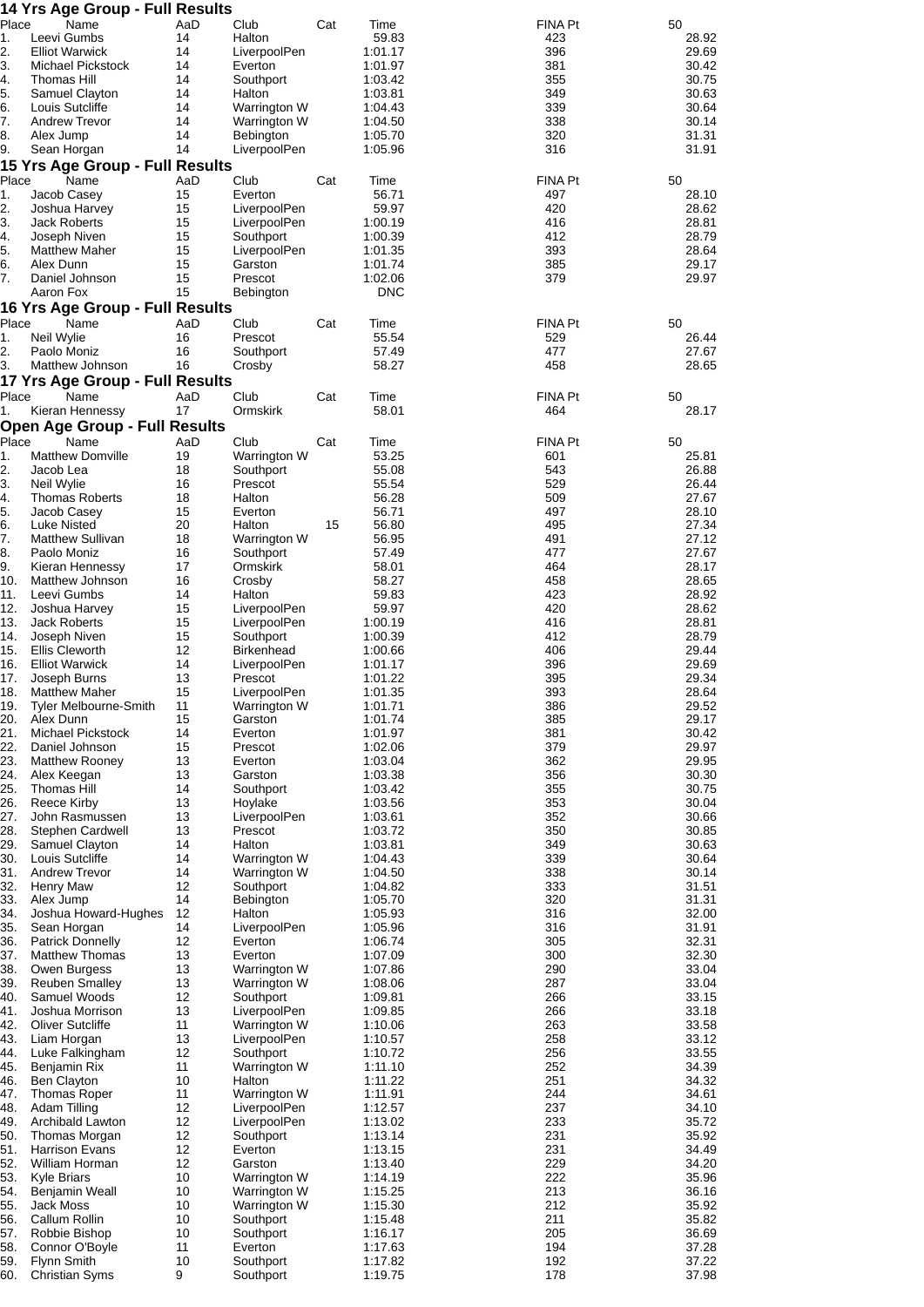|            | 14 Yrs Age Group - Full Results        |           |                              |     |                    |                |                |
|------------|----------------------------------------|-----------|------------------------------|-----|--------------------|----------------|----------------|
| Place      | Name<br>Leevi Gumbs                    | AaD<br>14 | Club                         | Cat | Time               | FINA Pt        | 50             |
| 1.<br>2.   | <b>Elliot Warwick</b>                  | 14        | Halton<br>LiverpoolPen       |     | 59.83<br>1:01.17   | 423<br>396     | 28.92<br>29.69 |
| 3.         | Michael Pickstock                      | 14        | Everton                      |     | 1:01.97            | 381            | 30.42          |
| 4.         | Thomas Hill                            | 14        | Southport                    |     | 1:03.42            | 355            | 30.75          |
| 5.         | Samuel Clayton                         | 14        | Halton                       |     | 1:03.81            | 349            | 30.63          |
| 6.         | Louis Sutcliffe                        | 14        | Warrington W                 |     | 1:04.43            | 339            | 30.64          |
| 7.<br>8.   | <b>Andrew Trevor</b><br>Alex Jump      | 14<br>14  | Warrington W<br>Bebington    |     | 1:04.50<br>1:05.70 | 338<br>320     | 30.14<br>31.31 |
| 9.         | Sean Horgan                            | 14        | LiverpoolPen                 |     | 1:05.96            | 316            | 31.91          |
|            | 15 Yrs Age Group - Full Results        |           |                              |     |                    |                |                |
| Place      | Name                                   | AaD       | Club                         | Cat | Time               | FINA Pt        | 50             |
| 1.         | Jacob Casey                            | 15        | Everton                      |     | 56.71              | 497            | 28.10          |
| 2.         | Joshua Harvey                          | 15        | LiverpoolPen                 |     | 59.97              | 420            | 28.62          |
| 3.<br>4.   | <b>Jack Roberts</b><br>Joseph Niven    | 15<br>15  | LiverpoolPen<br>Southport    |     | 1:00.19<br>1:00.39 | 416<br>412     | 28.81<br>28.79 |
| 5.         | <b>Matthew Maher</b>                   | 15        | LiverpoolPen                 |     | 1:01.35            | 393            | 28.64          |
| 6.         | Alex Dunn                              | 15        | Garston                      |     | 1:01.74            | 385            | 29.17          |
| 7.         | Daniel Johnson                         | 15        | Prescot                      |     | 1:02.06            | 379            | 29.97          |
|            | Aaron Fox                              | 15        | Bebington                    |     | <b>DNC</b>         |                |                |
|            | 16 Yrs Age Group - Full Results        |           |                              |     |                    |                |                |
| Place      | Name                                   | AaD       | Club                         | Cat | Time               | FINA Pt        | 50             |
| 1.<br>2.   | Neil Wylie<br>Paolo Moniz              | 16<br>16  | Prescot<br>Southport         |     | 55.54<br>57.49     | 529<br>477     | 26.44<br>27.67 |
| 3.         | Matthew Johnson                        | 16        | Crosby                       |     | 58.27              | 458            | 28.65          |
|            | 17 Yrs Age Group - Full Results        |           |                              |     |                    |                |                |
| Place      | Name                                   | AaD       | Club                         | Cat | Time               | FINA Pt        | 50             |
| 1.         | Kieran Hennessy                        | 17        | Ormskirk                     |     | 58.01              | 464            | 28.17          |
|            | <b>Open Age Group - Full Results</b>   |           |                              |     |                    |                |                |
| Place      | Name                                   | AaD       | Club                         | Cat | Time               | <b>FINA Pt</b> | 50             |
| 1.         | <b>Matthew Domville</b>                | 19        | Warrington W                 |     | 53.25              | 601            | 25.81          |
| 2.         | Jacob Lea                              | 18        | Southport                    |     | 55.08              | 543            | 26.88          |
| 3.<br>4.   | Neil Wylie<br><b>Thomas Roberts</b>    | 16<br>18  | Prescot<br>Halton            |     | 55.54<br>56.28     | 529<br>509     | 26.44<br>27.67 |
| 5.         | Jacob Casey                            | 15        | Everton                      |     | 56.71              | 497            | 28.10          |
| 6.         | Luke Nisted                            | 20        | Halton                       | 15  | 56.80              | 495            | 27.34          |
| 7.         | <b>Matthew Sullivan</b>                | 18        | Warrington W                 |     | 56.95              | 491            | 27.12          |
| 8.         | Paolo Moniz                            | 16        | Southport                    |     | 57.49              | 477            | 27.67          |
| 9.<br>10.  | Kieran Hennessy<br>Matthew Johnson     | 17<br>16  | Ormskirk<br>Crosby           |     | 58.01<br>58.27     | 464<br>458     | 28.17<br>28.65 |
| 11.        | Leevi Gumbs                            | 14        | Halton                       |     | 59.83              | 423            | 28.92          |
| 12.        | Joshua Harvey                          | 15        | LiverpoolPen                 |     | 59.97              | 420            | 28.62          |
| 13.        | <b>Jack Roberts</b>                    | 15        | LiverpoolPen                 |     | 1:00.19            | 416            | 28.81          |
| 14.        | Joseph Niven                           | 15        | Southport                    |     | 1:00.39            | 412            | 28.79          |
| 15.        | <b>Ellis Cleworth</b>                  | 12        | Birkenhead                   |     | 1:00.66            | 406            | 29.44          |
| 16.<br>17. | <b>Elliot Warwick</b><br>Joseph Burns  | 14<br>13  | LiverpoolPen<br>Prescot      |     | 1:01.17<br>1:01.22 | 396<br>395     | 29.69<br>29.34 |
| 18.        | <b>Matthew Maher</b>                   | 15        | LiverpoolPen                 |     | 1:01.35            | 393            | 28.64          |
| 19.        | Tyler Melbourne-Smith                  | 11        | Warrington W                 |     | 1:01.71            | 386            | 29.52          |
| 20.        | Alex Dunn                              | 15        | Garston                      |     | 1:01.74            | 385            | 29.17          |
| 21.        | Michael Pickstock                      | 14        | Everton                      |     | 1:01.97            | 381            | 30.42          |
| 22.<br>23. | Daniel Johnson                         | 15<br>13  | Prescot                      |     | 1:02.06<br>1:03.04 | 379<br>362     | 29.97<br>29.95 |
| 24.        | <b>Matthew Rooney</b><br>Alex Keegan   | 13        | Everton<br>Garston           |     | 1:03.38            | 356            | 30.30          |
| 25.        | <b>Thomas Hill</b>                     | 14        | Southport                    |     | 1:03.42            | 355            | 30.75          |
| 26.        | Reece Kirby                            | 13        | Hoylake                      |     | 1:03.56            | 353            | 30.04          |
| 27.        | John Rasmussen                         | 13        | LiverpoolPen                 |     | 1:03.61            | 352            | 30.66          |
| 28.        | Stephen Cardwell                       | 13        | Prescot                      |     | 1:03.72<br>1:03.81 | 350            | 30.85          |
| 29.<br>30. | Samuel Clayton<br>Louis Sutcliffe      | 14<br>14  | Halton<br>Warrington W       |     | 1:04.43            | 349<br>339     | 30.63<br>30.64 |
| 31.        | <b>Andrew Trevor</b>                   | 14        | Warrington W                 |     | 1:04.50            | 338            | 30.14          |
| 32.        | <b>Henry Maw</b>                       | 12        | Southport                    |     | 1:04.82            | 333            | 31.51          |
| 33.        | Alex Jump                              | 14        | Bebington                    |     | 1:05.70            | 320            | 31.31          |
| 34.        | Joshua Howard-Hughes                   | 12        | Halton                       |     | 1:05.93            | 316            | 32.00          |
| 35.<br>36. | Sean Horgan<br><b>Patrick Donnelly</b> | 14<br>12  | LiverpoolPen<br>Everton      |     | 1:05.96<br>1:06.74 | 316<br>305     | 31.91<br>32.31 |
| 37.        | <b>Matthew Thomas</b>                  | 13        | Everton                      |     | 1:07.09            | 300            | 32.30          |
| 38.        | Owen Burgess                           | 13        | Warrington W                 |     | 1:07.86            | 290            | 33.04          |
| 39.        | <b>Reuben Smalley</b>                  | 13        | Warrington W                 |     | 1:08.06            | 287            | 33.04          |
| 40.        | Samuel Woods                           | 12        | Southport                    |     | 1:09.81            | 266            | 33.15          |
| 41.        | Joshua Morrison                        | 13        | LiverpoolPen                 |     | 1:09.85            | 266            | 33.18          |
| 42.<br>43. | <b>Oliver Sutcliffe</b><br>Liam Horgan | 11<br>13  | Warrington W<br>LiverpoolPen |     | 1:10.06<br>1:10.57 | 263<br>258     | 33.58<br>33.12 |
| 44.        | Luke Falkingham                        | 12        | Southport                    |     | 1:10.72            | 256            | 33.55          |
| 45.        | Benjamin Rix                           | 11        | Warrington W                 |     | 1:11.10            | 252            | 34.39          |
| 46.        | <b>Ben Clayton</b>                     | 10        | Halton                       |     | 1:11.22            | 251            | 34.32          |
| 47.        | <b>Thomas Roper</b>                    | 11        | Warrington W                 |     | 1:11.91            | 244            | 34.61          |
| 48.<br>49. | Adam Tilling<br>Archibald Lawton       | 12<br>12  | LiverpoolPen<br>LiverpoolPen |     | 1:12.57<br>1:13.02 | 237<br>233     | 34.10<br>35.72 |
| 50.        | Thomas Morgan                          | 12        | Southport                    |     | 1:13.14            | 231            | 35.92          |
| 51.        | <b>Harrison Evans</b>                  | 12        | Everton                      |     | 1:13.15            | 231            | 34.49          |
| 52.        | William Horman                         | 12        | Garston                      |     | 1:13.40            | 229            | 34.20          |
| 53.        | Kyle Briars                            | 10        | Warrington W                 |     | 1:14.19            | 222            | 35.96          |
| 54.        | Benjamin Weall                         | 10<br>10  | Warrington W                 |     | 1:15.25<br>1:15.30 | 213<br>212     | 36.16<br>35.92 |
| 55.<br>56. | Jack Moss<br>Callum Rollin             | 10        | Warrington W<br>Southport    |     | 1:15.48            | 211            | 35.82          |
| 57.        | Robbie Bishop                          | 10        | Southport                    |     | 1:16.17            | 205            | 36.69          |
| 58.        | Connor O'Boyle                         | 11        | Everton                      |     | 1:17.63            | 194            | 37.28          |
| 59.        | Flynn Smith                            | 10        | Southport                    |     | 1:17.82            | 192            | 37.22          |
| 60.        | <b>Christian Syms</b>                  | 9         | Southport                    |     | 1:19.75            | 178            | 37.98          |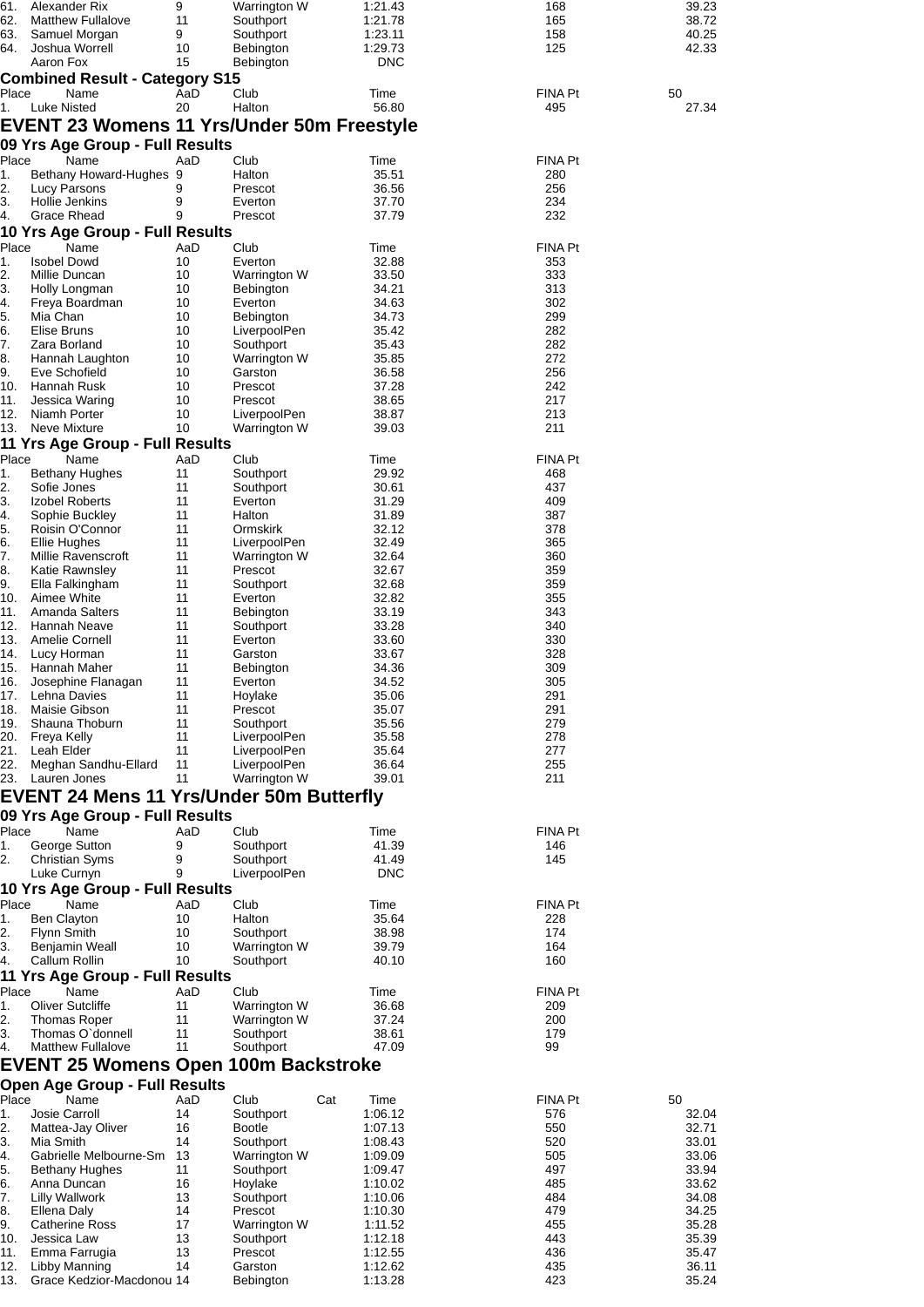| 61.<br>62.  | Alexander Rix<br><b>Matthew Fullalove</b>         | 9<br>11   | Warrington W<br>Southport    | 1:21.43<br>1:21.78  | 168<br>165            | 39.23<br>38.72 |
|-------------|---------------------------------------------------|-----------|------------------------------|---------------------|-----------------------|----------------|
| 63.         | Samuel Morgan                                     | 9         | Southport                    | 1:23.11             | 158                   | 40.25          |
| 64.         | Joshua Worrell                                    | 10        | <b>Bebington</b>             | 1:29.73             | 125                   | 42.33          |
|             | Aaron Fox                                         | 15        | Bebington                    | <b>DNC</b>          |                       |                |
|             | <b>Combined Result - Category S15</b>             |           |                              |                     |                       |                |
| Place       | Name                                              | AaD       | Club                         | Time                | FINA Pt               | 50             |
| 1.          | <b>Luke Nisted</b>                                | 20        | Halton                       | 56.80               | 495                   | 27.34          |
|             | <b>EVENT 23 Womens 11 Yrs/Under 50m Freestyle</b> |           |                              |                     |                       |                |
|             | 09 Yrs Age Group - Full Results                   |           |                              |                     |                       |                |
| Place       | Name                                              | AaD       | Club                         | Time                | FINA Pt               |                |
| 1.          | Bethany Howard-Hughes 9                           |           | Halton                       | 35.51               | 280                   |                |
| 2.          | Lucy Parsons                                      | 9         | Prescot                      | 36.56               | 256                   |                |
| З.          | Hollie Jenkins                                    | 9         | Everton                      | 37.70               | 234                   |                |
| 4.          | Grace Rhead                                       | 9         | Prescot                      | 37.79               | 232                   |                |
|             | 10 Yrs Age Group - Full Results                   |           |                              |                     |                       |                |
| Place<br>1. | Name<br><b>Isobel Dowd</b>                        | AaD<br>10 | Club<br>Everton              | Time<br>32.88       | <b>FINA Pt</b><br>353 |                |
| 2.          | Millie Duncan                                     | 10        | Warrington W                 | 33.50               | 333                   |                |
| 3.          | Holly Longman                                     | 10        | <b>Bebington</b>             | 34.21               | 313                   |                |
| 4.          | Freya Boardman                                    | 10        | Everton                      | 34.63               | 302                   |                |
| 5.          | Mia Chan                                          | 10        | Bebington                    | 34.73               | 299                   |                |
| 6.          | Elise Bruns                                       | 10        | LiverpoolPen                 | 35.42               | 282                   |                |
| 7.          | Zara Borland                                      | 10        | Southport                    | 35.43               | 282                   |                |
| 8.          | Hannah Laughton                                   | 10        | Warrington W                 | 35.85               | 272                   |                |
| 9.<br>10.   | Eve Schofield<br>Hannah Rusk                      | 10<br>10  | Garston<br>Prescot           | 36.58<br>37.28      | 256<br>242            |                |
| 11.         | Jessica Waring                                    | 10        | Prescot                      | 38.65               | 217                   |                |
| 12.         | Niamh Porter                                      | 10        | LiverpoolPen                 | 38.87               | 213                   |                |
| 13.         | Neve Mixture                                      | 10        | Warrington W                 | 39.03               | 211                   |                |
|             | 11 Yrs Age Group - Full Results                   |           |                              |                     |                       |                |
| Place       | Name                                              | AaD       | Club                         | Time                | <b>FINA Pt</b>        |                |
| 1.          | <b>Bethany Hughes</b>                             | 11        | Southport                    | 29.92               | 468                   |                |
| 2.          | Sofie Jones                                       | 11        | Southport                    | 30.61               | 437                   |                |
| 3.          | Izobel Roberts                                    | 11        | Everton                      | 31.29               | 409                   |                |
| 4.<br>5.    | Sophie Buckley                                    | 11<br>11  | Halton<br>Ormskirk           | 31.89<br>32.12      | 387<br>378            |                |
| 6.          | Roisin O'Connor<br><b>Ellie Hughes</b>            | 11        | LiverpoolPen                 | 32.49               | 365                   |                |
| 7.          | Millie Ravenscroft                                | 11        | Warrington W                 | 32.64               | 360                   |                |
| 8.          | Katie Rawnsley                                    | 11        | Prescot                      | 32.67               | 359                   |                |
| 9.          | Ella Falkingham                                   | 11        | Southport                    | 32.68               | 359                   |                |
| 10.         | Aimee White                                       | 11        | Everton                      | 32.82               | 355                   |                |
| 11.         | Amanda Salters                                    | 11        | <b>Bebington</b>             | 33.19               | 343                   |                |
| 12.         | Hannah Neave                                      | 11        | Southport                    | 33.28               | 340                   |                |
| 13.<br>14.  | Amelie Cornell<br>Lucy Horman                     | 11<br>11  | Everton<br>Garston           | 33.60<br>33.67      | 330<br>328            |                |
| 15.         | Hannah Maher                                      | 11        | <b>Bebington</b>             | 34.36               | 309                   |                |
| 16.         | Josephine Flanagan                                | 11        | Everton                      | 34.52               | 305                   |                |
| 17.         | Lehna Davies                                      | 11        | Hoylake                      | 35.06               | 291                   |                |
| 18.         | Maisie Gibson                                     | 11        | Prescot                      | 35.07               | 291                   |                |
| 19.         | Shauna Thoburn                                    | 11        | Southport                    | 35.56               | 279                   |                |
| 20.         | Freya Kelly                                       | 11        | LiverpoolPen                 | 35.58               | 278                   |                |
| 21.         | Leah Elder                                        | 11        | LiverpoolPen                 | 35.64               | 277                   |                |
| 22.<br>23.  | Meghan Sandhu-Ellard<br>Lauren Jones              | 11<br>11  | LiverpoolPen<br>Warrington W | 36.64<br>39.01      | 255<br>211            |                |
|             |                                                   |           |                              |                     |                       |                |
|             | EVENT 24 Mens 11 Yrs/Under 50m Butterfly          |           |                              |                     |                       |                |
|             | 09 Yrs Age Group - Full Results                   |           |                              |                     |                       |                |
| Place       | Name                                              | AaD       | Club                         | Time                | FINA Pt               |                |
| 1.          | George Sutton                                     | 9         | Southport                    | 41.39               | 146                   |                |
| 2.          | <b>Christian Syms</b><br>Luke Curnyn              | 9<br>9    | Southport<br>LiverpoolPen    | 41.49<br><b>DNC</b> | 145                   |                |
|             | 10 Yrs Age Group - Full Results                   |           |                              |                     |                       |                |
| Place       | Name                                              | AaD       | Club                         | Time                | FINA Pt               |                |
| 1.          | <b>Ben Clayton</b>                                | 10        | Halton                       | 35.64               | 228                   |                |
| 2.          | Flynn Smith                                       | 10        | Southport                    | 38.98               | 174                   |                |
| 3.          | Benjamin Weall                                    | 10        | Warrington W                 | 39.79               | 164                   |                |
| 4.          | Callum Rollin                                     | 10        | Southport                    | 40.10               | 160                   |                |
|             | 11 Yrs Age Group - Full Results                   |           |                              |                     |                       |                |
| Place       | Name                                              | AaD       | Club                         | Time                | FINA Pt               |                |
| 1.          | Oliver Sutcliffe                                  | 11        | Warrington W                 | 36.68               | 209                   |                |
| 2.          | Thomas Roper                                      | 11        | Warrington W                 | 37.24               | 200                   |                |
| 3.          | Thomas O'donnell                                  | 11        | Southport                    | 38.61               | 179                   |                |
| 4.          | <b>Matthew Fullalove</b>                          | 11        | Southport                    | 47.09               | 99                    |                |
|             | <b>EVENT 25 Womens Open 100m Backstroke</b>       |           |                              |                     |                       |                |
|             | <b>Open Age Group - Full Results</b>              |           |                              |                     |                       |                |
| Place       | Name                                              | AaD       | Club                         | Cat<br>Time         | FINA Pt               | 50             |
| 1.          | Josie Carroll                                     | 14        | Southport                    | 1:06.12             | 576                   | 32.04          |
| 2.          | Mattea-Jay Oliver                                 | 16        | <b>Bootle</b>                | 1:07.13             | 550                   | 32.71          |
| 3.<br>4.    | Mia Smith<br>Gabrielle Melbourne-Sm               | 14<br>13  | Southport                    | 1:08.43<br>1:09.09  | 520<br>505            | 33.01<br>33.06 |
| 5.          | <b>Bethany Hughes</b>                             | 11        | Warrington W<br>Southport    | 1:09.47             | 497                   | 33.94          |
| 6.          | Anna Duncan                                       | 16        | Hoylake                      | 1:10.02             | 485                   | 33.62          |
| 7.          | Lilly Wallwork                                    | 13        | Southport                    | 1:10.06             | 484                   | 34.08          |
| 8.          | Ellena Daly                                       | 14        | Prescot                      | 1:10.30             | 479                   | 34.25          |
| 9.          | <b>Catherine Ross</b>                             | 17        | Warrington W                 | 1:11.52             | 455                   | 35.28          |
| 10.         | Jessica Law                                       | 13        | Southport                    | 1:12.18             | 443                   | 35.39          |
| 11.         | Emma Farrugia                                     | 13        | Prescot                      | 1:12.55             | 436                   | 35.47          |
| 12.         | Libby Manning                                     | 14        | Garston                      | 1:12.62             | 435                   | 36.11          |
| 13.         | Grace Kedzior-Macdonou 14                         |           | Bebington                    | 1:13.28             | 423                   | 35.24          |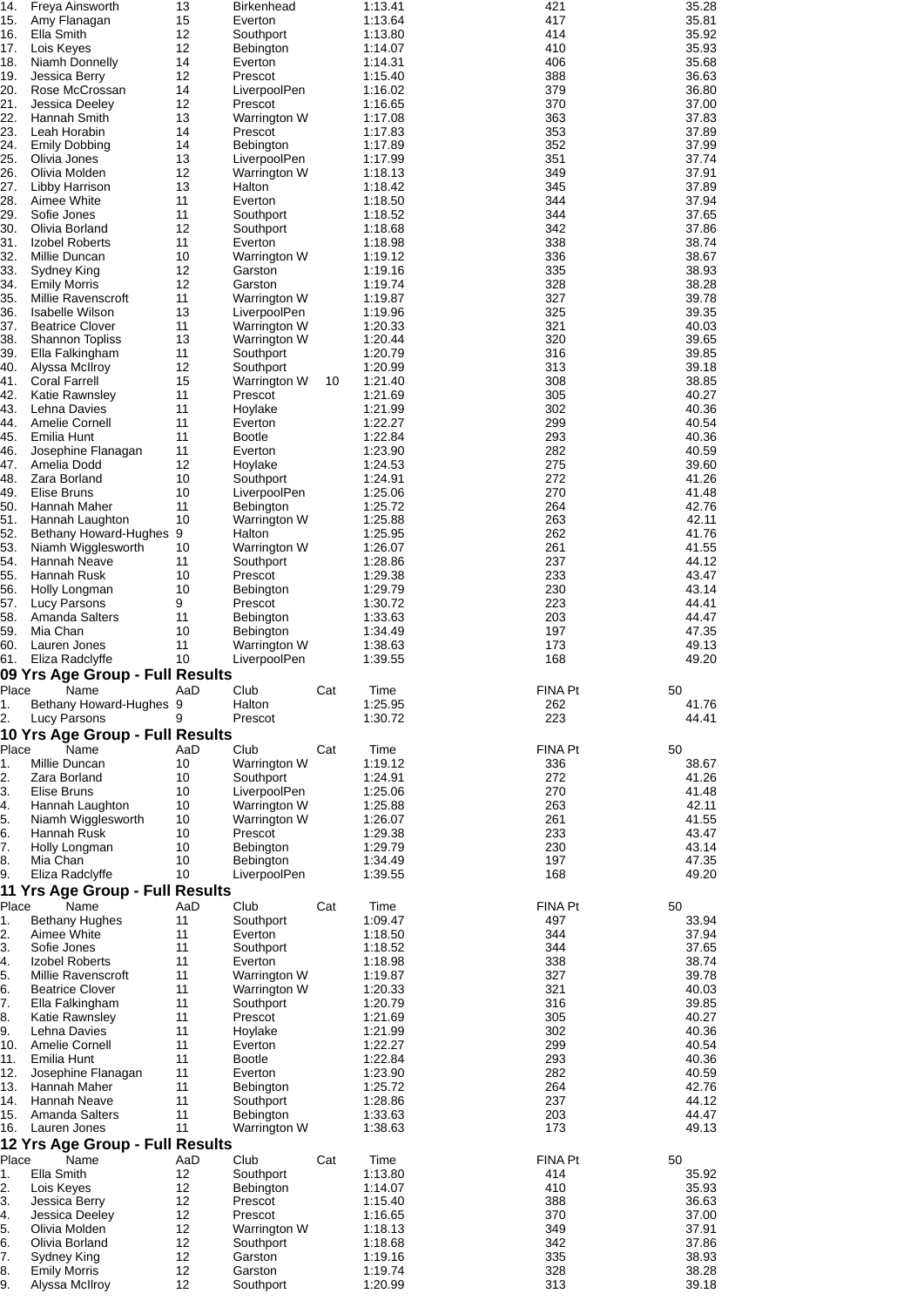| 14.      | Freya Ainsworth                       | 13       | Birkenhead           |     | 1:13.41            | 421                  | 35.28          |
|----------|---------------------------------------|----------|----------------------|-----|--------------------|----------------------|----------------|
| 15.      | Amy Flanagan                          | 15       | Everton              |     | 1:13.64            | 417                  | 35.81          |
| 16.      | Ella Smith                            | 12       | Southport            |     | 1:13.80            | 414                  | 35.92          |
| 17.      | Lois Keyes                            | 12       | Bebington            |     | 1:14.07            | 410                  | 35.93          |
| 18.      | Niamh Donnelly                        | 14       | Everton              |     | 1:14.31            | 406                  | 35.68          |
| 19.      | Jessica Berry                         | 12       | Prescot              |     | 1:15.40            | 388                  | 36.63          |
| 20.      | Rose McCrossan                        | 14       | LiverpoolPen         |     | 1:16.02            | 379                  | 36.80          |
| 21.      | Jessica Deeley                        | 12       | Prescot              |     | 1:16.65            | 370                  | 37.00          |
| 22.      |                                       |          |                      |     |                    |                      |                |
|          | Hannah Smith                          | 13       | Warrington W         |     | 1:17.08            | 363                  | 37.83          |
| 23.      | Leah Horabin                          | 14       | Prescot              |     | 1:17.83            | 353                  | 37.89          |
| 24.      | <b>Emily Dobbing</b>                  | 14       | Bebington            |     | 1:17.89            | 352                  | 37.99          |
| 25.      | Olivia Jones                          | 13       | LiverpoolPen         |     | 1:17.99            | 351                  | 37.74          |
| 26.      | Olivia Molden                         | 12       | Warrington W         |     | 1:18.13            | 349                  | 37.91          |
| 27.      | Libby Harrison                        | 13       | Halton               |     | 1:18.42            | 345                  | 37.89          |
| 28.      | Aimee White                           | 11       | Everton              |     | 1:18.50            | 344                  | 37.94          |
| 29.      | Sofie Jones                           | 11       | Southport            |     | 1:18.52            | 344                  | 37.65          |
| 30.      | Olivia Borland                        | 12       | Southport            |     | 1:18.68            | 342                  | 37.86          |
| 31.      | Izobel Roberts                        | 11       | Everton              |     | 1:18.98            | 338                  | 38.74          |
| 32.      | Millie Duncan                         | 10       | Warrington W         |     | 1:19.12            | 336                  | 38.67          |
| 33.      | Sydney King                           | 12       | Garston              |     | 1:19.16            | 335                  | 38.93          |
| 34.      | <b>Emily Morris</b>                   | 12       | Garston              |     | 1:19.74            | 328                  | 38.28          |
| 35.      | Millie Ravenscroft                    | 11       | Warrington W         |     | 1:19.87            | 327                  | 39.78          |
| 36.      | <b>Isabelle Wilson</b>                | 13       | LiverpoolPen         |     | 1:19.96            | 325                  | 39.35          |
| 37.      | <b>Beatrice Clover</b>                | 11       | Warrington W         |     | 1:20.33            | 321                  | 40.03          |
| 38.      | <b>Shannon Topliss</b>                | 13       | Warrington W         |     | 1:20.44            | 320                  | 39.65          |
| 39.      | Ella Falkingham                       | 11       |                      |     |                    |                      |                |
|          |                                       |          | Southport            |     | 1:20.79            | 316                  | 39.85          |
| 40.      | Alyssa McIlroy                        | 12       | Southport            |     | 1:20.99            | 313                  | 39.18          |
| 41.      | <b>Coral Farrell</b>                  | 15       | Warrington W         | 10  | 1:21.40            | 308                  | 38.85          |
| 42.      | Katie Rawnsley                        | 11       | Prescot              |     | 1:21.69            | 305                  | 40.27          |
| 43.      | Lehna Davies                          | 11       | Hoylake              |     | 1:21.99            | 302                  | 40.36          |
| 44.      | Amelie Cornell                        | 11       | Everton              |     | 1:22.27            | 299                  | 40.54          |
| 45.      | Emilia Hunt                           | 11       | <b>Bootle</b>        |     | 1:22.84            | 293                  | 40.36          |
| 46.      | Josephine Flanagan                    | 11       | Everton              |     | 1:23.90            | 282                  | 40.59          |
| 47.      | Amelia Dodd                           | 12       | Hoylake              |     | 1:24.53            | 275                  | 39.60          |
| 48.      | Zara Borland                          | 10       | Southport            |     | 1:24.91            | 272                  | 41.26          |
| 49.      | Elise Bruns                           | 10       | LiverpoolPen         |     | 1:25.06            | 270                  | 41.48          |
| 50.      | Hannah Maher                          | 11       | Bebington            |     | 1:25.72            | 264                  | 42.76          |
| 51.      | Hannah Laughton                       | 10       | Warrington W         |     | 1:25.88            | 263                  | 42.11          |
| 52.      | Bethany Howard-Hughes 9               |          | Halton               |     | 1:25.95            | 262                  | 41.76          |
| 53.      | Niamh Wigglesworth                    | 10       | Warrington W         |     | 1:26.07            | 261                  | 41.55          |
| 54.      | Hannah Neave                          | 11       | Southport            |     | 1:28.86            | 237                  | 44.12          |
| 55.      | Hannah Rusk                           | 10       | Prescot              |     | 1:29.38            | 233                  | 43.47          |
| 56.      |                                       | 10       |                      |     | 1:29.79            | 230                  | 43.14          |
| 57.      | Holly Longman                         | 9        | Bebington            |     | 1:30.72            | 223                  | 44.41          |
|          | Lucy Parsons                          |          | Prescot              |     |                    |                      |                |
| 58.      | Amanda Salters                        | 11<br>10 | Bebington            |     | 1:33.63            | 203<br>197           | 44.47<br>47.35 |
|          |                                       |          |                      |     |                    |                      |                |
| 59.      | Mia Chan                              |          | Bebington            |     | 1:34.49            |                      |                |
| 60.      | Lauren Jones                          | 11       | Warrington W         |     | 1:38.63            | 173                  | 49.13          |
| 61.      | Eliza Radclyffe                       | 10       | LiverpoolPen         |     | 1:39.55            | 168                  | 49.20          |
|          | 09 Yrs Age Group - Full Results       |          |                      |     |                    |                      |                |
| Place    | Name                                  | AaD      | Club                 | Cat | Time               | <b>FINA Pt</b><br>50 |                |
|          |                                       |          |                      |     | 1:25.95            |                      |                |
| 1.       | Bethany Howard-Hughes 9               | 9        | Halton               |     |                    | 262                  | 41.76          |
| 2.       | <b>Lucy Parsons</b>                   |          | Prescot              |     | 1:30.72            | 223                  | 44.41          |
|          | 10 Yrs Age Group - Full Results       |          |                      |     |                    |                      |                |
| Place    | Name                                  | AaD      | Club                 | Cat | Time               | FINA Pt              | 50             |
| 1.       | Millie Duncan                         | 10       | Warrington W         |     | 1:19.12            | 336                  | 38.67          |
| 2.       | Zara Borland                          | 10       | Southport            |     | 1:24.91            | 272                  | 41.26          |
| 3.       | Elise Bruns                           | 10       | LiverpoolPen         |     | 1:25.06            | 270                  | 41.48          |
| 4.       | Hannah Laughton                       | 10       | Warrington W         |     | 1:25.88            | 263                  | 42.11          |
| 5.       | Niamh Wigglesworth                    | 10       | Warrington W         |     | 1:26.07            | 261                  | 41.55          |
| 6.       | Hannah Rusk                           | 10       | Prescot              |     | 1:29.38            | 233                  | 43.47          |
| 7.       | Holly Longman                         | 10       | Bebington            |     | 1:29.79            | 230                  | 43.14          |
| 8.       | Mia Chan                              | 10       | Bebington            |     | 1:34.49            | 197                  | 47.35          |
| 9.       | Eliza Radclyffe                       | 10       | LiverpoolPen         |     | 1:39.55            | 168                  | 49.20          |
|          | 11 Yrs Age Group - Full Results       |          |                      |     |                    |                      |                |
| Place    | Name                                  | AaD      | Club                 | Cat | Time               | FINA Pt              | 50             |
|          |                                       | 11       |                      |     | 1:09.47            | 497                  |                |
| 1.       | <b>Bethany Hughes</b>                 | 11       | Southport            |     |                    | 344                  | 33.94          |
| 2.       | Aimee White                           | 11       | Everton              |     | 1:18.50            |                      | 37.94          |
| 3.       | Sofie Jones                           |          | Southport            |     | 1:18.52            | 344                  | 37.65          |
| 4.       | Izobel Roberts                        | 11       | Everton              |     | 1:18.98            | 338                  | 38.74          |
| 5.       | Millie Ravenscroft                    | 11       | Warrington W         |     | 1:19.87            | 327                  | 39.78          |
| 6.       | <b>Beatrice Clover</b>                | 11       | Warrington W         |     | 1:20.33            | 321                  | 40.03          |
| 7.       | Ella Falkingham                       | 11       | Southport            |     | 1:20.79            | 316                  | 39.85          |
| 8.       | Katie Rawnsley                        | 11       | Prescot              |     | 1:21.69            | 305                  | 40.27          |
| 9.       | Lehna Davies                          | 11       | Hoylake              |     | 1:21.99            | 302                  | 40.36          |
| 10.      | Amelie Cornell                        | 11       | Everton              |     | 1:22.27            | 299                  | 40.54          |
| 11.      | Emilia Hunt                           | 11       | <b>Bootle</b>        |     | 1:22.84            | 293                  | 40.36          |
| 12.      | Josephine Flanagan                    | 11       | Everton              |     | 1:23.90            | 282                  | 40.59          |
| 13.      | Hannah Maher                          | 11       | Bebington            |     | 1:25.72            | 264                  | 42.76          |
| 14.      | Hannah Neave                          | 11       | Southport            |     | 1:28.86            | 237                  | 44.12          |
| 15.      | Amanda Salters                        | 11       | Bebington            |     | 1:33.63            | 203                  | 44.47          |
| 16.      | Lauren Jones                          | 11       | Warrington W         |     | 1:38.63            | 173                  | 49.13          |
|          | 12 Yrs Age Group - Full Results       |          |                      |     |                    |                      |                |
| Place    | Name                                  | AaD      | Club                 | Cat | Time               | FINA Pt              | 50             |
| 1.       | Ella Smith                            | 12       |                      |     | 1:13.80            | 414                  |                |
|          |                                       |          | Southport            |     |                    |                      | 35.92          |
| 2.       | Lois Keyes                            | 12       | <b>Bebington</b>     |     | 1:14.07            | 410                  | 35.93          |
| 3.       | Jessica Berry                         | 12       | Prescot              |     | 1:15.40            | 388                  | 36.63          |
| 4.       | Jessica Deeley                        | 12       | Prescot              |     | 1:16.65            | 370                  | 37.00          |
| 5.       | Olivia Molden                         | 12       | Warrington W         |     | 1:18.13            | 349                  | 37.91          |
| 6.       | Olivia Borland                        | 12       | Southport            |     | 1:18.68            | 342                  | 37.86          |
| 7.       | Sydney King                           | 12       | Garston              |     | 1:19.16            | 335                  | 38.93          |
| 8.<br>9. | <b>Emily Morris</b><br>Alyssa McIlroy | 12<br>12 | Garston<br>Southport |     | 1:19.74<br>1:20.99 | 328<br>313           | 38.28<br>39.18 |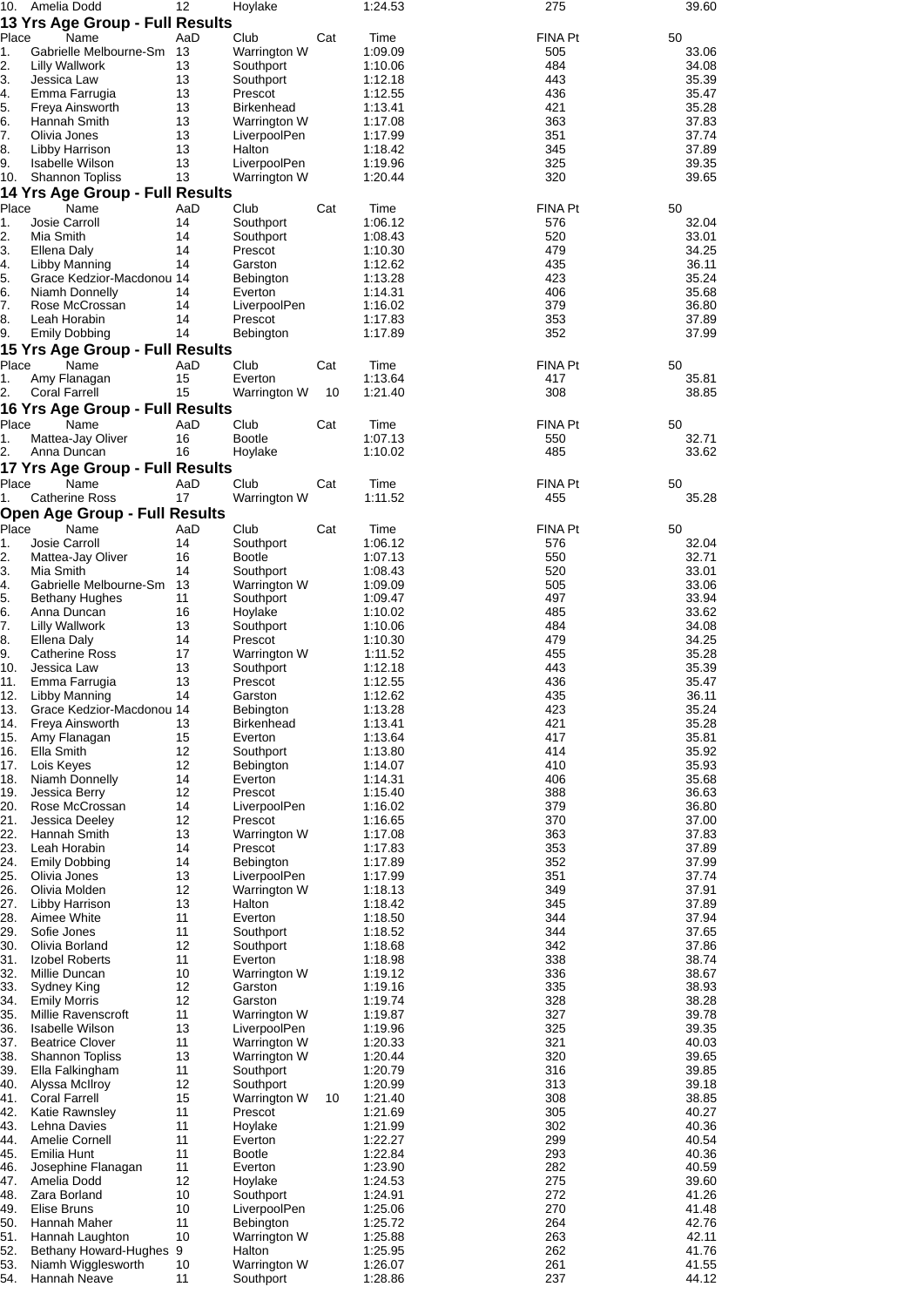|             | 10. Amelia Dodd                                  | 12         | Hoylake                      |     | 1:24.53            | 275                   | 39.60          |
|-------------|--------------------------------------------------|------------|------------------------------|-----|--------------------|-----------------------|----------------|
|             | 13 Yrs Age Group - Full Results                  |            |                              |     |                    |                       |                |
| Place       | Name                                             | AaD        | Club                         | Cat | Time               | FINA Pt               | 50             |
| 1.<br>2.    | Gabrielle Melbourne-Sm<br><b>Lilly Wallwork</b>  | - 13<br>13 | Warrington W<br>Southport    |     | 1:09.09<br>1:10.06 | 505<br>484            | 33.06<br>34.08 |
| 3.          | Jessica Law                                      | 13         | Southport                    |     | 1:12.18            | 443                   | 35.39          |
| 4.          | Emma Farrugia                                    | 13         | Prescot                      |     | 1:12.55            | 436                   | 35.47          |
| 5.          | Freya Ainsworth                                  | 13         | <b>Birkenhead</b>            |     | 1:13.41            | 421                   | 35.28          |
| 6.          | Hannah Smith                                     | 13         | Warrington W                 |     | 1:17.08            | 363                   | 37.83          |
| 7.          | Olivia Jones                                     | 13         | LiverpoolPen                 |     | 1:17.99            | 351                   | 37.74          |
| 8.          | Libby Harrison                                   | 13         | Halton                       |     | 1:18.42            | 345                   | 37.89          |
| 9.          | Isabelle Wilson                                  | 13         | LiverpoolPen                 |     | 1:19.96            | 325                   | 39.35          |
| 10.         | <b>Shannon Topliss</b>                           | 13         | Warrington W                 |     | 1:20.44            | 320                   | 39.65          |
| Place       | 14 Yrs Age Group - Full Results<br>Name          | AaD        | Club                         | Cat | Time               | FINA Pt               | 50             |
| 1.          | Josie Carroll                                    | 14         | Southport                    |     | 1:06.12            | 576                   | 32.04          |
| 2.          | Mia Smith                                        | 14         | Southport                    |     | 1:08.43            | 520                   | 33.01          |
| 3.          | Ellena Daly                                      | 14         | Prescot                      |     | 1:10.30            | 479                   | 34.25          |
| 4.          | Libby Manning                                    | 14         | Garston                      |     | 1:12.62            | 435                   | 36.11          |
| 5.          | Grace Kedzior-Macdonou 14                        |            | Bebington                    |     | 1:13.28            | 423                   | 35.24          |
| 6.          | Niamh Donnelly                                   | 14         | Everton                      |     | 1:14.31            | 406                   | 35.68          |
| 7.<br>8.    | Rose McCrossan<br>Leah Horabin                   | 14<br>14   | LiverpoolPen                 |     | 1:16.02<br>1:17.83 | 379<br>353            | 36.80          |
| 9.          | <b>Emily Dobbing</b>                             | 14         | Prescot<br><b>Bebington</b>  |     | 1:17.89            | 352                   | 37.89<br>37.99 |
|             | 15 Yrs Age Group - Full Results                  |            |                              |     |                    |                       |                |
| Place       | Name                                             | AaD        | Club                         | Cat | Time               | <b>FINA Pt</b>        | 50             |
| 1.          | Amy Flanagan                                     | 15         | Everton                      |     | 1:13.64            | 417                   | 35.81          |
| 2.          | Coral Farrell                                    | 15         | Warrington W                 | 10  | 1:21.40            | 308                   | 38.85          |
|             | 16 Yrs Age Group - Full Results                  |            |                              |     |                    |                       |                |
| Place       | Name                                             | AaD        | Club                         | Cat | Time               | FINA Pt               | 50             |
| 1.          | Mattea-Jay Oliver                                | 16         | <b>Bootle</b>                |     | 1:07.13            | 550                   | 32.71          |
| 2.          | Anna Duncan                                      | 16         | Hoylake                      |     | 1:10.02            | 485                   | 33.62          |
|             | 17 Yrs Age Group - Full Results                  |            |                              |     |                    |                       |                |
| Place<br>1. | Name<br>Catherine Ross                           | AaD<br>17  | Club<br>Warrington W         | Cat | Time<br>1:11.52    | <b>FINA Pt</b><br>455 | 50<br>35.28    |
|             | Open Age Group - Full Results                    |            |                              |     |                    |                       |                |
| Place       | Name                                             | AaD        | Club                         | Cat | Time               | <b>FINA Pt</b>        | 50             |
| 1.          | Josie Carroll                                    | 14         | Southport                    |     | 1:06.12            | 576                   | 32.04          |
| 2.          | Mattea-Jay Oliver                                | 16         | <b>Bootle</b>                |     | 1:07.13            | 550                   | 32.71          |
| 3.          | Mia Smith                                        | 14         | Southport                    |     | 1:08.43            | 520                   | 33.01          |
| 4.          | Gabrielle Melbourne-Sm                           | 13         | Warrington W                 |     | 1:09.09            | 505                   | 33.06          |
| 5.<br>6.    | Bethany Hughes<br>Anna Duncan                    | 11<br>16   | Southport                    |     | 1:09.47            | 497<br>485            | 33.94<br>33.62 |
| 7.          | <b>Lilly Wallwork</b>                            | 13         | Hoylake<br>Southport         |     | 1:10.02<br>1:10.06 | 484                   | 34.08          |
| 8.          | Ellena Daly                                      | 14         | Prescot                      |     | 1:10.30            | 479                   | 34.25          |
| 9.          | <b>Catherine Ross</b>                            | 17         | Warrington W                 |     | 1:11.52            | 455                   | 35.28          |
| 10.         | Jessica Law                                      | 13         | Southport                    |     | 1:12.18            | 443                   | 35.39          |
| 11.         | Emma Farrugia                                    | 13         | Prescot                      |     | 1:12.55            | 436                   | 35.47          |
|             | 12. Libby Manning                                | 14         | Garston                      |     | 1:12.62            | 435                   | 36.11          |
| 13.<br>14.  | Grace Kedzior-Macdonou 14                        | 13         | Bebington                    |     | 1:13.28            | 423<br>421            | 35.24          |
| 15.         | Freya Ainsworth<br>Amy Flanagan                  | 15         | <b>Birkenhead</b><br>Everton |     | 1:13.41<br>1:13.64 | 417                   | 35.28<br>35.81 |
| 16.         | Ella Smith                                       | 12         | Southport                    |     | 1:13.80            | 414                   | 35.92          |
| 17.         | Lois Keyes                                       | 12         | Bebington                    |     | 1:14.07            | 410                   | 35.93          |
| 18.         | Niamh Donnelly                                   | 14         | Everton                      |     | 1:14.31            | 406                   | 35.68          |
| 19.         | Jessica Berry                                    | 12         | Prescot                      |     | 1:15.40            | 388                   | 36.63          |
| 20.         | Rose McCrossan                                   | 14         | LiverpoolPen                 |     | 1:16.02            | 379                   | 36.80          |
| 21.<br>22.  | Jessica Deeley<br>Hannah Smith                   | 12<br>13   | Prescot<br>Warrington W      |     | 1:16.65<br>1:17.08 | 370<br>363            | 37.00<br>37.83 |
| 23.         | Leah Horabin                                     | 14         | Prescot                      |     | 1:17.83            | 353                   | 37.89          |
| 24.         | <b>Emily Dobbing</b>                             | 14         | Bebington                    |     | 1:17.89            | 352                   | 37.99          |
| 25.         | Olivia Jones                                     | 13         | LiverpoolPen                 |     | 1:17.99            | 351                   | 37.74          |
| 26.         | Olivia Molden                                    | 12         | Warrington W                 |     | 1:18.13            | 349                   | 37.91          |
| 27.         | Libby Harrison                                   | 13         | Halton                       |     | 1:18.42            | 345                   | 37.89          |
| 28.<br>29.  | Aimee White<br>Sofie Jones                       | 11<br>11   | Everton<br>Southport         |     | 1:18.50<br>1:18.52 | 344<br>344            | 37.94<br>37.65 |
| 30.         | Olivia Borland                                   | 12         | Southport                    |     | 1:18.68            | 342                   | 37.86          |
| 31.         | Izobel Roberts                                   | 11         | Everton                      |     | 1:18.98            | 338                   | 38.74          |
| 32.         | Millie Duncan                                    | 10         | Warrington W                 |     | 1:19.12            | 336                   | 38.67          |
| 33.         | Sydney King                                      | 12         | Garston                      |     | 1:19.16            | 335                   | 38.93          |
| 34.         | <b>Emily Morris</b>                              | 12         | Garston                      |     | 1:19.74            | 328                   | 38.28          |
| 35.         | Millie Ravenscroft                               | 11         | Warrington W                 |     | 1:19.87            | 327                   | 39.78          |
| 36.<br>37.  | <b>Isabelle Wilson</b><br><b>Beatrice Clover</b> | 13<br>11   | LiverpoolPen<br>Warrington W |     | 1:19.96<br>1:20.33 | 325<br>321            | 39.35<br>40.03 |
| 38.         | <b>Shannon Topliss</b>                           | 13         | Warrington W                 |     | 1:20.44            | 320                   | 39.65          |
| 39.         | Ella Falkingham                                  | 11         | Southport                    |     | 1:20.79            | 316                   | 39.85          |
| 40.         | Alyssa McIlroy                                   | 12         | Southport                    |     | 1:20.99            | 313                   | 39.18          |
| 41.         | <b>Coral Farrell</b>                             | 15         | Warrington W                 | 10  | 1:21.40            | 308                   | 38.85          |
| 42.         | Katie Rawnsley<br>Lehna Davies                   | 11         | Prescot                      |     | 1:21.69            | 305                   | 40.27          |
| 43.<br>44.  | Amelie Cornell                                   | 11<br>11   | Hoylake<br>Everton           |     | 1:21.99<br>1:22.27 | 302<br>299            | 40.36<br>40.54 |
| 45.         | Emilia Hunt                                      | 11         | <b>Bootle</b>                |     | 1:22.84            | 293                   | 40.36          |
| 46.         | Josephine Flanagan                               | 11         | Everton                      |     | 1:23.90            | 282                   | 40.59          |
| 47.         | Amelia Dodd                                      | 12         | Hoylake                      |     | 1:24.53            | 275                   | 39.60          |
| 48.         | Zara Borland                                     | 10         | Southport                    |     | 1:24.91            | 272                   | 41.26          |
| 49.         | Elise Bruns                                      | 10         | LiverpoolPen                 |     | 1:25.06            | 270                   | 41.48          |
| 50.<br>51.  | Hannah Maher<br>Hannah Laughton                  | 11<br>10   | Bebington<br>Warrington W    |     | 1:25.72<br>1:25.88 | 264<br>263            | 42.76<br>42.11 |
| 52.         | Bethany Howard-Hughes 9                          |            | Halton                       |     | 1:25.95            | 262                   | 41.76          |
| 53.         | Niamh Wigglesworth                               | 10         | Warrington W                 |     | 1:26.07            | 261                   | 41.55          |
| 54.         | Hannah Neave                                     | 11         | Southport                    |     | 1:28.86            | 237                   | 44.12          |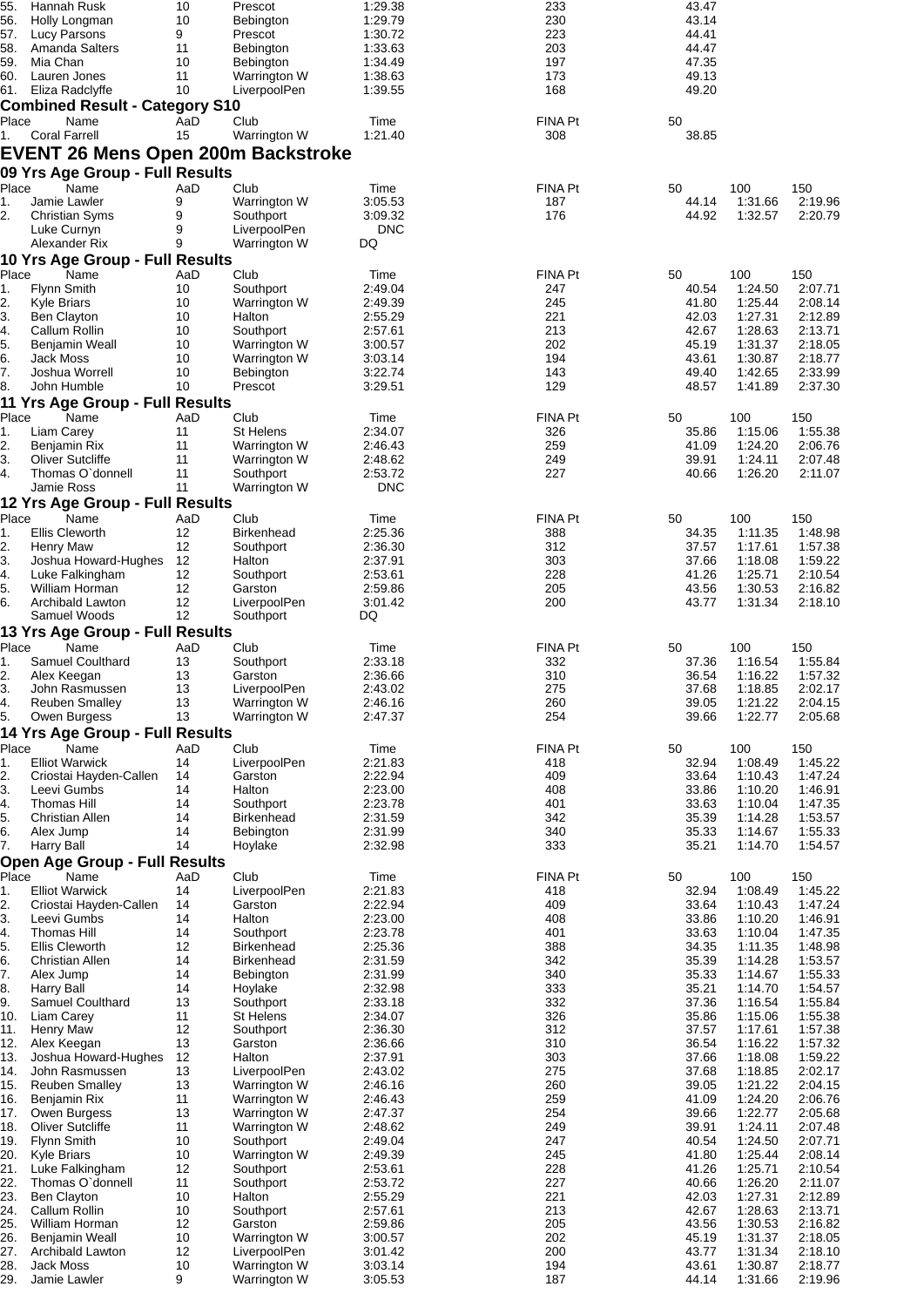| 55.         | Hannah Rusk                               | 10        | Prescot                      | 1:29.38               | 233            | 43.47          |                    |                    |
|-------------|-------------------------------------------|-----------|------------------------------|-----------------------|----------------|----------------|--------------------|--------------------|
| 56.<br>57.  | Holly Longman<br>Lucy Parsons             | 10<br>9   | Bebington<br>Prescot         | 1:29.79<br>1:30.72    | 230<br>223     | 43.14<br>44.41 |                    |                    |
| 58.         | Amanda Salters                            | 11        | Bebington                    | 1:33.63               | 203            | 44.47          |                    |                    |
| 59.         | Mia Chan                                  | 10        | <b>Bebington</b>             | 1:34.49               | 197            | 47.35          |                    |                    |
|             | 60. Lauren Jones                          | 11        | Warrington W                 | 1:38.63               | 173            | 49.13          |                    |                    |
|             | 61. Eliza Radclyffe                       | 10        | LiverpoolPen                 | 1:39.55               | 168            | 49.20          |                    |                    |
|             | <b>Combined Result - Category S10</b>     |           |                              |                       |                |                |                    |                    |
| Place       | Name                                      | AaD       | Club                         | Time                  | FINA Pt        | 50             |                    |                    |
| 1.          | <b>Coral Farrell</b>                      | 15        | Warrington W                 | 1:21.40               | 308            | 38.85          |                    |                    |
|             | <b>EVENT 26 Mens Open 200m Backstroke</b> |           |                              |                       |                |                |                    |                    |
|             | 09 Yrs Age Group - Full Results           |           |                              |                       |                |                |                    |                    |
| Place       | Name                                      | AaD       | Club                         | Time                  | FINA Pt        | 50             | 100                | 150                |
| 1.          | Jamie Lawler                              | 9         | Warrington W                 | 3:05.53               | 187            | 44.14          | 1:31.66            | 2:19.96            |
| 2.          | <b>Christian Syms</b><br>Luke Curnyn      | 9<br>9    | Southport<br>LiverpoolPen    | 3:09.32<br><b>DNC</b> | 176            | 44.92          | 1:32.57            | 2:20.79            |
|             | Alexander Rix                             | 9         | Warrington W                 | DQ                    |                |                |                    |                    |
|             | 10 Yrs Age Group - Full Results           |           |                              |                       |                |                |                    |                    |
| Place       | Name                                      | AaD       | Club                         | Time                  | FINA Pt        | 50             | 100                | 150                |
| 1.          | Flynn Smith                               | 10        | Southport                    | 2:49.04               | 247            | 40.54          | 1:24.50            | 2:07.71            |
| 2.          | <b>Kyle Briars</b>                        | 10        | Warrington W                 | 2:49.39               | 245            | 41.80          | 1:25.44            | 2:08.14            |
| 3.          | Ben Clayton                               | 10        | Halton                       | 2:55.29               | 221            | 42.03          | 1:27.31            | 2:12.89            |
| 4.          | Callum Rollin                             | 10        | Southport                    | 2:57.61               | 213            | 42.67          | 1:28.63            | 2:13.71            |
| 5.          | Benjamin Weall                            | 10        | Warrington W                 | 3:00.57               | 202            | 45.19          | 1:31.37            | 2:18.05            |
| 6.          | Jack Moss                                 | 10<br>10  | Warrington W                 | 3:03.14               | 194            | 43.61          | 1:30.87            | 2:18.77            |
| 7.<br>8.    | Joshua Worrell<br>John Humble             | 10        | Bebington<br>Prescot         | 3:22.74<br>3:29.51    | 143<br>129     | 49.40<br>48.57 | 1:42.65<br>1:41.89 | 2:33.99<br>2:37.30 |
|             | 11 Yrs Age Group - Full Results           |           |                              |                       |                |                |                    |                    |
| Place       | Name                                      | AaD       | Club                         | Time                  | FINA Pt        | 50             | 100                | 150                |
| 1.          | Liam Carey                                | 11        | St Helens                    | 2:34.07               | 326            | 35.86          | 1:15.06            | 1:55.38            |
| 2.          | Benjamin Rix                              | 11        | Warrington W                 | 2:46.43               | 259            | 41.09          | 1:24.20            | 2:06.76            |
| 3.          | <b>Oliver Sutcliffe</b>                   | 11        | Warrington W                 | 2:48.62               | 249            | 39.91          | 1:24.11            | 2:07.48            |
| 4.          | Thomas O'donnell                          | 11        | Southport                    | 2:53.72               | 227            | 40.66          | 1:26.20            | 2:11.07            |
|             | Jamie Ross                                | 11        | Warrington W                 | <b>DNC</b>            |                |                |                    |                    |
|             | 12 Yrs Age Group - Full Results           |           |                              |                       |                |                |                    |                    |
| Place       | Name                                      | AaD       | Club                         | Time                  | FINA Pt        | 50             | 100                | 150                |
| 1.          | Ellis Cleworth                            | 12        | <b>Birkenhead</b>            | 2:25.36               | 388            | 34.35          | 1:11.35            | 1:48.98            |
| 2.          | Henry Maw                                 | 12        | Southport                    | 2:36.30               | 312<br>303     | 37.57          | 1:17.61            | 1:57.38            |
| 3.<br>4.    | Joshua Howard-Hughes<br>Luke Falkingham   | 12<br>12  | Halton<br>Southport          | 2:37.91<br>2:53.61    | 228            | 37.66<br>41.26 | 1:18.08<br>1:25.71 | 1:59.22<br>2:10.54 |
| 5.          | William Horman                            | 12        | Garston                      | 2:59.86               | 205            | 43.56          | 1:30.53            | 2:16.82            |
| 6.          | Archibald Lawton                          | 12        | LiverpoolPen                 | 3:01.42               | 200            | 43.77          | 1:31.34            | 2:18.10            |
|             | Samuel Woods                              | 12        | Southport                    | DQ                    |                |                |                    |                    |
|             | 13 Yrs Age Group - Full Results           |           |                              |                       |                |                |                    |                    |
| Place       | Name                                      | AaD       | Club                         | Time                  | FINA Pt        | 50             | 100                | 150                |
| 1.          | Samuel Coulthard                          | 13        | Southport                    | 2:33.18               | 332            | 37.36          | 1:16.54            | 1:55.84            |
| 2.          | Alex Keegan                               | 13        | Garston                      | 2:36.66               | 310            | 36.54          | 1:16.22            | 1:57.32            |
| 3.          | John Rasmussen                            | 13        | LiverpoolPen                 | 2:43.02               | 275            | 37.68          | 1:18.85            | 2:02.17            |
| 4.<br>5.    | <b>Reuben Smalley</b><br>Owen Burgess     | 13<br>13  | Warrington W                 | 2:46.16<br>2:47.37    | 260<br>254     | 39.05<br>39.66 | 1:21.22<br>1:22.77 | 2:04.15<br>2:05.68 |
|             | 14 Yrs Age Group - Full Results           |           | Warrington W                 |                       |                |                |                    |                    |
| Place       | Name                                      | AaD       | Club                         | Time                  | FINA Pt        | 50             | 100                | 150                |
| 1.          | <b>Elliot Warwick</b>                     | 14        | LiverpoolPen                 | 2:21.83               | 418            | 32.94          | 1:08.49            | 1:45.22            |
| 2.          | Criostai Hayden-Callen                    | 14        | Garston                      | 2:22.94               | 409            | 33.64          | 1:10.43            | 1:47.24            |
| 3.          | Leevi Gumbs                               | 14        | Halton                       | 2:23.00               | 408            | 33.86          | 1:10.20            | 1:46.91            |
| 4.          | Thomas Hill                               | 14        | Southport                    | 2:23.78               | 401            | 33.63          | 1:10.04            | 1:47.35            |
| 5.          | <b>Christian Allen</b>                    | 14        | <b>Birkenhead</b>            | 2:31.59               | 342            | 35.39          | 1:14.28            | 1:53.57            |
| 6.          | Alex Jump                                 | 14        | Bebington                    | 2:31.99               | 340            | 35.33          | 1:14.67            | 1:55.33            |
| 7.          | <b>Harry Ball</b>                         | 14        | Hoylake                      | 2:32.98               | 333            | 35.21          | 1:14.70            | 1:54.57            |
|             | <b>Open Age Group - Full Results</b>      |           |                              |                       |                |                |                    |                    |
| Place<br>1. | Name<br><b>Elliot Warwick</b>             | AaD<br>14 | Club<br>LiverpoolPen         | Time<br>2:21.83       | FINA Pt<br>418 | 50<br>32.94    | 100<br>1:08.49     | 150<br>1:45.22     |
| 2.          | Criostai Hayden-Callen                    | 14        | Garston                      | 2:22.94               | 409            | 33.64          | 1:10.43            | 1:47.24            |
| 3.          | Leevi Gumbs                               | 14        | Halton                       | 2:23.00               | 408            | 33.86          | 1:10.20            | 1:46.91            |
| 4.          | <b>Thomas Hill</b>                        | 14        | Southport                    | 2:23.78               | 401            | 33.63          | 1:10.04            | 1:47.35            |
| 5.          | <b>Ellis Cleworth</b>                     | 12        | <b>Birkenhead</b>            | 2:25.36               | 388            | 34.35          | 1:11.35            | 1:48.98            |
| 6.          | <b>Christian Allen</b>                    | 14        | <b>Birkenhead</b>            | 2:31.59               | 342            | 35.39          | 1:14.28            | 1:53.57            |
| 7.          | Alex Jump                                 | 14        | Bebington                    | 2:31.99               | 340            | 35.33          | 1:14.67            | 1:55.33            |
| 8.          | Harry Ball                                | 14        | Hoylake                      | 2:32.98               | 333            | 35.21          | 1:14.70            | 1:54.57<br>1:55.84 |
| 9.<br>10.   | Samuel Coulthard<br>Liam Carey            | 13<br>11  | Southport<br>St Helens       | 2:33.18<br>2:34.07    | 332<br>326     | 37.36<br>35.86 | 1:16.54<br>1:15.06 | 1:55.38            |
| 11.         | Henry Maw                                 | 12        | Southport                    | 2:36.30               | 312            | 37.57          | 1:17.61            | 1:57.38            |
| 12.         | Alex Keegan                               | 13        | Garston                      | 2:36.66               | 310            | 36.54          | 1:16.22            | 1:57.32            |
| 13.         | Joshua Howard-Hughes                      | 12        | Halton                       | 2:37.91               | 303            | 37.66          | 1:18.08            | 1:59.22            |
| 14.         | John Rasmussen                            | 13        | LiverpoolPen                 | 2:43.02               | 275            | 37.68          | 1:18.85            | 2:02.17            |
| 15.         | <b>Reuben Smalley</b>                     | 13        | Warrington W                 | 2:46.16               | 260            | 39.05          | 1:21.22            | 2:04.15            |
| 16.         | Benjamin Rix                              | 11        | Warrington W                 | 2:46.43               | 259            | 41.09          | 1:24.20            | 2:06.76            |
| 17.<br>18.  | Owen Burgess<br><b>Oliver Sutcliffe</b>   | 13<br>11  | Warrington W<br>Warrington W | 2:47.37<br>2:48.62    | 254<br>249     | 39.66<br>39.91 | 1:22.77<br>1:24.11 | 2:05.68<br>2:07.48 |
| 19.         | Flynn Smith                               | 10        | Southport                    | 2:49.04               | 247            | 40.54          | 1:24.50            | 2:07.71            |
| 20.         | <b>Kyle Briars</b>                        | 10        | Warrington W                 | 2:49.39               | 245            | 41.80          | 1:25.44            | 2:08.14            |
| 21.         | Luke Falkingham                           | 12        | Southport                    | 2:53.61               | 228            | 41.26          | 1:25.71            | 2:10.54            |
| 22.         | Thomas O'donnell                          | 11        | Southport                    | 2:53.72               | 227            | 40.66          | 1:26.20            | 2:11.07            |
| 23.         | <b>Ben Clayton</b>                        | 10        | Halton                       | 2:55.29               | 221            | 42.03          | 1:27.31            | 2:12.89            |
| 24.         | Callum Rollin                             | 10        | Southport                    | 2:57.61               | 213            | 42.67          | 1:28.63            | 2:13.71            |
| 25.         | William Horman                            | 12        | Garston                      | 2:59.86<br>3:00.57    | 205            | 43.56          | 1:30.53            | 2:16.82            |
| 26.<br>27.  | Benjamin Weall<br>Archibald Lawton        | 10<br>12  | Warrington W<br>LiverpoolPen | 3:01.42               | 202<br>200     | 45.19<br>43.77 | 1:31.37<br>1:31.34 | 2:18.05<br>2:18.10 |
| 28.         | Jack Moss                                 | 10        | Warrington W                 | 3:03.14               | 194            | 43.61          | 1:30.87            | 2:18.77            |
| 29.         | Jamie Lawler                              | 9         | Warrington W                 | 3:05.53               | 187            | 44.14          | 1:31.66            | 2:19.96            |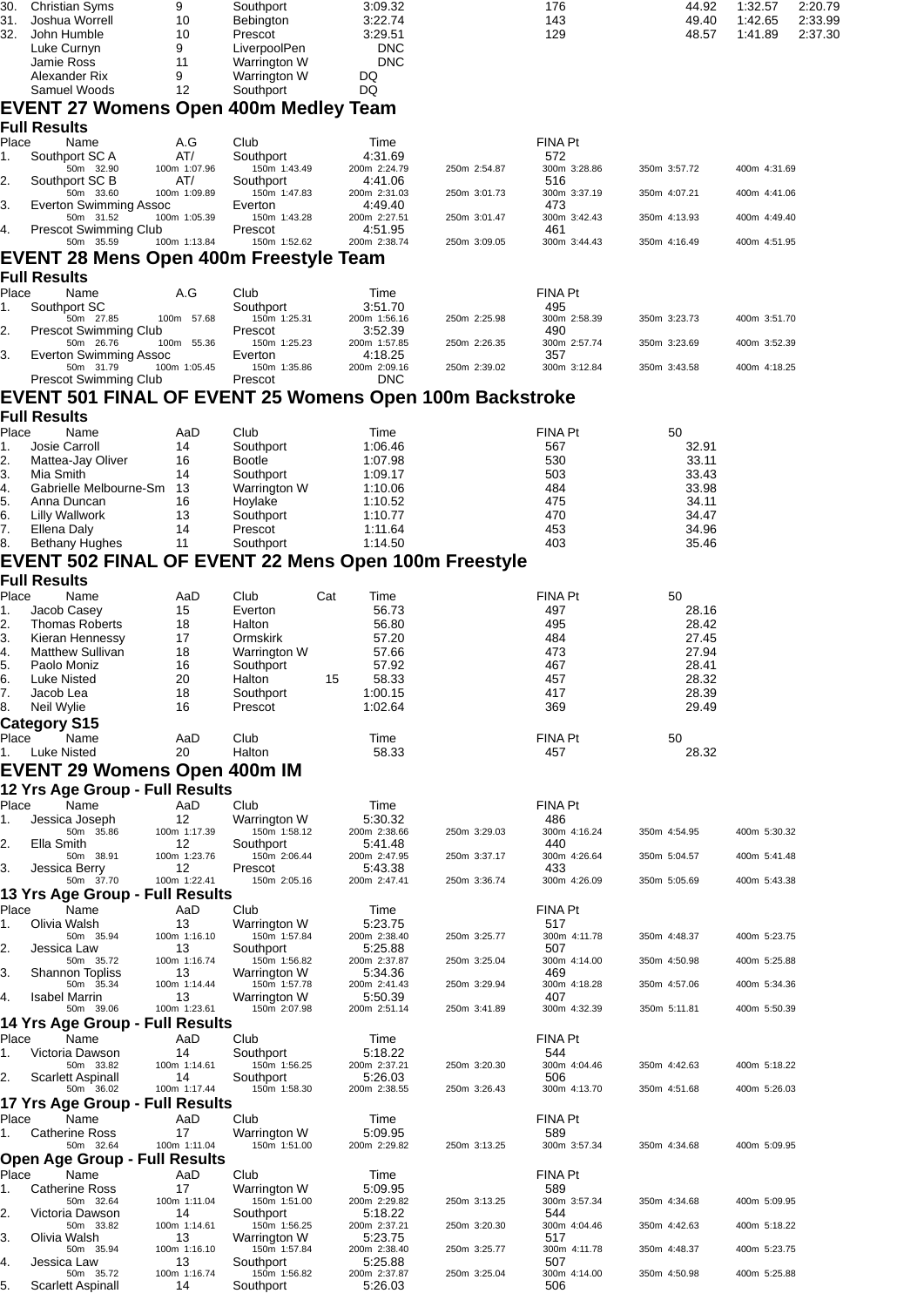| 30.<br>31.<br>32. | <b>Christian Syms</b><br>Joshua Worrell<br>John Humble                                  | 9<br>10<br>10       | Southport<br><b>Bebington</b><br>Prescot     | 3:09.32<br>3:22.74<br>3:29.51  |              | 176<br>143<br>129     | 44.92<br>49.40<br>48.57 | 1:32.57<br>1:42.65<br>1:41.89 | 2:20.79<br>2:33.99<br>2:37.30 |
|-------------------|-----------------------------------------------------------------------------------------|---------------------|----------------------------------------------|--------------------------------|--------------|-----------------------|-------------------------|-------------------------------|-------------------------------|
|                   | Luke Curnyn<br>Jamie Ross<br>Alexander Rix                                              | 9<br>11<br>9        | LiverpoolPen<br>Warrington W<br>Warrington W | <b>DNC</b><br><b>DNC</b><br>DQ |              |                       |                         |                               |                               |
|                   | Samuel Woods                                                                            | 12                  | Southport                                    | DQ                             |              |                       |                         |                               |                               |
|                   | <b>EVENT 27 Womens Open 400m Medley Team</b>                                            |                     |                                              |                                |              |                       |                         |                               |                               |
| Place             | <b>Full Results</b><br>Name                                                             | A.G                 | Club                                         | Time                           |              | <b>FINA Pt</b>        |                         |                               |                               |
| 1.                | Southport SCA                                                                           | AT/                 | Southport                                    | 4:31.69                        |              | 572                   |                         |                               |                               |
| 2.                | 50m 32.90<br>Southport SC B                                                             | 100m 1:07.96<br>AT/ | 150m 1:43.49<br>Southport                    | 200m 2:24.79<br>4:41.06        | 250m 2:54.87 | 300m 3:28.86<br>516   | 350m 3:57.72            | 400m 4:31.69                  |                               |
| 3.                | 50m 33.60<br>Everton Swimming Assoc                                                     | 100m 1:09.89        | 150m 1:47.83<br>Everton                      | 200m 2:31.03<br>4:49.40        | 250m 3:01.73 | 300m 3:37.19<br>473   | 350m 4:07.21            | 400m 4:41.06                  |                               |
| 4.                | 50m 31.52<br><b>Prescot Swimming Club</b>                                               | 100m 1:05.39        | 150m 1:43.28<br>Prescot                      | 200m 2:27.51<br>4:51.95        | 250m 3:01.47 | 300m 3:42.43<br>461   | 350m 4:13.93            | 400m 4:49.40                  |                               |
|                   | 50m 35.59                                                                               | 100m 1:13.84        | 150m 1:52.62                                 | 200m 2:38.74                   | 250m 3:09.05 | 300m 3:44.43          | 350m 4:16.49            | 400m 4:51.95                  |                               |
|                   | EVENT 28 Mens Open 400m Freestyle Team                                                  |                     |                                              |                                |              |                       |                         |                               |                               |
| Place             | <b>Full Results</b><br>Name                                                             | A.G                 | Club                                         | Time                           |              | <b>FINA Pt</b>        |                         |                               |                               |
| 1.                | Southport SC                                                                            |                     | Southport                                    | 3:51.70                        |              | 495                   |                         |                               |                               |
| 2.                | 50m 27.85<br><b>Prescot Swimming Club</b>                                               | 100m 57.68          | 150m 1:25.31<br>Prescot                      | 200m 1:56.16<br>3:52.39        | 250m 2:25.98 | 300m 2:58.39<br>490   | 350m 3:23.73            | 400m 3:51.70                  |                               |
| 3.                | 50m 26.76<br>Everton Swimming Assoc                                                     | 100m 55.36          | 150m 1:25.23<br>Everton                      | 200m 1:57.85<br>4:18.25        | 250m 2:26.35 | 300m 2:57.74<br>357   | 350m 3:23.69            | 400m 3:52.39                  |                               |
|                   | 50m 31.79                                                                               | 100m 1:05.45        | 150m 1:35.86                                 | 200m 2:09.16                   | 250m 2:39.02 | 300m 3:12.84          | 350m 3:43.58            | 400m 4:18.25                  |                               |
|                   | <b>Prescot Swimming Club</b><br>EVENT 501 FINAL OF EVENT 25 Womens Open 100m Backstroke |                     | Prescot                                      | <b>DNC</b>                     |              |                       |                         |                               |                               |
|                   | <b>Full Results</b>                                                                     |                     |                                              |                                |              |                       |                         |                               |                               |
| Place             | Name                                                                                    | AaD                 | Club                                         | Time                           |              | <b>FINA Pt</b>        | 50                      |                               |                               |
| 1.<br>2.          | Josie Carroll<br>Mattea-Jay Oliver                                                      | 14<br>16            | Southport<br><b>Bootle</b>                   | 1:06.46<br>1:07.98             |              | 567<br>530            | 32.91<br>33.11          |                               |                               |
| 3.                | Mia Smith                                                                               | 14                  | Southport                                    | 1:09.17                        |              | 503                   | 33.43                   |                               |                               |
| 4.<br>5.          | Gabrielle Melbourne-Sm 13<br>Anna Duncan                                                | 16                  | Warrington W<br>Hoylake                      | 1:10.06<br>1:10.52             |              | 484<br>475            | 33.98<br>34.11          |                               |                               |
| 6.                | <b>Lilly Wallwork</b>                                                                   | 13                  | Southport                                    | 1:10.77                        |              | 470                   | 34.47                   |                               |                               |
| 7.<br>8.          | Ellena Daly<br><b>Bethany Hughes</b>                                                    | 14<br>11            | Prescot<br>Southport                         | 1:11.64<br>1:14.50             |              | 453<br>403            | 34.96<br>35.46          |                               |                               |
|                   | EVENT 502 FINAL OF EVENT 22 Mens Open 100m Freestyle                                    |                     |                                              |                                |              |                       |                         |                               |                               |
|                   | <b>Full Results</b>                                                                     |                     |                                              |                                |              |                       |                         |                               |                               |
| Place<br>1.       | Name<br>Jacob Casey                                                                     | AaD<br>15           | Cat<br>Club<br>Everton                       | Time<br>56.73                  |              | <b>FINA Pt</b><br>497 | 50<br>28.16             |                               |                               |
| 2.                | <b>Thomas Roberts</b>                                                                   | 18                  | Halton                                       | 56.80                          |              | 495                   | 28.42                   |                               |                               |
| З.<br>4.          | Kieran Hennessy<br><b>Matthew Sullivan</b>                                              | 17<br>18            | <b>Ormskirk</b><br>Warrington W              | 57.20<br>57.66                 |              | 484<br>473            | 27.45<br>27.94          |                               |                               |
| 5.                | Paolo Moniz                                                                             | 16                  | Southport                                    | 57.92                          |              | 467                   | 28.41                   |                               |                               |
| 6.<br>7.          | <b>Luke Nisted</b><br>Jacob Lea                                                         | 20<br>18            | Halton<br>15<br>Southport                    | 58.33<br>1:00.15               |              | 457<br>417            | 28.32<br>28.39          |                               |                               |
| 8.                | Neil Wylie                                                                              | 16                  | Prescot                                      | 1:02.64                        |              | 369                   | 29.49                   |                               |                               |
| Place             | <b>Category S15</b><br>Name                                                             | AaD                 | Club                                         | Time                           |              | <b>FINA Pt</b>        | 50                      |                               |                               |
| 1.                | Luke Nisted                                                                             | 20                  | Halton                                       | 58.33                          |              | 457                   | 28.32                   |                               |                               |
|                   | EVENT 29 Womens Open 400m IM                                                            |                     |                                              |                                |              |                       |                         |                               |                               |
|                   | 12 Yrs Age Group - Full Results                                                         |                     |                                              |                                |              |                       |                         |                               |                               |
| Place<br>1.       | Name<br>Jessica Joseph                                                                  | AaD<br>12           | Club<br>Warrington W                         | Time<br>5:30.32                |              | <b>FINA Pt</b><br>486 |                         |                               |                               |
| 2.                | 50m 35.86<br>Ella Smith                                                                 | 100m 1:17.39<br>12  | 150m 1:58.12<br>Southport                    | 200m 2:38.66<br>5:41.48        | 250m 3:29.03 | 300m 4:16.24<br>440   | 350m 4:54.95            | 400m 5:30.32                  |                               |
|                   | 50m 38.91                                                                               | 100m 1:23.76        | 150m 2:06.44                                 | 200m 2:47.95                   | 250m 3:37.17 | 300m 4:26.64          | 350m 5:04.57            | 400m 5:41.48                  |                               |
| 3.                | Jessica Berry<br>50m 37.70                                                              | 12<br>100m 1:22.41  | Prescot<br>150m 2:05.16                      | 5:43.38<br>200m 2:47.41        | 250m 3:36.74 | 433<br>300m 4:26.09   | 350m 5:05.69            | 400m 5:43.38                  |                               |
|                   | 13 Yrs Age Group - Full Results                                                         |                     |                                              |                                |              |                       |                         |                               |                               |
| Place<br>1.       | Name<br>Olivia Walsh                                                                    | AaD<br>13           | Club<br>Warrington W                         | Time<br>5:23.75                |              | <b>FINA Pt</b><br>517 |                         |                               |                               |
| 2.                | 50m 35.94<br>Jessica Law                                                                | 100m 1:16.10<br>13  | 150m 1:57.84<br>Southport                    | 200m 2:38.40<br>5:25.88        | 250m 3:25.77 | 300m 4:11.78<br>507   | 350m 4:48.37            | 400m 5:23.75                  |                               |
|                   | 50m 35.72                                                                               | 100m 1:16.74        | 150m 1:56.82                                 | 200m 2:37.87                   | 250m 3:25.04 | 300m 4:14.00          | 350m 4:50.98            | 400m 5:25.88                  |                               |
| 3.                | <b>Shannon Topliss</b><br>50m 35.34                                                     | 13<br>100m 1:14.44  | Warrington W<br>150m 1:57.78                 | 5:34.36<br>200m 2:41.43        | 250m 3:29.94 | 469<br>300m 4:18.28   | 350m 4:57.06            | 400m 5:34.36                  |                               |
| 4.                | <b>Isabel Marrin</b><br>50m 39.06                                                       | 13<br>100m 1:23.61  | Warrington W<br>150m 2:07.98                 | 5:50.39<br>200m 2:51.14        | 250m 3:41.89 | 407<br>300m 4:32.39   | 350m 5:11.81            | 400m 5:50.39                  |                               |
|                   | 14 Yrs Age Group - Full Results                                                         |                     |                                              |                                |              |                       |                         |                               |                               |
| Place<br>1.       | Name<br>Victoria Dawson                                                                 | AaD<br>14           | Club<br>Southport                            | Time<br>5:18.22                |              | FINA Pt<br>544        |                         |                               |                               |
|                   | 50m 33.82<br>Scarlett Aspinall                                                          | 100m 1:14.61<br>14  | 150m 1:56.25                                 | 200m 2:37.21<br>5:26.03        | 250m 3:20.30 | 300m 4:04.46<br>506   | 350m 4:42.63            | 400m 5:18.22                  |                               |
| $\mathbf{2}$ .    | 50m 36.02                                                                               | 100m 1:17.44        | Southport<br>150m 1:58.30                    | 200m 2:38.55                   | 250m 3:26.43 | 300m 4:13.70          | 350m 4:51.68            | 400m 5:26.03                  |                               |
|                   | 17 Yrs Age Group - Full Results<br>Name                                                 | AaD                 |                                              |                                |              | FINA Pt               |                         |                               |                               |
| Place<br>1.       | <b>Catherine Ross</b>                                                                   | 17                  | Club<br>Warrington W                         | Time<br>5:09.95                |              | 589                   |                         |                               |                               |
|                   | 50m 32.64<br><b>Open Age Group - Full Results</b>                                       | 100m 1:11.04        | 150m 1:51.00                                 | 200m 2:29.82                   | 250m 3:13.25 | 300m 3:57.34          | 350m 4:34.68            | 400m 5:09.95                  |                               |
| Place             | Name                                                                                    | AaD                 | Club                                         | Time                           |              | <b>FINA Pt</b>        |                         |                               |                               |
| 1.                | <b>Catherine Ross</b><br>50m 32.64                                                      | 17<br>100m 1:11.04  | Warrington W<br>150m 1:51.00                 | 5:09.95<br>200m 2:29.82        | 250m 3:13.25 | 589<br>300m 3:57.34   | 350m 4:34.68            | 400m 5:09.95                  |                               |
| 2.                | Victoria Dawson                                                                         | 14                  | Southport                                    | 5:18.22                        |              | 544                   |                         |                               |                               |
| 3.                | 50m 33.82<br>Olivia Walsh                                                               | 100m 1:14.61<br>13  | 150m 1:56.25<br>Warrington W                 | 200m 2:37.21<br>5:23.75        | 250m 3:20.30 | 300m 4:04.46<br>517   | 350m 4:42.63            | 400m 5:18.22                  |                               |
| 4.                | 50m 35.94<br>Jessica Law                                                                | 100m 1:16.10<br>13  | 150m 1:57.84<br>Southport                    | 200m 2:38.40<br>5:25.88        | 250m 3:25.77 | 300m 4:11.78<br>507   | 350m 4:48.37            | 400m 5:23.75                  |                               |
| 5.                | 50m 35.72<br>Scarlett Aspinall                                                          | 100m 1:16.74<br>14  | 150m 1:56.82<br>Southport                    | 200m 2:37.87<br>5:26.03        | 250m 3:25.04 | 300m 4:14.00<br>506   | 350m 4:50.98            | 400m 5:25.88                  |                               |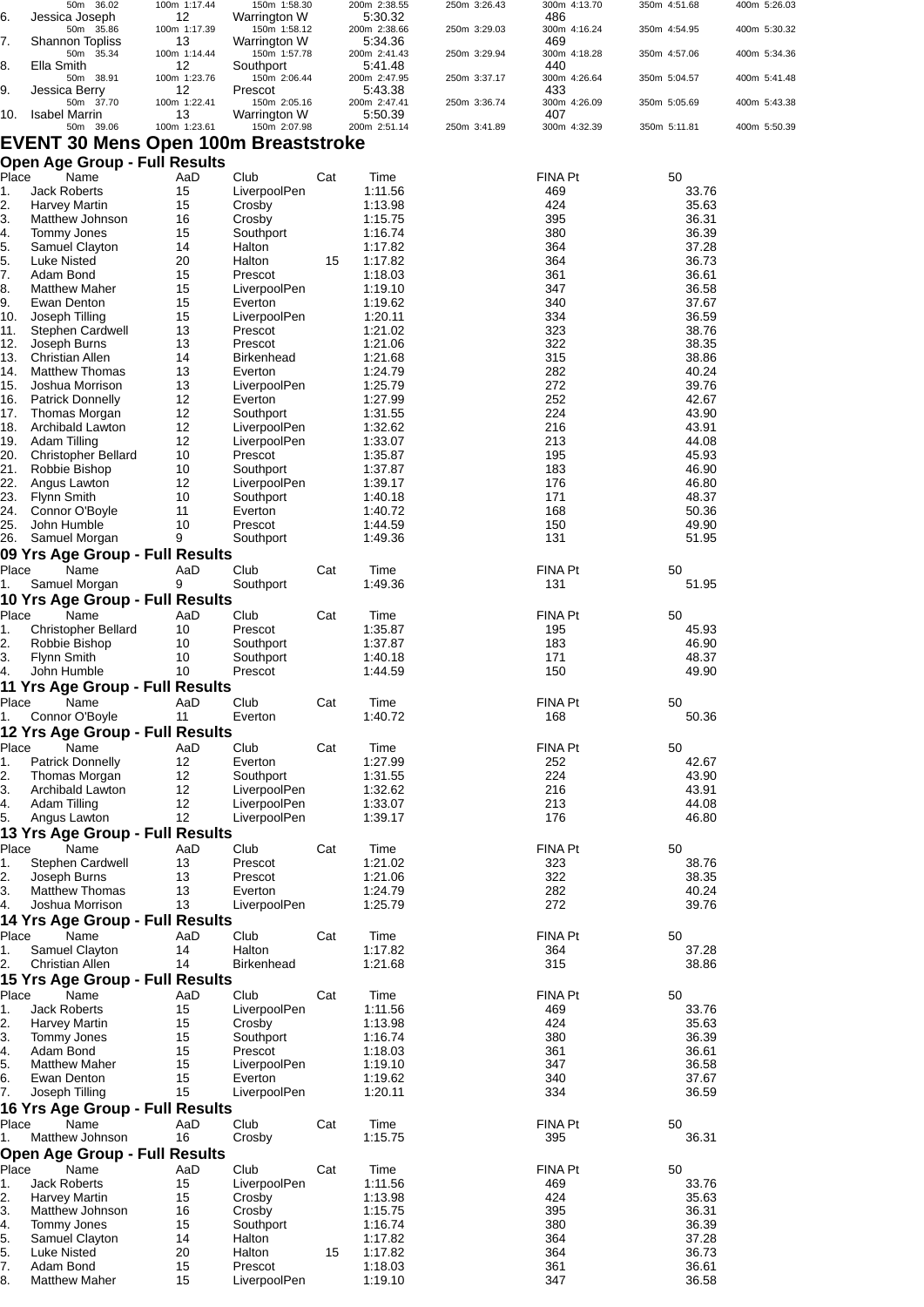|            | 50m 36.02                                   | 100m 1:17.44       | 150m 1:58.30                 |     | 200m 2:38.55            | 250m 3:26.43 | 300m 4:13.70        | 350m 4:51.68   | 400m 5:26.03 |
|------------|---------------------------------------------|--------------------|------------------------------|-----|-------------------------|--------------|---------------------|----------------|--------------|
| 6.         | Jessica Joseph<br>50m 35.86                 | 12<br>100m 1:17.39 | Warrington W<br>150m 1:58.12 |     | 5:30.32<br>200m 2:38.66 | 250m 3:29.03 | 486<br>300m 4:16.24 | 350m 4:54.95   | 400m 5:30.32 |
| 7.         | <b>Shannon Topliss</b>                      | 13                 | Warrington W                 |     | 5:34.36                 |              | 469                 |                |              |
|            | 50m<br>35.34                                | 100m 1:14.44       | 150m 1:57.78                 |     | 200m 2:41.43            | 250m 3:29.94 | 300m 4:18.28        | 350m 4:57.06   | 400m 5:34.36 |
| 8.         | Ella Smith                                  | 12                 | Southport                    |     | 5:41.48                 |              | 440                 |                |              |
| 9.         | 50m 38.91<br>Jessica Berry                  | 100m 1:23.76<br>12 | 150m 2:06.44<br>Prescot      |     | 200m 2:47.95<br>5.43.38 | 250m 3:37.17 | 300m 4:26.64<br>433 | 350m 5:04.57   | 400m 5:41.48 |
|            | 50m 37.70                                   | 100m 1:22.41       | 150m 2:05.16                 |     | 200m 2:47.41            | 250m 3:36.74 | 300m 4:26.09        | 350m 5:05.69   | 400m 5:43.38 |
| 10.        | <b>Isabel Marrin</b>                        | 13                 | Warrington W                 |     | 5:50.39                 |              | 407                 |                |              |
|            | 50m 39.06                                   | 100m 1:23.61       | 150m 2:07.98                 |     | 200m 2:51.14            | 250m 3:41.89 | 300m 4:32.39        | 350m 5:11.81   | 400m 5:50.39 |
|            | <b>EVENT 30 Mens Open 100m Breaststroke</b> |                    |                              |     |                         |              |                     |                |              |
|            | <b>Open Age Group - Full Results</b>        |                    |                              |     |                         |              |                     |                |              |
| Place      | Name                                        | AaD                | Club                         | Cat | Time                    |              | FINA Pt             | 50             |              |
| 1.         | <b>Jack Roberts</b>                         | 15                 | LiverpoolPen                 |     | 1:11.56                 |              | 469                 | 33.76          |              |
| 2.         | <b>Harvey Martin</b>                        | 15                 | Crosby                       |     | 1:13.98                 |              | 424                 | 35.63          |              |
| 3.         | Matthew Johnson                             | 16                 | Crosby                       |     | 1:15.75                 |              | 395                 | 36.31          |              |
| 4.         | Tommy Jones                                 | 15                 | Southport                    |     | 1:16.74                 |              | 380                 | 36.39          |              |
| 5.         | Samuel Clayton                              | 14                 | Halton                       |     | 1:17.82                 |              | 364                 | 37.28          |              |
| 5.         | Luke Nisted                                 | 20                 | Halton                       | 15  | 1:17.82                 |              | 364                 | 36.73          |              |
| 7.         | Adam Bond                                   | 15                 | Prescot                      |     | 1:18.03                 |              | 361                 | 36.61          |              |
| 8.         | <b>Matthew Maher</b>                        | 15                 | LiverpoolPen                 |     | 1:19.10                 |              | 347                 | 36.58          |              |
| 9.<br>10.  | Ewan Denton<br>Joseph Tilling               | 15<br>15           | Everton<br>LiverpoolPen      |     | 1:19.62<br>1:20.11      |              | 340<br>334          | 37.67<br>36.59 |              |
| 11.        | <b>Stephen Cardwell</b>                     | 13                 | Prescot                      |     | 1:21.02                 |              | 323                 | 38.76          |              |
| 12.        | Joseph Burns                                | 13                 | Prescot                      |     | 1:21.06                 |              | 322                 | 38.35          |              |
| 13.        | <b>Christian Allen</b>                      | 14                 | <b>Birkenhead</b>            |     | 1:21.68                 |              | 315                 | 38.86          |              |
| 14.        | <b>Matthew Thomas</b>                       | 13                 | Everton                      |     | 1:24.79                 |              | 282                 | 40.24          |              |
| 15.        | Joshua Morrison                             | 13                 | LiverpoolPen                 |     | 1:25.79                 |              | 272                 | 39.76          |              |
| 16.        | <b>Patrick Donnelly</b>                     | 12                 | Everton                      |     | 1:27.99                 |              | 252                 | 42.67          |              |
| 17.        | Thomas Morgan                               | 12                 | Southport                    |     | 1:31.55                 |              | 224                 | 43.90          |              |
| 18.        | <b>Archibald Lawton</b>                     | 12                 | LiverpoolPen                 |     | 1:32.62                 |              | 216                 | 43.91          |              |
| 19.        | Adam Tilling                                | 12                 | LiverpoolPen                 |     | 1:33.07                 |              | 213                 | 44.08          |              |
| 20.        | <b>Christopher Bellard</b>                  | 10                 | Prescot                      |     | 1:35.87                 |              | 195                 | 45.93          |              |
| 21.<br>22. | Robbie Bishop<br>Angus Lawton               | 10<br>12           | Southport<br>LiverpoolPen    |     | 1:37.87<br>1:39.17      |              | 183<br>176          | 46.90<br>46.80 |              |
| 23.        | <b>Flynn Smith</b>                          | 10                 | Southport                    |     | 1:40.18                 |              | 171                 | 48.37          |              |
| 24.        | Connor O'Boyle                              | 11                 | Everton                      |     | 1:40.72                 |              | 168                 | 50.36          |              |
| 25.        | John Humble                                 | 10                 | Prescot                      |     | 1:44.59                 |              | 150                 | 49.90          |              |
| 26.        | Samuel Morgan                               | 9                  | Southport                    |     | 1:49.36                 |              | 131                 | 51.95          |              |
|            | 09 Yrs Age Group - Full Results             |                    |                              |     |                         |              |                     |                |              |
| Place      | Name                                        | AaD                | Club                         | Cat | Time                    |              | FINA Pt             | 50             |              |
| 1.         | Samuel Morgan                               | 9                  | Southport                    |     | 1:49.36                 |              | 131                 | 51.95          |              |
|            | 10 Yrs Age Group - Full Results             |                    |                              |     |                         |              |                     |                |              |
| Place      | Name                                        | AaD                | Club                         | Cat | Time                    |              | FINA Pt             | 50             |              |
| 1.         | <b>Christopher Bellard</b>                  | 10                 | Prescot                      |     | 1:35.87                 |              | 195                 | 45.93          |              |
| 2.         | Robbie Bishop                               | 10                 | Southport                    |     | 1:37.87                 |              | 183                 | 46.90          |              |
| 3.         | <b>Flynn Smith</b>                          | 10                 | Southport                    |     | 1:40.18                 |              | 171                 | 48.37          |              |
| 4.         | John Humble                                 | 10                 | Prescot                      |     | 1:44.59                 |              | 150                 | 49.90          |              |
|            | 11 Yrs Age Group - Full Results             |                    |                              |     |                         |              |                     |                |              |
| Place      | Name                                        | AaD                | Club                         | Cat | Time                    |              | FINA Pt             | 50             |              |
| 1.         | Connor O'Boyle                              | 11                 | Everton                      |     | 1:40.72                 |              | 168                 | 50.36          |              |
|            | 12 Yrs Age Group - Full Results             |                    |                              |     |                         |              |                     |                |              |
| Place      | Name                                        | AaD                | Club                         | Cat | Time                    |              | FINA Pt             | 50             |              |
| 1.         | <b>Patrick Donnelly</b><br>Thomas Morgan    | 12                 | Everton<br>Southport         |     | 1:27.99                 |              | 252<br>224          | 42.67          |              |
| 2.<br>3.   | Archibald Lawton                            | 12<br>12           | LiverpoolPen                 |     | 1:31.55<br>1:32.62      |              | 216                 | 43.90<br>43.91 |              |
| 4.         | Adam Tilling                                | 12                 | LiverpoolPen                 |     | 1:33.07                 |              | 213                 | 44.08          |              |
| 5.         | Angus Lawton                                | 12                 | LiverpoolPen                 |     | 1:39.17                 |              | 176                 | 46.80          |              |
|            | 13 Yrs Age Group - Full Results             |                    |                              |     |                         |              |                     |                |              |
| Place      | Name                                        | AaD                | Club                         | Cat | Time                    |              | FINA Pt             | 50             |              |
| 1.         | Stephen Cardwell                            | 13                 | Prescot                      |     | 1:21.02                 |              | 323                 | 38.76          |              |
| 2.         | Joseph Burns                                | 13                 | Prescot                      |     | 1:21.06                 |              | 322                 | 38.35          |              |
| 3.         | <b>Matthew Thomas</b>                       | 13                 | Everton                      |     | 1:24.79                 |              | 282                 | 40.24          |              |
| 4.         | Joshua Morrison                             | 13                 | LiverpoolPen                 |     | 1:25.79                 |              | 272                 | 39.76          |              |
|            | 14 Yrs Age Group - Full Results             |                    |                              |     |                         |              |                     |                |              |
| Place      | Name                                        | AaD                | Club                         | Cat | Time                    |              | FINA Pt             | 50             |              |
| 1.         | Samuel Clayton                              | 14                 | Halton                       |     | 1:17.82                 |              | 364                 | 37.28          |              |
| 2.         | Christian Allen                             | 14                 | <b>Birkenhead</b>            |     | 1:21.68                 |              | 315                 | 38.86          |              |
|            | 15 Yrs Age Group - Full Results             |                    |                              |     |                         |              |                     |                |              |
| Place      | Name                                        | AaD                | Club                         | Cat | Time                    |              | FINA Pt             | 50             |              |
| 1.         | Jack Roberts                                | 15<br>15           | LiverpoolPen                 |     | 1:11.56<br>1:13.98      |              | 469<br>424          | 33.76<br>35.63 |              |
| 2.<br>3.   | <b>Harvey Martin</b><br>Tommy Jones         | 15                 | Crosby<br>Southport          |     | 1:16.74                 |              | 380                 | 36.39          |              |
| 4.         | Adam Bond                                   | 15                 | Prescot                      |     | 1:18.03                 |              | 361                 | 36.61          |              |
| 5.         | <b>Matthew Maher</b>                        | 15                 | LiverpoolPen                 |     | 1:19.10                 |              | 347                 | 36.58          |              |
| 6.         | Ewan Denton                                 | 15                 | Everton                      |     | 1:19.62                 |              | 340                 | 37.67          |              |
| 7.         | Joseph Tilling                              | 15                 | LiverpoolPen                 |     | 1:20.11                 |              | 334                 | 36.59          |              |
|            | 16 Yrs Age Group - Full Results             |                    |                              |     |                         |              |                     |                |              |
| Place      | Name                                        | AaD                | Club                         | Cat | Time                    |              | FINA Pt             | 50             |              |
| 1.         | Matthew Johnson                             | 16                 | Crosby                       |     | 1:15.75                 |              | 395                 | 36.31          |              |
|            | <b>Open Age Group - Full Results</b>        |                    |                              |     |                         |              |                     |                |              |
| Place      | Name                                        | AaD                | Club                         | Cat | Time                    |              | FINA Pt             | 50             |              |
| 1.         | <b>Jack Roberts</b>                         | 15                 | LiverpoolPen                 |     | 1:11.56                 |              | 469                 | 33.76          |              |
| 2.         | <b>Harvey Martin</b>                        | 15                 | Crosby                       |     | 1:13.98                 |              | 424                 | 35.63          |              |
| 3.         | Matthew Johnson                             | 16                 | Crosby                       |     | 1:15.75                 |              | 395                 | 36.31          |              |
| 4.         | Tommy Jones                                 | 15                 | Southport                    |     | 1:16.74                 |              | 380                 | 36.39          |              |
| 5.<br>5.   | Samuel Clayton                              | 14                 | Halton                       |     | 1:17.82                 |              | 364<br>364          | 37.28<br>36.73 |              |
| 7.         | Luke Nisted<br>Adam Bond                    | 20<br>15           | Halton<br>Prescot            | 15  | 1:17.82<br>1:18.03      |              | 361                 | 36.61          |              |
| 8.         | <b>Matthew Maher</b>                        | 15                 | LiverpoolPen                 |     | 1:19.10                 |              | 347                 | 36.58          |              |
|            |                                             |                    |                              |     |                         |              |                     |                |              |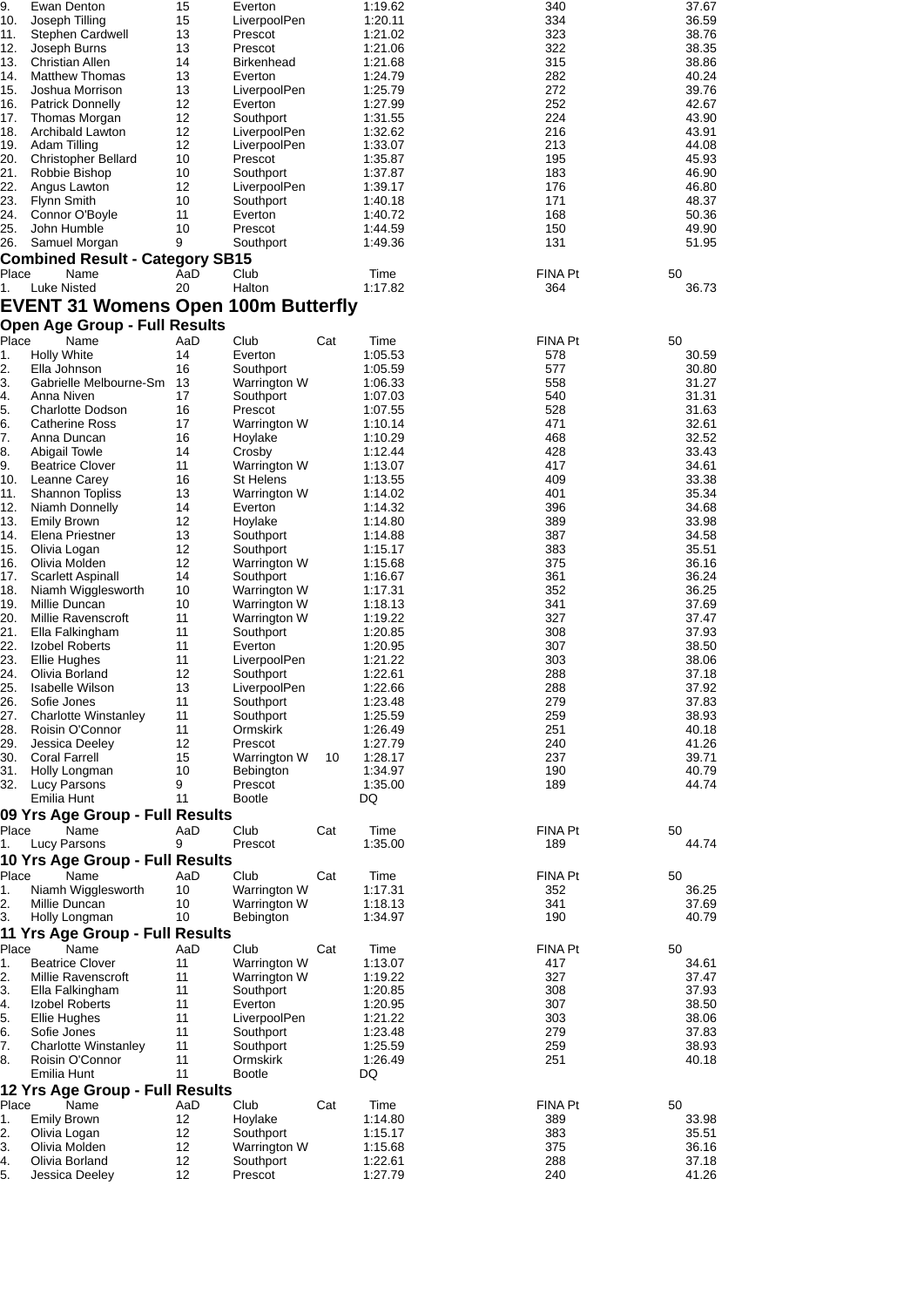| 9.    | Ewan Denton                                | 15  | Everton           |     | 1:19.62 | 340            | 37.67 |
|-------|--------------------------------------------|-----|-------------------|-----|---------|----------------|-------|
| 10.   | Joseph Tilling                             | 15  | LiverpoolPen      |     | 1:20.11 | 334            | 36.59 |
|       |                                            |     |                   |     |         |                |       |
| 11.   | Stephen Cardwell                           | 13  | Prescot           |     | 1:21.02 | 323            | 38.76 |
| 12.   | Joseph Burns                               | 13  | Prescot           |     | 1:21.06 | 322            | 38.35 |
| 13.   | <b>Christian Allen</b>                     | 14  | <b>Birkenhead</b> |     | 1:21.68 | 315            | 38.86 |
| 14.   | <b>Matthew Thomas</b>                      | 13  | Everton           |     | 1:24.79 | 282            | 40.24 |
| 15.   | Joshua Morrison                            | 13  | LiverpoolPen      |     | 1:25.79 | 272            | 39.76 |
| 16.   |                                            | 12  | Everton           |     |         | 252            | 42.67 |
|       | <b>Patrick Donnelly</b>                    |     |                   |     | 1:27.99 |                |       |
| 17.   | Thomas Morgan                              | 12  | Southport         |     | 1:31.55 | 224            | 43.90 |
| 18.   | Archibald Lawton                           | 12  | LiverpoolPen      |     | 1:32.62 | 216            | 43.91 |
| 19.   | Adam Tilling                               | 12  | LiverpoolPen      |     | 1:33.07 | 213            | 44.08 |
| 20.   | <b>Christopher Bellard</b>                 | 10  | Prescot           |     | 1:35.87 | 195            | 45.93 |
| 21.   | Robbie Bishop                              | 10  |                   |     |         | 183            | 46.90 |
|       |                                            |     | Southport         |     | 1:37.87 |                |       |
| 22.   | Angus Lawton                               | 12  | LiverpoolPen      |     | 1:39.17 | 176            | 46.80 |
| 23.   | Flynn Smith                                | 10  | Southport         |     | 1:40.18 | 171            | 48.37 |
| 24.   | Connor O'Boyle                             | 11  | Everton           |     | 1:40.72 | 168            | 50.36 |
| 25.   | John Humble                                | 10  | Prescot           |     | 1:44.59 | 150            | 49.90 |
| 26.   | Samuel Morgan                              | 9   | Southport         |     | 1:49.36 | 131            | 51.95 |
|       |                                            |     |                   |     |         |                |       |
|       | <b>Combined Result - Category SB15</b>     |     |                   |     |         |                |       |
| Place | Name                                       | AaD | Club              |     | Time    | <b>FINA Pt</b> | 50    |
| 1.    | <b>Luke Nisted</b>                         | 20  | Halton            |     | 1:17.82 | 364            | 36.73 |
|       |                                            |     |                   |     |         |                |       |
|       | <b>EVENT 31 Womens Open 100m Butterfly</b> |     |                   |     |         |                |       |
|       | <b>Open Age Group - Full Results</b>       |     |                   |     |         |                |       |
|       |                                            |     |                   |     |         |                |       |
| Place | Name                                       | AaD | Club              | Cat | Time    | <b>FINA Pt</b> | 50    |
| 1.    | <b>Holly White</b>                         | 14  | Everton           |     | 1:05.53 | 578            | 30.59 |
| 2.    | Ella Johnson                               | 16  | Southport         |     | 1:05.59 | 577            | 30.80 |
| 3.    | Gabrielle Melbourne-Sm                     | 13  | Warrington W      |     | 1:06.33 | 558            | 31.27 |
|       |                                            | 17  |                   |     |         |                |       |
| 4.    | Anna Niven                                 |     | Southport         |     | 1:07.03 | 540            | 31.31 |
| 5.    | <b>Charlotte Dodson</b>                    | 16  | Prescot           |     | 1:07.55 | 528            | 31.63 |
| 6.    | <b>Catherine Ross</b>                      | 17  | Warrington W      |     | 1:10.14 | 471            | 32.61 |
| 7.    | Anna Duncan                                | 16  | Hoylake           |     | 1:10.29 | 468            | 32.52 |
| 8.    | <b>Abigail Towle</b>                       | 14  | Crosby            |     | 1:12.44 | 428            | 33.43 |
| 9.    | <b>Beatrice Clover</b>                     | 11  |                   |     | 1:13.07 | 417            | 34.61 |
|       |                                            |     | Warrington W      |     |         |                |       |
| 10.   | Leanne Carey                               | 16  | <b>St Helens</b>  |     | 1:13.55 | 409            | 33.38 |
| 11.   | <b>Shannon Topliss</b>                     | 13  | Warrington W      |     | 1:14.02 | 401            | 35.34 |
| 12.   | Niamh Donnelly                             | 14  | Everton           |     | 1:14.32 | 396            | 34.68 |
| 13.   | <b>Emily Brown</b>                         | 12  | Hoylake           |     | 1:14.80 | 389            | 33.98 |
| 14.   | Elena Priestner                            | 13  | Southport         |     |         | 387            | 34.58 |
|       |                                            |     |                   |     | 1:14.88 |                |       |
| 15.   | Olivia Logan                               | 12  | Southport         |     | 1:15.17 | 383            | 35.51 |
| 16.   | Olivia Molden                              | 12  | Warrington W      |     | 1:15.68 | 375            | 36.16 |
| 17.   | Scarlett Aspinall                          | 14  | Southport         |     | 1:16.67 | 361            | 36.24 |
| 18.   | Niamh Wigglesworth                         | 10  | Warrington W      |     | 1:17.31 | 352            | 36.25 |
| 19.   | Millie Duncan                              | 10  |                   |     |         | 341            |       |
|       |                                            |     | Warrington W      |     | 1:18.13 |                | 37.69 |
| 20.   | Millie Ravenscroft                         | 11  | Warrington W      |     | 1:19.22 | 327            | 37.47 |
| 21.   | Ella Falkingham                            | 11  | Southport         |     | 1:20.85 | 308            | 37.93 |
| 22.   | Izobel Roberts                             | 11  | Everton           |     | 1:20.95 | 307            | 38.50 |
| 23.   | Ellie Hughes                               | 11  | LiverpoolPen      |     | 1:21.22 | 303            | 38.06 |
|       |                                            |     |                   |     |         |                |       |
| 24.   | Olivia Borland                             | 12  | Southport         |     | 1:22.61 | 288            | 37.18 |
| 25.   | Isabelle Wilson                            | 13  | LiverpoolPen      |     | 1:22.66 | 288            | 37.92 |
| 26.   | Sofie Jones                                | 11  | Southport         |     | 1:23.48 | 279            | 37.83 |
| 27.   | <b>Charlotte Winstanley</b>                | 11  | Southport         |     | 1:25.59 | 259            | 38.93 |
| 28.   | Roisin O'Connor                            | 11  | Ormskirk          |     | 1:26.49 | 251            | 40.18 |
|       |                                            |     |                   |     |         |                |       |
| 29.   | Jessica Deeley                             | 12  | Prescot           |     | 1:27.79 | 240            | 41.26 |
| 30.   | <b>Coral Farrell</b>                       | 15  | Warrington W      | 10  | 1:28.17 | 237            | 39.71 |
| 31.   | Holly Longman                              | 10  | Bebington         |     | 1:34.97 | 190            | 40.79 |
| 32.   | Lucy Parsons                               | 9   | Prescot           |     | 1:35.00 | 189            | 44.74 |
|       | Emilia Hunt                                | 11  | <b>Bootle</b>     |     | DQ      |                |       |
|       |                                            |     |                   |     |         |                |       |
|       | 09 Yrs Age Group - Full Results            |     |                   |     |         |                |       |
| Place | Name                                       | AaD | Club              | Cat | Time    | <b>FINA Pt</b> | 50    |
| 1.    | <b>Lucy Parsons</b>                        | 9   | Prescot           |     | 1:35.00 | 189            | 44.74 |
|       |                                            |     |                   |     |         |                |       |
|       | 10 Yrs Age Group - Full Results            |     |                   |     |         |                |       |
| Place | Name                                       | AaD | Club              | Cat | Time    | FINA Pt        | 50    |
| 1.    | Niamh Wigglesworth                         | 10  | Warrington W      |     | 1:17.31 | 352            | 36.25 |
| 2.    | Millie Duncan                              | 10  | Warrington W      |     | 1:18.13 | 341            | 37.69 |
| 3.    |                                            | 10  | Bebington         |     | 1:34.97 | 190            | 40.79 |
|       | Holly Longman                              |     |                   |     |         |                |       |
|       | 11 Yrs Age Group - Full Results            |     |                   |     |         |                |       |
| Place | Name                                       | AaD | Club              | Cat | Time    | FINA Pt        | 50    |
| 1.    | <b>Beatrice Clover</b>                     | 11  | Warrington W      |     | 1:13.07 | 417            | 34.61 |
|       |                                            |     |                   |     |         |                |       |
| 2.    | Millie Ravenscroft                         | 11  | Warrington W      |     | 1:19.22 | 327            | 37.47 |
| 3.    | Ella Falkingham                            | 11  | Southport         |     | 1:20.85 | 308            | 37.93 |
| 4.    | Izobel Roberts                             | 11  | Everton           |     | 1:20.95 | 307            | 38.50 |
| 5.    | Ellie Hughes                               | 11  | LiverpoolPen      |     | 1:21.22 | 303            | 38.06 |
| 6.    | Sofie Jones                                | 11  | Southport         |     | 1:23.48 | 279            | 37.83 |
|       |                                            |     |                   |     |         |                |       |
| 7.    | <b>Charlotte Winstanley</b>                | 11  | Southport         |     | 1:25.59 | 259            | 38.93 |
| 8.    | Roisin O'Connor                            | 11  | Ormskirk          |     | 1:26.49 | 251            | 40.18 |
|       | Emilia Hunt                                | 11  | <b>Bootle</b>     |     | DQ      |                |       |
|       | 12 Yrs Age Group - Full Results            |     |                   |     |         |                |       |
|       |                                            |     |                   |     |         |                |       |
| Place | Name                                       | AaD | Club              | Cat | Time    | <b>FINA Pt</b> | 50    |
| 1.    | <b>Emily Brown</b>                         | 12  | Hoylake           |     | 1:14.80 | 389            | 33.98 |
| 2.    | Olivia Logan                               | 12  | Southport         |     | 1:15.17 | 383            | 35.51 |
| 3.    | Olivia Molden                              | 12  | Warrington W      |     | 1:15.68 | 375            | 36.16 |
|       |                                            |     |                   |     |         |                |       |
| 4.    | Olivia Borland                             | 12  | Southport         |     | 1:22.61 | 288            | 37.18 |
| 5.    | Jessica Deeley                             | 12  | Prescot           |     | 1:27.79 | 240            | 41.26 |
|       |                                            |     |                   |     |         |                |       |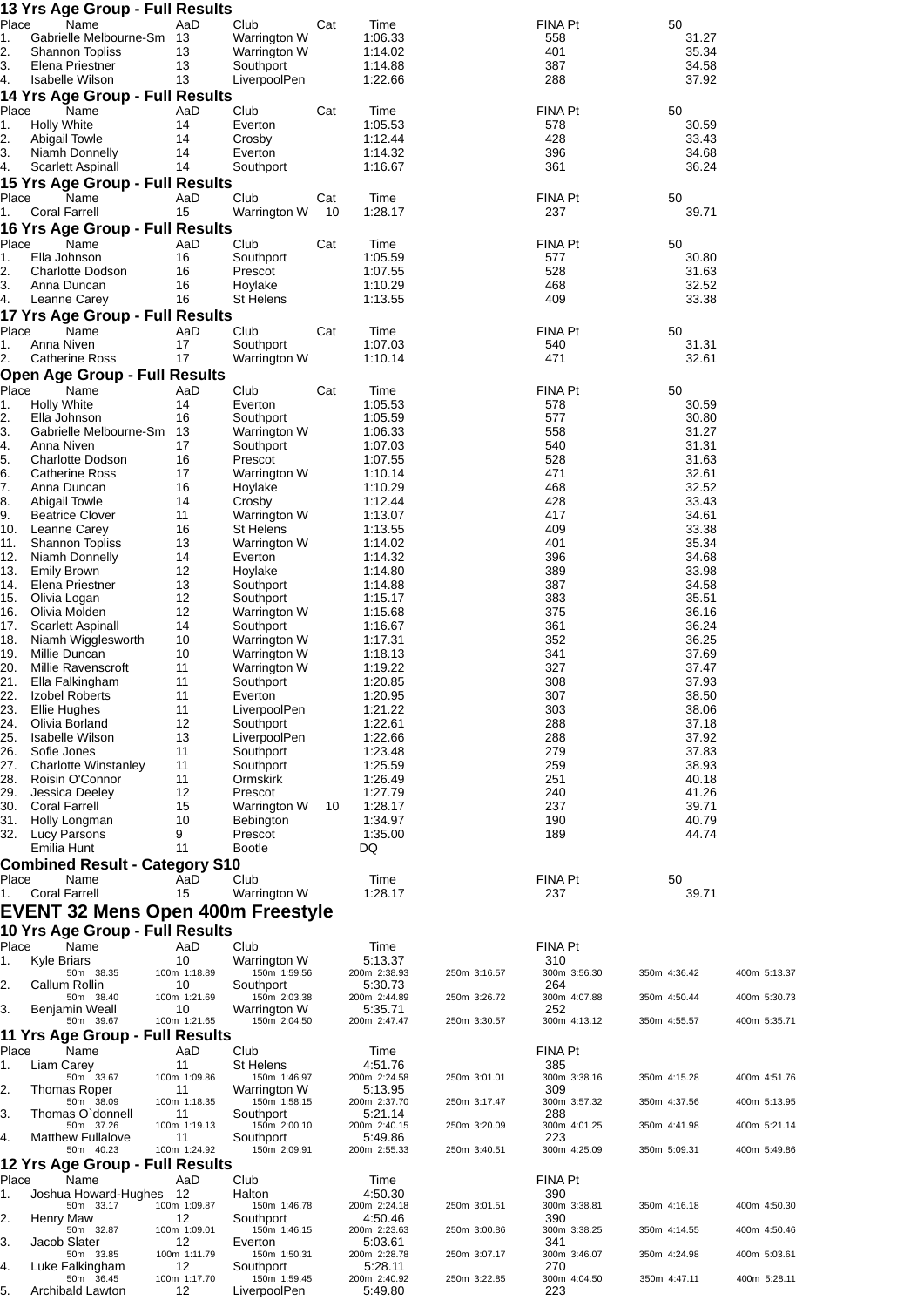|             | 13 Yrs Age Group - Full Results                  |                    |                              |     |                         |              |                     |                |              |
|-------------|--------------------------------------------------|--------------------|------------------------------|-----|-------------------------|--------------|---------------------|----------------|--------------|
| Place<br>1. | Name<br>Gabrielle Melbourne-Sm                   | AaD<br>13          | Club<br>Warrington W         | Cat | Time<br>1:06.33         |              | FINA Pt<br>558      | 50<br>31.27    |              |
| 2.          | <b>Shannon Topliss</b>                           | 13                 | Warrington W                 |     | 1:14.02                 |              | 401                 | 35.34          |              |
| 3.          | Elena Priestner                                  | 13                 | Southport                    |     | 1:14.88                 |              | 387                 | 34.58          |              |
| 4.          | <b>Isabelle Wilson</b>                           | 13                 | LiverpoolPen                 |     | 1:22.66                 |              | 288                 | 37.92          |              |
| Place       | 14 Yrs Age Group - Full Results<br>Name          | AaD                | Club                         | Cat | Time                    |              | FINA Pt             | 50             |              |
| 1.          | <b>Holly White</b>                               | 14                 | Everton                      |     | 1:05.53                 |              | 578                 | 30.59          |              |
| 2.          | <b>Abigail Towle</b>                             | 14                 | Crosby                       |     | 1:12.44                 |              | 428                 | 33.43          |              |
| 3.          | Niamh Donnelly<br>Scarlett Aspinall              | 14<br>14           | Everton                      |     | 1:14.32<br>1:16.67      |              | 396<br>361          | 34.68<br>36.24 |              |
| 4.          | 15 Yrs Age Group - Full Results                  |                    | Southport                    |     |                         |              |                     |                |              |
| Place       | Name                                             | AaD                | Club                         | Cat | Time                    |              | FINA Pt             | 50             |              |
| 1.          | <b>Coral Farrell</b>                             | 15                 | Warrington W                 | 10  | 1:28.17                 |              | 237                 | 39.71          |              |
|             | 16 Yrs Age Group - Full Results                  |                    |                              |     |                         |              |                     |                |              |
| Place<br>1. | Name<br>Ella Johnson                             | AaD<br>16          | Club<br>Southport            | Cat | Time<br>1:05.59         |              | FINA Pt<br>577      | 50<br>30.80    |              |
| 2.          | <b>Charlotte Dodson</b>                          | 16                 | Prescot                      |     | 1:07.55                 |              | 528                 | 31.63          |              |
| 3.          | Anna Duncan                                      | 16                 | Hoylake                      |     | 1:10.29                 |              | 468                 | 32.52          |              |
| 4.          | Leanne Carey                                     | 16                 | <b>St Helens</b>             |     | 1:13.55                 |              | 409                 | 33.38          |              |
| Place       | 17 Yrs Age Group - Full Results<br>Name          | AaD                | Club                         | Cat | Time                    |              | FINA Pt             | 50             |              |
| 1.          | Anna Niven                                       | 17                 | Southport                    |     | 1:07.03                 |              | 540                 | 31.31          |              |
| 2.          | Catherine Ross                                   | 17                 | Warrington W                 |     | 1:10.14                 |              | 471                 | 32.61          |              |
|             | Open Age Group - Full Results                    |                    |                              |     |                         |              |                     |                |              |
| Place<br>1. | Name<br><b>Holly White</b>                       | AaD<br>14          | Club<br>Everton              | Cat | Time<br>1:05.53         |              | FINA Pt<br>578      | 50<br>30.59    |              |
| 2.          | Ella Johnson                                     | 16                 | Southport                    |     | 1:05.59                 |              | 577                 | 30.80          |              |
| 3.          | Gabrielle Melbourne-Sm                           | 13                 | Warrington W                 |     | 1:06.33                 |              | 558                 | 31.27          |              |
| 4.          | Anna Niven                                       | 17                 | Southport                    |     | 1:07.03                 |              | 540                 | 31.31          |              |
| 5.<br>6.    | <b>Charlotte Dodson</b><br><b>Catherine Ross</b> | 16<br>17           | Prescot<br>Warrington W      |     | 1:07.55<br>1:10.14      |              | 528<br>471          | 31.63<br>32.61 |              |
| 7.          | Anna Duncan                                      | 16                 | Hoylake                      |     | 1:10.29                 |              | 468                 | 32.52          |              |
| 8.          | Abigail Towle                                    | 14                 | Crosby                       |     | 1:12.44                 |              | 428                 | 33.43          |              |
| 9.<br>10.   | <b>Beatrice Clover</b><br>Leanne Carey           | 11<br>16           | Warrington W<br>St Helens    |     | 1:13.07<br>1:13.55      |              | 417<br>409          | 34.61<br>33.38 |              |
| 11.         | Shannon Topliss                                  | 13                 | Warrington W                 |     | 1:14.02                 |              | 401                 | 35.34          |              |
| 12.         | Niamh Donnelly                                   | 14                 | Everton                      |     | 1:14.32                 |              | 396                 | 34.68          |              |
| 13.         | <b>Emily Brown</b>                               | 12<br>13           | Hoylake                      |     | 1:14.80                 |              | 389                 | 33.98          |              |
| 14.<br>15.  | Elena Priestner<br>Olivia Logan                  | 12                 | Southport<br>Southport       |     | 1:14.88<br>1:15.17      |              | 387<br>383          | 34.58<br>35.51 |              |
| 16.         | Olivia Molden                                    | 12                 | Warrington W                 |     | 1:15.68                 |              | 375                 | 36.16          |              |
| 17.         | Scarlett Aspinall                                | 14                 | Southport                    |     | 1:16.67                 |              | 361                 | 36.24          |              |
| 18.<br>19.  | Niamh Wigglesworth<br>Millie Duncan              | 10<br>10           | Warrington W<br>Warrington W |     | 1:17.31<br>1:18.13      |              | 352<br>341          | 36.25<br>37.69 |              |
| 20.         | Millie Ravenscroft                               | 11                 | Warrington W                 |     | 1:19.22                 |              | 327                 | 37.47          |              |
| 21.         | Ella Falkingham                                  | 11                 | Southport                    |     | 1:20.85                 |              | 308                 | 37.93          |              |
| 23.         | 22. Izobel Roberts<br><b>Ellie Hughes</b>        | 11<br>11           | Everton<br>LiverpoolPen      |     | 1:20.95<br>1:21.22      |              | 307<br>303          | 38.50<br>38.06 |              |
| 24.         | Olivia Borland                                   | 12                 | Southport                    |     | 1:22.61                 |              | 288                 | 37.18          |              |
| 25.         | <b>Isabelle Wilson</b>                           | 13                 | LiverpoolPen                 |     | 1:22.66                 |              | 288                 | 37.92          |              |
| 26.         | Sofie Jones                                      | 11                 | Southport                    |     | 1:23.48<br>1:25.59      |              | 279                 | 37.83          |              |
| 27.<br>28.  | <b>Charlotte Winstanley</b><br>Roisin O'Connor   | 11<br>11           | Southport<br>Ormskirk        |     | 1:26.49                 |              | 259<br>251          | 38.93<br>40.18 |              |
| 29.         | Jessica Deeley                                   | 12                 | Prescot                      |     | 1:27.79                 |              | 240                 | 41.26          |              |
| 30.         | <b>Coral Farrell</b>                             | 15                 | Warrington W                 | 10  | 1:28.17                 |              | 237                 | 39.71          |              |
| 31.<br>32.  | Holly Longman<br><b>Lucy Parsons</b>             | 10<br>9            | Bebington<br>Prescot         |     | 1:34.97<br>1:35.00      |              | 190<br>189          | 40.79<br>44.74 |              |
|             | Emilia Hunt                                      | 11                 | Bootle                       |     | DQ.                     |              |                     |                |              |
|             | <b>Combined Result - Category S10</b>            |                    |                              |     |                         |              |                     |                |              |
| Place       | Name                                             | AaD                | Club                         |     | Time                    |              | FINA Pt             | 50             |              |
| 1.          | <b>Coral Farrell</b>                             | 15                 | Warrington W                 |     | 1:28.17                 |              | 237                 | 39.71          |              |
|             | <b>EVENT 32 Mens Open 400m Freestyle</b>         |                    |                              |     |                         |              |                     |                |              |
|             | 10 Yrs Age Group - Full Results                  |                    |                              |     |                         |              |                     |                |              |
| Place<br>1. | Name<br>Kyle Briars                              | AaD<br>10          | Club<br>Warrington W         |     | Time<br>5:13.37         |              | FINA Pt<br>310      |                |              |
|             | 50m 38.35                                        | 100m 1:18.89       | 150m 1:59.56                 |     | 200m 2:38.93            | 250m 3:16.57 | 300m 3:56.30        | 350m 4:36.42   | 400m 5:13.37 |
| 2.          | Callum Rollin<br>50m 38.40                       | 10<br>100m 1:21.69 | Southport<br>150m 2:03.38    |     | 5:30.73<br>200m 2:44.89 | 250m 3:26.72 | 264<br>300m 4:07.88 | 350m 4:50.44   | 400m 5:30.73 |
| 3.          | Benjamin Weall                                   | 10                 | Warrington W                 |     | 5:35.71                 |              | 252                 |                |              |
|             | 50m 39.67                                        | 100m 1:21.65       | 150m 2:04.50                 |     | 200m 2:47.47            | 250m 3:30.57 | 300m 4:13.12        | 350m 4:55.57   | 400m 5:35.71 |
| Place       | 11 Yrs Age Group - Full Results<br>Name          | AaD                | Club                         |     | Time                    |              | FINA Pt             |                |              |
| 1.          | Liam Carey                                       | 11                 | St Helens                    |     | 4:51.76                 |              | 385                 |                |              |
|             | 50m 33.67                                        | 100m 1:09.86       | 150m 1:46.97                 |     | 200m 2:24.58            | 250m 3:01.01 | 300m 3:38.16        | 350m 4:15.28   | 400m 4:51.76 |
| 2.          | Thomas Roper<br>50m 38.09                        | 11<br>100m 1:18.35 | Warrington W<br>150m 1:58.15 |     | 5:13.95<br>200m 2:37.70 | 250m 3:17.47 | 309<br>300m 3:57.32 | 350m 4:37.56   | 400m 5:13.95 |
| 3.          | Thomas O'donnell                                 | 11                 | Southport                    |     | 5:21.14                 |              | 288                 |                |              |
| 4.          | 50m 37.26<br><b>Matthew Fullalove</b>            | 100m 1:19.13<br>11 | 150m 2:00.10<br>Southport    |     | 200m 2:40.15<br>5:49.86 | 250m 3:20.09 | 300m 4:01.25<br>223 | 350m 4:41.98   | 400m 5:21.14 |
|             | 50m 40.23                                        | 100m 1:24.92       | 150m 2:09.91                 |     | 200m 2:55.33            | 250m 3:40.51 | 300m 4:25.09        | 350m 5:09.31   | 400m 5:49.86 |
|             | 12 Yrs Age Group - Full Results                  |                    |                              |     |                         |              |                     |                |              |
| Place<br>1. | Name<br>Joshua Howard-Hughes                     | AaD<br>-12         | Club<br>Halton               |     | Time<br>4:50.30         |              | FINA Pt<br>390      |                |              |
|             | 50m 33.17                                        | 100m 1:09.87       | 150m 1:46.78                 |     | 200m 2:24.18            | 250m 3:01.51 | 300m 3:38.81        | 350m 4:16.18   | 400m 4:50.30 |
| 2.          | Henry Maw<br>50m 32.87                           | 12<br>100m 1:09.01 | Southport<br>150m 1:46.15    |     | 4:50.46<br>200m 2:23.63 | 250m 3:00.86 | 390<br>300m 3:38.25 | 350m 4:14.55   | 400m 4:50.46 |
| 3.          | Jacob Slater                                     | 12                 | Everton                      |     | 5:03.61                 |              | 341                 |                |              |
| 4.          | 50m 33.85<br>Luke Falkingham                     | 100m 1:11.79<br>12 | 150m 1:50.31<br>Southport    |     | 200m 2:28.78<br>5:28.11 | 250m 3:07.17 | 300m 3:46.07<br>270 | 350m 4:24.98   | 400m 5:03.61 |
|             | 50m 36.45                                        | 100m 1:17.70       | 150m 1:59.45                 |     | 200m 2:40.92            | 250m 3:22.85 | 300m 4:04.50        | 350m 4:47.11   | 400m 5:28.11 |
| 5.          | Archibald Lawton                                 | 12                 | LiverpoolPen                 |     | 5:49.80                 |              | 223                 |                |              |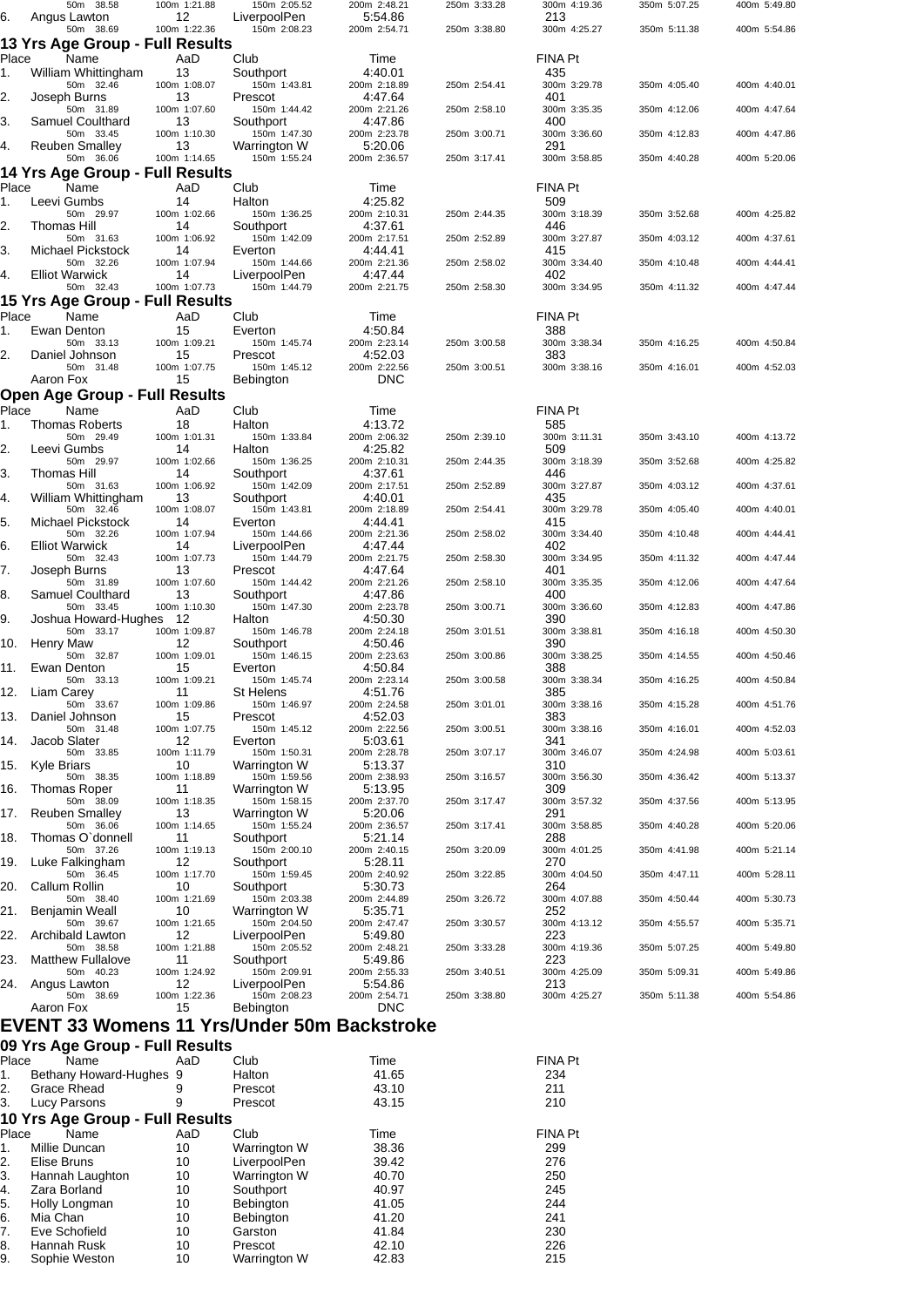|             | 50m 38.58                                   | 100m 1:21.88       | 150m 2:05.52                 | 200m 2:48.21            | 250m 3:33.28 | 300m 4:19.36        | 350m 5:07.25 | 400m 5:49.80 |
|-------------|---------------------------------------------|--------------------|------------------------------|-------------------------|--------------|---------------------|--------------|--------------|
| 6.          | Angus Lawton                                | 12                 | LiverpoolPen                 | 5:54.86                 |              | 213                 |              |              |
|             | 50m 38.69                                   | 100m 1:22.36       | 150m 2:08.23                 | 200m 2:54.71            | 250m 3:38.80 | 300m 4:25.27        | 350m 5:11.38 | 400m 5:54.86 |
|             | 13 Yrs Age Group - Full Results             |                    |                              |                         |              |                     |              |              |
| Place       | Name                                        | AaD                | Club                         | Time                    |              | FINA Pt             |              |              |
| 1.          | William Whittingham                         | 13                 | Southport                    | 4:40.01                 |              | 435                 |              |              |
|             | 50m 32.46                                   | 100m 1:08.07       | 150m 1:43.81                 | 200m 2:18.89            | 250m 2:54.41 | 300m 3:29.78        | 350m 4:05.40 | 400m 4:40.01 |
| 2.          | Joseph Burns<br>50m 31.89                   | 13<br>100m 1:07.60 | Prescot<br>150m 1:44.42      | 4:47.64<br>200m 2:21.26 | 250m 2:58.10 | 401<br>300m 3:35.35 | 350m 4:12.06 | 400m 4:47.64 |
| 3.          | Samuel Coulthard                            | 13                 | Southport                    | 4:47.86                 |              | 400                 |              |              |
|             | 50m 33.45                                   | 100m 1:10.30       | 150m 1:47.30                 | 200m 2:23.78            | 250m 3:00.71 | 300m 3:36.60        | 350m 4:12.83 | 400m 4:47.86 |
| 4.          | <b>Reuben Smalley</b>                       | 13                 | Warrington W                 | 5:20.06                 |              | 291                 |              |              |
|             | 50m 36.06                                   | 100m 1:14.65       | 150m 1:55.24                 | 200m 2:36.57            | 250m 3:17.41 | 300m 3:58.85        | 350m 4:40.28 | 400m 5:20.06 |
|             | 14 Yrs Age Group - Full Results             |                    |                              |                         |              |                     |              |              |
| Place<br>1. | Name<br>Leevi Gumbs                         | AaD<br>14          | Club<br>Halton               | Time<br>4:25.82         |              | FINA Pt<br>509      |              |              |
|             | 50m 29.97                                   | 100m 1:02.66       | 150m 1:36.25                 | 200m 2:10.31            | 250m 2:44.35 | 300m 3:18.39        | 350m 3:52.68 | 400m 4:25.82 |
| 2.          | Thomas Hill                                 | 14                 | Southport                    | 4:37.61                 |              | 446                 |              |              |
|             | 50m 31.63                                   | 100m 1:06.92       | 150m 1:42.09                 | 200m 2:17.51            | 250m 2:52.89 | 300m 3:27.87        | 350m 4:03.12 | 400m 4:37.61 |
| 3.          | Michael Pickstock                           | 14                 | Everton                      | 4:44.41                 |              | 415                 |              |              |
| 4.          | 50m 32.26<br><b>Elliot Warwick</b>          | 100m 1:07.94<br>14 | 150m 1:44.66<br>LiverpoolPen | 200m 2:21.36<br>4:47.44 | 250m 2:58.02 | 300m 3:34.40<br>402 | 350m 4:10.48 | 400m 4:44.41 |
|             | 50m 32.43                                   | 100m 1:07.73       | 150m 1:44.79                 | 200m 2:21.75            | 250m 2:58.30 | 300m 3:34.95        | 350m 4:11.32 | 400m 4:47.44 |
|             | 15 Yrs Age Group - Full Results             |                    |                              |                         |              |                     |              |              |
| Place       | Name                                        | AaD                | Club                         | Time                    |              | FINA Pt             |              |              |
| 1.          | Ewan Denton                                 | 15                 | Everton                      | 4:50.84                 |              | 388                 |              |              |
|             | 50m 33.13                                   | 100m 1:09.21       | 150m 1:45.74                 | 200m 2:23.14            | 250m 3:00.58 | 300m 3:38.34        | 350m 4:16.25 | 400m 4:50.84 |
| 2.          | Daniel Johnson                              | 15                 | Prescot                      | 4:52.03                 |              | 383                 |              |              |
|             | 50m 31.48                                   | 100m 1:07.75       | 150m 1:45.12                 | 200m 2:22.56            | 250m 3:00.51 | 300m 3:38.16        | 350m 4:16.01 | 400m 4:52.03 |
|             | Aaron Fox                                   | 15                 | Bebington                    | <b>DNC</b>              |              |                     |              |              |
|             | Open Age Group - Full Results               |                    |                              |                         |              |                     |              |              |
| Place       | Name                                        | AaD                | Club                         | Time                    |              | FINA Pt             |              |              |
| 1.          | Thomas Roberts<br>50m 29.49                 | 18<br>100m 1:01.31 | Halton<br>150m 1:33.84       | 4:13.72<br>200m 2:06.32 | 250m 2:39.10 | 585<br>300m 3:11.31 | 350m 3:43.10 | 400m 4:13.72 |
| 2.          | Leevi Gumbs                                 | 14                 | Halton                       | 4:25.82                 |              | 509                 |              |              |
|             | 50m 29.97                                   | 100m 1:02.66       | 150m 1:36.25                 | 200m 2:10.31            | 250m 2:44.35 | 300m 3:18.39        | 350m 3:52.68 | 400m 4:25.82 |
| 3.          | Thomas Hill                                 | 14                 | Southport                    | 4:37.61                 |              | 446                 |              |              |
|             | 50m 31.63                                   | 100m 1:06.92       | 150m 1:42.09                 | 200m 2:17.51            | 250m 2:52.89 | 300m 3:27.87<br>435 | 350m 4:03.12 | 400m 4:37.61 |
| 4.          | William Whittingham<br>50m 32.46            | 13<br>100m 1:08.07 | Southport<br>150m 1:43.81    | 4:40.01<br>200m 2:18.89 | 250m 2:54.41 | 300m 3:29.78        | 350m 4:05.40 | 400m 4:40.01 |
| 5.          | Michael Pickstock                           | 14                 | Everton                      | 4:44.41                 |              | 415                 |              |              |
|             | 50m 32.26                                   | 100m 1:07.94       | 150m 1:44.66                 | 200m 2:21.36            | 250m 2:58.02 | 300m 3:34.40        | 350m 4:10.48 | 400m 4:44.41 |
| 6.          | <b>Elliot Warwick</b>                       | 14                 | LiverpoolPen                 | 4:47.44                 |              | 402                 |              |              |
| 7.          | 50m 32.43<br>Joseph Burns                   | 100m 1:07.73<br>13 | 150m 1:44.79<br>Prescot      | 200m 2:21.75<br>4:47.64 | 250m 2:58.30 | 300m 3:34.95<br>401 | 350m 4:11.32 | 400m 4:47.44 |
|             | 50m 31.89                                   | 100m 1:07.60       | 150m 1:44.42                 | 200m 2:21.26            | 250m 2:58.10 | 300m 3:35.35        | 350m 4:12.06 | 400m 4:47.64 |
| 8.          | Samuel Coulthard                            | 13                 | Southport                    | 4:47.86                 |              | 400                 |              |              |
|             | 50m 33.45                                   | 100m 1:10.30       | 150m 1:47.30                 | 200m 2:23.78            | 250m 3:00.71 | 300m 3:36.60        | 350m 4:12.83 | 400m 4:47.86 |
| 9.          | Joshua Howard-Hughes 12                     | 100m 1:09.87       | Halton                       | 4:50.30                 |              | 390                 |              |              |
| 10.         | 50m 33.17<br>Henry Maw                      | 12                 | 150m 1:46.78<br>Southport    | 200m 2:24.18<br>4:50.46 | 250m 3:01.51 | 300m 3:38.81<br>390 | 350m 4:16.18 | 400m 4:50.30 |
|             | 50m 32.87                                   | 100m 1:09.01       | 150m 1:46.15                 | 200m 2:23.63            | 250m 3:00.86 | 300m 3:38.25        | 350m 4:14.55 | 400m 4:50.46 |
| 11.         | Ewan Denton                                 | 15                 | Everton                      | 4:50.84                 |              | 388                 |              |              |
|             | 50m 33.13                                   | 100m 1:09.21       | 150m 1:45.74                 | 200m 2:23.14            | 250m 3:00.58 | 300m 3:38.34        | 350m 4:16.25 | 400m 4:50.84 |
| 12.         | <b>Liam Carey</b><br>50m 33.67              | 11<br>100m 1:09.86 | St Helens<br>150m 1:46.97    | 4:51.76<br>200m 2:24.58 | 250m 3:01.01 | 385<br>300m 3:38.16 | 350m 4:15.28 | 400m 4:51.76 |
| 13.         | Daniel Johnson                              | 15                 | Prescot                      | 4:52.03                 |              | 383                 |              |              |
|             | 50m 31.48                                   | 100m 1:07.75       | 150m 1:45.12                 | 200m 2:22.56            | 250m 3:00.51 | 300m 3:38.16        | 350m 4:16.01 | 400m 4:52.03 |
| 14.         | Jacob Slater                                | 12                 | Everton                      | 5:03.61                 |              | 341                 |              |              |
|             | 50m 33.85                                   | 100m 1:11.79       | 150m 1:50.31                 | 200m 2:28.78<br>5:13.37 | 250m 3:07.17 | 300m 3:46.07<br>310 | 350m 4:24.98 | 400m 5:03.61 |
| 15.         | Kyle Briars<br>50m 38.35                    | 10<br>100m 1:18.89 | Warrington W<br>150m 1:59.56 | 200m 2:38.93            | 250m 3:16.57 | 300m 3:56.30        | 350m 4:36.42 | 400m 5:13.37 |
| 16.         | Thomas Roper                                | 11                 | Warrington W                 | 5:13.95                 |              | 309                 |              |              |
|             | 50m 38.09                                   | 100m 1:18.35       | 150m 1:58.15                 | 200m 2:37.70            | 250m 3:17.47 | 300m 3:57.32        | 350m 4:37.56 | 400m 5:13.95 |
| 17.         | <b>Reuben Smalley</b>                       | 13                 | Warrington W                 | 5:20.06                 |              | 291                 |              |              |
| 18.         | 50m 36.06<br>Thomas O'donnell               | 100m 1:14.65<br>11 | 150m 1:55.24<br>Southport    | 200m 2:36.57<br>5.21.14 | 250m 3:17.41 | 300m 3:58.85<br>288 | 350m 4:40.28 | 400m 5:20.06 |
|             | 50m 37.26                                   | 100m 1:19.13       | 150m 2:00.10                 | 200m 2:40.15            | 250m 3:20.09 | 300m 4:01.25        | 350m 4:41.98 | 400m 5:21.14 |
| 19.         | Luke Falkingham                             | 12                 | Southport                    | 5:28.11                 |              | 270                 |              |              |
|             | 50m 36.45                                   | 100m 1:17.70       | 150m 1:59.45                 | 200m 2:40.92            | 250m 3:22.85 | 300m 4:04.50        | 350m 4:47.11 | 400m 5:28.11 |
| 20.         | Callum Rollin                               | 10                 | Southport                    | 5:30.73                 |              | 264                 |              |              |
| 21.         | 50m 38.40<br>Benjamin Weall                 | 100m 1:21.69<br>10 | 150m 2:03.38<br>Warrington W | 200m 2:44.89<br>5:35.71 | 250m 3:26.72 | 300m 4:07.88<br>252 | 350m 4:50.44 | 400m 5:30.73 |
|             | 50m 39.67                                   | 100m 1:21.65       | 150m 2:04.50                 | 200m 2:47.47            | 250m 3:30.57 | 300m 4:13.12        | 350m 4:55.57 | 400m 5:35.71 |
| 22.         | Archibald Lawton                            | 12                 | LiverpoolPen                 | 5:49.80                 |              | 223                 |              |              |
|             | 50m 38.58                                   | 100m 1:21.88       | 150m 2:05.52                 | 200m 2:48.21            | 250m 3:33.28 | 300m 4:19.36        | 350m 5:07.25 | 400m 5:49.80 |
| 23.         | <b>Matthew Fullalove</b>                    | 11                 | Southport                    | 5:49.86                 |              | 223                 |              |              |
| 24.         | 50m 40.23<br>Angus Lawton                   | 100m 1:24.92<br>12 | 150m 2:09.91<br>LiverpoolPen | 200m 2:55.33<br>5:54.86 | 250m 3:40.51 | 300m 4:25.09<br>213 | 350m 5:09.31 | 400m 5:49.86 |
|             | 50m 38.69                                   | 100m 1:22.36       | 150m 2:08.23                 | 200m 2:54.71            | 250m 3:38.80 | 300m 4:25.27        | 350m 5:11.38 | 400m 5:54.86 |
|             | Aaron Fox                                   | 15                 | <b>Bebington</b>             | <b>DNC</b>              |              |                     |              |              |
|             | EVENT 33 Womens 11 Yrs/Under 50m Backstroke |                    |                              |                         |              |                     |              |              |
|             |                                             |                    |                              |                         |              |                     |              |              |
|             | 09 Yrs Age Group - Full Results             |                    |                              |                         |              |                     |              |              |
| Place       | Name                                        | AaD                | Club                         | Time                    |              | <b>FINA Pt</b>      |              |              |
| 1.          | Bethany Howard-Hughes 9                     |                    | Halton                       | 41.65                   |              | 234                 |              |              |

| ı ıav <del>c</del> | 1391115                         | ∩a∟ | viuv         | ᠁     | .              |
|--------------------|---------------------------------|-----|--------------|-------|----------------|
| 1.                 | Bethany Howard-Hughes 9         |     | Halton       | 41.65 | 234            |
| 2.                 | Grace Rhead                     | 9   | Prescot      | 43.10 | 211            |
| З.                 | Lucy Parsons                    | 9   | Prescot      | 43.15 | 210            |
|                    | 10 Yrs Age Group - Full Results |     |              |       |                |
| Place              | Name                            | AaD | Club         | Time  | <b>FINA Pt</b> |
| 1.                 | Millie Duncan                   | 10  | Warrington W | 38.36 | 299            |
| 2.                 | Elise Bruns                     | 10  | LiverpoolPen | 39.42 | 276            |
| 3.                 | Hannah Laughton                 | 10  | Warrington W | 40.70 | 250            |
| 4.                 | Zara Borland                    | 10  | Southport    | 40.97 | 245            |
| 5.                 | Holly Longman                   | 10  | Bebington    | 41.05 | 244            |
| 6.                 | Mia Chan                        | 10  | Bebington    | 41.20 | 241            |
| 7.                 | Eve Schofield                   | 10  | Garston      | 41.84 | 230            |
| 8.                 | Hannah Rusk                     | 10  | Prescot      | 42.10 | 226            |
| 9.                 | Sophie Weston                   | 10  | Warrington W | 42.83 | 215            |
|                    |                                 |     |              |       |                |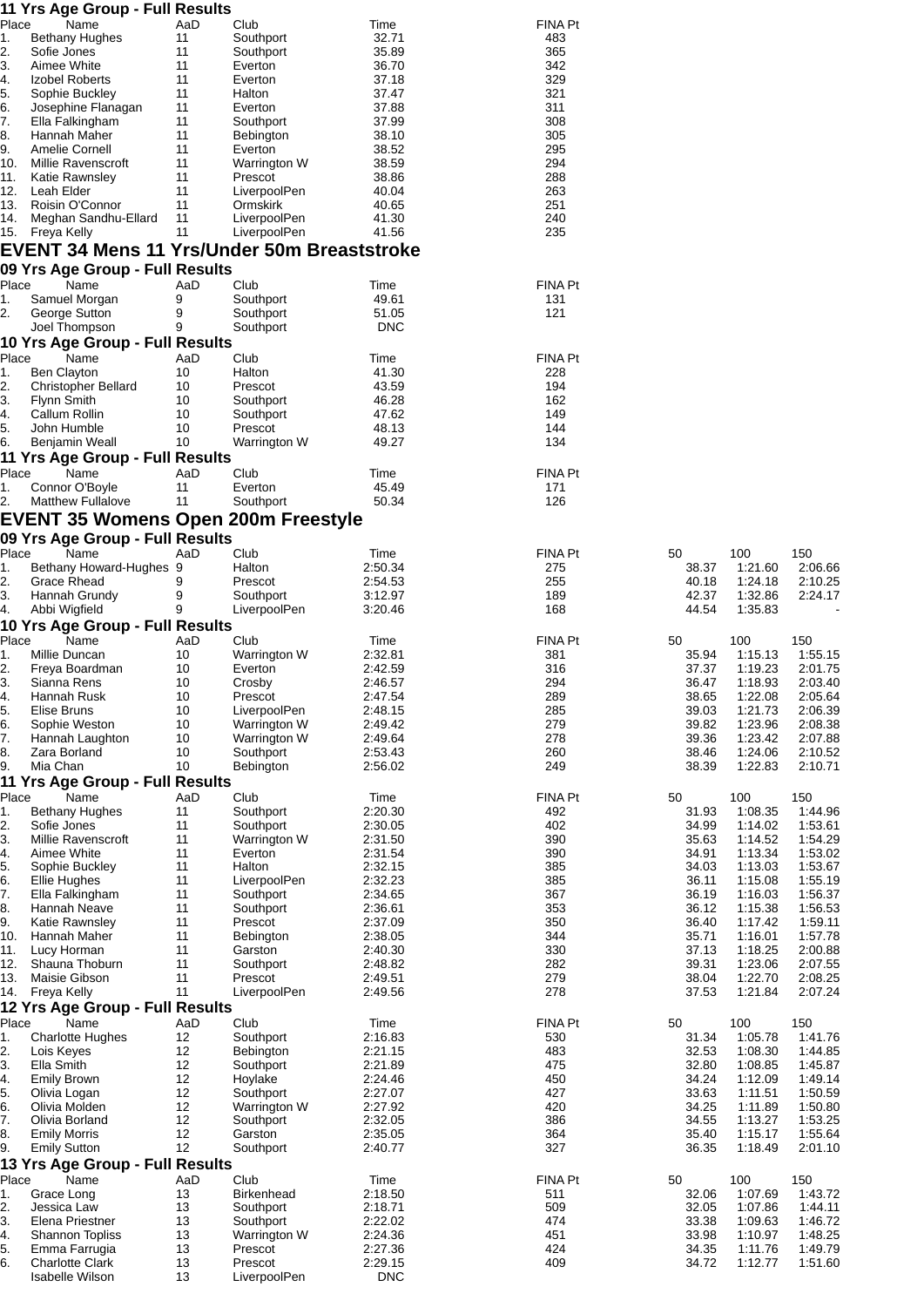|               | 11 Yrs Age Group - Full Results                                               |           |                              |                    |                |                |                    |                    |
|---------------|-------------------------------------------------------------------------------|-----------|------------------------------|--------------------|----------------|----------------|--------------------|--------------------|
| Place<br>1.   | Name                                                                          | AaD       | Club                         | Time               | <b>FINA Pt</b> |                |                    |                    |
| 2.            | <b>Bethany Hughes</b><br>Sofie Jones                                          | 11<br>11  | Southport<br>Southport       | 32.71<br>35.89     | 483<br>365     |                |                    |                    |
| 3.            | Aimee White                                                                   | 11        | Everton                      | 36.70              | 342            |                |                    |                    |
| 4.            | Izobel Roberts                                                                | 11        | Everton                      | 37.18              | 329            |                |                    |                    |
| 5.<br>6.      | Sophie Buckley<br>Josephine Flanagan                                          | 11<br>11  | Halton<br>Everton            | 37.47<br>37.88     | 321<br>311     |                |                    |                    |
| 7.            | Ella Falkingham                                                               | 11        | Southport                    | 37.99              | 308            |                |                    |                    |
| 8.            | Hannah Maher                                                                  | 11        | Bebington                    | 38.10              | 305            |                |                    |                    |
| 9.            | Amelie Cornell                                                                | 11        | Everton                      | 38.52              | 295            |                |                    |                    |
| 10.<br>11.    | Millie Ravenscroft<br>Katie Rawnsley                                          | 11<br>11  | Warrington W<br>Prescot      | 38.59<br>38.86     | 294<br>288     |                |                    |                    |
| 12.           | Leah Elder                                                                    | 11        | LiverpoolPen                 | 40.04              | 263            |                |                    |                    |
| 13.           | Roisin O'Connor                                                               | 11        | Ormskirk                     | 40.65              | 251            |                |                    |                    |
| 14.<br>15.    | Meghan Sandhu-Ellard<br>Freya Kelly                                           | 11<br>11  | LiverpoolPen<br>LiverpoolPen | 41.30<br>41.56     | 240<br>235     |                |                    |                    |
|               | <b>EVENT 34 Mens 11 Yrs/Under 50m Breaststroke</b>                            |           |                              |                    |                |                |                    |                    |
|               | 09 Yrs Age Group - Full Results                                               |           |                              |                    |                |                |                    |                    |
| Place<br>1.   | Name<br>Samuel Morgan                                                         | AaD       | Club<br>Southport            | Time<br>49.61      | <b>FINA Pt</b> |                |                    |                    |
| 2.            | George Sutton                                                                 | 9<br>9    | Southport                    | 51.05              | 131<br>121     |                |                    |                    |
|               | Joel Thompson                                                                 | 9         | Southport                    | <b>DNC</b>         |                |                |                    |                    |
|               | 10 Yrs Age Group - Full Results                                               |           |                              |                    |                |                |                    |                    |
| Place         | Name                                                                          | AaD       | Club                         | Time               | <b>FINA Pt</b> |                |                    |                    |
| 1.<br>2.      | <b>Ben Clayton</b><br><b>Christopher Bellard</b>                              | 10<br>10  | Halton<br>Prescot            | 41.30<br>43.59     | 228<br>194     |                |                    |                    |
| 3.            | <b>Flynn Smith</b>                                                            | 10        | Southport                    | 46.28              | 162            |                |                    |                    |
| 4.            | Callum Rollin                                                                 | 10        | Southport                    | 47.62              | 149            |                |                    |                    |
| 5.<br>6.      | John Humble                                                                   | 10<br>10  | Prescot                      | 48.13<br>49.27     | 144<br>134     |                |                    |                    |
|               | Benjamin Weall<br>11 Yrs Age Group - Full Results                             |           | Warrington W                 |                    |                |                |                    |                    |
| Place         | Name                                                                          | AaD       | Club                         | Time               | <b>FINA Pt</b> |                |                    |                    |
| 1.            | Connor O'Boyle                                                                | 11        | Everton                      | 45.49              | 171            |                |                    |                    |
| 2.            | <b>Matthew Fullalove</b>                                                      | 11        | Southport                    | 50.34              | 126            |                |                    |                    |
|               | <b>EVENT 35 Womens Open 200m Freestyle</b><br>09 Yrs Age Group - Full Results |           |                              |                    |                |                |                    |                    |
| Place         | Name                                                                          | AaD       | Club                         | Time               | <b>FINA Pt</b> | 50             | 100                | 150                |
| 1.            | Bethany Howard-Hughes 9                                                       |           | Halton                       | 2:50.34            | 275            | 38.37          | 1:21.60            | 2:06.66            |
| 2.            | Grace Rhead                                                                   | 9         | Prescot                      | 2:54.53            | 255            | 40.18          | 1:24.18            | 2:10.25            |
| 3.<br>4.      | Hannah Grundy<br>Abbi Wigfield                                                | 9<br>9    | Southport<br>LiverpoolPen    | 3:12.97<br>3:20.46 | 189<br>168     | 42.37<br>44.54 | 1:32.86<br>1:35.83 | 2:24.17            |
|               | 10 Yrs Age Group - Full Results                                               |           |                              |                    |                |                |                    |                    |
| Place         | Name                                                                          | AaD       | Club                         | Time               | <b>FINA Pt</b> | 50             | 100                | 150                |
| 1.<br>2.      | Millie Duncan<br>Freya Boardman                                               | 10<br>10  | Warrington W<br>Everton      | 2:32.81<br>2:42.59 | 381<br>316     | 35.94<br>37.37 | 1:15.13<br>1:19.23 | 1:55.15<br>2:01.75 |
| 3.            | Sianna Rens                                                                   | 10        | Crosby                       | 2:46.57            | 294            | 36.47          | 1:18.93            | 2:03.40            |
| 4.            | Hannah Rusk                                                                   | 10        | Prescot                      | 2:47.54            | 289            | 38.65          | 1:22.08            | 2:05.64            |
| 5.<br>6.      | Elise Bruns<br>Sophie Weston                                                  | 10<br>10  | LiverpoolPen                 | 2:48.15<br>2:49.42 | 285<br>279     | 39.03<br>39.82 | 1:21.73<br>1:23.96 | 2:06.39            |
| 7.            | Hannah Laughton                                                               | 10        | Warrington W<br>Warrington W | 2:49.64            | 278            | 39.36          | 1:23.42            | 2:08.38<br>2:07.88 |
| 8.            | Zara Borland                                                                  | 10        | Southport                    | 2:53.43            | 260            | 38.46          | 1:24.06            | 2:10.52            |
| 9.            | Mia Chan                                                                      | 10        | Bebington                    | 2:56.02            | 249            | 38.39          | 1:22.83            | 2:10.71            |
| Place         | 11 Yrs Age Group - Full Results<br>Name                                       | AaD       | Club                         | Time               | <b>FINA Pt</b> | 50             | 100                | 150                |
| $\mathbf 1$ . | <b>Bethany Hughes</b>                                                         | 11        | Southport                    | 2:20.30            | 492            | 31.93          | 1:08.35            | 1:44.96            |
| 2.            | Sofie Jones                                                                   | 11        | Southport                    | 2:30.05            | 402            | 34.99          | 1:14.02            | 1:53.61            |
| 3.<br>4.      | Millie Ravenscroft<br>Aimee White                                             | 11<br>11  | Warrington W<br>Everton      | 2:31.50<br>2:31.54 | 390<br>390     | 35.63<br>34.91 | 1:14.52<br>1:13.34 | 1:54.29<br>1:53.02 |
| 5.            | Sophie Buckley                                                                | 11        | Halton                       | 2:32.15            | 385            | 34.03          | 1:13.03            | 1:53.67            |
| 6.            | <b>Ellie Hughes</b>                                                           | 11        | LiverpoolPen                 | 2:32.23            | 385            | 36.11          | 1:15.08            | 1:55.19            |
| 7.            | Ella Falkingham                                                               | 11        | Southport                    | 2:34.65            | 367            | 36.19          | 1:16.03            | 1:56.37            |
| 8.<br>9.      | Hannah Neave<br>Katie Rawnsley                                                | 11<br>11  | Southport<br>Prescot         | 2:36.61<br>2:37.09 | 353<br>350     | 36.12<br>36.40 | 1:15.38<br>1:17.42 | 1:56.53<br>1:59.11 |
| 10.           | Hannah Maher                                                                  | 11        | Bebington                    | 2:38.05            | 344            | 35.71          | 1:16.01            | 1:57.78            |
| 11.           | Lucy Horman                                                                   | 11        | Garston                      | 2:40.30            | 330            | 37.13          | 1:18.25            | 2:00.88            |
| 12.<br>13.    | Shauna Thoburn<br>Maisie Gibson                                               | 11<br>11  | Southport<br>Prescot         | 2:48.82<br>2:49.51 | 282<br>279     | 39.31<br>38.04 | 1:23.06<br>1:22.70 | 2:07.55<br>2:08.25 |
| 14.           | Freya Kelly                                                                   | 11        | LiverpoolPen                 | 2:49.56            | 278            | 37.53          | 1:21.84            | 2:07.24            |
|               | 12 Yrs Age Group - Full Results                                               |           |                              |                    |                |                |                    |                    |
| Place         | Name<br><b>Charlotte Hughes</b>                                               | AaD<br>12 | Club                         | Time<br>2:16.83    | FINA Pt<br>530 | 50<br>31.34    | 100<br>1:05.78     | 150<br>1:41.76     |
| 1.<br>2.      | Lois Keyes                                                                    | 12        | Southport<br>Bebington       | 2:21.15            | 483            | 32.53          | 1:08.30            | 1:44.85            |
| 3.            | Ella Smith                                                                    | 12        | Southport                    | 2:21.89            | 475            | 32.80          | 1:08.85            | 1:45.87            |
| 4.            | <b>Emily Brown</b>                                                            | 12        | Hoylake                      | 2:24.46            | 450            | 34.24          | 1:12.09            | 1:49.14            |
| 5.<br>6.      | Olivia Logan<br>Olivia Molden                                                 | 12<br>12  | Southport<br>Warrington W    | 2:27.07<br>2:27.92 | 427<br>420     | 33.63<br>34.25 | 1:11.51<br>1:11.89 | 1:50.59<br>1:50.80 |
| 7.            | Olivia Borland                                                                | 12        | Southport                    | 2:32.05            | 386            | 34.55          | 1:13.27            | 1:53.25            |
| 8.            | <b>Emily Morris</b>                                                           | 12        | Garston                      | 2:35.05            | 364            | 35.40          | 1:15.17            | 1:55.64            |
| 9.            | <b>Emily Sutton</b>                                                           | 12        | Southport                    | 2:40.77            | 327            | 36.35          | 1:18.49            | 2:01.10            |
| Place         | 13 Yrs Age Group - Full Results<br>Name                                       | AaD       | Club                         | Time               | <b>FINA Pt</b> | 50             | 100                | 150                |
| 1.            | Grace Long                                                                    | 13        | <b>Birkenhead</b>            | 2:18.50            | 511            | 32.06          | 1:07.69            | 1:43.72            |
| 2.            | Jessica Law                                                                   | 13        | Southport                    | 2:18.71            | 509            | 32.05          | 1:07.86            | 1:44.11            |
| 3.<br>4.      | Elena Priestner<br><b>Shannon Topliss</b>                                     | 13<br>13  | Southport<br>Warrington W    | 2:22.02<br>2:24.36 | 474<br>451     | 33.38<br>33.98 | 1:09.63<br>1:10.97 | 1:46.72<br>1:48.25 |
| 5.            | Emma Farrugia                                                                 | 13        | Prescot                      | 2:27.36            | 424            | 34.35          | 1:11.76            | 1:49.79            |
| 6.            | <b>Charlotte Clark</b>                                                        | 13        | Prescot                      | 2:29.15            | 409            | 34.72          | 1:12.77            | 1:51.60            |

Isabelle Wilson 13 LiverpoolPen DNC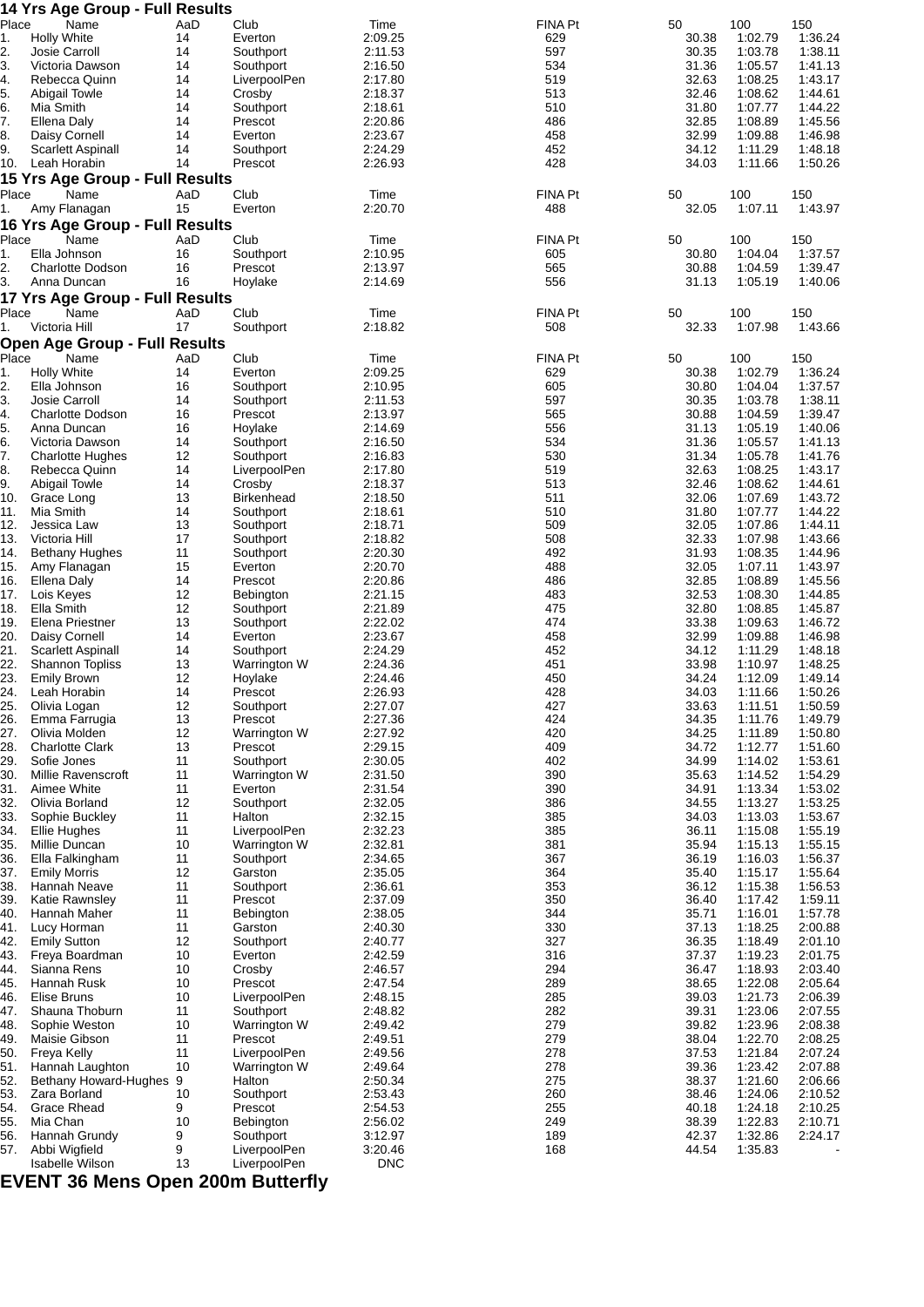|            | <b>14 Yrs Age Group - Full Results</b> |          |                           |                    |            |                |                    |                    |
|------------|----------------------------------------|----------|---------------------------|--------------------|------------|----------------|--------------------|--------------------|
| Place      | Name                                   | AaD      | Club                      | Time               | FINA Pt    | 50             | 100                | 150                |
| 1.         | <b>Holly White</b><br>Josie Carroll    | 14<br>14 | Everton<br>Southport      | 2:09.25<br>2:11.53 | 629<br>597 | 30.38<br>30.35 | 1:02.79<br>1:03.78 | 1:36.24<br>1:38.11 |
| 2.<br>3.   | Victoria Dawson                        | 14       | Southport                 | 2:16.50            | 534        | 31.36          | 1:05.57            | 1:41.13            |
| 4.         | Rebecca Quinn                          | 14       | LiverpoolPen              | 2:17.80            | 519        | 32.63          | 1:08.25            | 1:43.17            |
| 5.         | <b>Abigail Towle</b>                   | 14       | Crosby                    | 2:18.37            | 513        | 32.46          | 1:08.62            | 1:44.61            |
| 6.         | Mia Smith                              | 14       | Southport                 | 2:18.61            | 510        | 31.80          | 1:07.77            | 1:44.22            |
| 7.         | Ellena Daly                            | 14       | Prescot                   | 2:20.86            | 486        | 32.85          | 1:08.89            | 1:45.56            |
| 8.         | Daisy Cornell                          | 14       | Everton                   | 2:23.67            | 458        | 32.99          | 1:09.88            | 1:46.98            |
| 9.         | Scarlett Aspinall                      | 14       | Southport                 | 2:24.29            | 452        | 34.12          | 1:11.29            | 1:48.18            |
| 10.        | Leah Horabin                           | 14       | Prescot                   | 2:26.93            | 428        | 34.03          | 1:11.66            | 1:50.26            |
|            | 15 Yrs Age Group - Full Results        |          |                           |                    |            |                |                    |                    |
| Place      | Name                                   | AaD      | Club                      | Time               | FINA Pt    | 50             | 100                | 150                |
| 1.         | Amy Flanagan                           | 15       | Everton                   | 2:20.70            | 488        | 32.05          | 1:07.11            | 1:43.97            |
|            | 16 Yrs Age Group - Full Results        |          |                           |                    |            |                |                    |                    |
| Place      | Name                                   | AaD      | Club                      | Time               | FINA Pt    | 50             | 100                | 150                |
| 1.         | Ella Johnson                           | 16       | Southport                 | 2:10.95            | 605        | 30.80          | 1:04.04            | 1:37.57            |
| 2.         | <b>Charlotte Dodson</b>                | 16       | Prescot                   | 2:13.97            | 565        | 30.88          | 1:04.59            | 1:39.47            |
| 3.         | Anna Duncan                            | 16       | Hoylake                   | 2:14.69            | 556        | 31.13          | 1:05.19            | 1:40.06            |
|            | 17 Yrs Age Group - Full Results        |          |                           |                    |            |                |                    |                    |
| Place      | Name                                   | AaD      | Club                      | Time               | FINA Pt    | 50             | 100                | 150                |
| 1.         | Victoria Hill                          | 17       | Southport                 | 2:18.82            | 508        | 32.33          | 1:07.98            | 1:43.66            |
|            | <b>Open Age Group - Full Results</b>   |          |                           |                    |            |                |                    |                    |
| Place      | Name                                   | AaD      | Club                      | Time               | FINA Pt    | 50             | 100                | 150                |
| 1.         | <b>Holly White</b>                     | 14       | Everton                   | 2:09.25            | 629        | 30.38          | 1:02.79            | 1:36.24            |
| 2.         | Ella Johnson                           | 16       | Southport                 | 2:10.95            | 605        | 30.80          | 1:04.04            | 1:37.57            |
| 3.         | Josie Carroll                          | 14       | Southport                 | 2:11.53            | 597        | 30.35          | 1:03.78            | 1:38.11            |
| 4.         | <b>Charlotte Dodson</b>                | 16       | Prescot                   | 2:13.97            | 565        | 30.88          | 1:04.59            | 1:39.47            |
| 5.         | Anna Duncan                            | 16       | Hoylake                   | 2:14.69            | 556        | 31.13          | 1:05.19            | 1:40.06            |
| 6.         | Victoria Dawson                        | 14       | Southport                 | 2:16.50            | 534        | 31.36          | 1:05.57            | 1:41.13            |
| 7.         | <b>Charlotte Hughes</b>                | 12       | Southport                 | 2:16.83            | 530        | 31.34          | 1:05.78            | 1:41.76            |
| 8.         | Rebecca Quinn                          | 14       | LiverpoolPen              | 2:17.80            | 519        | 32.63          | 1:08.25            | 1:43.17            |
| 9.         | <b>Abigail Towle</b>                   | 14       | Crosby                    | 2:18.37            | 513        | 32.46          | 1:08.62            | 1:44.61            |
| 10.        | Grace Long                             | 13       | Birkenhead                | 2:18.50            | 511        | 32.06          | 1:07.69            | 1:43.72            |
| 11.        | Mia Smith                              | 14       | Southport                 | 2:18.61            | 510        | 31.80          | 1:07.77            | 1:44.22            |
| 12.        | Jessica Law                            | 13       | Southport                 | 2:18.71            | 509        | 32.05          | 1:07.86            | 1:44.11            |
| 13.        | Victoria Hill                          | 17       | Southport                 | 2:18.82            | 508        | 32.33          | 1:07.98            | 1:43.66            |
| 14.        | <b>Bethany Hughes</b>                  | 11       | Southport                 | 2:20.30            | 492        | 31.93          | 1:08.35            | 1:44.96            |
| 15.        | Amy Flanagan                           | 15       | Everton                   | 2:20.70            | 488        | 32.05          | 1:07.11            | 1:43.97            |
| 16.        | Ellena Daly                            | 14       | Prescot                   | 2:20.86            | 486        | 32.85          | 1:08.89            | 1:45.56            |
| 17.        | Lois Keyes                             | 12       | Bebington                 | 2:21.15            | 483        | 32.53          | 1:08.30            | 1:44.85            |
| 18.        | Ella Smith                             | 12       | Southport                 | 2:21.89            | 475        | 32.80          | 1:08.85            | 1:45.87            |
| 19.        | Elena Priestner                        | 13       | Southport                 | 2:22.02            | 474        | 33.38          | 1:09.63            | 1:46.72            |
| 20.        | Daisy Cornell                          | 14       | Everton                   | 2:23.67            | 458        | 32.99          | 1:09.88            | 1:46.98            |
| 21.        | Scarlett Aspinall                      | 14       | Southport                 | 2:24.29            | 452        | 34.12          | 1:11.29            | 1:48.18            |
| 22.        | <b>Shannon Topliss</b>                 | 13       | Warrington W              | 2:24.36            | 451        | 33.98          | 1:10.97            | 1:48.25            |
| 23.        | <b>Emily Brown</b>                     | 12       | Hoylake                   | 2:24.46            | 450        | 34.24          | 1:12.09            | 1:49.14            |
| 24.        | Leah Horabin                           | 14       | Prescot                   | 2:26.93            | 428        | 34.03          | 1:11.66            | 1:50.26            |
| 25.        | Olivia Logan                           | 12       | Southport                 | 2:27.07            | 427        | 33.63          | 1:11.51            | 1:50.59            |
| 26.        | Emma Farrugia                          | 13       | Prescot                   | 2:27.36            | 424        | 34.35          | 1:11.76            | 1:49.79            |
| 27.        | Olivia Molden                          | 12       | Warrington W              | 2:27.92            | 420        | 34.25          | 1:11.89            | 1:50.80            |
| 28.        | <b>Charlotte Clark</b>                 | 13       | Prescot                   | 2:29.15            | 409        | 34.72          | 1:12.77            | 1:51.60            |
| 29.        | Sofie Jones                            | 11       | Southport                 | 2:30.05            | 402        | 34.99          | 1:14.02            | 1:53.61            |
| 30.        | Millie Ravenscroft                     | 11       | Warrington W              | 2:31.50            | 390        | 35.63          | 1:14.52            | 1:54.29            |
| 31.        | Aimee White                            | 11       | Everton                   | 2:31.54            | 390        | 34.91          | 1:13.34            | 1:53.02            |
| 32.        | Olivia Borland                         | 12       | Southport                 | 2:32.05            | 386        | 34.55          | 1:13.27            | 1:53.25            |
| 33.        | Sophie Buckley                         | 11       | Halton                    | 2:32.15            | 385        | 34.03          | 1:13.03            | 1:53.67            |
| 34.        | <b>Ellie Hughes</b>                    | 11       | LiverpoolPen              | 2:32.23            | 385        | 36.11          | 1:15.08            | 1:55.19            |
| 35.<br>36. | Millie Duncan<br>Ella Falkingham       | 10<br>11 | Warrington W<br>Southport | 2:32.81<br>2:34.65 | 381<br>367 | 35.94<br>36.19 | 1:15.13<br>1:16.03 | 1:55.15<br>1:56.37 |
| 37.        | <b>Emily Morris</b>                    | 12       | Garston                   | 2:35.05            | 364        | 35.40          | 1:15.17            | 1:55.64            |
| 38.        | Hannah Neave                           | 11       | Southport                 | 2:36.61            | 353        | 36.12          | 1:15.38            | 1:56.53            |
| 39.        | Katie Rawnsley                         | 11       | Prescot                   | 2:37.09            | 350        | 36.40          | 1:17.42            | 1:59.11            |
| 40.        | Hannah Maher                           | 11       | Bebington                 | 2:38.05            | 344        | 35.71          | 1:16.01            | 1:57.78            |
| 41.        | Lucy Horman                            | 11       | Garston                   | 2:40.30            | 330        | 37.13          | 1:18.25            | 2:00.88            |
| 42.        | <b>Emily Sutton</b>                    | 12       | Southport                 | 2:40.77            | 327        | 36.35          | 1:18.49            | 2:01.10            |
| 43.        | Freya Boardman                         | 10       | Everton                   | 2:42.59            | 316        | 37.37          | 1:19.23            | 2:01.75            |
| 44.        | Sianna Rens                            | 10       | Crosby                    | 2:46.57            | 294        | 36.47          | 1:18.93            | 2:03.40            |
| 45.        | Hannah Rusk                            | 10       | Prescot                   | 2:47.54            | 289        | 38.65          | 1:22.08            | 2:05.64            |
| 46.        | Elise Bruns                            | 10       | LiverpoolPen              | 2:48.15            | 285        | 39.03          | 1:21.73            | 2:06.39            |
| 47.        | Shauna Thoburn                         | 11       | Southport                 | 2:48.82            | 282        | 39.31          | 1:23.06            | 2:07.55            |
| 48.        | Sophie Weston                          | 10       | Warrington W              | 2:49.42            | 279        | 39.82          | 1:23.96            | 2:08.38            |
| 49.        | Maisie Gibson                          | 11       | Prescot                   | 2:49.51            | 279        | 38.04          | 1:22.70            | 2:08.25            |
| 50.        | Freya Kelly                            | 11       | LiverpoolPen              | 2:49.56            | 278        | 37.53          | 1:21.84            | 2:07.24            |
| 51.        | Hannah Laughton                        | 10       | Warrington W              | 2:49.64            | 278        | 39.36          | 1:23.42            | 2:07.88            |
| 52.        | Bethany Howard-Hughes 9                |          | Halton                    | 2:50.34            | 275        | 38.37          | 1:21.60            | 2:06.66            |
| 53.        | Zara Borland                           | 10       | Southport                 | 2:53.43            | 260        | 38.46          | 1:24.06            | 2:10.52            |
| 54.        | <b>Grace Rhead</b>                     | 9        | Prescot                   | 2:54.53            | 255        | 40.18          | 1:24.18            | 2:10.25            |
| 55.        | Mia Chan                               | 10       | Bebington                 | 2:56.02            | 249        | 38.39          | 1:22.83            | 2:10.71            |
| 56.        | Hannah Grundy                          | 9        | Southport                 | 3:12.97            | 189        | 42.37          | 1:32.86            | 2:24.17            |
| 57.        | Abbi Wigfield                          | 9        | LiverpoolPen              | 3:20.46            | 168        | 44.54          | 1:35.83            |                    |
|            | Isabelle Wilson                        | 13       | LiverpoolPen              | <b>DNC</b>         |            |                |                    |                    |

**EVENT 36 Mens Open 200m Butterfly**